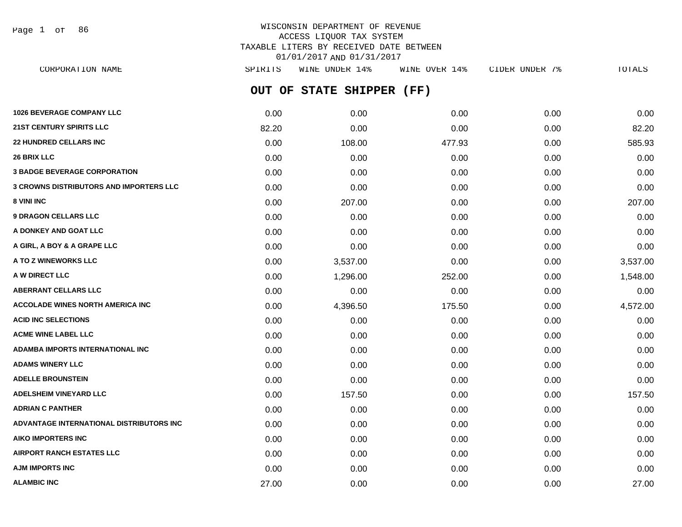Page 1 of 86

# WISCONSIN DEPARTMENT OF REVENUE ACCESS LIQUOR TAX SYSTEM TAXABLE LITERS BY RECEIVED DATE BETWEEN 01/01/2017 AND 01/31/2017

| CORPORATION NAME                               | SPIRITS | WINE UNDER 14%       | WINE OVER 14% | CIDER UNDER 7% | TOTALS   |
|------------------------------------------------|---------|----------------------|---------------|----------------|----------|
|                                                | OUT OF  | <b>STATE SHIPPER</b> | (FF)          |                |          |
| <b>1026 BEVERAGE COMPANY LLC</b>               | 0.00    | 0.00                 | 0.00          | 0.00           | 0.00     |
| <b>21ST CENTURY SPIRITS LLC</b>                | 82.20   | 0.00                 | 0.00          | 0.00           | 82.20    |
| <b>22 HUNDRED CELLARS INC</b>                  | 0.00    | 108.00               | 477.93        | 0.00           | 585.93   |
| <b>26 BRIX LLC</b>                             | 0.00    | 0.00                 | 0.00          | 0.00           | 0.00     |
| <b>3 BADGE BEVERAGE CORPORATION</b>            | 0.00    | 0.00                 | 0.00          | 0.00           | 0.00     |
| <b>3 CROWNS DISTRIBUTORS AND IMPORTERS LLC</b> | 0.00    | 0.00                 | 0.00          | 0.00           | 0.00     |
| <b>8 VINI INC</b>                              | 0.00    | 207.00               | 0.00          | 0.00           | 207.00   |
| <b>9 DRAGON CELLARS LLC</b>                    | 0.00    | 0.00                 | 0.00          | 0.00           | 0.00     |
| A DONKEY AND GOAT LLC                          | 0.00    | 0.00                 | 0.00          | 0.00           | 0.00     |
| A GIRL, A BOY & A GRAPE LLC                    | 0.00    | 0.00                 | 0.00          | 0.00           | 0.00     |
| <b>A TO Z WINEWORKS LLC</b>                    | 0.00    | 3,537.00             | 0.00          | 0.00           | 3,537.00 |
| <b>A W DIRECT LLC</b>                          | 0.00    | 1,296.00             | 252.00        | 0.00           | 1,548.00 |
| <b>ABERRANT CELLARS LLC</b>                    | 0.00    | 0.00                 | 0.00          | 0.00           | 0.00     |
| ACCOLADE WINES NORTH AMERICA INC               | 0.00    | 4,396.50             | 175.50        | 0.00           | 4,572.00 |
| <b>ACID INC SELECTIONS</b>                     | 0.00    | 0.00                 | 0.00          | 0.00           | 0.00     |
| <b>ACME WINE LABEL LLC</b>                     | 0.00    | 0.00                 | 0.00          | 0.00           | 0.00     |
| ADAMBA IMPORTS INTERNATIONAL INC               | 0.00    | 0.00                 | 0.00          | 0.00           | 0.00     |
| <b>ADAMS WINERY LLC</b>                        | 0.00    | 0.00                 | 0.00          | 0.00           | 0.00     |
| <b>ADELLE BROUNSTEIN</b>                       | 0.00    | 0.00                 | 0.00          | 0.00           | 0.00     |
| <b>ADELSHEIM VINEYARD LLC</b>                  | 0.00    | 157.50               | 0.00          | 0.00           | 157.50   |
| <b>ADRIAN C PANTHER</b>                        | 0.00    | 0.00                 | 0.00          | 0.00           | 0.00     |
| ADVANTAGE INTERNATIONAL DISTRIBUTORS INC       | 0.00    | 0.00                 | 0.00          | 0.00           | 0.00     |
| <b>AIKO IMPORTERS INC</b>                      | 0.00    | 0.00                 | 0.00          | 0.00           | 0.00     |
| <b>AIRPORT RANCH ESTATES LLC</b>               | 0.00    | 0.00                 | 0.00          | 0.00           | 0.00     |
| AJM IMPORTS INC                                | 0.00    | 0.00                 | 0.00          | 0.00           | 0.00     |
|                                                |         |                      |               |                |          |

**ALAMBIC INC** 27.00 0.00 0.00 0.00 27.00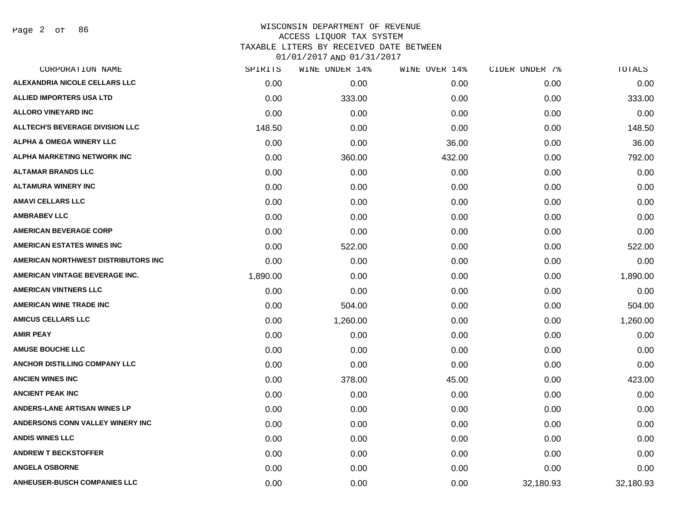# WISCONSIN DEPARTMENT OF REVENUE ACCESS LIQUOR TAX SYSTEM TAXABLE LITERS BY RECEIVED DATE BETWEEN

| CORPORATION NAME                        | SPIRITS  | WINE UNDER 14% | WINE OVER 14% | CIDER UNDER 7% | TOTALS    |
|-----------------------------------------|----------|----------------|---------------|----------------|-----------|
| ALEXANDRIA NICOLE CELLARS LLC           | 0.00     | 0.00           | 0.00          | 0.00           | 0.00      |
| <b>ALLIED IMPORTERS USA LTD</b>         | 0.00     | 333.00         | 0.00          | 0.00           | 333.00    |
| <b>ALLORO VINEYARD INC</b>              | 0.00     | 0.00           | 0.00          | 0.00           | 0.00      |
| <b>ALLTECH'S BEVERAGE DIVISION LLC</b>  | 148.50   | 0.00           | 0.00          | 0.00           | 148.50    |
| <b>ALPHA &amp; OMEGA WINERY LLC</b>     | 0.00     | 0.00           | 36.00         | 0.00           | 36.00     |
| <b>ALPHA MARKETING NETWORK INC</b>      | 0.00     | 360.00         | 432.00        | 0.00           | 792.00    |
| <b>ALTAMAR BRANDS LLC</b>               | 0.00     | 0.00           | 0.00          | 0.00           | 0.00      |
| <b>ALTAMURA WINERY INC</b>              | 0.00     | 0.00           | 0.00          | 0.00           | 0.00      |
| <b>AMAVI CELLARS LLC</b>                | 0.00     | 0.00           | 0.00          | 0.00           | 0.00      |
| <b>AMBRABEV LLC</b>                     | 0.00     | 0.00           | 0.00          | 0.00           | 0.00      |
| <b>AMERICAN BEVERAGE CORP</b>           | 0.00     | 0.00           | 0.00          | 0.00           | 0.00      |
| <b>AMERICAN ESTATES WINES INC</b>       | 0.00     | 522.00         | 0.00          | 0.00           | 522.00    |
| AMERICAN NORTHWEST DISTRIBUTORS INC     | 0.00     | 0.00           | 0.00          | 0.00           | 0.00      |
| AMERICAN VINTAGE BEVERAGE INC.          | 1,890.00 | 0.00           | 0.00          | 0.00           | 1,890.00  |
| <b>AMERICAN VINTNERS LLC</b>            | 0.00     | 0.00           | 0.00          | 0.00           | 0.00      |
| <b>AMERICAN WINE TRADE INC</b>          | 0.00     | 504.00         | 0.00          | 0.00           | 504.00    |
| <b>AMICUS CELLARS LLC</b>               | 0.00     | 1,260.00       | 0.00          | 0.00           | 1,260.00  |
| <b>AMIR PEAY</b>                        | 0.00     | 0.00           | 0.00          | 0.00           | 0.00      |
| <b>AMUSE BOUCHE LLC</b>                 | 0.00     | 0.00           | 0.00          | 0.00           | 0.00      |
| <b>ANCHOR DISTILLING COMPANY LLC</b>    | 0.00     | 0.00           | 0.00          | 0.00           | 0.00      |
| <b>ANCIEN WINES INC</b>                 | 0.00     | 378.00         | 45.00         | 0.00           | 423.00    |
| <b>ANCIENT PEAK INC</b>                 | 0.00     | 0.00           | 0.00          | 0.00           | 0.00      |
| <b>ANDERS-LANE ARTISAN WINES LP</b>     | 0.00     | 0.00           | 0.00          | 0.00           | 0.00      |
| <b>ANDERSONS CONN VALLEY WINERY INC</b> | 0.00     | 0.00           | 0.00          | 0.00           | 0.00      |
| <b>ANDIS WINES LLC</b>                  | 0.00     | 0.00           | 0.00          | 0.00           | 0.00      |
| <b>ANDREW T BECKSTOFFER</b>             | 0.00     | 0.00           | 0.00          | 0.00           | 0.00      |
| <b>ANGELA OSBORNE</b>                   | 0.00     | 0.00           | 0.00          | 0.00           | 0.00      |
| <b>ANHEUSER-BUSCH COMPANIES LLC</b>     | 0.00     | 0.00           | 0.00          | 32,180.93      | 32,180.93 |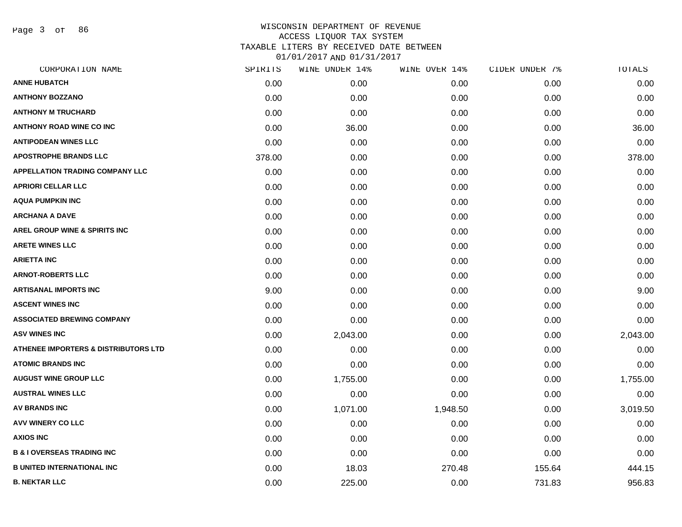Page 3 of 86

| CORPORATION NAME                                | SPIRITS | WINE UNDER 14% | WINE OVER 14% | CIDER UNDER 7% | TOTALS   |
|-------------------------------------------------|---------|----------------|---------------|----------------|----------|
| <b>ANNE HUBATCH</b>                             | 0.00    | 0.00           | 0.00          | 0.00           | 0.00     |
| <b>ANTHONY BOZZANO</b>                          | 0.00    | 0.00           | 0.00          | 0.00           | 0.00     |
| <b>ANTHONY M TRUCHARD</b>                       | 0.00    | 0.00           | 0.00          | 0.00           | 0.00     |
| <b>ANTHONY ROAD WINE CO INC</b>                 | 0.00    | 36.00          | 0.00          | 0.00           | 36.00    |
| <b>ANTIPODEAN WINES LLC</b>                     | 0.00    | 0.00           | 0.00          | 0.00           | 0.00     |
| <b>APOSTROPHE BRANDS LLC</b>                    | 378.00  | 0.00           | 0.00          | 0.00           | 378.00   |
| <b>APPELLATION TRADING COMPANY LLC</b>          | 0.00    | 0.00           | 0.00          | 0.00           | 0.00     |
| <b>APRIORI CELLAR LLC</b>                       | 0.00    | 0.00           | 0.00          | 0.00           | 0.00     |
| <b>AQUA PUMPKIN INC</b>                         | 0.00    | 0.00           | 0.00          | 0.00           | 0.00     |
| <b>ARCHANA A DAVE</b>                           | 0.00    | 0.00           | 0.00          | 0.00           | 0.00     |
| <b>AREL GROUP WINE &amp; SPIRITS INC</b>        | 0.00    | 0.00           | 0.00          | 0.00           | 0.00     |
| <b>ARETE WINES LLC</b>                          | 0.00    | 0.00           | 0.00          | 0.00           | 0.00     |
| <b>ARIETTA INC</b>                              | 0.00    | 0.00           | 0.00          | 0.00           | 0.00     |
| <b>ARNOT-ROBERTS LLC</b>                        | 0.00    | 0.00           | 0.00          | 0.00           | 0.00     |
| <b>ARTISANAL IMPORTS INC</b>                    | 9.00    | 0.00           | 0.00          | 0.00           | 9.00     |
| <b>ASCENT WINES INC</b>                         | 0.00    | 0.00           | 0.00          | 0.00           | 0.00     |
| <b>ASSOCIATED BREWING COMPANY</b>               | 0.00    | 0.00           | 0.00          | 0.00           | 0.00     |
| <b>ASV WINES INC</b>                            | 0.00    | 2,043.00       | 0.00          | 0.00           | 2,043.00 |
| <b>ATHENEE IMPORTERS &amp; DISTRIBUTORS LTD</b> | 0.00    | 0.00           | 0.00          | 0.00           | 0.00     |
| <b>ATOMIC BRANDS INC</b>                        | 0.00    | 0.00           | 0.00          | 0.00           | 0.00     |
| <b>AUGUST WINE GROUP LLC</b>                    | 0.00    | 1,755.00       | 0.00          | 0.00           | 1,755.00 |
| <b>AUSTRAL WINES LLC</b>                        | 0.00    | 0.00           | 0.00          | 0.00           | 0.00     |
| <b>AV BRANDS INC</b>                            | 0.00    | 1,071.00       | 1,948.50      | 0.00           | 3,019.50 |
| <b>AVV WINERY CO LLC</b>                        | 0.00    | 0.00           | 0.00          | 0.00           | 0.00     |
| <b>AXIOS INC</b>                                | 0.00    | 0.00           | 0.00          | 0.00           | 0.00     |
| <b>B &amp; I OVERSEAS TRADING INC</b>           | 0.00    | 0.00           | 0.00          | 0.00           | 0.00     |
| <b>B UNITED INTERNATIONAL INC</b>               | 0.00    | 18.03          | 270.48        | 155.64         | 444.15   |
| <b>B. NEKTAR LLC</b>                            | 0.00    | 225.00         | 0.00          | 731.83         | 956.83   |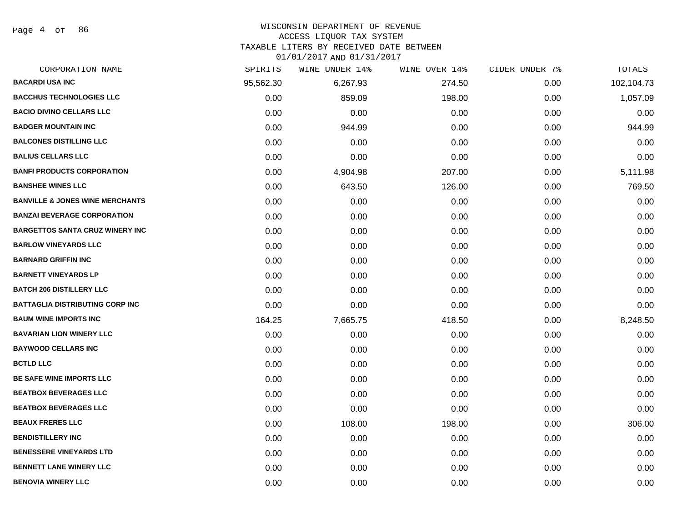Page 4 of 86

#### WISCONSIN DEPARTMENT OF REVENUE

### ACCESS LIQUOR TAX SYSTEM

TAXABLE LITERS BY RECEIVED DATE BETWEEN

| CORPORATION NAME                           | SPIRITS   | WINE UNDER 14% | WINE OVER 14% | CIDER UNDER 7% | TOTALS     |
|--------------------------------------------|-----------|----------------|---------------|----------------|------------|
| <b>BACARDI USA INC</b>                     | 95,562.30 | 6,267.93       | 274.50        | 0.00           | 102,104.73 |
| <b>BACCHUS TECHNOLOGIES LLC</b>            | 0.00      | 859.09         | 198.00        | 0.00           | 1,057.09   |
| <b>BACIO DIVINO CELLARS LLC</b>            | 0.00      | 0.00           | 0.00          | 0.00           | 0.00       |
| <b>BADGER MOUNTAIN INC</b>                 | 0.00      | 944.99         | 0.00          | 0.00           | 944.99     |
| <b>BALCONES DISTILLING LLC</b>             | 0.00      | 0.00           | 0.00          | 0.00           | 0.00       |
| <b>BALIUS CELLARS LLC</b>                  | 0.00      | 0.00           | 0.00          | 0.00           | 0.00       |
| <b>BANFI PRODUCTS CORPORATION</b>          | 0.00      | 4,904.98       | 207.00        | 0.00           | 5,111.98   |
| <b>BANSHEE WINES LLC</b>                   | 0.00      | 643.50         | 126.00        | 0.00           | 769.50     |
| <b>BANVILLE &amp; JONES WINE MERCHANTS</b> | 0.00      | 0.00           | 0.00          | 0.00           | 0.00       |
| <b>BANZAI BEVERAGE CORPORATION</b>         | 0.00      | 0.00           | 0.00          | 0.00           | 0.00       |
| <b>BARGETTOS SANTA CRUZ WINERY INC</b>     | 0.00      | 0.00           | 0.00          | 0.00           | 0.00       |
| <b>BARLOW VINEYARDS LLC</b>                | 0.00      | 0.00           | 0.00          | 0.00           | 0.00       |
| <b>BARNARD GRIFFIN INC</b>                 | 0.00      | 0.00           | 0.00          | 0.00           | 0.00       |
| <b>BARNETT VINEYARDS LP</b>                | 0.00      | 0.00           | 0.00          | 0.00           | 0.00       |
| <b>BATCH 206 DISTILLERY LLC</b>            | 0.00      | 0.00           | 0.00          | 0.00           | 0.00       |
| <b>BATTAGLIA DISTRIBUTING CORP INC</b>     | 0.00      | 0.00           | 0.00          | 0.00           | 0.00       |
| <b>BAUM WINE IMPORTS INC</b>               | 164.25    | 7,665.75       | 418.50        | 0.00           | 8,248.50   |
| <b>BAVARIAN LION WINERY LLC</b>            | 0.00      | 0.00           | 0.00          | 0.00           | 0.00       |
| <b>BAYWOOD CELLARS INC</b>                 | 0.00      | 0.00           | 0.00          | 0.00           | 0.00       |
| <b>BCTLD LLC</b>                           | 0.00      | 0.00           | 0.00          | 0.00           | 0.00       |
| BE SAFE WINE IMPORTS LLC                   | 0.00      | 0.00           | 0.00          | 0.00           | 0.00       |
| <b>BEATBOX BEVERAGES LLC</b>               | 0.00      | 0.00           | 0.00          | 0.00           | 0.00       |
| <b>BEATBOX BEVERAGES LLC</b>               | 0.00      | 0.00           | 0.00          | 0.00           | 0.00       |
| <b>BEAUX FRERES LLC</b>                    | 0.00      | 108.00         | 198.00        | 0.00           | 306.00     |
| <b>BENDISTILLERY INC</b>                   | 0.00      | 0.00           | 0.00          | 0.00           | 0.00       |
| <b>BENESSERE VINEYARDS LTD</b>             | 0.00      | 0.00           | 0.00          | 0.00           | 0.00       |
| <b>BENNETT LANE WINERY LLC</b>             | 0.00      | 0.00           | 0.00          | 0.00           | 0.00       |
| <b>BENOVIA WINERY LLC</b>                  | 0.00      | 0.00           | 0.00          | 0.00           | 0.00       |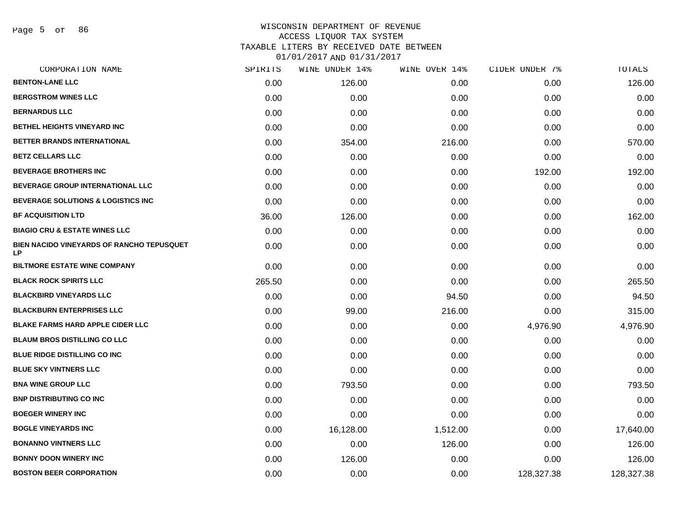Page 5 of 86

# WISCONSIN DEPARTMENT OF REVENUE ACCESS LIQUOR TAX SYSTEM TAXABLE LITERS BY RECEIVED DATE BETWEEN

| CORPORATION NAME                                | SPIRITS | WINE UNDER 14% | WINE OVER 14% | CIDER UNDER 7% | TOTALS     |
|-------------------------------------------------|---------|----------------|---------------|----------------|------------|
| <b>BENTON-LANE LLC</b>                          | 0.00    | 126.00         | 0.00          | 0.00           | 126.00     |
| <b>BERGSTROM WINES LLC</b>                      | 0.00    | 0.00           | 0.00          | 0.00           | 0.00       |
| <b>BERNARDUS LLC</b>                            | 0.00    | 0.00           | 0.00          | 0.00           | 0.00       |
| BETHEL HEIGHTS VINEYARD INC                     | 0.00    | 0.00           | 0.00          | 0.00           | 0.00       |
| BETTER BRANDS INTERNATIONAL                     | 0.00    | 354.00         | 216.00        | 0.00           | 570.00     |
| <b>BETZ CELLARS LLC</b>                         | 0.00    | 0.00           | 0.00          | 0.00           | 0.00       |
| <b>BEVERAGE BROTHERS INC</b>                    | 0.00    | 0.00           | 0.00          | 192.00         | 192.00     |
| <b>BEVERAGE GROUP INTERNATIONAL LLC</b>         | 0.00    | 0.00           | 0.00          | 0.00           | 0.00       |
| BEVERAGE SOLUTIONS & LOGISTICS INC              | 0.00    | 0.00           | 0.00          | 0.00           | 0.00       |
| <b>BF ACQUISITION LTD</b>                       | 36.00   | 126.00         | 0.00          | 0.00           | 162.00     |
| <b>BIAGIO CRU &amp; ESTATE WINES LLC</b>        | 0.00    | 0.00           | 0.00          | 0.00           | 0.00       |
| BIEN NACIDO VINEYARDS OF RANCHO TEPUSQUET<br>LP | 0.00    | 0.00           | 0.00          | 0.00           | 0.00       |
| <b>BILTMORE ESTATE WINE COMPANY</b>             | 0.00    | 0.00           | 0.00          | 0.00           | 0.00       |
| <b>BLACK ROCK SPIRITS LLC</b>                   | 265.50  | 0.00           | 0.00          | 0.00           | 265.50     |
| <b>BLACKBIRD VINEYARDS LLC</b>                  | 0.00    | 0.00           | 94.50         | 0.00           | 94.50      |
| <b>BLACKBURN ENTERPRISES LLC</b>                | 0.00    | 99.00          | 216.00        | 0.00           | 315.00     |
| <b>BLAKE FARMS HARD APPLE CIDER LLC</b>         | 0.00    | 0.00           | 0.00          | 4,976.90       | 4,976.90   |
| <b>BLAUM BROS DISTILLING CO LLC</b>             | 0.00    | 0.00           | 0.00          | 0.00           | 0.00       |
| BLUE RIDGE DISTILLING CO INC                    | 0.00    | 0.00           | 0.00          | 0.00           | 0.00       |
| <b>BLUE SKY VINTNERS LLC</b>                    | 0.00    | 0.00           | 0.00          | 0.00           | 0.00       |
| <b>BNA WINE GROUP LLC</b>                       | 0.00    | 793.50         | 0.00          | 0.00           | 793.50     |
| <b>BNP DISTRIBUTING CO INC</b>                  | 0.00    | 0.00           | 0.00          | 0.00           | 0.00       |
| <b>BOEGER WINERY INC</b>                        | 0.00    | 0.00           | 0.00          | 0.00           | 0.00       |
| <b>BOGLE VINEYARDS INC</b>                      | 0.00    | 16,128.00      | 1,512.00      | 0.00           | 17,640.00  |
| <b>BONANNO VINTNERS LLC</b>                     | 0.00    | 0.00           | 126.00        | 0.00           | 126.00     |
| <b>BONNY DOON WINERY INC</b>                    | 0.00    | 126.00         | 0.00          | 0.00           | 126.00     |
| <b>BOSTON BEER CORPORATION</b>                  | 0.00    | 0.00           | 0.00          | 128,327.38     | 128,327.38 |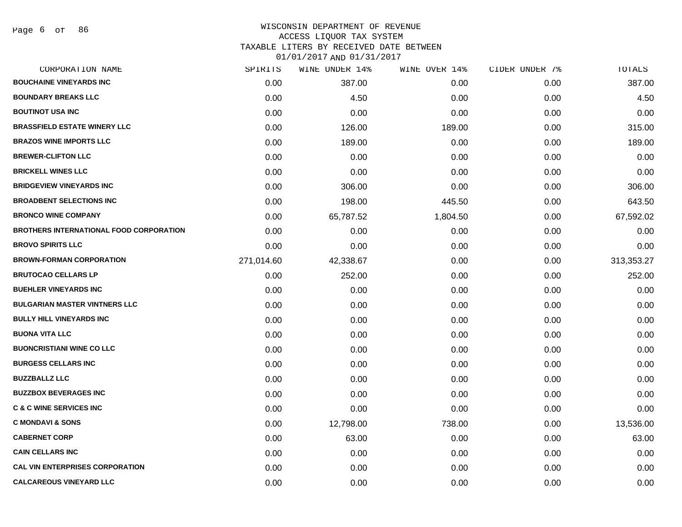### WISCONSIN DEPARTMENT OF REVENUE ACCESS LIQUOR TAX SYSTEM TAXABLE LITERS BY RECEIVED DATE BETWEEN

| CORPORATION NAME                               | SPIRITS    | WINE UNDER 14% | WINE OVER 14% | CIDER UNDER 7% | TOTALS     |
|------------------------------------------------|------------|----------------|---------------|----------------|------------|
| <b>BOUCHAINE VINEYARDS INC</b>                 | 0.00       | 387.00         | 0.00          | 0.00           | 387.00     |
| <b>BOUNDARY BREAKS LLC</b>                     | 0.00       | 4.50           | 0.00          | 0.00           | 4.50       |
| <b>BOUTINOT USA INC</b>                        | 0.00       | 0.00           | 0.00          | 0.00           | 0.00       |
| <b>BRASSFIELD ESTATE WINERY LLC</b>            | 0.00       | 126.00         | 189.00        | 0.00           | 315.00     |
| <b>BRAZOS WINE IMPORTS LLC</b>                 | 0.00       | 189.00         | 0.00          | 0.00           | 189.00     |
| <b>BREWER-CLIFTON LLC</b>                      | 0.00       | 0.00           | 0.00          | 0.00           | 0.00       |
| <b>BRICKELL WINES LLC</b>                      | 0.00       | 0.00           | 0.00          | 0.00           | 0.00       |
| <b>BRIDGEVIEW VINEYARDS INC</b>                | 0.00       | 306.00         | 0.00          | 0.00           | 306.00     |
| <b>BROADBENT SELECTIONS INC</b>                | 0.00       | 198.00         | 445.50        | 0.00           | 643.50     |
| <b>BRONCO WINE COMPANY</b>                     | 0.00       | 65,787.52      | 1,804.50      | 0.00           | 67,592.02  |
| <b>BROTHERS INTERNATIONAL FOOD CORPORATION</b> | 0.00       | 0.00           | 0.00          | 0.00           | 0.00       |
| <b>BROVO SPIRITS LLC</b>                       | 0.00       | 0.00           | 0.00          | 0.00           | 0.00       |
| <b>BROWN-FORMAN CORPORATION</b>                | 271,014.60 | 42,338.67      | 0.00          | 0.00           | 313,353.27 |
| <b>BRUTOCAO CELLARS LP</b>                     | 0.00       | 252.00         | 0.00          | 0.00           | 252.00     |
| <b>BUEHLER VINEYARDS INC</b>                   | 0.00       | 0.00           | 0.00          | 0.00           | 0.00       |
| <b>BULGARIAN MASTER VINTNERS LLC</b>           | 0.00       | 0.00           | 0.00          | 0.00           | 0.00       |
| <b>BULLY HILL VINEYARDS INC</b>                | 0.00       | 0.00           | 0.00          | 0.00           | 0.00       |
| <b>BUONA VITA LLC</b>                          | 0.00       | 0.00           | 0.00          | 0.00           | 0.00       |
| <b>BUONCRISTIANI WINE CO LLC</b>               | 0.00       | 0.00           | 0.00          | 0.00           | 0.00       |
| <b>BURGESS CELLARS INC</b>                     | 0.00       | 0.00           | 0.00          | 0.00           | 0.00       |
| <b>BUZZBALLZ LLC</b>                           | 0.00       | 0.00           | 0.00          | 0.00           | 0.00       |
| <b>BUZZBOX BEVERAGES INC</b>                   | 0.00       | 0.00           | 0.00          | 0.00           | 0.00       |
| <b>C &amp; C WINE SERVICES INC</b>             | 0.00       | 0.00           | 0.00          | 0.00           | 0.00       |
| <b>C MONDAVI &amp; SONS</b>                    | 0.00       | 12,798.00      | 738.00        | 0.00           | 13,536.00  |
| <b>CABERNET CORP</b>                           | 0.00       | 63.00          | 0.00          | 0.00           | 63.00      |
| <b>CAIN CELLARS INC</b>                        | 0.00       | 0.00           | 0.00          | 0.00           | 0.00       |
| <b>CAL VIN ENTERPRISES CORPORATION</b>         | 0.00       | 0.00           | 0.00          | 0.00           | 0.00       |
| <b>CALCAREOUS VINEYARD LLC</b>                 | 0.00       | 0.00           | 0.00          | 0.00           | 0.00       |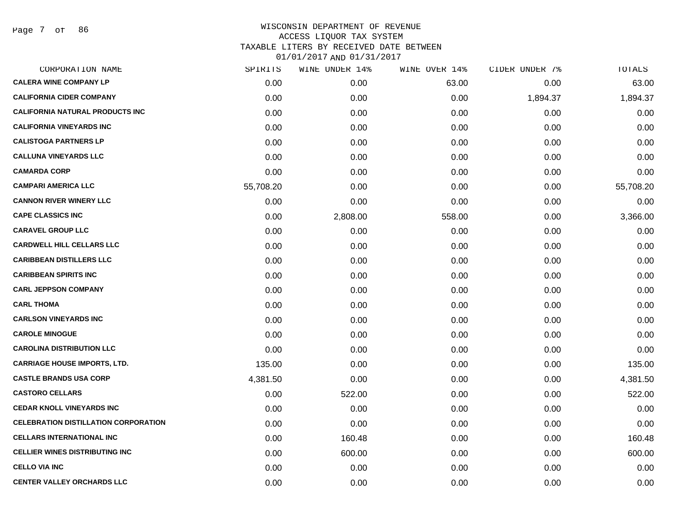Page 7 of 86

| CORPORATION NAME                            | SPIRITS   | WINE UNDER 14% | WINE OVER 14% | CIDER UNDER 7% | TOTALS    |
|---------------------------------------------|-----------|----------------|---------------|----------------|-----------|
| <b>CALERA WINE COMPANY LP</b>               | 0.00      | 0.00           | 63.00         | 0.00           | 63.00     |
| <b>CALIFORNIA CIDER COMPANY</b>             | 0.00      | 0.00           | 0.00          | 1,894.37       | 1,894.37  |
| <b>CALIFORNIA NATURAL PRODUCTS INC</b>      | 0.00      | 0.00           | 0.00          | 0.00           | 0.00      |
| <b>CALIFORNIA VINEYARDS INC</b>             | 0.00      | 0.00           | 0.00          | 0.00           | 0.00      |
| <b>CALISTOGA PARTNERS LP</b>                | 0.00      | 0.00           | 0.00          | 0.00           | 0.00      |
| <b>CALLUNA VINEYARDS LLC</b>                | 0.00      | 0.00           | 0.00          | 0.00           | 0.00      |
| <b>CAMARDA CORP</b>                         | 0.00      | 0.00           | 0.00          | 0.00           | 0.00      |
| <b>CAMPARI AMERICA LLC</b>                  | 55,708.20 | 0.00           | 0.00          | 0.00           | 55,708.20 |
| <b>CANNON RIVER WINERY LLC</b>              | 0.00      | 0.00           | 0.00          | 0.00           | 0.00      |
| <b>CAPE CLASSICS INC</b>                    | 0.00      | 2,808.00       | 558.00        | 0.00           | 3,366.00  |
| <b>CARAVEL GROUP LLC</b>                    | 0.00      | 0.00           | 0.00          | 0.00           | 0.00      |
| <b>CARDWELL HILL CELLARS LLC</b>            | 0.00      | 0.00           | 0.00          | 0.00           | 0.00      |
| <b>CARIBBEAN DISTILLERS LLC</b>             | 0.00      | 0.00           | 0.00          | 0.00           | 0.00      |
| <b>CARIBBEAN SPIRITS INC</b>                | 0.00      | 0.00           | 0.00          | 0.00           | 0.00      |
| <b>CARL JEPPSON COMPANY</b>                 | 0.00      | 0.00           | 0.00          | 0.00           | 0.00      |
| <b>CARL THOMA</b>                           | 0.00      | 0.00           | 0.00          | 0.00           | 0.00      |
| <b>CARLSON VINEYARDS INC</b>                | 0.00      | 0.00           | 0.00          | 0.00           | 0.00      |
| <b>CAROLE MINOGUE</b>                       | 0.00      | 0.00           | 0.00          | 0.00           | 0.00      |
| <b>CAROLINA DISTRIBUTION LLC</b>            | 0.00      | 0.00           | 0.00          | 0.00           | 0.00      |
| <b>CARRIAGE HOUSE IMPORTS, LTD.</b>         | 135.00    | 0.00           | 0.00          | 0.00           | 135.00    |
| <b>CASTLE BRANDS USA CORP</b>               | 4,381.50  | 0.00           | 0.00          | 0.00           | 4,381.50  |
| <b>CASTORO CELLARS</b>                      | 0.00      | 522.00         | 0.00          | 0.00           | 522.00    |
| <b>CEDAR KNOLL VINEYARDS INC</b>            | 0.00      | 0.00           | 0.00          | 0.00           | 0.00      |
| <b>CELEBRATION DISTILLATION CORPORATION</b> | 0.00      | 0.00           | 0.00          | 0.00           | 0.00      |
| <b>CELLARS INTERNATIONAL INC</b>            | 0.00      | 160.48         | 0.00          | 0.00           | 160.48    |
| <b>CELLIER WINES DISTRIBUTING INC</b>       | 0.00      | 600.00         | 0.00          | 0.00           | 600.00    |
| <b>CELLO VIA INC</b>                        | 0.00      | 0.00           | 0.00          | 0.00           | 0.00      |
| <b>CENTER VALLEY ORCHARDS LLC</b>           | 0.00      | 0.00           | 0.00          | 0.00           | 0.00      |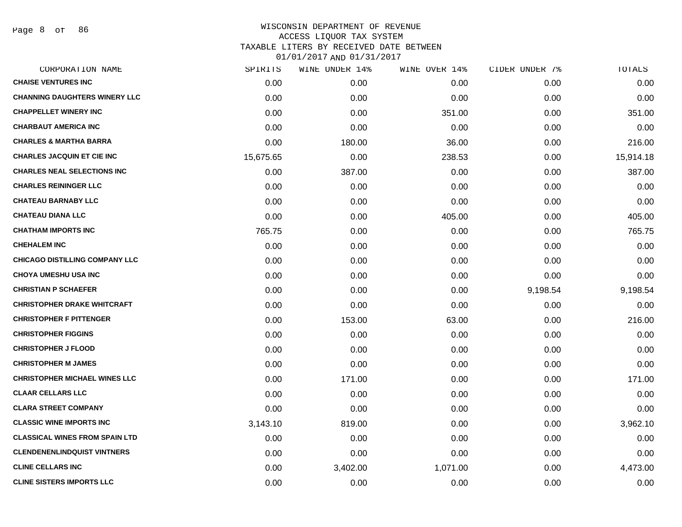Page 8 of 86

| CORPORATION NAME                      | SPIRITS   | WINE UNDER 14% | WINE OVER 14% | CIDER UNDER 7% | TOTALS    |
|---------------------------------------|-----------|----------------|---------------|----------------|-----------|
| <b>CHAISE VENTURES INC</b>            | 0.00      | 0.00           | 0.00          | 0.00           | 0.00      |
| <b>CHANNING DAUGHTERS WINERY LLC</b>  | 0.00      | 0.00           | 0.00          | 0.00           | 0.00      |
| <b>CHAPPELLET WINERY INC</b>          | 0.00      | 0.00           | 351.00        | 0.00           | 351.00    |
| <b>CHARBAUT AMERICA INC</b>           | 0.00      | 0.00           | 0.00          | 0.00           | 0.00      |
| <b>CHARLES &amp; MARTHA BARRA</b>     | 0.00      | 180.00         | 36.00         | 0.00           | 216.00    |
| <b>CHARLES JACQUIN ET CIE INC</b>     | 15,675.65 | 0.00           | 238.53        | 0.00           | 15,914.18 |
| <b>CHARLES NEAL SELECTIONS INC</b>    | 0.00      | 387.00         | 0.00          | 0.00           | 387.00    |
| <b>CHARLES REININGER LLC</b>          | 0.00      | 0.00           | 0.00          | 0.00           | 0.00      |
| <b>CHATEAU BARNABY LLC</b>            | 0.00      | 0.00           | 0.00          | 0.00           | 0.00      |
| <b>CHATEAU DIANA LLC</b>              | 0.00      | 0.00           | 405.00        | 0.00           | 405.00    |
| <b>CHATHAM IMPORTS INC</b>            | 765.75    | 0.00           | 0.00          | 0.00           | 765.75    |
| <b>CHEHALEM INC</b>                   | 0.00      | 0.00           | 0.00          | 0.00           | 0.00      |
| <b>CHICAGO DISTILLING COMPANY LLC</b> | 0.00      | 0.00           | 0.00          | 0.00           | 0.00      |
| <b>CHOYA UMESHU USA INC</b>           | 0.00      | 0.00           | 0.00          | 0.00           | 0.00      |
| <b>CHRISTIAN P SCHAEFER</b>           | 0.00      | 0.00           | 0.00          | 9,198.54       | 9,198.54  |
| <b>CHRISTOPHER DRAKE WHITCRAFT</b>    | 0.00      | 0.00           | 0.00          | 0.00           | 0.00      |
| <b>CHRISTOPHER F PITTENGER</b>        | 0.00      | 153.00         | 63.00         | 0.00           | 216.00    |
| <b>CHRISTOPHER FIGGINS</b>            | 0.00      | 0.00           | 0.00          | 0.00           | 0.00      |
| <b>CHRISTOPHER J FLOOD</b>            | 0.00      | 0.00           | 0.00          | 0.00           | 0.00      |
| <b>CHRISTOPHER M JAMES</b>            | 0.00      | 0.00           | 0.00          | 0.00           | 0.00      |
| <b>CHRISTOPHER MICHAEL WINES LLC</b>  | 0.00      | 171.00         | 0.00          | 0.00           | 171.00    |
| <b>CLAAR CELLARS LLC</b>              | 0.00      | 0.00           | 0.00          | 0.00           | 0.00      |
| <b>CLARA STREET COMPANY</b>           | 0.00      | 0.00           | 0.00          | 0.00           | 0.00      |
| <b>CLASSIC WINE IMPORTS INC</b>       | 3,143.10  | 819.00         | 0.00          | 0.00           | 3,962.10  |
| <b>CLASSICAL WINES FROM SPAIN LTD</b> | 0.00      | 0.00           | 0.00          | 0.00           | 0.00      |
| <b>CLENDENENLINDQUIST VINTNERS</b>    | 0.00      | 0.00           | 0.00          | 0.00           | 0.00      |
| <b>CLINE CELLARS INC</b>              | 0.00      | 3,402.00       | 1,071.00      | 0.00           | 4,473.00  |
| <b>CLINE SISTERS IMPORTS LLC</b>      | 0.00      | 0.00           | 0.00          | 0.00           | 0.00      |
|                                       |           |                |               |                |           |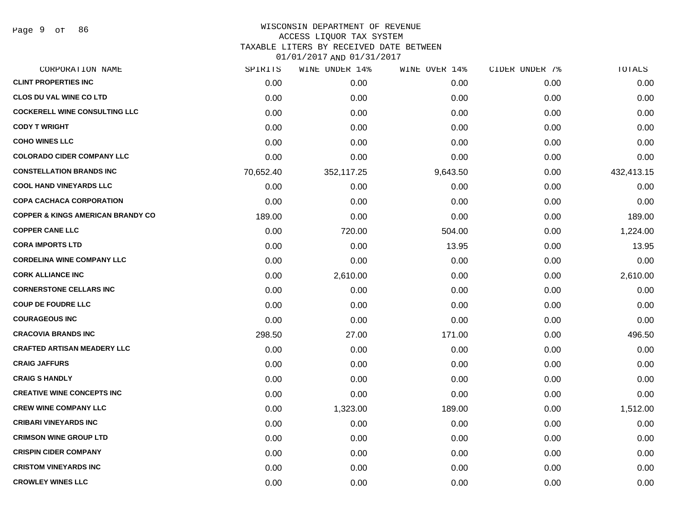Page 9 of 86

### WISCONSIN DEPARTMENT OF REVENUE ACCESS LIQUOR TAX SYSTEM TAXABLE LITERS BY RECEIVED DATE BETWEEN

| CORPORATION NAME                             | SPIRITS   | WINE UNDER 14% | WINE OVER 14% | CIDER UNDER 7% | TOTALS     |
|----------------------------------------------|-----------|----------------|---------------|----------------|------------|
| <b>CLINT PROPERTIES INC</b>                  | 0.00      | 0.00           | 0.00          | 0.00           | 0.00       |
| <b>CLOS DU VAL WINE CO LTD</b>               | 0.00      | 0.00           | 0.00          | 0.00           | 0.00       |
| <b>COCKERELL WINE CONSULTING LLC</b>         | 0.00      | 0.00           | 0.00          | 0.00           | 0.00       |
| <b>CODY T WRIGHT</b>                         | 0.00      | 0.00           | 0.00          | 0.00           | 0.00       |
| <b>COHO WINES LLC</b>                        | 0.00      | 0.00           | 0.00          | 0.00           | 0.00       |
| <b>COLORADO CIDER COMPANY LLC</b>            | 0.00      | 0.00           | 0.00          | 0.00           | 0.00       |
| <b>CONSTELLATION BRANDS INC</b>              | 70,652.40 | 352,117.25     | 9,643.50      | 0.00           | 432,413.15 |
| <b>COOL HAND VINEYARDS LLC</b>               | 0.00      | 0.00           | 0.00          | 0.00           | 0.00       |
| <b>COPA CACHACA CORPORATION</b>              | 0.00      | 0.00           | 0.00          | 0.00           | 0.00       |
| <b>COPPER &amp; KINGS AMERICAN BRANDY CO</b> | 189.00    | 0.00           | 0.00          | 0.00           | 189.00     |
| <b>COPPER CANE LLC</b>                       | 0.00      | 720.00         | 504.00        | 0.00           | 1,224.00   |
| <b>CORA IMPORTS LTD</b>                      | 0.00      | 0.00           | 13.95         | 0.00           | 13.95      |
| <b>CORDELINA WINE COMPANY LLC</b>            | 0.00      | 0.00           | 0.00          | 0.00           | 0.00       |
| <b>CORK ALLIANCE INC</b>                     | 0.00      | 2,610.00       | 0.00          | 0.00           | 2,610.00   |
| <b>CORNERSTONE CELLARS INC</b>               | 0.00      | 0.00           | 0.00          | 0.00           | 0.00       |
| <b>COUP DE FOUDRE LLC</b>                    | 0.00      | 0.00           | 0.00          | 0.00           | 0.00       |
| <b>COURAGEOUS INC</b>                        | 0.00      | 0.00           | 0.00          | 0.00           | 0.00       |
| <b>CRACOVIA BRANDS INC</b>                   | 298.50    | 27.00          | 171.00        | 0.00           | 496.50     |
| <b>CRAFTED ARTISAN MEADERY LLC</b>           | 0.00      | 0.00           | 0.00          | 0.00           | 0.00       |
| <b>CRAIG JAFFURS</b>                         | 0.00      | 0.00           | 0.00          | 0.00           | 0.00       |
| <b>CRAIG S HANDLY</b>                        | 0.00      | 0.00           | 0.00          | 0.00           | 0.00       |
| <b>CREATIVE WINE CONCEPTS INC</b>            | 0.00      | 0.00           | 0.00          | 0.00           | 0.00       |
| <b>CREW WINE COMPANY LLC</b>                 | 0.00      | 1,323.00       | 189.00        | 0.00           | 1,512.00   |
| <b>CRIBARI VINEYARDS INC</b>                 | 0.00      | 0.00           | 0.00          | 0.00           | 0.00       |
| <b>CRIMSON WINE GROUP LTD</b>                | 0.00      | 0.00           | 0.00          | 0.00           | 0.00       |
| <b>CRISPIN CIDER COMPANY</b>                 | 0.00      | 0.00           | 0.00          | 0.00           | 0.00       |
| <b>CRISTOM VINEYARDS INC</b>                 | 0.00      | 0.00           | 0.00          | 0.00           | 0.00       |
| <b>CROWLEY WINES LLC</b>                     | 0.00      | 0.00           | 0.00          | 0.00           | 0.00       |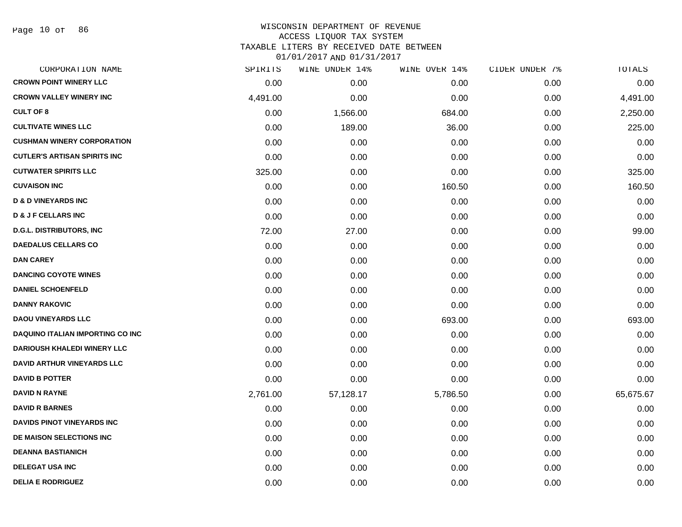### WISCONSIN DEPARTMENT OF REVENUE ACCESS LIQUOR TAX SYSTEM TAXABLE LITERS BY RECEIVED DATE BETWEEN

|  | 0T\0T\70T\YUD\0I\?I\70T |  |  |
|--|-------------------------|--|--|
|  |                         |  |  |

| CORPORATION NAME                         | SPIRITS  | WINE UNDER 14% | WINE OVER 14% | CIDER UNDER 7% | TOTALS    |
|------------------------------------------|----------|----------------|---------------|----------------|-----------|
| <b>CROWN POINT WINERY LLC</b>            | 0.00     | 0.00           | 0.00          | 0.00           | 0.00      |
| <b>CROWN VALLEY WINERY INC</b>           | 4,491.00 | 0.00           | 0.00          | 0.00           | 4,491.00  |
| <b>CULT OF 8</b>                         | 0.00     | 1,566.00       | 684.00        | 0.00           | 2,250.00  |
| <b>CULTIVATE WINES LLC</b>               | 0.00     | 189.00         | 36.00         | 0.00           | 225.00    |
| <b>CUSHMAN WINERY CORPORATION</b>        | 0.00     | 0.00           | 0.00          | 0.00           | 0.00      |
| <b>CUTLER'S ARTISAN SPIRITS INC</b>      | 0.00     | 0.00           | 0.00          | 0.00           | 0.00      |
| <b>CUTWATER SPIRITS LLC</b>              | 325.00   | 0.00           | 0.00          | 0.00           | 325.00    |
| <b>CUVAISON INC</b>                      | 0.00     | 0.00           | 160.50        | 0.00           | 160.50    |
| <b>D &amp; D VINEYARDS INC</b>           | 0.00     | 0.00           | 0.00          | 0.00           | 0.00      |
| <b>D &amp; J F CELLARS INC</b>           | 0.00     | 0.00           | 0.00          | 0.00           | 0.00      |
| <b>D.G.L. DISTRIBUTORS, INC</b>          | 72.00    | 27.00          | 0.00          | 0.00           | 99.00     |
| <b>DAEDALUS CELLARS CO</b>               | 0.00     | 0.00           | 0.00          | 0.00           | 0.00      |
| <b>DAN CAREY</b>                         | 0.00     | 0.00           | 0.00          | 0.00           | 0.00      |
| <b>DANCING COYOTE WINES</b>              | 0.00     | 0.00           | 0.00          | 0.00           | 0.00      |
| <b>DANIEL SCHOENFELD</b>                 | 0.00     | 0.00           | 0.00          | 0.00           | 0.00      |
| <b>DANNY RAKOVIC</b>                     | 0.00     | 0.00           | 0.00          | 0.00           | 0.00      |
| <b>DAOU VINEYARDS LLC</b>                | 0.00     | 0.00           | 693.00        | 0.00           | 693.00    |
| <b>DAQUINO ITALIAN IMPORTING CO INC.</b> | 0.00     | 0.00           | 0.00          | 0.00           | 0.00      |
| <b>DARIOUSH KHALEDI WINERY LLC</b>       | 0.00     | 0.00           | 0.00          | 0.00           | 0.00      |
| <b>DAVID ARTHUR VINEYARDS LLC</b>        | 0.00     | 0.00           | 0.00          | 0.00           | 0.00      |
| <b>DAVID B POTTER</b>                    | 0.00     | 0.00           | 0.00          | 0.00           | 0.00      |
| <b>DAVID N RAYNE</b>                     | 2,761.00 | 57,128.17      | 5,786.50      | 0.00           | 65,675.67 |
| <b>DAVID R BARNES</b>                    | 0.00     | 0.00           | 0.00          | 0.00           | 0.00      |
| <b>DAVIDS PINOT VINEYARDS INC</b>        | 0.00     | 0.00           | 0.00          | 0.00           | 0.00      |
| DE MAISON SELECTIONS INC                 | 0.00     | 0.00           | 0.00          | 0.00           | 0.00      |
| <b>DEANNA BASTIANICH</b>                 | 0.00     | 0.00           | 0.00          | 0.00           | 0.00      |
| <b>DELEGAT USA INC</b>                   | 0.00     | 0.00           | 0.00          | 0.00           | 0.00      |
| <b>DELIA E RODRIGUEZ</b>                 | 0.00     | 0.00           | 0.00          | 0.00           | 0.00      |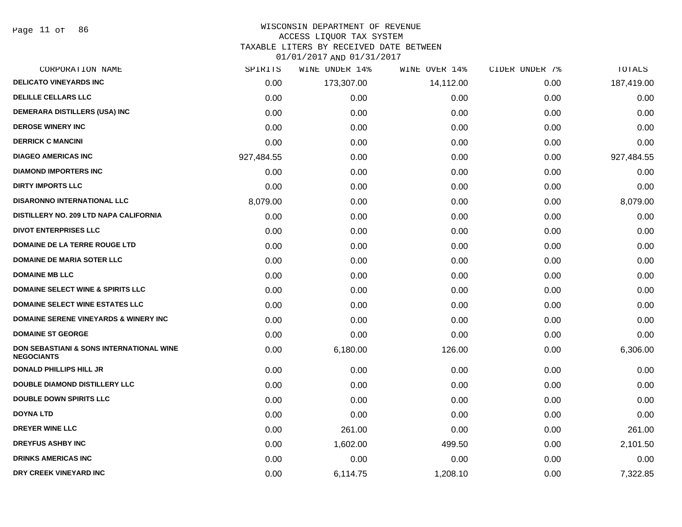Page 11 of 86

### WISCONSIN DEPARTMENT OF REVENUE ACCESS LIQUOR TAX SYSTEM

TAXABLE LITERS BY RECEIVED DATE BETWEEN

| CORPORATION NAME                                              | SPIRITS    | WINE UNDER 14% | WINE OVER 14% | CIDER UNDER 7% | TOTALS     |
|---------------------------------------------------------------|------------|----------------|---------------|----------------|------------|
| <b>DELICATO VINEYARDS INC</b>                                 | 0.00       | 173,307.00     | 14,112.00     | 0.00           | 187,419.00 |
| <b>DELILLE CELLARS LLC</b>                                    | 0.00       | 0.00           | 0.00          | 0.00           | 0.00       |
| DEMERARA DISTILLERS (USA) INC                                 | 0.00       | 0.00           | 0.00          | 0.00           | 0.00       |
| <b>DEROSE WINERY INC</b>                                      | 0.00       | 0.00           | 0.00          | 0.00           | 0.00       |
| <b>DERRICK C MANCINI</b>                                      | 0.00       | 0.00           | 0.00          | 0.00           | 0.00       |
| <b>DIAGEO AMERICAS INC</b>                                    | 927,484.55 | 0.00           | 0.00          | 0.00           | 927,484.55 |
| <b>DIAMOND IMPORTERS INC</b>                                  | 0.00       | 0.00           | 0.00          | 0.00           | 0.00       |
| <b>DIRTY IMPORTS LLC</b>                                      | 0.00       | 0.00           | 0.00          | 0.00           | 0.00       |
| DISARONNO INTERNATIONAL LLC                                   | 8,079.00   | 0.00           | 0.00          | 0.00           | 8,079.00   |
| DISTILLERY NO. 209 LTD NAPA CALIFORNIA                        | 0.00       | 0.00           | 0.00          | 0.00           | 0.00       |
| <b>DIVOT ENTERPRISES LLC</b>                                  | 0.00       | 0.00           | 0.00          | 0.00           | 0.00       |
| DOMAINE DE LA TERRE ROUGE LTD                                 | 0.00       | 0.00           | 0.00          | 0.00           | 0.00       |
| <b>DOMAINE DE MARIA SOTER LLC</b>                             | 0.00       | 0.00           | 0.00          | 0.00           | 0.00       |
| <b>DOMAINE MB LLC</b>                                         | 0.00       | 0.00           | 0.00          | 0.00           | 0.00       |
| <b>DOMAINE SELECT WINE &amp; SPIRITS LLC</b>                  | 0.00       | 0.00           | 0.00          | 0.00           | 0.00       |
| <b>DOMAINE SELECT WINE ESTATES LLC</b>                        | 0.00       | 0.00           | 0.00          | 0.00           | 0.00       |
| <b>DOMAINE SERENE VINEYARDS &amp; WINERY INC</b>              | 0.00       | 0.00           | 0.00          | 0.00           | 0.00       |
| <b>DOMAINE ST GEORGE</b>                                      | 0.00       | 0.00           | 0.00          | 0.00           | 0.00       |
| DON SEBASTIANI & SONS INTERNATIONAL WINE<br><b>NEGOCIANTS</b> | 0.00       | 6,180.00       | 126.00        | 0.00           | 6,306.00   |
| <b>DONALD PHILLIPS HILL JR</b>                                | 0.00       | 0.00           | 0.00          | 0.00           | 0.00       |
| DOUBLE DIAMOND DISTILLERY LLC                                 | 0.00       | 0.00           | 0.00          | 0.00           | 0.00       |
| <b>DOUBLE DOWN SPIRITS LLC</b>                                | 0.00       | 0.00           | 0.00          | 0.00           | 0.00       |
| <b>DOYNA LTD</b>                                              | 0.00       | 0.00           | 0.00          | 0.00           | 0.00       |
| <b>DREYER WINE LLC</b>                                        | 0.00       | 261.00         | 0.00          | 0.00           | 261.00     |
| <b>DREYFUS ASHBY INC</b>                                      | 0.00       | 1,602.00       | 499.50        | 0.00           | 2,101.50   |
| <b>DRINKS AMERICAS INC</b>                                    | 0.00       | 0.00           | 0.00          | 0.00           | 0.00       |
| DRY CREEK VINEYARD INC                                        | 0.00       | 6,114.75       | 1,208.10      | 0.00           | 7,322.85   |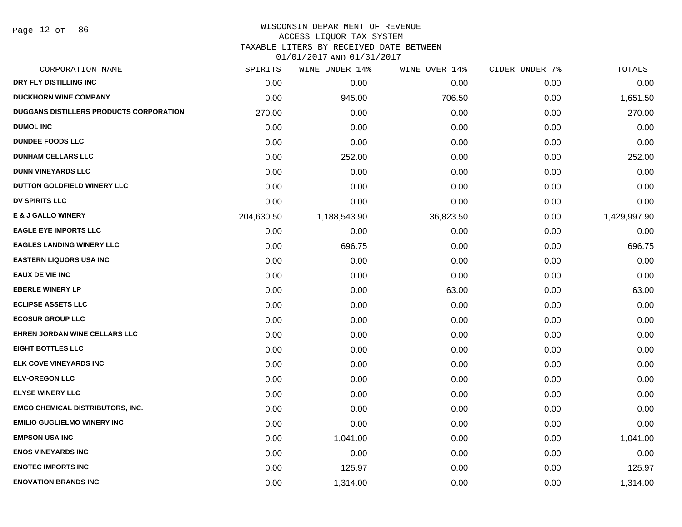Page 12 of 86

### WISCONSIN DEPARTMENT OF REVENUE ACCESS LIQUOR TAX SYSTEM

TAXABLE LITERS BY RECEIVED DATE BETWEEN

| CORPORATION NAME                               | SPIRITS    | <b>WINE UNDER 14%</b> | WINE OVER 14% | CIDER UNDER 7% | TOTALS       |
|------------------------------------------------|------------|-----------------------|---------------|----------------|--------------|
| DRY FLY DISTILLING INC                         | 0.00       | 0.00                  | 0.00          | 0.00           | 0.00         |
| <b>DUCKHORN WINE COMPANY</b>                   | 0.00       | 945.00                | 706.50        | 0.00           | 1,651.50     |
| <b>DUGGANS DISTILLERS PRODUCTS CORPORATION</b> | 270.00     | 0.00                  | 0.00          | 0.00           | 270.00       |
| <b>DUMOL INC</b>                               | 0.00       | 0.00                  | 0.00          | 0.00           | 0.00         |
| <b>DUNDEE FOODS LLC</b>                        | 0.00       | 0.00                  | 0.00          | 0.00           | 0.00         |
| <b>DUNHAM CELLARS LLC</b>                      | 0.00       | 252.00                | 0.00          | 0.00           | 252.00       |
| <b>DUNN VINEYARDS LLC</b>                      | 0.00       | 0.00                  | 0.00          | 0.00           | 0.00         |
| DUTTON GOLDFIELD WINERY LLC                    | 0.00       | 0.00                  | 0.00          | 0.00           | 0.00         |
| <b>DV SPIRITS LLC</b>                          | 0.00       | 0.00                  | 0.00          | 0.00           | 0.00         |
| <b>E &amp; J GALLO WINERY</b>                  | 204,630.50 | 1,188,543.90          | 36,823.50     | 0.00           | 1,429,997.90 |
| <b>EAGLE EYE IMPORTS LLC</b>                   | 0.00       | 0.00                  | 0.00          | 0.00           | 0.00         |
| <b>EAGLES LANDING WINERY LLC</b>               | 0.00       | 696.75                | 0.00          | 0.00           | 696.75       |
| <b>EASTERN LIQUORS USA INC</b>                 | 0.00       | 0.00                  | 0.00          | 0.00           | 0.00         |
| <b>EAUX DE VIE INC</b>                         | 0.00       | 0.00                  | 0.00          | 0.00           | 0.00         |
| <b>EBERLE WINERY LP</b>                        | 0.00       | 0.00                  | 63.00         | 0.00           | 63.00        |
| <b>ECLIPSE ASSETS LLC</b>                      | 0.00       | 0.00                  | 0.00          | 0.00           | 0.00         |
| <b>ECOSUR GROUP LLC</b>                        | 0.00       | 0.00                  | 0.00          | 0.00           | 0.00         |
| EHREN JORDAN WINE CELLARS LLC                  | 0.00       | 0.00                  | 0.00          | 0.00           | 0.00         |
| <b>EIGHT BOTTLES LLC</b>                       | 0.00       | 0.00                  | 0.00          | 0.00           | 0.00         |
| <b>ELK COVE VINEYARDS INC</b>                  | 0.00       | 0.00                  | 0.00          | 0.00           | 0.00         |
| <b>ELV-OREGON LLC</b>                          | 0.00       | 0.00                  | 0.00          | 0.00           | 0.00         |
| <b>ELYSE WINERY LLC</b>                        | 0.00       | 0.00                  | 0.00          | 0.00           | 0.00         |
| <b>EMCO CHEMICAL DISTRIBUTORS, INC.</b>        | 0.00       | 0.00                  | 0.00          | 0.00           | 0.00         |
| <b>EMILIO GUGLIELMO WINERY INC</b>             | 0.00       | 0.00                  | 0.00          | 0.00           | 0.00         |
| <b>EMPSON USA INC</b>                          | 0.00       | 1,041.00              | 0.00          | 0.00           | 1,041.00     |
| <b>ENOS VINEYARDS INC</b>                      | 0.00       | 0.00                  | 0.00          | 0.00           | 0.00         |
| <b>ENOTEC IMPORTS INC</b>                      | 0.00       | 125.97                | 0.00          | 0.00           | 125.97       |
| <b>ENOVATION BRANDS INC</b>                    | 0.00       | 1,314.00              | 0.00          | 0.00           | 1,314.00     |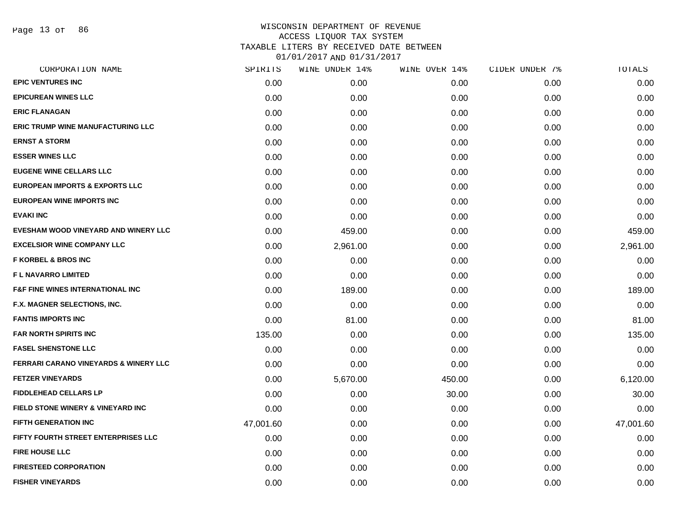Page 13 of 86

| CORPORATION NAME                                 | SPIRITS   | WINE UNDER 14% | WINE OVER 14% | CIDER UNDER 7% | TOTALS    |
|--------------------------------------------------|-----------|----------------|---------------|----------------|-----------|
| <b>EPIC VENTURES INC</b>                         | 0.00      | 0.00           | 0.00          | 0.00           | 0.00      |
| <b>EPICUREAN WINES LLC</b>                       | 0.00      | 0.00           | 0.00          | 0.00           | 0.00      |
| <b>ERIC FLANAGAN</b>                             | 0.00      | 0.00           | 0.00          | 0.00           | 0.00      |
| <b>ERIC TRUMP WINE MANUFACTURING LLC</b>         | 0.00      | 0.00           | 0.00          | 0.00           | 0.00      |
| <b>ERNST A STORM</b>                             | 0.00      | 0.00           | 0.00          | 0.00           | 0.00      |
| <b>ESSER WINES LLC</b>                           | 0.00      | 0.00           | 0.00          | 0.00           | 0.00      |
| <b>EUGENE WINE CELLARS LLC</b>                   | 0.00      | 0.00           | 0.00          | 0.00           | 0.00      |
| <b>EUROPEAN IMPORTS &amp; EXPORTS LLC</b>        | 0.00      | 0.00           | 0.00          | 0.00           | 0.00      |
| <b>EUROPEAN WINE IMPORTS INC</b>                 | 0.00      | 0.00           | 0.00          | 0.00           | 0.00      |
| <b>EVAKI INC</b>                                 | 0.00      | 0.00           | 0.00          | 0.00           | 0.00      |
| EVESHAM WOOD VINEYARD AND WINERY LLC             | 0.00      | 459.00         | 0.00          | 0.00           | 459.00    |
| <b>EXCELSIOR WINE COMPANY LLC</b>                | 0.00      | 2,961.00       | 0.00          | 0.00           | 2,961.00  |
| <b>F KORBEL &amp; BROS INC</b>                   | 0.00      | 0.00           | 0.00          | 0.00           | 0.00      |
| <b>FL NAVARRO LIMITED</b>                        | 0.00      | 0.00           | 0.00          | 0.00           | 0.00      |
| <b>F&amp;F FINE WINES INTERNATIONAL INC</b>      | 0.00      | 189.00         | 0.00          | 0.00           | 189.00    |
| F.X. MAGNER SELECTIONS, INC.                     | 0.00      | 0.00           | 0.00          | 0.00           | 0.00      |
| <b>FANTIS IMPORTS INC</b>                        | 0.00      | 81.00          | 0.00          | 0.00           | 81.00     |
| <b>FAR NORTH SPIRITS INC</b>                     | 135.00    | 0.00           | 0.00          | 0.00           | 135.00    |
| <b>FASEL SHENSTONE LLC</b>                       | 0.00      | 0.00           | 0.00          | 0.00           | 0.00      |
| <b>FERRARI CARANO VINEYARDS &amp; WINERY LLC</b> | 0.00      | 0.00           | 0.00          | 0.00           | 0.00      |
| <b>FETZER VINEYARDS</b>                          | 0.00      | 5,670.00       | 450.00        | 0.00           | 6,120.00  |
| <b>FIDDLEHEAD CELLARS LP</b>                     | 0.00      | 0.00           | 30.00         | 0.00           | 30.00     |
| FIELD STONE WINERY & VINEYARD INC                | 0.00      | 0.00           | 0.00          | 0.00           | 0.00      |
| FIFTH GENERATION INC                             | 47,001.60 | 0.00           | 0.00          | 0.00           | 47,001.60 |
| FIFTY FOURTH STREET ENTERPRISES LLC              | 0.00      | 0.00           | 0.00          | 0.00           | 0.00      |
| <b>FIRE HOUSE LLC</b>                            | 0.00      | 0.00           | 0.00          | 0.00           | 0.00      |
| <b>FIRESTEED CORPORATION</b>                     | 0.00      | 0.00           | 0.00          | 0.00           | 0.00      |
| <b>FISHER VINEYARDS</b>                          | 0.00      | 0.00           | 0.00          | 0.00           | 0.00      |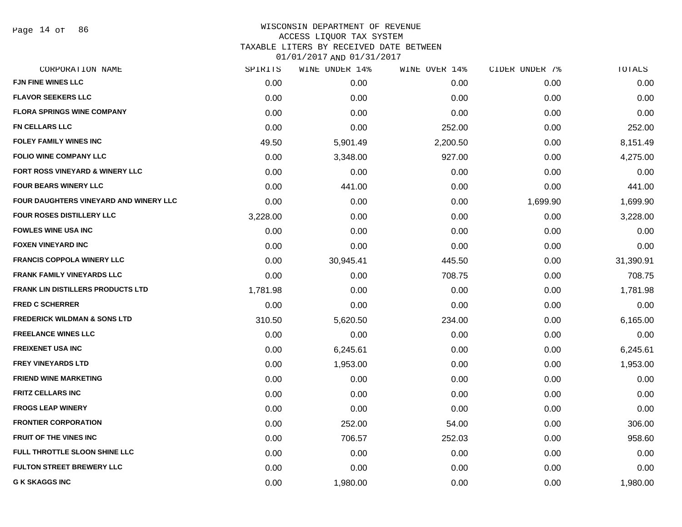Page 14 of 86

### WISCONSIN DEPARTMENT OF REVENUE ACCESS LIQUOR TAX SYSTEM TAXABLE LITERS BY RECEIVED DATE BETWEEN

| CORPORATION NAME                              | SPIRITS  | WINE UNDER 14% | WINE OVER 14% | CIDER UNDER 7% | TOTALS    |
|-----------------------------------------------|----------|----------------|---------------|----------------|-----------|
| <b>FJN FINE WINES LLC</b>                     | 0.00     | 0.00           | 0.00          | 0.00           | 0.00      |
| <b>FLAVOR SEEKERS LLC</b>                     | 0.00     | 0.00           | 0.00          | 0.00           | 0.00      |
| <b>FLORA SPRINGS WINE COMPANY</b>             | 0.00     | 0.00           | 0.00          | 0.00           | 0.00      |
| <b>FN CELLARS LLC</b>                         | 0.00     | 0.00           | 252.00        | 0.00           | 252.00    |
| <b>FOLEY FAMILY WINES INC</b>                 | 49.50    | 5,901.49       | 2,200.50      | 0.00           | 8,151.49  |
| <b>FOLIO WINE COMPANY LLC</b>                 | 0.00     | 3,348.00       | 927.00        | 0.00           | 4,275.00  |
| FORT ROSS VINEYARD & WINERY LLC               | 0.00     | 0.00           | 0.00          | 0.00           | 0.00      |
| <b>FOUR BEARS WINERY LLC</b>                  | 0.00     | 441.00         | 0.00          | 0.00           | 441.00    |
| <b>FOUR DAUGHTERS VINEYARD AND WINERY LLC</b> | 0.00     | 0.00           | 0.00          | 1,699.90       | 1,699.90  |
| FOUR ROSES DISTILLERY LLC                     | 3,228.00 | 0.00           | 0.00          | 0.00           | 3,228.00  |
| <b>FOWLES WINE USA INC</b>                    | 0.00     | 0.00           | 0.00          | 0.00           | 0.00      |
| <b>FOXEN VINEYARD INC</b>                     | 0.00     | 0.00           | 0.00          | 0.00           | 0.00      |
| <b>FRANCIS COPPOLA WINERY LLC</b>             | 0.00     | 30,945.41      | 445.50        | 0.00           | 31,390.91 |
| <b>FRANK FAMILY VINEYARDS LLC</b>             | 0.00     | 0.00           | 708.75        | 0.00           | 708.75    |
| <b>FRANK LIN DISTILLERS PRODUCTS LTD</b>      | 1,781.98 | 0.00           | 0.00          | 0.00           | 1,781.98  |
| <b>FRED C SCHERRER</b>                        | 0.00     | 0.00           | 0.00          | 0.00           | 0.00      |
| <b>FREDERICK WILDMAN &amp; SONS LTD</b>       | 310.50   | 5,620.50       | 234.00        | 0.00           | 6,165.00  |
| <b>FREELANCE WINES LLC</b>                    | 0.00     | 0.00           | 0.00          | 0.00           | 0.00      |
| <b>FREIXENET USA INC</b>                      | 0.00     | 6,245.61       | 0.00          | 0.00           | 6,245.61  |
| <b>FREY VINEYARDS LTD</b>                     | 0.00     | 1,953.00       | 0.00          | 0.00           | 1,953.00  |
| <b>FRIEND WINE MARKETING</b>                  | 0.00     | 0.00           | 0.00          | 0.00           | 0.00      |
| <b>FRITZ CELLARS INC</b>                      | 0.00     | 0.00           | 0.00          | 0.00           | 0.00      |
| <b>FROGS LEAP WINERY</b>                      | 0.00     | 0.00           | 0.00          | 0.00           | 0.00      |
| <b>FRONTIER CORPORATION</b>                   | 0.00     | 252.00         | 54.00         | 0.00           | 306.00    |
| <b>FRUIT OF THE VINES INC</b>                 | 0.00     | 706.57         | 252.03        | 0.00           | 958.60    |
| <b>FULL THROTTLE SLOON SHINE LLC</b>          | 0.00     | 0.00           | 0.00          | 0.00           | 0.00      |
| <b>FULTON STREET BREWERY LLC</b>              | 0.00     | 0.00           | 0.00          | 0.00           | 0.00      |
| <b>G K SKAGGS INC</b>                         | 0.00     | 1,980.00       | 0.00          | 0.00           | 1,980.00  |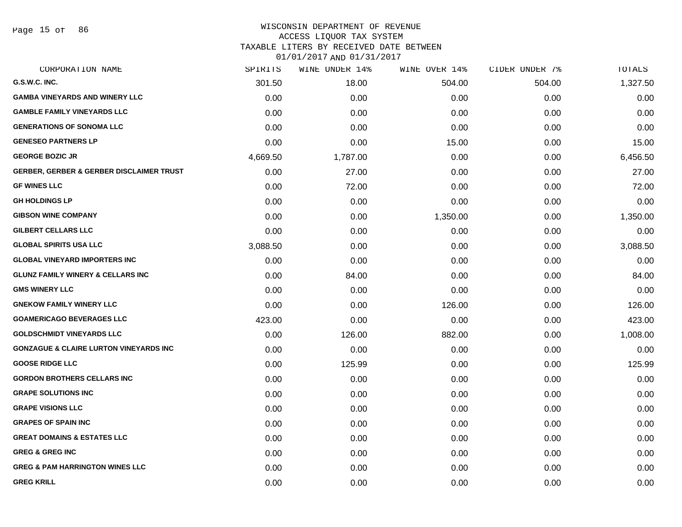Page 15 of 86

# WISCONSIN DEPARTMENT OF REVENUE

# ACCESS LIQUOR TAX SYSTEM

TAXABLE LITERS BY RECEIVED DATE BETWEEN

| CORPORATION NAME                                    | SPIRITS  | WINE UNDER 14% | WINE OVER 14% | CIDER UNDER 7% | TOTALS   |
|-----------------------------------------------------|----------|----------------|---------------|----------------|----------|
| G.S.W.C. INC.                                       | 301.50   | 18.00          | 504.00        | 504.00         | 1,327.50 |
| <b>GAMBA VINEYARDS AND WINERY LLC</b>               | 0.00     | 0.00           | 0.00          | 0.00           | 0.00     |
| <b>GAMBLE FAMILY VINEYARDS LLC</b>                  | 0.00     | 0.00           | 0.00          | 0.00           | 0.00     |
| <b>GENERATIONS OF SONOMA LLC</b>                    | 0.00     | 0.00           | 0.00          | 0.00           | 0.00     |
| <b>GENESEO PARTNERS LP</b>                          | 0.00     | 0.00           | 15.00         | 0.00           | 15.00    |
| <b>GEORGE BOZIC JR</b>                              | 4,669.50 | 1,787.00       | 0.00          | 0.00           | 6,456.50 |
| <b>GERBER, GERBER &amp; GERBER DISCLAIMER TRUST</b> | 0.00     | 27.00          | 0.00          | 0.00           | 27.00    |
| <b>GF WINES LLC</b>                                 | 0.00     | 72.00          | 0.00          | 0.00           | 72.00    |
| <b>GH HOLDINGS LP</b>                               | 0.00     | 0.00           | 0.00          | 0.00           | 0.00     |
| <b>GIBSON WINE COMPANY</b>                          | 0.00     | 0.00           | 1,350.00      | 0.00           | 1,350.00 |
| <b>GILBERT CELLARS LLC</b>                          | 0.00     | 0.00           | 0.00          | 0.00           | 0.00     |
| <b>GLOBAL SPIRITS USA LLC</b>                       | 3,088.50 | 0.00           | 0.00          | 0.00           | 3,088.50 |
| <b>GLOBAL VINEYARD IMPORTERS INC</b>                | 0.00     | 0.00           | 0.00          | 0.00           | 0.00     |
| <b>GLUNZ FAMILY WINERY &amp; CELLARS INC</b>        | 0.00     | 84.00          | 0.00          | 0.00           | 84.00    |
| <b>GMS WINERY LLC</b>                               | 0.00     | 0.00           | 0.00          | 0.00           | 0.00     |
| <b>GNEKOW FAMILY WINERY LLC</b>                     | 0.00     | 0.00           | 126.00        | 0.00           | 126.00   |
| <b>GOAMERICAGO BEVERAGES LLC</b>                    | 423.00   | 0.00           | 0.00          | 0.00           | 423.00   |
| <b>GOLDSCHMIDT VINEYARDS LLC</b>                    | 0.00     | 126.00         | 882.00        | 0.00           | 1,008.00 |
| <b>GONZAGUE &amp; CLAIRE LURTON VINEYARDS INC</b>   | 0.00     | 0.00           | 0.00          | 0.00           | 0.00     |
| <b>GOOSE RIDGE LLC</b>                              | 0.00     | 125.99         | 0.00          | 0.00           | 125.99   |
| <b>GORDON BROTHERS CELLARS INC</b>                  | 0.00     | 0.00           | 0.00          | 0.00           | 0.00     |
| <b>GRAPE SOLUTIONS INC</b>                          | 0.00     | 0.00           | 0.00          | 0.00           | 0.00     |
| <b>GRAPE VISIONS LLC</b>                            | 0.00     | 0.00           | 0.00          | 0.00           | 0.00     |
| <b>GRAPES OF SPAIN INC</b>                          | 0.00     | 0.00           | 0.00          | 0.00           | 0.00     |
| <b>GREAT DOMAINS &amp; ESTATES LLC</b>              | 0.00     | 0.00           | 0.00          | 0.00           | 0.00     |
| <b>GREG &amp; GREG INC</b>                          | 0.00     | 0.00           | 0.00          | 0.00           | 0.00     |
| <b>GREG &amp; PAM HARRINGTON WINES LLC</b>          | 0.00     | 0.00           | 0.00          | 0.00           | 0.00     |
| <b>GREG KRILL</b>                                   | 0.00     | 0.00           | 0.00          | 0.00           | 0.00     |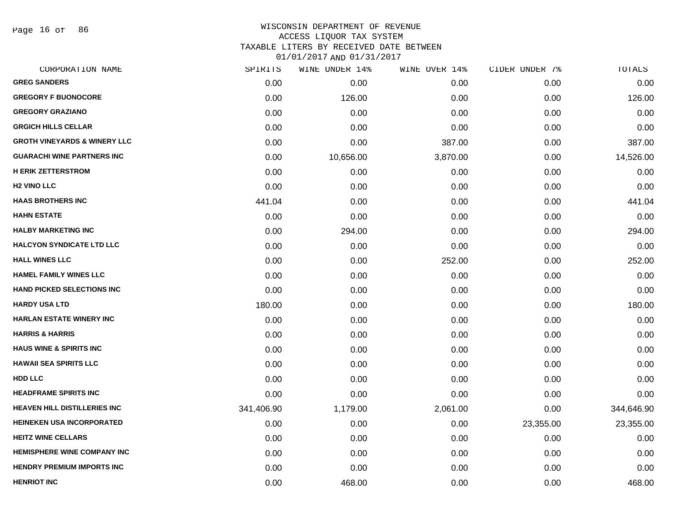Page 16 of 86

### WISCONSIN DEPARTMENT OF REVENUE ACCESS LIQUOR TAX SYSTEM TAXABLE LITERS BY RECEIVED DATE BETWEEN

| CORPORATION NAME                        | SPIRITS    | WINE UNDER 14% | WINE OVER 14% | CIDER UNDER 7% | TOTALS     |
|-----------------------------------------|------------|----------------|---------------|----------------|------------|
| <b>GREG SANDERS</b>                     | 0.00       | 0.00           | 0.00          | 0.00           | 0.00       |
| <b>GREGORY F BUONOCORE</b>              | 0.00       | 126.00         | 0.00          | 0.00           | 126.00     |
| <b>GREGORY GRAZIANO</b>                 | 0.00       | 0.00           | 0.00          | 0.00           | 0.00       |
| <b>GRGICH HILLS CELLAR</b>              | 0.00       | 0.00           | 0.00          | 0.00           | 0.00       |
| <b>GROTH VINEYARDS &amp; WINERY LLC</b> | 0.00       | 0.00           | 387.00        | 0.00           | 387.00     |
| <b>GUARACHI WINE PARTNERS INC</b>       | 0.00       | 10,656.00      | 3,870.00      | 0.00           | 14,526.00  |
| <b>H ERIK ZETTERSTROM</b>               | 0.00       | 0.00           | 0.00          | 0.00           | 0.00       |
| <b>H2 VINO LLC</b>                      | 0.00       | 0.00           | 0.00          | 0.00           | 0.00       |
| <b>HAAS BROTHERS INC</b>                | 441.04     | 0.00           | 0.00          | 0.00           | 441.04     |
| <b>HAHN ESTATE</b>                      | 0.00       | 0.00           | 0.00          | 0.00           | 0.00       |
| <b>HALBY MARKETING INC</b>              | 0.00       | 294.00         | 0.00          | 0.00           | 294.00     |
| <b>HALCYON SYNDICATE LTD LLC</b>        | 0.00       | 0.00           | 0.00          | 0.00           | 0.00       |
| <b>HALL WINES LLC</b>                   | 0.00       | 0.00           | 252.00        | 0.00           | 252.00     |
| <b>HAMEL FAMILY WINES LLC</b>           | 0.00       | 0.00           | 0.00          | 0.00           | 0.00       |
| <b>HAND PICKED SELECTIONS INC</b>       | 0.00       | 0.00           | 0.00          | 0.00           | 0.00       |
| <b>HARDY USA LTD</b>                    | 180.00     | 0.00           | 0.00          | 0.00           | 180.00     |
| <b>HARLAN ESTATE WINERY INC</b>         | 0.00       | 0.00           | 0.00          | 0.00           | 0.00       |
| <b>HARRIS &amp; HARRIS</b>              | 0.00       | 0.00           | 0.00          | 0.00           | 0.00       |
| <b>HAUS WINE &amp; SPIRITS INC</b>      | 0.00       | 0.00           | 0.00          | 0.00           | 0.00       |
| <b>HAWAII SEA SPIRITS LLC</b>           | 0.00       | 0.00           | 0.00          | 0.00           | 0.00       |
| <b>HDD LLC</b>                          | 0.00       | 0.00           | 0.00          | 0.00           | 0.00       |
| <b>HEADFRAME SPIRITS INC</b>            | 0.00       | 0.00           | 0.00          | 0.00           | 0.00       |
| <b>HEAVEN HILL DISTILLERIES INC</b>     | 341,406.90 | 1,179.00       | 2,061.00      | 0.00           | 344,646.90 |
| <b>HEINEKEN USA INCORPORATED</b>        | 0.00       | 0.00           | 0.00          | 23,355.00      | 23,355.00  |
| <b>HEITZ WINE CELLARS</b>               | 0.00       | 0.00           | 0.00          | 0.00           | 0.00       |
| <b>HEMISPHERE WINE COMPANY INC</b>      | 0.00       | 0.00           | 0.00          | 0.00           | 0.00       |
| <b>HENDRY PREMIUM IMPORTS INC</b>       | 0.00       | 0.00           | 0.00          | 0.00           | 0.00       |
| <b>HENRIOT INC</b>                      | 0.00       | 468.00         | 0.00          | 0.00           | 468.00     |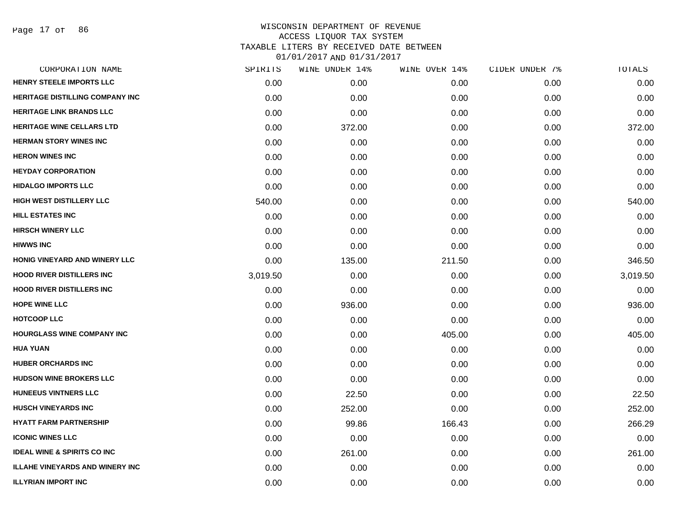Page 17 of 86

| CORPORATION NAME                       | SPIRITS  | WINE UNDER 14% | WINE OVER 14% | CIDER UNDER 7% | TOTALS   |
|----------------------------------------|----------|----------------|---------------|----------------|----------|
| HENRY STEELE IMPORTS LLC               | 0.00     | 0.00           | 0.00          | 0.00           | 0.00     |
| <b>HERITAGE DISTILLING COMPANY INC</b> | 0.00     | 0.00           | 0.00          | 0.00           | 0.00     |
| <b>HERITAGE LINK BRANDS LLC</b>        | 0.00     | 0.00           | 0.00          | 0.00           | 0.00     |
| <b>HERITAGE WINE CELLARS LTD</b>       | 0.00     | 372.00         | 0.00          | 0.00           | 372.00   |
| <b>HERMAN STORY WINES INC</b>          | 0.00     | 0.00           | 0.00          | 0.00           | 0.00     |
| <b>HERON WINES INC</b>                 | 0.00     | 0.00           | 0.00          | 0.00           | 0.00     |
| <b>HEYDAY CORPORATION</b>              | 0.00     | 0.00           | 0.00          | 0.00           | 0.00     |
| <b>HIDALGO IMPORTS LLC</b>             | 0.00     | 0.00           | 0.00          | 0.00           | 0.00     |
| <b>HIGH WEST DISTILLERY LLC</b>        | 540.00   | 0.00           | 0.00          | 0.00           | 540.00   |
| <b>HILL ESTATES INC</b>                | 0.00     | 0.00           | 0.00          | 0.00           | 0.00     |
| <b>HIRSCH WINERY LLC</b>               | 0.00     | 0.00           | 0.00          | 0.00           | 0.00     |
| <b>HIWWS INC</b>                       | 0.00     | 0.00           | 0.00          | 0.00           | 0.00     |
| <b>HONIG VINEYARD AND WINERY LLC</b>   | 0.00     | 135.00         | 211.50        | 0.00           | 346.50   |
| <b>HOOD RIVER DISTILLERS INC</b>       | 3,019.50 | 0.00           | 0.00          | 0.00           | 3,019.50 |
| <b>HOOD RIVER DISTILLERS INC</b>       | 0.00     | 0.00           | 0.00          | 0.00           | 0.00     |
| <b>HOPE WINE LLC</b>                   | 0.00     | 936.00         | 0.00          | 0.00           | 936.00   |
| <b>HOTCOOP LLC</b>                     | 0.00     | 0.00           | 0.00          | 0.00           | 0.00     |
| <b>HOURGLASS WINE COMPANY INC</b>      | 0.00     | 0.00           | 405.00        | 0.00           | 405.00   |
| <b>HUA YUAN</b>                        | 0.00     | 0.00           | 0.00          | 0.00           | 0.00     |
| <b>HUBER ORCHARDS INC</b>              | 0.00     | 0.00           | 0.00          | 0.00           | 0.00     |
| <b>HUDSON WINE BROKERS LLC</b>         | 0.00     | 0.00           | 0.00          | 0.00           | 0.00     |
| <b>HUNEEUS VINTNERS LLC</b>            | 0.00     | 22.50          | 0.00          | 0.00           | 22.50    |
| <b>HUSCH VINEYARDS INC</b>             | 0.00     | 252.00         | 0.00          | 0.00           | 252.00   |
| <b>HYATT FARM PARTNERSHIP</b>          | 0.00     | 99.86          | 166.43        | 0.00           | 266.29   |
| <b>ICONIC WINES LLC</b>                | 0.00     | 0.00           | 0.00          | 0.00           | 0.00     |
| <b>IDEAL WINE &amp; SPIRITS CO INC</b> | 0.00     | 261.00         | 0.00          | 0.00           | 261.00   |
| <b>ILLAHE VINEYARDS AND WINERY INC</b> | 0.00     | 0.00           | 0.00          | 0.00           | 0.00     |
| <b>ILLYRIAN IMPORT INC</b>             | 0.00     | 0.00           | 0.00          | 0.00           | 0.00     |
|                                        |          |                |               |                |          |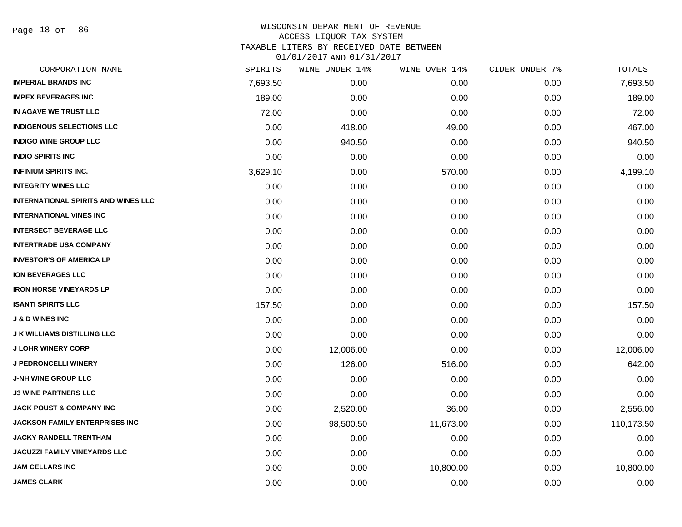Page 18 of 86

| CORPORATION NAME                           | SPIRITS  | WINE UNDER 14% | WINE OVER 14% | CIDER UNDER 7% | TOTALS     |
|--------------------------------------------|----------|----------------|---------------|----------------|------------|
| <b>IMPERIAL BRANDS INC</b>                 | 7,693.50 | 0.00           | 0.00          | 0.00           | 7,693.50   |
| <b>IMPEX BEVERAGES INC</b>                 | 189.00   | 0.00           | 0.00          | 0.00           | 189.00     |
| IN AGAVE WE TRUST LLC                      | 72.00    | 0.00           | 0.00          | 0.00           | 72.00      |
| <b>INDIGENOUS SELECTIONS LLC</b>           | 0.00     | 418.00         | 49.00         | 0.00           | 467.00     |
| <b>INDIGO WINE GROUP LLC</b>               | 0.00     | 940.50         | 0.00          | 0.00           | 940.50     |
| <b>INDIO SPIRITS INC</b>                   | 0.00     | 0.00           | 0.00          | 0.00           | 0.00       |
| <b>INFINIUM SPIRITS INC.</b>               | 3,629.10 | 0.00           | 570.00        | 0.00           | 4,199.10   |
| <b>INTEGRITY WINES LLC</b>                 | 0.00     | 0.00           | 0.00          | 0.00           | 0.00       |
| <b>INTERNATIONAL SPIRITS AND WINES LLC</b> | 0.00     | 0.00           | 0.00          | 0.00           | 0.00       |
| <b>INTERNATIONAL VINES INC</b>             | 0.00     | 0.00           | 0.00          | 0.00           | 0.00       |
| <b>INTERSECT BEVERAGE LLC</b>              | 0.00     | 0.00           | 0.00          | 0.00           | 0.00       |
| <b>INTERTRADE USA COMPANY</b>              | 0.00     | 0.00           | 0.00          | 0.00           | 0.00       |
| <b>INVESTOR'S OF AMERICA LP</b>            | 0.00     | 0.00           | 0.00          | 0.00           | 0.00       |
| <b>ION BEVERAGES LLC</b>                   | 0.00     | 0.00           | 0.00          | 0.00           | 0.00       |
| <b>IRON HORSE VINEYARDS LP</b>             | 0.00     | 0.00           | 0.00          | 0.00           | 0.00       |
| <b>ISANTI SPIRITS LLC</b>                  | 157.50   | 0.00           | 0.00          | 0.00           | 157.50     |
| <b>J &amp; D WINES INC</b>                 | 0.00     | 0.00           | 0.00          | 0.00           | 0.00       |
| <b>J K WILLIAMS DISTILLING LLC</b>         | 0.00     | 0.00           | 0.00          | 0.00           | 0.00       |
| <b>J LOHR WINERY CORP</b>                  | 0.00     | 12,006.00      | 0.00          | 0.00           | 12,006.00  |
| <b>J PEDRONCELLI WINERY</b>                | 0.00     | 126.00         | 516.00        | 0.00           | 642.00     |
| <b>J-NH WINE GROUP LLC</b>                 | 0.00     | 0.00           | 0.00          | 0.00           | 0.00       |
| <b>J3 WINE PARTNERS LLC</b>                | 0.00     | 0.00           | 0.00          | 0.00           | 0.00       |
| <b>JACK POUST &amp; COMPANY INC</b>        | 0.00     | 2,520.00       | 36.00         | 0.00           | 2,556.00   |
| <b>JACKSON FAMILY ENTERPRISES INC</b>      | 0.00     | 98,500.50      | 11,673.00     | 0.00           | 110,173.50 |
| <b>JACKY RANDELL TRENTHAM</b>              | 0.00     | 0.00           | 0.00          | 0.00           | 0.00       |
| JACUZZI FAMILY VINEYARDS LLC               | 0.00     | 0.00           | 0.00          | 0.00           | 0.00       |
| <b>JAM CELLARS INC</b>                     | 0.00     | 0.00           | 10,800.00     | 0.00           | 10,800.00  |
| <b>JAMES CLARK</b>                         | 0.00     | 0.00           | 0.00          | 0.00           | 0.00       |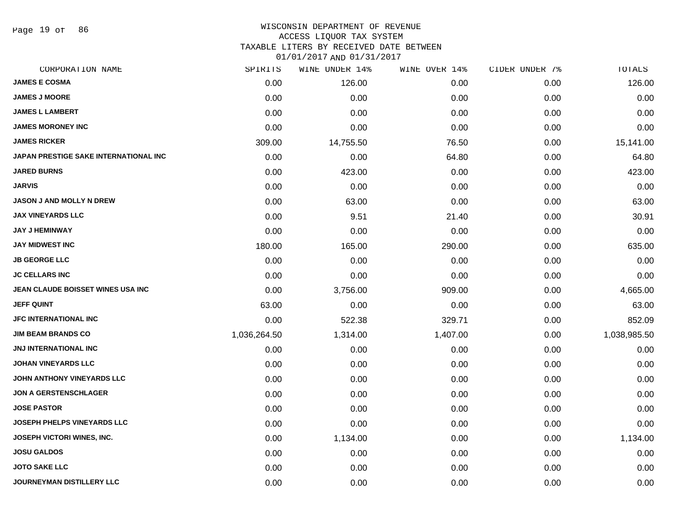Page 19 of 86

### WISCONSIN DEPARTMENT OF REVENUE ACCESS LIQUOR TAX SYSTEM

TAXABLE LITERS BY RECEIVED DATE BETWEEN

| CORPORATION NAME                      | SPIRITS      | WINE UNDER 14% | WINE OVER 14% | CIDER UNDER 7% | TOTALS       |
|---------------------------------------|--------------|----------------|---------------|----------------|--------------|
| <b>JAMES E COSMA</b>                  | 0.00         | 126.00         | 0.00          | 0.00           | 126.00       |
| <b>JAMES J MOORE</b>                  | 0.00         | 0.00           | 0.00          | 0.00           | 0.00         |
| <b>JAMES L LAMBERT</b>                | 0.00         | 0.00           | 0.00          | 0.00           | 0.00         |
| <b>JAMES MORONEY INC</b>              | 0.00         | 0.00           | 0.00          | 0.00           | 0.00         |
| <b>JAMES RICKER</b>                   | 309.00       | 14,755.50      | 76.50         | 0.00           | 15,141.00    |
| JAPAN PRESTIGE SAKE INTERNATIONAL INC | 0.00         | 0.00           | 64.80         | 0.00           | 64.80        |
| <b>JARED BURNS</b>                    | 0.00         | 423.00         | 0.00          | 0.00           | 423.00       |
| <b>JARVIS</b>                         | 0.00         | 0.00           | 0.00          | 0.00           | 0.00         |
| <b>JASON J AND MOLLY N DREW</b>       | 0.00         | 63.00          | 0.00          | 0.00           | 63.00        |
| <b>JAX VINEYARDS LLC</b>              | 0.00         | 9.51           | 21.40         | 0.00           | 30.91        |
| <b>JAY J HEMINWAY</b>                 | 0.00         | 0.00           | 0.00          | 0.00           | 0.00         |
| <b>JAY MIDWEST INC</b>                | 180.00       | 165.00         | 290.00        | 0.00           | 635.00       |
| <b>JB GEORGE LLC</b>                  | 0.00         | 0.00           | 0.00          | 0.00           | 0.00         |
| <b>JC CELLARS INC</b>                 | 0.00         | 0.00           | 0.00          | 0.00           | 0.00         |
| JEAN CLAUDE BOISSET WINES USA INC     | 0.00         | 3,756.00       | 909.00        | 0.00           | 4,665.00     |
| <b>JEFF QUINT</b>                     | 63.00        | 0.00           | 0.00          | 0.00           | 63.00        |
| JFC INTERNATIONAL INC                 | 0.00         | 522.38         | 329.71        | 0.00           | 852.09       |
| <b>JIM BEAM BRANDS CO</b>             | 1,036,264.50 | 1,314.00       | 1,407.00      | 0.00           | 1,038,985.50 |
| JNJ INTERNATIONAL INC                 | 0.00         | 0.00           | 0.00          | 0.00           | 0.00         |
| <b>JOHAN VINEYARDS LLC</b>            | 0.00         | 0.00           | 0.00          | 0.00           | 0.00         |
| <b>JOHN ANTHONY VINEYARDS LLC</b>     | 0.00         | 0.00           | 0.00          | 0.00           | 0.00         |
| <b>JON A GERSTENSCHLAGER</b>          | 0.00         | 0.00           | 0.00          | 0.00           | 0.00         |
| <b>JOSE PASTOR</b>                    | 0.00         | 0.00           | 0.00          | 0.00           | 0.00         |
| <b>JOSEPH PHELPS VINEYARDS LLC</b>    | 0.00         | 0.00           | 0.00          | 0.00           | 0.00         |
| <b>JOSEPH VICTORI WINES, INC.</b>     | 0.00         | 1,134.00       | 0.00          | 0.00           | 1,134.00     |
| <b>JOSU GALDOS</b>                    | 0.00         | 0.00           | 0.00          | 0.00           | 0.00         |
| <b>JOTO SAKE LLC</b>                  | 0.00         | 0.00           | 0.00          | 0.00           | 0.00         |
| <b>JOURNEYMAN DISTILLERY LLC</b>      | 0.00         | 0.00           | 0.00          | 0.00           | 0.00         |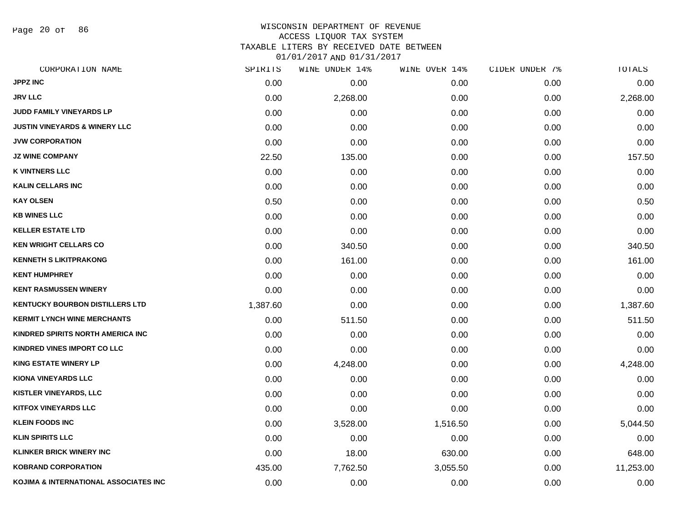Page 20 of 86

# WISCONSIN DEPARTMENT OF REVENUE ACCESS LIQUOR TAX SYSTEM

TAXABLE LITERS BY RECEIVED DATE BETWEEN

| CORPORATION NAME                         | SPIRITS  | WINE UNDER 14% | WINE OVER 14% | CIDER UNDER 7% | TOTALS    |
|------------------------------------------|----------|----------------|---------------|----------------|-----------|
| <b>JPPZ INC</b>                          | 0.00     | 0.00           | 0.00          | 0.00           | 0.00      |
| <b>JRV LLC</b>                           | 0.00     | 2,268.00       | 0.00          | 0.00           | 2,268.00  |
| JUDD FAMILY VINEYARDS LP                 | 0.00     | 0.00           | 0.00          | 0.00           | 0.00      |
| <b>JUSTIN VINEYARDS &amp; WINERY LLC</b> | 0.00     | 0.00           | 0.00          | 0.00           | 0.00      |
| <b>JVW CORPORATION</b>                   | 0.00     | 0.00           | 0.00          | 0.00           | 0.00      |
| <b>JZ WINE COMPANY</b>                   | 22.50    | 135.00         | 0.00          | 0.00           | 157.50    |
| <b>K VINTNERS LLC</b>                    | 0.00     | 0.00           | 0.00          | 0.00           | 0.00      |
| <b>KALIN CELLARS INC</b>                 | 0.00     | 0.00           | 0.00          | 0.00           | 0.00      |
| <b>KAY OLSEN</b>                         | 0.50     | 0.00           | 0.00          | 0.00           | 0.50      |
| <b>KB WINES LLC</b>                      | 0.00     | 0.00           | 0.00          | 0.00           | 0.00      |
| <b>KELLER ESTATE LTD</b>                 | 0.00     | 0.00           | 0.00          | 0.00           | 0.00      |
| <b>KEN WRIGHT CELLARS CO</b>             | 0.00     | 340.50         | 0.00          | 0.00           | 340.50    |
| <b>KENNETH S LIKITPRAKONG</b>            | 0.00     | 161.00         | 0.00          | 0.00           | 161.00    |
| <b>KENT HUMPHREY</b>                     | 0.00     | 0.00           | 0.00          | 0.00           | 0.00      |
| <b>KENT RASMUSSEN WINERY</b>             | 0.00     | 0.00           | 0.00          | 0.00           | 0.00      |
| <b>KENTUCKY BOURBON DISTILLERS LTD</b>   | 1,387.60 | 0.00           | 0.00          | 0.00           | 1,387.60  |
| <b>KERMIT LYNCH WINE MERCHANTS</b>       | 0.00     | 511.50         | 0.00          | 0.00           | 511.50    |
| KINDRED SPIRITS NORTH AMERICA INC        | 0.00     | 0.00           | 0.00          | 0.00           | 0.00      |
| KINDRED VINES IMPORT CO LLC              | 0.00     | 0.00           | 0.00          | 0.00           | 0.00      |
| <b>KING ESTATE WINERY LP</b>             | 0.00     | 4,248.00       | 0.00          | 0.00           | 4,248.00  |
| <b>KIONA VINEYARDS LLC</b>               | 0.00     | 0.00           | 0.00          | 0.00           | 0.00      |
| <b>KISTLER VINEYARDS, LLC</b>            | 0.00     | 0.00           | 0.00          | 0.00           | 0.00      |
| <b>KITFOX VINEYARDS LLC</b>              | 0.00     | 0.00           | 0.00          | 0.00           | 0.00      |
| <b>KLEIN FOODS INC</b>                   | 0.00     | 3,528.00       | 1,516.50      | 0.00           | 5,044.50  |
| <b>KLIN SPIRITS LLC</b>                  | 0.00     | 0.00           | 0.00          | 0.00           | 0.00      |
| <b>KLINKER BRICK WINERY INC</b>          | 0.00     | 18.00          | 630.00        | 0.00           | 648.00    |
| <b>KOBRAND CORPORATION</b>               | 435.00   | 7,762.50       | 3,055.50      | 0.00           | 11,253.00 |
| KOJIMA & INTERNATIONAL ASSOCIATES INC    | 0.00     | 0.00           | 0.00          | 0.00           | 0.00      |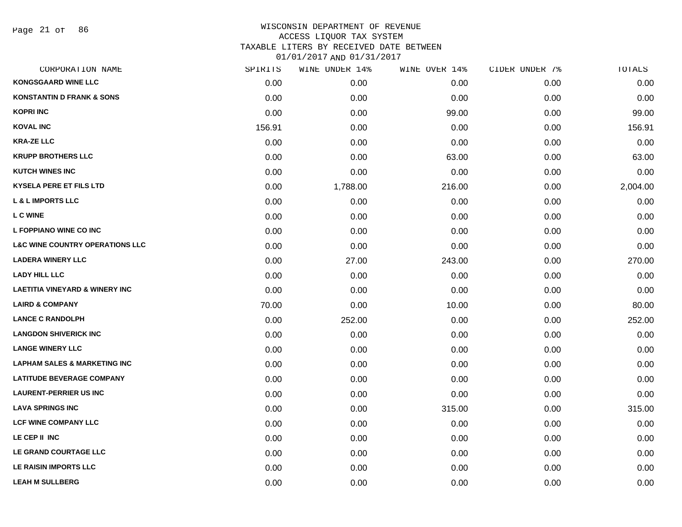Page 21 of 86

# WISCONSIN DEPARTMENT OF REVENUE ACCESS LIQUOR TAX SYSTEM TAXABLE LITERS BY RECEIVED DATE BETWEEN

| CORPORATION NAME                           | SPIRITS | WINE UNDER 14% | WINE OVER 14% | CIDER UNDER 7% | TOTALS   |
|--------------------------------------------|---------|----------------|---------------|----------------|----------|
| <b>KONGSGAARD WINE LLC</b>                 | 0.00    | 0.00           | 0.00          | 0.00           | 0.00     |
| <b>KONSTANTIN D FRANK &amp; SONS</b>       | 0.00    | 0.00           | 0.00          | 0.00           | 0.00     |
| <b>KOPRI INC</b>                           | 0.00    | 0.00           | 99.00         | 0.00           | 99.00    |
| <b>KOVAL INC</b>                           | 156.91  | 0.00           | 0.00          | 0.00           | 156.91   |
| <b>KRA-ZE LLC</b>                          | 0.00    | 0.00           | 0.00          | 0.00           | 0.00     |
| <b>KRUPP BROTHERS LLC</b>                  | 0.00    | 0.00           | 63.00         | 0.00           | 63.00    |
| <b>KUTCH WINES INC</b>                     | 0.00    | 0.00           | 0.00          | 0.00           | 0.00     |
| <b>KYSELA PERE ET FILS LTD</b>             | 0.00    | 1,788.00       | 216.00        | 0.00           | 2,004.00 |
| <b>L &amp; L IMPORTS LLC</b>               | 0.00    | 0.00           | 0.00          | 0.00           | 0.00     |
| L C WINE                                   | 0.00    | 0.00           | 0.00          | 0.00           | 0.00     |
| L FOPPIANO WINE CO INC                     | 0.00    | 0.00           | 0.00          | 0.00           | 0.00     |
| <b>L&amp;C WINE COUNTRY OPERATIONS LLC</b> | 0.00    | 0.00           | 0.00          | 0.00           | 0.00     |
| <b>LADERA WINERY LLC</b>                   | 0.00    | 27.00          | 243.00        | 0.00           | 270.00   |
| <b>LADY HILL LLC</b>                       | 0.00    | 0.00           | 0.00          | 0.00           | 0.00     |
| <b>LAETITIA VINEYARD &amp; WINERY INC</b>  | 0.00    | 0.00           | 0.00          | 0.00           | 0.00     |
| <b>LAIRD &amp; COMPANY</b>                 | 70.00   | 0.00           | 10.00         | 0.00           | 80.00    |
| <b>LANCE C RANDOLPH</b>                    | 0.00    | 252.00         | 0.00          | 0.00           | 252.00   |
| <b>LANGDON SHIVERICK INC</b>               | 0.00    | 0.00           | 0.00          | 0.00           | 0.00     |
| <b>LANGE WINERY LLC</b>                    | 0.00    | 0.00           | 0.00          | 0.00           | 0.00     |
| <b>LAPHAM SALES &amp; MARKETING INC</b>    | 0.00    | 0.00           | 0.00          | 0.00           | 0.00     |
| <b>LATITUDE BEVERAGE COMPANY</b>           | 0.00    | 0.00           | 0.00          | 0.00           | 0.00     |
| <b>LAURENT-PERRIER US INC</b>              | 0.00    | 0.00           | 0.00          | 0.00           | 0.00     |
| <b>LAVA SPRINGS INC</b>                    | 0.00    | 0.00           | 315.00        | 0.00           | 315.00   |
| <b>LCF WINE COMPANY LLC</b>                | 0.00    | 0.00           | 0.00          | 0.00           | 0.00     |
| LE CEP II INC                              | 0.00    | 0.00           | 0.00          | 0.00           | 0.00     |
| LE GRAND COURTAGE LLC                      | 0.00    | 0.00           | 0.00          | 0.00           | 0.00     |
| LE RAISIN IMPORTS LLC                      | 0.00    | 0.00           | 0.00          | 0.00           | 0.00     |
| <b>LEAH M SULLBERG</b>                     | 0.00    | 0.00           | 0.00          | 0.00           | 0.00     |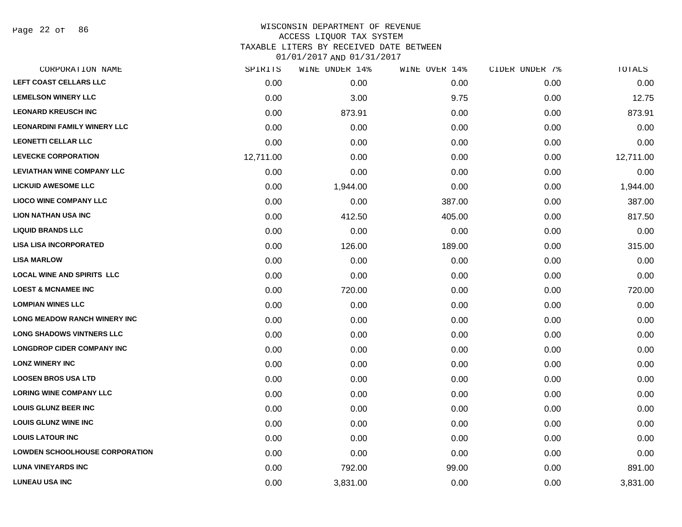Page 22 of 86

### WISCONSIN DEPARTMENT OF REVENUE ACCESS LIQUOR TAX SYSTEM TAXABLE LITERS BY RECEIVED DATE BETWEEN

| CORPORATION NAME                      | SPIRITS   | WINE UNDER 14% | WINE OVER 14% | CIDER UNDER 7% | <b>TOTALS</b> |
|---------------------------------------|-----------|----------------|---------------|----------------|---------------|
| LEFT COAST CELLARS LLC                | 0.00      | 0.00           | 0.00          | 0.00           | 0.00          |
| <b>LEMELSON WINERY LLC</b>            | 0.00      | 3.00           | 9.75          | 0.00           | 12.75         |
| <b>LEONARD KREUSCH INC</b>            | 0.00      | 873.91         | 0.00          | 0.00           | 873.91        |
| <b>LEONARDINI FAMILY WINERY LLC</b>   | 0.00      | 0.00           | 0.00          | 0.00           | 0.00          |
| <b>LEONETTI CELLAR LLC</b>            | 0.00      | 0.00           | 0.00          | 0.00           | 0.00          |
| <b>LEVECKE CORPORATION</b>            | 12,711.00 | 0.00           | 0.00          | 0.00           | 12,711.00     |
| <b>LEVIATHAN WINE COMPANY LLC</b>     | 0.00      | 0.00           | 0.00          | 0.00           | 0.00          |
| <b>LICKUID AWESOME LLC</b>            | 0.00      | 1,944.00       | 0.00          | 0.00           | 1,944.00      |
| <b>LIOCO WINE COMPANY LLC</b>         | 0.00      | 0.00           | 387.00        | 0.00           | 387.00        |
| <b>LION NATHAN USA INC</b>            | 0.00      | 412.50         | 405.00        | 0.00           | 817.50        |
| <b>LIQUID BRANDS LLC</b>              | 0.00      | 0.00           | 0.00          | 0.00           | 0.00          |
| <b>LISA LISA INCORPORATED</b>         | 0.00      | 126.00         | 189.00        | 0.00           | 315.00        |
| <b>LISA MARLOW</b>                    | 0.00      | 0.00           | 0.00          | 0.00           | 0.00          |
| <b>LOCAL WINE AND SPIRITS LLC</b>     | 0.00      | 0.00           | 0.00          | 0.00           | 0.00          |
| <b>LOEST &amp; MCNAMEE INC</b>        | 0.00      | 720.00         | 0.00          | 0.00           | 720.00        |
| <b>LOMPIAN WINES LLC</b>              | 0.00      | 0.00           | 0.00          | 0.00           | 0.00          |
| <b>LONG MEADOW RANCH WINERY INC</b>   | 0.00      | 0.00           | 0.00          | 0.00           | 0.00          |
| <b>LONG SHADOWS VINTNERS LLC</b>      | 0.00      | 0.00           | 0.00          | 0.00           | 0.00          |
| <b>LONGDROP CIDER COMPANY INC</b>     | 0.00      | 0.00           | 0.00          | 0.00           | 0.00          |
| <b>LONZ WINERY INC</b>                | 0.00      | 0.00           | 0.00          | 0.00           | 0.00          |
| <b>LOOSEN BROS USA LTD</b>            | 0.00      | 0.00           | 0.00          | 0.00           | 0.00          |
| <b>LORING WINE COMPANY LLC</b>        | 0.00      | 0.00           | 0.00          | 0.00           | 0.00          |
| <b>LOUIS GLUNZ BEER INC</b>           | 0.00      | 0.00           | 0.00          | 0.00           | 0.00          |
| <b>LOUIS GLUNZ WINE INC</b>           | 0.00      | 0.00           | 0.00          | 0.00           | 0.00          |
| <b>LOUIS LATOUR INC</b>               | 0.00      | 0.00           | 0.00          | 0.00           | 0.00          |
| <b>LOWDEN SCHOOLHOUSE CORPORATION</b> | 0.00      | 0.00           | 0.00          | 0.00           | 0.00          |
| <b>LUNA VINEYARDS INC</b>             | 0.00      | 792.00         | 99.00         | 0.00           | 891.00        |
| <b>LUNEAU USA INC</b>                 | 0.00      | 3,831.00       | 0.00          | 0.00           | 3,831.00      |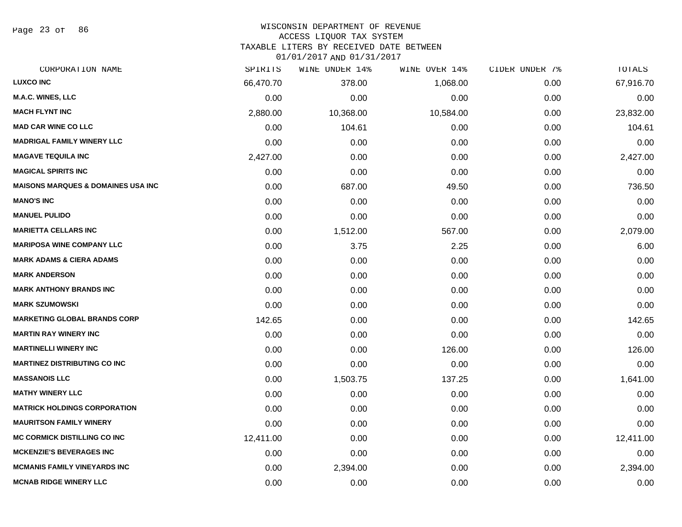Page 23 of 86

# WISCONSIN DEPARTMENT OF REVENUE

### ACCESS LIQUOR TAX SYSTEM

TAXABLE LITERS BY RECEIVED DATE BETWEEN

| CORPORATION NAME                              | SPIRITS   | WINE UNDER 14% | WINE OVER 14% | CIDER UNDER 7% | TOTALS    |
|-----------------------------------------------|-----------|----------------|---------------|----------------|-----------|
| <b>LUXCO INC</b>                              | 66,470.70 | 378.00         | 1,068.00      | 0.00           | 67,916.70 |
| <b>M.A.C. WINES, LLC</b>                      | 0.00      | 0.00           | 0.00          | 0.00           | 0.00      |
| <b>MACH FLYNT INC</b>                         | 2,880.00  | 10,368.00      | 10,584.00     | 0.00           | 23,832.00 |
| <b>MAD CAR WINE CO LLC</b>                    | 0.00      | 104.61         | 0.00          | 0.00           | 104.61    |
| <b>MADRIGAL FAMILY WINERY LLC</b>             | 0.00      | 0.00           | 0.00          | 0.00           | 0.00      |
| <b>MAGAVE TEQUILA INC</b>                     | 2,427.00  | 0.00           | 0.00          | 0.00           | 2,427.00  |
| <b>MAGICAL SPIRITS INC</b>                    | 0.00      | 0.00           | 0.00          | 0.00           | 0.00      |
| <b>MAISONS MARQUES &amp; DOMAINES USA INC</b> | 0.00      | 687.00         | 49.50         | 0.00           | 736.50    |
| <b>MANO'S INC</b>                             | 0.00      | 0.00           | 0.00          | 0.00           | 0.00      |
| <b>MANUEL PULIDO</b>                          | 0.00      | 0.00           | 0.00          | 0.00           | 0.00      |
| <b>MARIETTA CELLARS INC</b>                   | 0.00      | 1,512.00       | 567.00        | 0.00           | 2,079.00  |
| <b>MARIPOSA WINE COMPANY LLC</b>              | 0.00      | 3.75           | 2.25          | 0.00           | 6.00      |
| <b>MARK ADAMS &amp; CIERA ADAMS</b>           | 0.00      | 0.00           | 0.00          | 0.00           | 0.00      |
| <b>MARK ANDERSON</b>                          | 0.00      | 0.00           | 0.00          | 0.00           | 0.00      |
| <b>MARK ANTHONY BRANDS INC</b>                | 0.00      | 0.00           | 0.00          | 0.00           | 0.00      |
| <b>MARK SZUMOWSKI</b>                         | 0.00      | 0.00           | 0.00          | 0.00           | 0.00      |
| <b>MARKETING GLOBAL BRANDS CORP</b>           | 142.65    | 0.00           | 0.00          | 0.00           | 142.65    |
| <b>MARTIN RAY WINERY INC</b>                  | 0.00      | 0.00           | 0.00          | 0.00           | 0.00      |
| <b>MARTINELLI WINERY INC</b>                  | 0.00      | 0.00           | 126.00        | 0.00           | 126.00    |
| <b>MARTINEZ DISTRIBUTING CO INC</b>           | 0.00      | 0.00           | 0.00          | 0.00           | 0.00      |
| <b>MASSANOIS LLC</b>                          | 0.00      | 1,503.75       | 137.25        | 0.00           | 1,641.00  |
| <b>MATHY WINERY LLC</b>                       | 0.00      | 0.00           | 0.00          | 0.00           | 0.00      |
| <b>MATRICK HOLDINGS CORPORATION</b>           | 0.00      | 0.00           | 0.00          | 0.00           | 0.00      |
| <b>MAURITSON FAMILY WINERY</b>                | 0.00      | 0.00           | 0.00          | 0.00           | 0.00      |
| <b>MC CORMICK DISTILLING CO INC</b>           | 12,411.00 | 0.00           | 0.00          | 0.00           | 12,411.00 |
| <b>MCKENZIE'S BEVERAGES INC</b>               | 0.00      | 0.00           | 0.00          | 0.00           | 0.00      |
| <b>MCMANIS FAMILY VINEYARDS INC</b>           | 0.00      | 2,394.00       | 0.00          | 0.00           | 2,394.00  |
| <b>MCNAB RIDGE WINERY LLC</b>                 | 0.00      | 0.00           | 0.00          | 0.00           | 0.00      |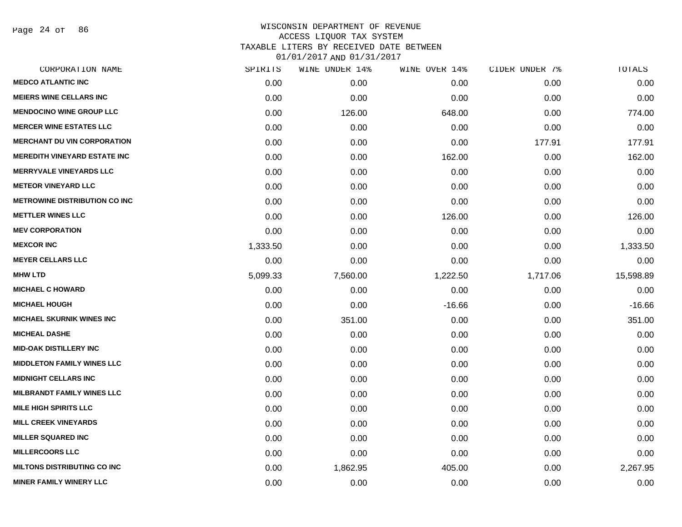Page 24 of 86

| CORPORATION NAME                     | SPIRITS  | WINE UNDER 14% | WINE OVER 14% | CIDER UNDER 7% | TOTALS    |
|--------------------------------------|----------|----------------|---------------|----------------|-----------|
| <b>MEDCO ATLANTIC INC</b>            | 0.00     | 0.00           | 0.00          | 0.00           | 0.00      |
| <b>MEIERS WINE CELLARS INC</b>       | 0.00     | 0.00           | 0.00          | 0.00           | 0.00      |
| <b>MENDOCINO WINE GROUP LLC</b>      | 0.00     | 126.00         | 648.00        | 0.00           | 774.00    |
| <b>MERCER WINE ESTATES LLC</b>       | 0.00     | 0.00           | 0.00          | 0.00           | 0.00      |
| <b>MERCHANT DU VIN CORPORATION</b>   | 0.00     | 0.00           | 0.00          | 177.91         | 177.91    |
| <b>MEREDITH VINEYARD ESTATE INC</b>  | 0.00     | 0.00           | 162.00        | 0.00           | 162.00    |
| <b>MERRYVALE VINEYARDS LLC</b>       | 0.00     | 0.00           | 0.00          | 0.00           | 0.00      |
| <b>METEOR VINEYARD LLC</b>           | 0.00     | 0.00           | 0.00          | 0.00           | 0.00      |
| <b>METROWINE DISTRIBUTION CO INC</b> | 0.00     | 0.00           | 0.00          | 0.00           | 0.00      |
| <b>METTLER WINES LLC</b>             | 0.00     | 0.00           | 126.00        | 0.00           | 126.00    |
| <b>MEV CORPORATION</b>               | 0.00     | 0.00           | 0.00          | 0.00           | 0.00      |
| <b>MEXCOR INC</b>                    | 1,333.50 | 0.00           | 0.00          | 0.00           | 1,333.50  |
| <b>MEYER CELLARS LLC</b>             | 0.00     | 0.00           | 0.00          | 0.00           | 0.00      |
| <b>MHW LTD</b>                       | 5,099.33 | 7,560.00       | 1,222.50      | 1,717.06       | 15,598.89 |
| <b>MICHAEL C HOWARD</b>              | 0.00     | 0.00           | 0.00          | 0.00           | 0.00      |
| <b>MICHAEL HOUGH</b>                 | 0.00     | 0.00           | $-16.66$      | 0.00           | $-16.66$  |
| <b>MICHAEL SKURNIK WINES INC</b>     | 0.00     | 351.00         | 0.00          | 0.00           | 351.00    |
| <b>MICHEAL DASHE</b>                 | 0.00     | 0.00           | 0.00          | 0.00           | 0.00      |
| <b>MID-OAK DISTILLERY INC</b>        | 0.00     | 0.00           | 0.00          | 0.00           | 0.00      |
| <b>MIDDLETON FAMILY WINES LLC</b>    | 0.00     | 0.00           | 0.00          | 0.00           | 0.00      |
| <b>MIDNIGHT CELLARS INC</b>          | 0.00     | 0.00           | 0.00          | 0.00           | 0.00      |
| <b>MILBRANDT FAMILY WINES LLC</b>    | 0.00     | 0.00           | 0.00          | 0.00           | 0.00      |
| <b>MILE HIGH SPIRITS LLC</b>         | 0.00     | 0.00           | 0.00          | 0.00           | 0.00      |
| <b>MILL CREEK VINEYARDS</b>          | 0.00     | 0.00           | 0.00          | 0.00           | 0.00      |
| <b>MILLER SQUARED INC</b>            | 0.00     | 0.00           | 0.00          | 0.00           | 0.00      |
| <b>MILLERCOORS LLC</b>               | 0.00     | 0.00           | 0.00          | 0.00           | 0.00      |
| <b>MILTONS DISTRIBUTING CO INC</b>   | 0.00     | 1,862.95       | 405.00        | 0.00           | 2,267.95  |
| <b>MINER FAMILY WINERY LLC</b>       | 0.00     | 0.00           | 0.00          | 0.00           | 0.00      |
|                                      |          |                |               |                |           |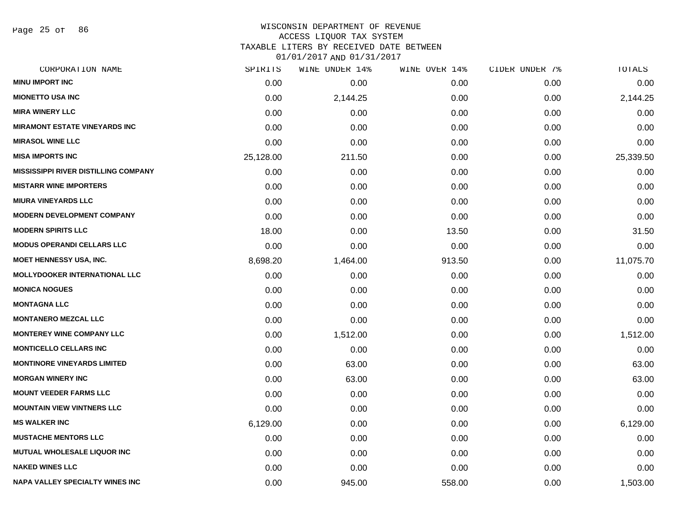Page 25 of 86

### WISCONSIN DEPARTMENT OF REVENUE ACCESS LIQUOR TAX SYSTEM

TAXABLE LITERS BY RECEIVED DATE BETWEEN

| CORPORATION NAME                            | SPIRITS   | WINE UNDER 14% | WINE OVER 14% | CIDER UNDER 7% | TOTALS    |
|---------------------------------------------|-----------|----------------|---------------|----------------|-----------|
| <b>MINU IMPORT INC</b>                      | 0.00      | 0.00           | 0.00          | 0.00           | 0.00      |
| <b>MIONETTO USA INC</b>                     | 0.00      | 2,144.25       | 0.00          | 0.00           | 2,144.25  |
| <b>MIRA WINERY LLC</b>                      | 0.00      | 0.00           | 0.00          | 0.00           | 0.00      |
| <b>MIRAMONT ESTATE VINEYARDS INC</b>        | 0.00      | 0.00           | 0.00          | 0.00           | 0.00      |
| <b>MIRASOL WINE LLC</b>                     | 0.00      | 0.00           | 0.00          | 0.00           | 0.00      |
| <b>MISA IMPORTS INC</b>                     | 25,128.00 | 211.50         | 0.00          | 0.00           | 25,339.50 |
| <b>MISSISSIPPI RIVER DISTILLING COMPANY</b> | 0.00      | 0.00           | 0.00          | 0.00           | 0.00      |
| <b>MISTARR WINE IMPORTERS</b>               | 0.00      | 0.00           | 0.00          | 0.00           | 0.00      |
| <b>MIURA VINEYARDS LLC</b>                  | 0.00      | 0.00           | 0.00          | 0.00           | 0.00      |
| <b>MODERN DEVELOPMENT COMPANY</b>           | 0.00      | 0.00           | 0.00          | 0.00           | 0.00      |
| <b>MODERN SPIRITS LLC</b>                   | 18.00     | 0.00           | 13.50         | 0.00           | 31.50     |
| <b>MODUS OPERANDI CELLARS LLC</b>           | 0.00      | 0.00           | 0.00          | 0.00           | 0.00      |
| <b>MOET HENNESSY USA, INC.</b>              | 8,698.20  | 1,464.00       | 913.50        | 0.00           | 11,075.70 |
| <b>MOLLYDOOKER INTERNATIONAL LLC</b>        | 0.00      | 0.00           | 0.00          | 0.00           | 0.00      |
| <b>MONICA NOGUES</b>                        | 0.00      | 0.00           | 0.00          | 0.00           | 0.00      |
| <b>MONTAGNA LLC</b>                         | 0.00      | 0.00           | 0.00          | 0.00           | 0.00      |
| <b>MONTANERO MEZCAL LLC</b>                 | 0.00      | 0.00           | 0.00          | 0.00           | 0.00      |
| <b>MONTEREY WINE COMPANY LLC</b>            | 0.00      | 1,512.00       | 0.00          | 0.00           | 1,512.00  |
| <b>MONTICELLO CELLARS INC</b>               | 0.00      | 0.00           | 0.00          | 0.00           | 0.00      |
| <b>MONTINORE VINEYARDS LIMITED</b>          | 0.00      | 63.00          | 0.00          | 0.00           | 63.00     |
| <b>MORGAN WINERY INC</b>                    | 0.00      | 63.00          | 0.00          | 0.00           | 63.00     |
| <b>MOUNT VEEDER FARMS LLC</b>               | 0.00      | 0.00           | 0.00          | 0.00           | 0.00      |
| <b>MOUNTAIN VIEW VINTNERS LLC</b>           | 0.00      | 0.00           | 0.00          | 0.00           | 0.00      |
| <b>MS WALKER INC</b>                        | 6,129.00  | 0.00           | 0.00          | 0.00           | 6,129.00  |
| <b>MUSTACHE MENTORS LLC</b>                 | 0.00      | 0.00           | 0.00          | 0.00           | 0.00      |
| <b>MUTUAL WHOLESALE LIQUOR INC</b>          | 0.00      | 0.00           | 0.00          | 0.00           | 0.00      |
| <b>NAKED WINES LLC</b>                      | 0.00      | 0.00           | 0.00          | 0.00           | 0.00      |
| <b>NAPA VALLEY SPECIALTY WINES INC</b>      | 0.00      | 945.00         | 558.00        | 0.00           | 1,503.00  |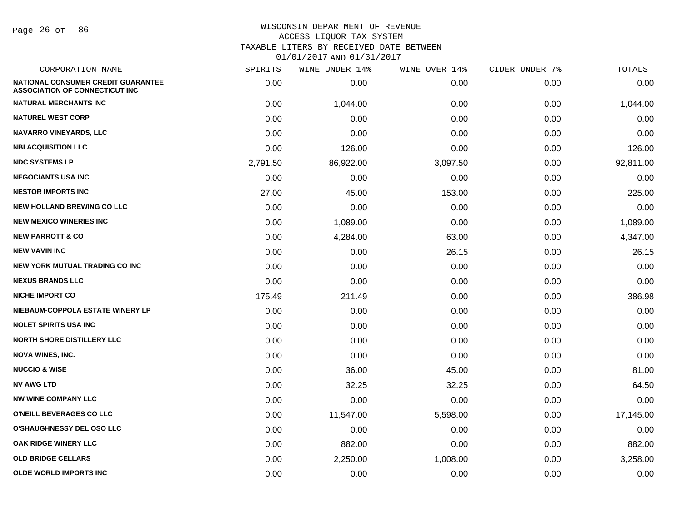Page 26 of 86

| CORPORATION NAME                                                                   | SPIRITS  | WINE UNDER 14% | WINE OVER 14% | CIDER UNDER 7% | TOTALS    |
|------------------------------------------------------------------------------------|----------|----------------|---------------|----------------|-----------|
| <b>NATIONAL CONSUMER CREDIT GUARANTEE</b><br><b>ASSOCIATION OF CONNECTICUT INC</b> | 0.00     | 0.00           | 0.00          | 0.00           | 0.00      |
| <b>NATURAL MERCHANTS INC</b>                                                       | 0.00     | 1,044.00       | 0.00          | 0.00           | 1,044.00  |
| <b>NATUREL WEST CORP</b>                                                           | 0.00     | 0.00           | 0.00          | 0.00           | 0.00      |
| NAVARRO VINEYARDS, LLC                                                             | 0.00     | 0.00           | 0.00          | 0.00           | 0.00      |
| <b>NBI ACQUISITION LLC</b>                                                         | 0.00     | 126.00         | 0.00          | 0.00           | 126.00    |
| <b>NDC SYSTEMS LP</b>                                                              | 2,791.50 | 86,922.00      | 3,097.50      | 0.00           | 92,811.00 |
| <b>NEGOCIANTS USA INC</b>                                                          | 0.00     | 0.00           | 0.00          | 0.00           | 0.00      |
| <b>NESTOR IMPORTS INC</b>                                                          | 27.00    | 45.00          | 153.00        | 0.00           | 225.00    |
| <b>NEW HOLLAND BREWING CO LLC</b>                                                  | 0.00     | 0.00           | 0.00          | 0.00           | 0.00      |
| <b>NEW MEXICO WINERIES INC</b>                                                     | 0.00     | 1,089.00       | 0.00          | 0.00           | 1,089.00  |
| <b>NEW PARROTT &amp; CO</b>                                                        | 0.00     | 4,284.00       | 63.00         | 0.00           | 4,347.00  |
| <b>NEW VAVIN INC</b>                                                               | 0.00     | 0.00           | 26.15         | 0.00           | 26.15     |
| <b>NEW YORK MUTUAL TRADING CO INC</b>                                              | 0.00     | 0.00           | 0.00          | 0.00           | 0.00      |
| <b>NEXUS BRANDS LLC</b>                                                            | 0.00     | 0.00           | 0.00          | 0.00           | 0.00      |
| <b>NICHE IMPORT CO</b>                                                             | 175.49   | 211.49         | 0.00          | 0.00           | 386.98    |
| NIEBAUM-COPPOLA ESTATE WINERY LP                                                   | 0.00     | 0.00           | 0.00          | 0.00           | 0.00      |
| <b>NOLET SPIRITS USA INC</b>                                                       | 0.00     | 0.00           | 0.00          | 0.00           | 0.00      |
| <b>NORTH SHORE DISTILLERY LLC</b>                                                  | 0.00     | 0.00           | 0.00          | 0.00           | 0.00      |
| <b>NOVA WINES, INC.</b>                                                            | 0.00     | 0.00           | 0.00          | 0.00           | 0.00      |
| <b>NUCCIO &amp; WISE</b>                                                           | 0.00     | 36.00          | 45.00         | 0.00           | 81.00     |
| <b>NV AWG LTD</b>                                                                  | 0.00     | 32.25          | 32.25         | 0.00           | 64.50     |
| <b>NW WINE COMPANY LLC</b>                                                         | 0.00     | 0.00           | 0.00          | 0.00           | 0.00      |
| <b>O'NEILL BEVERAGES CO LLC</b>                                                    | 0.00     | 11,547.00      | 5,598.00      | 0.00           | 17,145.00 |
| <b>O'SHAUGHNESSY DEL OSO LLC</b>                                                   | 0.00     | 0.00           | 0.00          | 0.00           | 0.00      |
| <b>OAK RIDGE WINERY LLC</b>                                                        | 0.00     | 882.00         | 0.00          | 0.00           | 882.00    |
| <b>OLD BRIDGE CELLARS</b>                                                          | 0.00     | 2,250.00       | 1,008.00      | 0.00           | 3,258.00  |
| <b>OLDE WORLD IMPORTS INC</b>                                                      | 0.00     | 0.00           | 0.00          | 0.00           | 0.00      |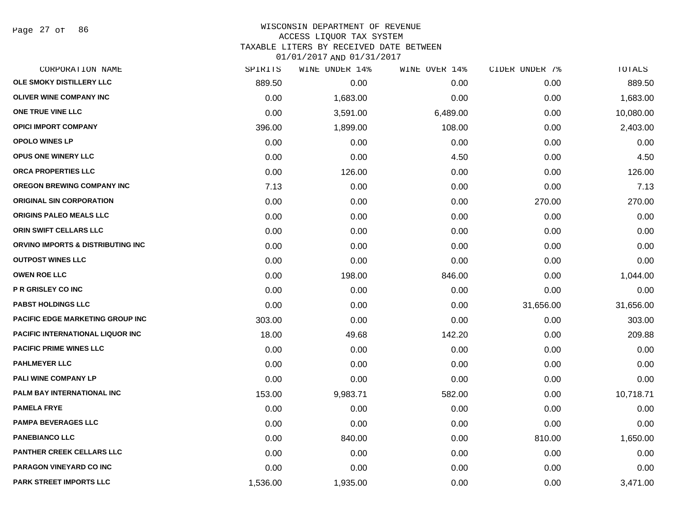Page 27 of 86

### WISCONSIN DEPARTMENT OF REVENUE ACCESS LIQUOR TAX SYSTEM TAXABLE LITERS BY RECEIVED DATE BETWEEN

| CORPORATION NAME                        | SPIRITS  | WINE UNDER 14% | WINE OVER 14% | CIDER UNDER 7% | TOTALS    |
|-----------------------------------------|----------|----------------|---------------|----------------|-----------|
| OLE SMOKY DISTILLERY LLC                | 889.50   | 0.00           | 0.00          | 0.00           | 889.50    |
| <b>OLIVER WINE COMPANY INC</b>          | 0.00     | 1,683.00       | 0.00          | 0.00           | 1,683.00  |
| ONE TRUE VINE LLC                       | 0.00     | 3,591.00       | 6,489.00      | 0.00           | 10,080.00 |
| <b>OPICI IMPORT COMPANY</b>             | 396.00   | 1,899.00       | 108.00        | 0.00           | 2,403.00  |
| <b>OPOLO WINES LP</b>                   | 0.00     | 0.00           | 0.00          | 0.00           | 0.00      |
| OPUS ONE WINERY LLC                     | 0.00     | 0.00           | 4.50          | 0.00           | 4.50      |
| ORCA PROPERTIES LLC                     | 0.00     | 126.00         | 0.00          | 0.00           | 126.00    |
| OREGON BREWING COMPANY INC              | 7.13     | 0.00           | 0.00          | 0.00           | 7.13      |
| <b>ORIGINAL SIN CORPORATION</b>         | 0.00     | 0.00           | 0.00          | 270.00         | 270.00    |
| <b>ORIGINS PALEO MEALS LLC</b>          | 0.00     | 0.00           | 0.00          | 0.00           | 0.00      |
| ORIN SWIFT CELLARS LLC                  | 0.00     | 0.00           | 0.00          | 0.00           | 0.00      |
| ORVINO IMPORTS & DISTRIBUTING INC       | 0.00     | 0.00           | 0.00          | 0.00           | 0.00      |
| <b>OUTPOST WINES LLC</b>                | 0.00     | 0.00           | 0.00          | 0.00           | 0.00      |
| <b>OWEN ROE LLC</b>                     | 0.00     | 198.00         | 846.00        | 0.00           | 1,044.00  |
| <b>P R GRISLEY CO INC</b>               | 0.00     | 0.00           | 0.00          | 0.00           | 0.00      |
| <b>PABST HOLDINGS LLC</b>               | 0.00     | 0.00           | 0.00          | 31,656.00      | 31,656.00 |
| <b>PACIFIC EDGE MARKETING GROUP INC</b> | 303.00   | 0.00           | 0.00          | 0.00           | 303.00    |
| PACIFIC INTERNATIONAL LIQUOR INC        | 18.00    | 49.68          | 142.20        | 0.00           | 209.88    |
| <b>PACIFIC PRIME WINES LLC</b>          | 0.00     | 0.00           | 0.00          | 0.00           | 0.00      |
| <b>PAHLMEYER LLC</b>                    | 0.00     | 0.00           | 0.00          | 0.00           | 0.00      |
| <b>PALI WINE COMPANY LP</b>             | 0.00     | 0.00           | 0.00          | 0.00           | 0.00      |
| PALM BAY INTERNATIONAL INC              | 153.00   | 9,983.71       | 582.00        | 0.00           | 10,718.71 |
| <b>PAMELA FRYE</b>                      | 0.00     | 0.00           | 0.00          | 0.00           | 0.00      |
| <b>PAMPA BEVERAGES LLC</b>              | 0.00     | 0.00           | 0.00          | 0.00           | 0.00      |
| <b>PANEBIANCO LLC</b>                   | 0.00     | 840.00         | 0.00          | 810.00         | 1,650.00  |
| <b>PANTHER CREEK CELLARS LLC</b>        | 0.00     | 0.00           | 0.00          | 0.00           | 0.00      |
| PARAGON VINEYARD CO INC                 | 0.00     | 0.00           | 0.00          | 0.00           | 0.00      |
| PARK STREET IMPORTS LLC                 | 1,536.00 | 1,935.00       | 0.00          | 0.00           | 3,471.00  |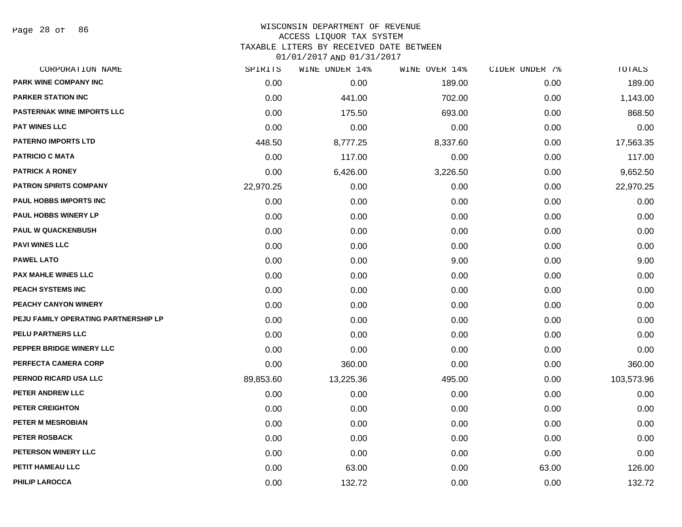Page 28 of 86

### WISCONSIN DEPARTMENT OF REVENUE ACCESS LIQUOR TAX SYSTEM TAXABLE LITERS BY RECEIVED DATE BETWEEN

| CORPORATION NAME                     | SPIRITS   | WINE UNDER 14% | WINE OVER 14% | CIDER UNDER 7% | TOTALS     |
|--------------------------------------|-----------|----------------|---------------|----------------|------------|
| PARK WINE COMPANY INC                | 0.00      | 0.00           | 189.00        | 0.00           | 189.00     |
| <b>PARKER STATION INC</b>            | 0.00      | 441.00         | 702.00        | 0.00           | 1,143.00   |
| <b>PASTERNAK WINE IMPORTS LLC</b>    | 0.00      | 175.50         | 693.00        | 0.00           | 868.50     |
| <b>PAT WINES LLC</b>                 | 0.00      | 0.00           | 0.00          | 0.00           | 0.00       |
| <b>PATERNO IMPORTS LTD</b>           | 448.50    | 8,777.25       | 8,337.60      | 0.00           | 17,563.35  |
| <b>PATRICIO C MATA</b>               | 0.00      | 117.00         | 0.00          | 0.00           | 117.00     |
| <b>PATRICK A RONEY</b>               | 0.00      | 6,426.00       | 3,226.50      | 0.00           | 9,652.50   |
| <b>PATRON SPIRITS COMPANY</b>        | 22,970.25 | 0.00           | 0.00          | 0.00           | 22,970.25  |
| PAUL HOBBS IMPORTS INC               | 0.00      | 0.00           | 0.00          | 0.00           | 0.00       |
| <b>PAUL HOBBS WINERY LP</b>          | 0.00      | 0.00           | 0.00          | 0.00           | 0.00       |
| <b>PAUL W QUACKENBUSH</b>            | 0.00      | 0.00           | 0.00          | 0.00           | 0.00       |
| <b>PAVI WINES LLC</b>                | 0.00      | 0.00           | 0.00          | 0.00           | 0.00       |
| <b>PAWEL LATO</b>                    | 0.00      | 0.00           | 9.00          | 0.00           | 9.00       |
| <b>PAX MAHLE WINES LLC</b>           | 0.00      | 0.00           | 0.00          | 0.00           | 0.00       |
| PEACH SYSTEMS INC                    | 0.00      | 0.00           | 0.00          | 0.00           | 0.00       |
| PEACHY CANYON WINERY                 | 0.00      | 0.00           | 0.00          | 0.00           | 0.00       |
| PEJU FAMILY OPERATING PARTNERSHIP LP | 0.00      | 0.00           | 0.00          | 0.00           | 0.00       |
| PELU PARTNERS LLC                    | 0.00      | 0.00           | 0.00          | 0.00           | 0.00       |
| PEPPER BRIDGE WINERY LLC             | 0.00      | 0.00           | 0.00          | 0.00           | 0.00       |
| PERFECTA CAMERA CORP                 | 0.00      | 360.00         | 0.00          | 0.00           | 360.00     |
| PERNOD RICARD USA LLC                | 89,853.60 | 13,225.36      | 495.00        | 0.00           | 103,573.96 |
| PETER ANDREW LLC                     | 0.00      | 0.00           | 0.00          | 0.00           | 0.00       |
| <b>PETER CREIGHTON</b>               | 0.00      | 0.00           | 0.00          | 0.00           | 0.00       |
| PETER M MESROBIAN                    | 0.00      | 0.00           | 0.00          | 0.00           | 0.00       |
| PETER ROSBACK                        | 0.00      | 0.00           | 0.00          | 0.00           | 0.00       |
| PETERSON WINERY LLC                  | 0.00      | 0.00           | 0.00          | 0.00           | 0.00       |
| PETIT HAMEAU LLC                     | 0.00      | 63.00          | 0.00          | 63.00          | 126.00     |
| <b>PHILIP LAROCCA</b>                | 0.00      | 132.72         | 0.00          | 0.00           | 132.72     |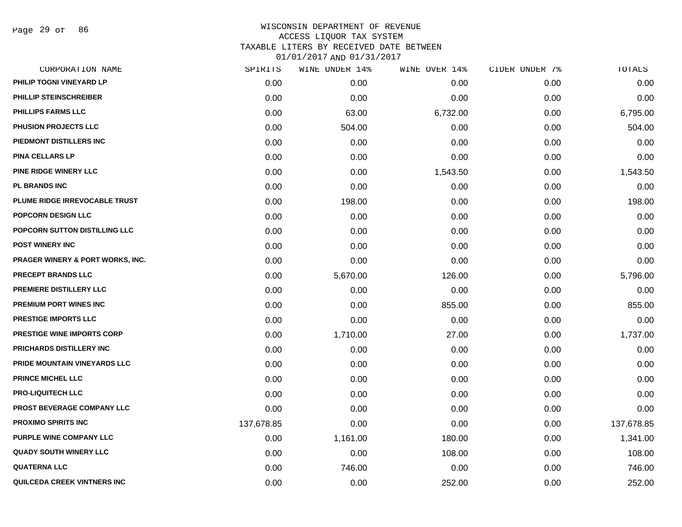Page 29 of 86

# WISCONSIN DEPARTMENT OF REVENUE ACCESS LIQUOR TAX SYSTEM TAXABLE LITERS BY RECEIVED DATE BETWEEN

| CORPORATION NAME                            | SPIRITS    | WINE UNDER 14% | WINE OVER 14% | CIDER UNDER 7% | <b>TOTALS</b> |
|---------------------------------------------|------------|----------------|---------------|----------------|---------------|
| PHILIP TOGNI VINEYARD LP                    | 0.00       | 0.00           | 0.00          | 0.00           | 0.00          |
| PHILLIP STEINSCHREIBER                      | 0.00       | 0.00           | 0.00          | 0.00           | 0.00          |
| <b>PHILLIPS FARMS LLC</b>                   | 0.00       | 63.00          | 6,732.00      | 0.00           | 6,795.00      |
| PHUSION PROJECTS LLC                        | 0.00       | 504.00         | 0.00          | 0.00           | 504.00        |
| PIEDMONT DISTILLERS INC                     | 0.00       | 0.00           | 0.00          | 0.00           | 0.00          |
| <b>PINA CELLARS LP</b>                      | 0.00       | 0.00           | 0.00          | 0.00           | 0.00          |
| <b>PINE RIDGE WINERY LLC</b>                | 0.00       | 0.00           | 1,543.50      | 0.00           | 1,543.50      |
| <b>PL BRANDS INC</b>                        | 0.00       | 0.00           | 0.00          | 0.00           | 0.00          |
| PLUME RIDGE IRREVOCABLE TRUST               | 0.00       | 198.00         | 0.00          | 0.00           | 198.00        |
| POPCORN DESIGN LLC                          | 0.00       | 0.00           | 0.00          | 0.00           | 0.00          |
| POPCORN SUTTON DISTILLING LLC               | 0.00       | 0.00           | 0.00          | 0.00           | 0.00          |
| <b>POST WINERY INC</b>                      | 0.00       | 0.00           | 0.00          | 0.00           | 0.00          |
| <b>PRAGER WINERY &amp; PORT WORKS, INC.</b> | 0.00       | 0.00           | 0.00          | 0.00           | 0.00          |
| <b>PRECEPT BRANDS LLC</b>                   | 0.00       | 5,670.00       | 126.00        | 0.00           | 5,796.00      |
| PREMIERE DISTILLERY LLC                     | 0.00       | 0.00           | 0.00          | 0.00           | 0.00          |
| <b>PREMIUM PORT WINES INC</b>               | 0.00       | 0.00           | 855.00        | 0.00           | 855.00        |
| <b>PRESTIGE IMPORTS LLC</b>                 | 0.00       | 0.00           | 0.00          | 0.00           | 0.00          |
| <b>PRESTIGE WINE IMPORTS CORP</b>           | 0.00       | 1,710.00       | 27.00         | 0.00           | 1,737.00      |
| PRICHARDS DISTILLERY INC                    | 0.00       | 0.00           | 0.00          | 0.00           | 0.00          |
| PRIDE MOUNTAIN VINEYARDS LLC                | 0.00       | 0.00           | 0.00          | 0.00           | 0.00          |
| PRINCE MICHEL LLC                           | 0.00       | 0.00           | 0.00          | 0.00           | 0.00          |
| <b>PRO-LIQUITECH LLC</b>                    | 0.00       | 0.00           | 0.00          | 0.00           | 0.00          |
| PROST BEVERAGE COMPANY LLC                  | 0.00       | 0.00           | 0.00          | 0.00           | 0.00          |
| <b>PROXIMO SPIRITS INC</b>                  | 137,678.85 | 0.00           | 0.00          | 0.00           | 137,678.85    |
| PURPLE WINE COMPANY LLC                     | 0.00       | 1,161.00       | 180.00        | 0.00           | 1,341.00      |
| <b>QUADY SOUTH WINERY LLC</b>               | 0.00       | 0.00           | 108.00        | 0.00           | 108.00        |
| <b>QUATERNA LLC</b>                         | 0.00       | 746.00         | 0.00          | 0.00           | 746.00        |
| QUILCEDA CREEK VINTNERS INC                 | 0.00       | 0.00           | 252.00        | 0.00           | 252.00        |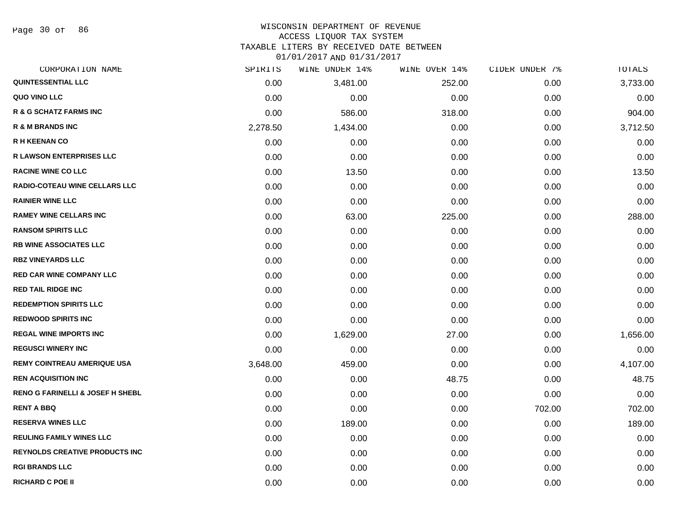Page 30 of 86

# WISCONSIN DEPARTMENT OF REVENUE

### ACCESS LIQUOR TAX SYSTEM

TAXABLE LITERS BY RECEIVED DATE BETWEEN

| CORPORATION NAME                            | SPIRITS  | WINE UNDER 14% | WINE OVER 14% | CIDER UNDER 7% | TOTALS   |
|---------------------------------------------|----------|----------------|---------------|----------------|----------|
| QUINTESSENTIAL LLC                          | 0.00     | 3,481.00       | 252.00        | 0.00           | 3,733.00 |
| <b>QUO VINO LLC</b>                         | 0.00     | 0.00           | 0.00          | 0.00           | 0.00     |
| <b>R &amp; G SCHATZ FARMS INC</b>           | 0.00     | 586.00         | 318.00        | 0.00           | 904.00   |
| <b>R &amp; M BRANDS INC</b>                 | 2,278.50 | 1,434.00       | 0.00          | 0.00           | 3,712.50 |
| <b>R H KEENAN CO</b>                        | 0.00     | 0.00           | 0.00          | 0.00           | 0.00     |
| <b>R LAWSON ENTERPRISES LLC</b>             | 0.00     | 0.00           | 0.00          | 0.00           | 0.00     |
| <b>RACINE WINE CO LLC</b>                   | 0.00     | 13.50          | 0.00          | 0.00           | 13.50    |
| <b>RADIO-COTEAU WINE CELLARS LLC</b>        | 0.00     | 0.00           | 0.00          | 0.00           | 0.00     |
| <b>RAINIER WINE LLC</b>                     | 0.00     | 0.00           | 0.00          | 0.00           | 0.00     |
| <b>RAMEY WINE CELLARS INC</b>               | 0.00     | 63.00          | 225.00        | 0.00           | 288.00   |
| <b>RANSOM SPIRITS LLC</b>                   | 0.00     | 0.00           | 0.00          | 0.00           | 0.00     |
| <b>RB WINE ASSOCIATES LLC</b>               | 0.00     | 0.00           | 0.00          | 0.00           | 0.00     |
| <b>RBZ VINEYARDS LLC</b>                    | 0.00     | 0.00           | 0.00          | 0.00           | 0.00     |
| <b>RED CAR WINE COMPANY LLC</b>             | 0.00     | 0.00           | 0.00          | 0.00           | 0.00     |
| <b>RED TAIL RIDGE INC</b>                   | 0.00     | 0.00           | 0.00          | 0.00           | 0.00     |
| <b>REDEMPTION SPIRITS LLC</b>               | 0.00     | 0.00           | 0.00          | 0.00           | 0.00     |
| <b>REDWOOD SPIRITS INC</b>                  | 0.00     | 0.00           | 0.00          | 0.00           | 0.00     |
| <b>REGAL WINE IMPORTS INC</b>               | 0.00     | 1,629.00       | 27.00         | 0.00           | 1,656.00 |
| <b>REGUSCI WINERY INC</b>                   | 0.00     | 0.00           | 0.00          | 0.00           | 0.00     |
| <b>REMY COINTREAU AMERIQUE USA</b>          | 3,648.00 | 459.00         | 0.00          | 0.00           | 4,107.00 |
| <b>REN ACQUISITION INC</b>                  | 0.00     | 0.00           | 48.75         | 0.00           | 48.75    |
| <b>RENO G FARINELLI &amp; JOSEF H SHEBL</b> | 0.00     | 0.00           | 0.00          | 0.00           | 0.00     |
| <b>RENT A BBQ</b>                           | 0.00     | 0.00           | 0.00          | 702.00         | 702.00   |
| <b>RESERVA WINES LLC</b>                    | 0.00     | 189.00         | 0.00          | 0.00           | 189.00   |
| <b>REULING FAMILY WINES LLC</b>             | 0.00     | 0.00           | 0.00          | 0.00           | 0.00     |
| <b>REYNOLDS CREATIVE PRODUCTS INC.</b>      | 0.00     | 0.00           | 0.00          | 0.00           | 0.00     |
| <b>RGI BRANDS LLC</b>                       | 0.00     | 0.00           | 0.00          | 0.00           | 0.00     |
| <b>RICHARD C POE II</b>                     | 0.00     | 0.00           | 0.00          | 0.00           | 0.00     |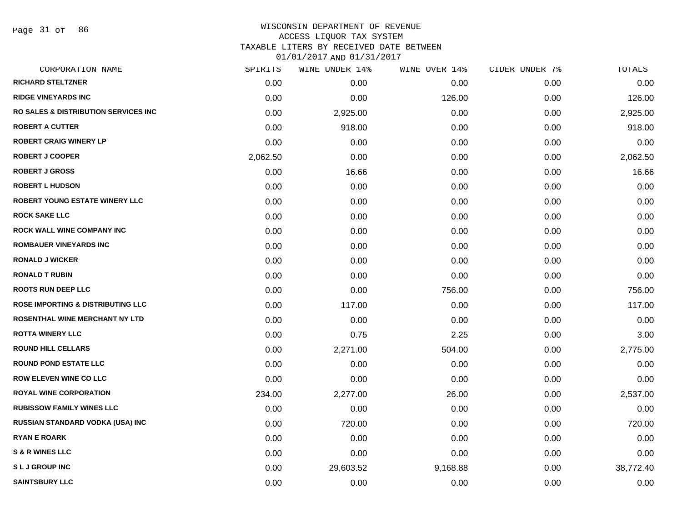Page 31 of 86

# WISCONSIN DEPARTMENT OF REVENUE ACCESS LIQUOR TAX SYSTEM TAXABLE LITERS BY RECEIVED DATE BETWEEN

| CORPORATION NAME                                 | SPIRITS  | WINE UNDER 14% | WINE OVER 14% | CIDER UNDER 7% | TOTALS    |
|--------------------------------------------------|----------|----------------|---------------|----------------|-----------|
| <b>RICHARD STELTZNER</b>                         | 0.00     | 0.00           | 0.00          | 0.00           | 0.00      |
| <b>RIDGE VINEYARDS INC</b>                       | 0.00     | 0.00           | 126.00        | 0.00           | 126.00    |
| <b>RO SALES &amp; DISTRIBUTION SERVICES INC.</b> | 0.00     | 2,925.00       | 0.00          | 0.00           | 2,925.00  |
| <b>ROBERT A CUTTER</b>                           | 0.00     | 918.00         | 0.00          | 0.00           | 918.00    |
| <b>ROBERT CRAIG WINERY LP</b>                    | 0.00     | 0.00           | 0.00          | 0.00           | 0.00      |
| <b>ROBERT J COOPER</b>                           | 2,062.50 | 0.00           | 0.00          | 0.00           | 2,062.50  |
| <b>ROBERT J GROSS</b>                            | 0.00     | 16.66          | 0.00          | 0.00           | 16.66     |
| <b>ROBERT L HUDSON</b>                           | 0.00     | 0.00           | 0.00          | 0.00           | 0.00      |
| <b>ROBERT YOUNG ESTATE WINERY LLC</b>            | 0.00     | 0.00           | 0.00          | 0.00           | 0.00      |
| <b>ROCK SAKE LLC</b>                             | 0.00     | 0.00           | 0.00          | 0.00           | 0.00      |
| ROCK WALL WINE COMPANY INC                       | 0.00     | 0.00           | 0.00          | 0.00           | 0.00      |
| <b>ROMBAUER VINEYARDS INC</b>                    | 0.00     | 0.00           | 0.00          | 0.00           | 0.00      |
| <b>RONALD J WICKER</b>                           | 0.00     | 0.00           | 0.00          | 0.00           | 0.00      |
| <b>RONALD T RUBIN</b>                            | 0.00     | 0.00           | 0.00          | 0.00           | 0.00      |
| <b>ROOTS RUN DEEP LLC</b>                        | 0.00     | 0.00           | 756.00        | 0.00           | 756.00    |
| <b>ROSE IMPORTING &amp; DISTRIBUTING LLC</b>     | 0.00     | 117.00         | 0.00          | 0.00           | 117.00    |
| ROSENTHAL WINE MERCHANT NY LTD                   | 0.00     | 0.00           | 0.00          | 0.00           | 0.00      |
| <b>ROTTA WINERY LLC</b>                          | 0.00     | 0.75           | 2.25          | 0.00           | 3.00      |
| <b>ROUND HILL CELLARS</b>                        | 0.00     | 2,271.00       | 504.00        | 0.00           | 2,775.00  |
| <b>ROUND POND ESTATE LLC</b>                     | 0.00     | 0.00           | 0.00          | 0.00           | 0.00      |
| <b>ROW ELEVEN WINE CO LLC</b>                    | 0.00     | 0.00           | 0.00          | 0.00           | 0.00      |
| <b>ROYAL WINE CORPORATION</b>                    | 234.00   | 2,277.00       | 26.00         | 0.00           | 2,537.00  |
| <b>RUBISSOW FAMILY WINES LLC</b>                 | 0.00     | 0.00           | 0.00          | 0.00           | 0.00      |
| RUSSIAN STANDARD VODKA (USA) INC                 | 0.00     | 720.00         | 0.00          | 0.00           | 720.00    |
| <b>RYAN E ROARK</b>                              | 0.00     | 0.00           | 0.00          | 0.00           | 0.00      |
| <b>S &amp; R WINES LLC</b>                       | 0.00     | 0.00           | 0.00          | 0.00           | 0.00      |
| <b>SLJGROUPINC</b>                               | 0.00     | 29,603.52      | 9,168.88      | 0.00           | 38,772.40 |
| <b>SAINTSBURY LLC</b>                            | 0.00     | 0.00           | 0.00          | 0.00           | 0.00      |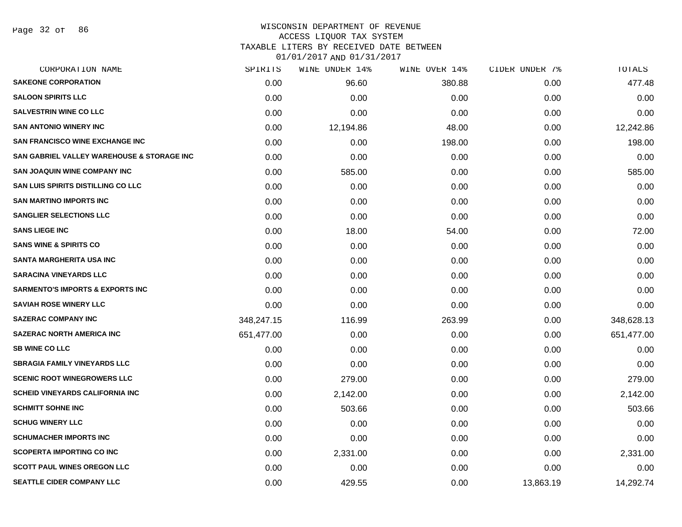### WISCONSIN DEPARTMENT OF REVENUE ACCESS LIQUOR TAX SYSTEM

TAXABLE LITERS BY RECEIVED DATE BETWEEN

| CORPORATION NAME                            | SPIRITS    | WINE UNDER 14% | WINE OVER 14% | CIDER UNDER 7% | TOTALS     |
|---------------------------------------------|------------|----------------|---------------|----------------|------------|
| <b>SAKEONE CORPORATION</b>                  | 0.00       | 96.60          | 380.88        | 0.00           | 477.48     |
| <b>SALOON SPIRITS LLC</b>                   | 0.00       | 0.00           | 0.00          | 0.00           | 0.00       |
| <b>SALVESTRIN WINE CO LLC</b>               | 0.00       | 0.00           | 0.00          | 0.00           | 0.00       |
| <b>SAN ANTONIO WINERY INC</b>               | 0.00       | 12,194.86      | 48.00         | 0.00           | 12,242.86  |
| <b>SAN FRANCISCO WINE EXCHANGE INC</b>      | 0.00       | 0.00           | 198.00        | 0.00           | 198.00     |
| SAN GABRIEL VALLEY WAREHOUSE & STORAGE INC  | 0.00       | 0.00           | 0.00          | 0.00           | 0.00       |
| <b>SAN JOAQUIN WINE COMPANY INC</b>         | 0.00       | 585.00         | 0.00          | 0.00           | 585.00     |
| SAN LUIS SPIRITS DISTILLING CO LLC          | 0.00       | 0.00           | 0.00          | 0.00           | 0.00       |
| <b>SAN MARTINO IMPORTS INC</b>              | 0.00       | 0.00           | 0.00          | 0.00           | 0.00       |
| <b>SANGLIER SELECTIONS LLC</b>              | 0.00       | 0.00           | 0.00          | 0.00           | 0.00       |
| <b>SANS LIEGE INC</b>                       | 0.00       | 18.00          | 54.00         | 0.00           | 72.00      |
| <b>SANS WINE &amp; SPIRITS CO</b>           | 0.00       | 0.00           | 0.00          | 0.00           | 0.00       |
| <b>SANTA MARGHERITA USA INC</b>             | 0.00       | 0.00           | 0.00          | 0.00           | 0.00       |
| <b>SARACINA VINEYARDS LLC</b>               | 0.00       | 0.00           | 0.00          | 0.00           | 0.00       |
| <b>SARMENTO'S IMPORTS &amp; EXPORTS INC</b> | 0.00       | 0.00           | 0.00          | 0.00           | 0.00       |
| <b>SAVIAH ROSE WINERY LLC</b>               | 0.00       | 0.00           | 0.00          | 0.00           | 0.00       |
| <b>SAZERAC COMPANY INC</b>                  | 348,247.15 | 116.99         | 263.99        | 0.00           | 348,628.13 |
| <b>SAZERAC NORTH AMERICA INC</b>            | 651,477.00 | 0.00           | 0.00          | 0.00           | 651,477.00 |
| <b>SB WINE CO LLC</b>                       | 0.00       | 0.00           | 0.00          | 0.00           | 0.00       |
| <b>SBRAGIA FAMILY VINEYARDS LLC</b>         | 0.00       | 0.00           | 0.00          | 0.00           | 0.00       |
| <b>SCENIC ROOT WINEGROWERS LLC</b>          | 0.00       | 279.00         | 0.00          | 0.00           | 279.00     |
| <b>SCHEID VINEYARDS CALIFORNIA INC</b>      | 0.00       | 2,142.00       | 0.00          | 0.00           | 2,142.00   |
| <b>SCHMITT SOHNE INC</b>                    | 0.00       | 503.66         | 0.00          | 0.00           | 503.66     |
| <b>SCHUG WINERY LLC</b>                     | 0.00       | 0.00           | 0.00          | 0.00           | 0.00       |
| <b>SCHUMACHER IMPORTS INC</b>               | 0.00       | 0.00           | 0.00          | 0.00           | 0.00       |
| <b>SCOPERTA IMPORTING CO INC</b>            | 0.00       | 2,331.00       | 0.00          | 0.00           | 2,331.00   |
| <b>SCOTT PAUL WINES OREGON LLC</b>          | 0.00       | 0.00           | 0.00          | 0.00           | 0.00       |
| <b>SEATTLE CIDER COMPANY LLC</b>            | 0.00       | 429.55         | 0.00          | 13,863.19      | 14,292.74  |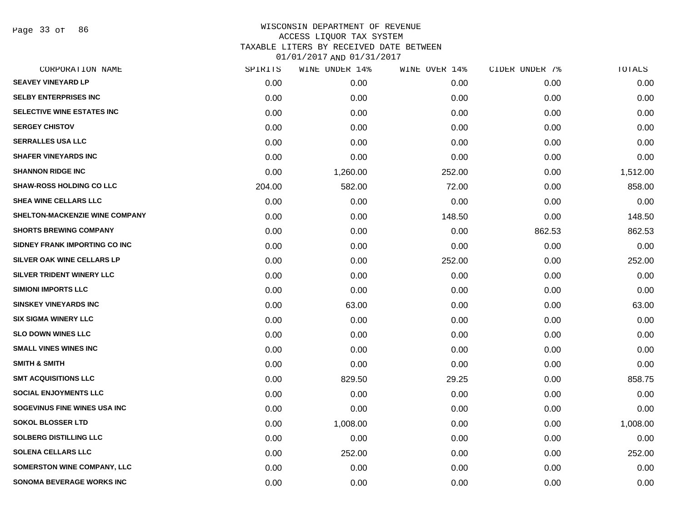Page 33 of 86

| SPIRITS | WINE UNDER 14% | WINE OVER 14% | CIDER UNDER 7% | TOTALS   |
|---------|----------------|---------------|----------------|----------|
| 0.00    | 0.00           | 0.00          | 0.00           | 0.00     |
| 0.00    | 0.00           | 0.00          | 0.00           | 0.00     |
| 0.00    | 0.00           | 0.00          | 0.00           | 0.00     |
| 0.00    | 0.00           | 0.00          | 0.00           | 0.00     |
| 0.00    | 0.00           | 0.00          | 0.00           | 0.00     |
| 0.00    | 0.00           | 0.00          | 0.00           | 0.00     |
| 0.00    | 1,260.00       | 252.00        | 0.00           | 1,512.00 |
| 204.00  | 582.00         | 72.00         | 0.00           | 858.00   |
| 0.00    | 0.00           | 0.00          | 0.00           | 0.00     |
| 0.00    | 0.00           | 148.50        | 0.00           | 148.50   |
| 0.00    | 0.00           | 0.00          | 862.53         | 862.53   |
| 0.00    | 0.00           | 0.00          | 0.00           | 0.00     |
| 0.00    | 0.00           | 252.00        | 0.00           | 252.00   |
| 0.00    | 0.00           | 0.00          | 0.00           | 0.00     |
| 0.00    | 0.00           | 0.00          | 0.00           | 0.00     |
| 0.00    | 63.00          | 0.00          | 0.00           | 63.00    |
| 0.00    | 0.00           | 0.00          | 0.00           | 0.00     |
| 0.00    | 0.00           | 0.00          | 0.00           | 0.00     |
| 0.00    | 0.00           | 0.00          | 0.00           | 0.00     |
| 0.00    | 0.00           | 0.00          | 0.00           | 0.00     |
| 0.00    | 829.50         | 29.25         | 0.00           | 858.75   |
| 0.00    | 0.00           | 0.00          | 0.00           | 0.00     |
| 0.00    | 0.00           | 0.00          | 0.00           | 0.00     |
| 0.00    | 1,008.00       | 0.00          | 0.00           | 1,008.00 |
| 0.00    | 0.00           | 0.00          | 0.00           | 0.00     |
| 0.00    | 252.00         | 0.00          | 0.00           | 252.00   |
| 0.00    | 0.00           | 0.00          | 0.00           | 0.00     |
| 0.00    | 0.00           | 0.00          | 0.00           | 0.00     |
|         |                |               |                |          |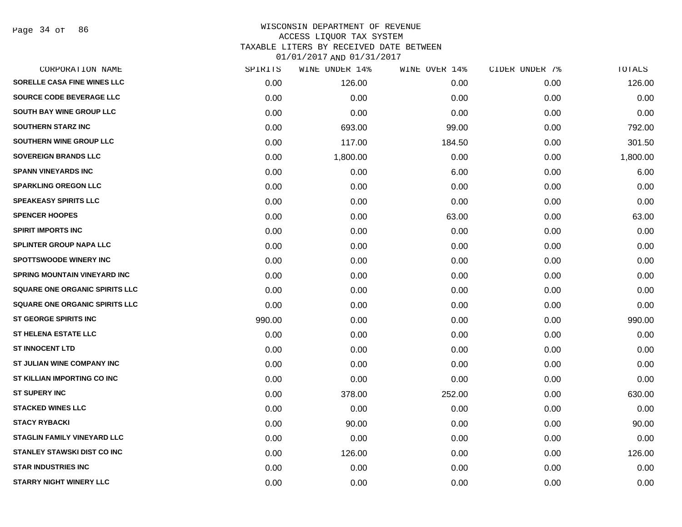### WISCONSIN DEPARTMENT OF REVENUE ACCESS LIQUOR TAX SYSTEM TAXABLE LITERS BY RECEIVED DATE BETWEEN

| CORPORATION NAME                      | SPIRITS | WINE UNDER 14% | WINE OVER 14% | CIDER UNDER 7% | TOTALS   |
|---------------------------------------|---------|----------------|---------------|----------------|----------|
| SORELLE CASA FINE WINES LLC           | 0.00    | 126.00         | 0.00          | 0.00           | 126.00   |
| <b>SOURCE CODE BEVERAGE LLC</b>       | 0.00    | 0.00           | 0.00          | 0.00           | 0.00     |
| SOUTH BAY WINE GROUP LLC              | 0.00    | 0.00           | 0.00          | 0.00           | 0.00     |
| <b>SOUTHERN STARZ INC</b>             | 0.00    | 693.00         | 99.00         | 0.00           | 792.00   |
| SOUTHERN WINE GROUP LLC               | 0.00    | 117.00         | 184.50        | 0.00           | 301.50   |
| <b>SOVEREIGN BRANDS LLC</b>           | 0.00    | 1,800.00       | 0.00          | 0.00           | 1,800.00 |
| <b>SPANN VINEYARDS INC</b>            | 0.00    | 0.00           | 6.00          | 0.00           | 6.00     |
| <b>SPARKLING OREGON LLC</b>           | 0.00    | 0.00           | 0.00          | 0.00           | 0.00     |
| <b>SPEAKEASY SPIRITS LLC</b>          | 0.00    | 0.00           | 0.00          | 0.00           | 0.00     |
| <b>SPENCER HOOPES</b>                 | 0.00    | 0.00           | 63.00         | 0.00           | 63.00    |
| <b>SPIRIT IMPORTS INC</b>             | 0.00    | 0.00           | 0.00          | 0.00           | 0.00     |
| <b>SPLINTER GROUP NAPA LLC</b>        | 0.00    | 0.00           | 0.00          | 0.00           | 0.00     |
| <b>SPOTTSWOODE WINERY INC</b>         | 0.00    | 0.00           | 0.00          | 0.00           | 0.00     |
| <b>SPRING MOUNTAIN VINEYARD INC</b>   | 0.00    | 0.00           | 0.00          | 0.00           | 0.00     |
| <b>SQUARE ONE ORGANIC SPIRITS LLC</b> | 0.00    | 0.00           | 0.00          | 0.00           | 0.00     |
| <b>SQUARE ONE ORGANIC SPIRITS LLC</b> | 0.00    | 0.00           | 0.00          | 0.00           | 0.00     |
| <b>ST GEORGE SPIRITS INC</b>          | 990.00  | 0.00           | 0.00          | 0.00           | 990.00   |
| <b>ST HELENA ESTATE LLC</b>           | 0.00    | 0.00           | 0.00          | 0.00           | 0.00     |
| <b>ST INNOCENT LTD</b>                | 0.00    | 0.00           | 0.00          | 0.00           | 0.00     |
| ST JULIAN WINE COMPANY INC            | 0.00    | 0.00           | 0.00          | 0.00           | 0.00     |
| ST KILLIAN IMPORTING CO INC           | 0.00    | 0.00           | 0.00          | 0.00           | 0.00     |
| <b>ST SUPERY INC</b>                  | 0.00    | 378.00         | 252.00        | 0.00           | 630.00   |
| <b>STACKED WINES LLC</b>              | 0.00    | 0.00           | 0.00          | 0.00           | 0.00     |
| <b>STACY RYBACKI</b>                  | 0.00    | 90.00          | 0.00          | 0.00           | 90.00    |
| <b>STAGLIN FAMILY VINEYARD LLC</b>    | 0.00    | 0.00           | 0.00          | 0.00           | 0.00     |
| STANLEY STAWSKI DIST CO INC           | 0.00    | 126.00         | 0.00          | 0.00           | 126.00   |
| <b>STAR INDUSTRIES INC</b>            | 0.00    | 0.00           | 0.00          | 0.00           | 0.00     |
| <b>STARRY NIGHT WINERY LLC</b>        | 0.00    | 0.00           | 0.00          | 0.00           | 0.00     |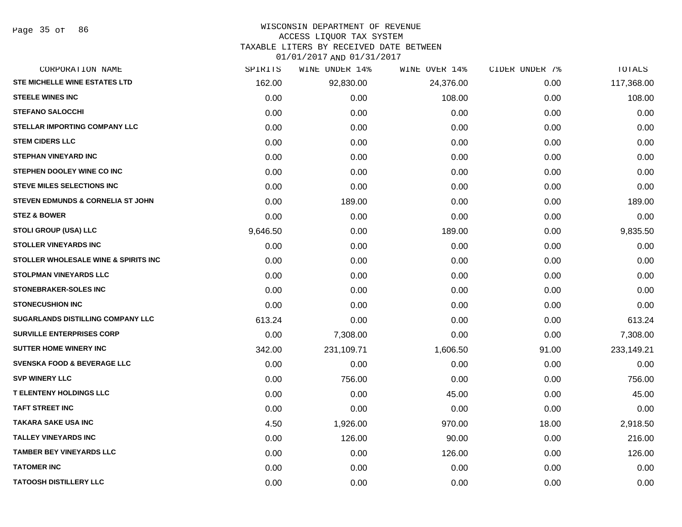# WISCONSIN DEPARTMENT OF REVENUE

### ACCESS LIQUOR TAX SYSTEM

TAXABLE LITERS BY RECEIVED DATE BETWEEN

| CORPORATION NAME                                | SPIRITS  | WINE UNDER 14% | WINE OVER 14% | CIDER UNDER 7% | TOTALS     |
|-------------------------------------------------|----------|----------------|---------------|----------------|------------|
| <b>STE MICHELLE WINE ESTATES LTD</b>            | 162.00   | 92,830.00      | 24,376.00     | 0.00           | 117,368.00 |
| <b>STEELE WINES INC</b>                         | 0.00     | 0.00           | 108.00        | 0.00           | 108.00     |
| <b>STEFANO SALOCCHI</b>                         | 0.00     | 0.00           | 0.00          | 0.00           | 0.00       |
| <b>STELLAR IMPORTING COMPANY LLC</b>            | 0.00     | 0.00           | 0.00          | 0.00           | 0.00       |
| <b>STEM CIDERS LLC</b>                          | 0.00     | 0.00           | 0.00          | 0.00           | 0.00       |
| <b>STEPHAN VINEYARD INC</b>                     | 0.00     | 0.00           | 0.00          | 0.00           | 0.00       |
| STEPHEN DOOLEY WINE CO INC                      | 0.00     | 0.00           | 0.00          | 0.00           | 0.00       |
| <b>STEVE MILES SELECTIONS INC</b>               | 0.00     | 0.00           | 0.00          | 0.00           | 0.00       |
| STEVEN EDMUNDS & CORNELIA ST JOHN               | 0.00     | 189.00         | 0.00          | 0.00           | 189.00     |
| <b>STEZ &amp; BOWER</b>                         | 0.00     | 0.00           | 0.00          | 0.00           | 0.00       |
| <b>STOLI GROUP (USA) LLC</b>                    | 9,646.50 | 0.00           | 189.00        | 0.00           | 9,835.50   |
| <b>STOLLER VINEYARDS INC</b>                    | 0.00     | 0.00           | 0.00          | 0.00           | 0.00       |
| <b>STOLLER WHOLESALE WINE &amp; SPIRITS INC</b> | 0.00     | 0.00           | 0.00          | 0.00           | 0.00       |
| <b>STOLPMAN VINEYARDS LLC</b>                   | 0.00     | 0.00           | 0.00          | 0.00           | 0.00       |
| <b>STONEBRAKER-SOLES INC</b>                    | 0.00     | 0.00           | 0.00          | 0.00           | 0.00       |
| <b>STONECUSHION INC</b>                         | 0.00     | 0.00           | 0.00          | 0.00           | 0.00       |
| <b>SUGARLANDS DISTILLING COMPANY LLC</b>        | 613.24   | 0.00           | 0.00          | 0.00           | 613.24     |
| <b>SURVILLE ENTERPRISES CORP</b>                | 0.00     | 7,308.00       | 0.00          | 0.00           | 7,308.00   |
| <b>SUTTER HOME WINERY INC</b>                   | 342.00   | 231,109.71     | 1,606.50      | 91.00          | 233,149.21 |
| <b>SVENSKA FOOD &amp; BEVERAGE LLC</b>          | 0.00     | 0.00           | 0.00          | 0.00           | 0.00       |
| <b>SVP WINERY LLC</b>                           | 0.00     | 756.00         | 0.00          | 0.00           | 756.00     |
| <b>T ELENTENY HOLDINGS LLC</b>                  | 0.00     | 0.00           | 45.00         | 0.00           | 45.00      |
| <b>TAFT STREET INC</b>                          | 0.00     | 0.00           | 0.00          | 0.00           | 0.00       |
| <b>TAKARA SAKE USA INC</b>                      | 4.50     | 1,926.00       | 970.00        | 18.00          | 2,918.50   |
| <b>TALLEY VINEYARDS INC</b>                     | 0.00     | 126.00         | 90.00         | 0.00           | 216.00     |
| <b>TAMBER BEY VINEYARDS LLC</b>                 | 0.00     | 0.00           | 126.00        | 0.00           | 126.00     |
| <b>TATOMER INC</b>                              | 0.00     | 0.00           | 0.00          | 0.00           | 0.00       |
| <b>TATOOSH DISTILLERY LLC</b>                   | 0.00     | 0.00           | 0.00          | 0.00           | 0.00       |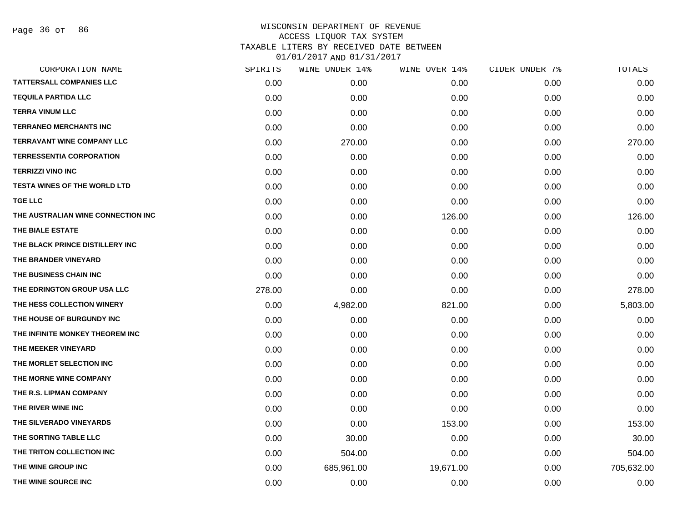| CORPORATION NAME                    | SPIRITS | WINE UNDER 14% | WINE OVER 14% | CIDER UNDER 7% | TOTALS     |
|-------------------------------------|---------|----------------|---------------|----------------|------------|
| <b>TATTERSALL COMPANIES LLC</b>     | 0.00    | 0.00           | 0.00          | 0.00           | 0.00       |
| <b>TEQUILA PARTIDA LLC</b>          | 0.00    | 0.00           | 0.00          | 0.00           | 0.00       |
| <b>TERRA VINUM LLC</b>              | 0.00    | 0.00           | 0.00          | 0.00           | 0.00       |
| <b>TERRANEO MERCHANTS INC</b>       | 0.00    | 0.00           | 0.00          | 0.00           | 0.00       |
| <b>TERRAVANT WINE COMPANY LLC</b>   | 0.00    | 270.00         | 0.00          | 0.00           | 270.00     |
| <b>TERRESSENTIA CORPORATION</b>     | 0.00    | 0.00           | 0.00          | 0.00           | 0.00       |
| <b>TERRIZZI VINO INC</b>            | 0.00    | 0.00           | 0.00          | 0.00           | 0.00       |
| <b>TESTA WINES OF THE WORLD LTD</b> | 0.00    | 0.00           | 0.00          | 0.00           | 0.00       |
| <b>TGE LLC</b>                      | 0.00    | 0.00           | 0.00          | 0.00           | 0.00       |
| THE AUSTRALIAN WINE CONNECTION INC  | 0.00    | 0.00           | 126.00        | 0.00           | 126.00     |
| THE BIALE ESTATE                    | 0.00    | 0.00           | 0.00          | 0.00           | 0.00       |
| THE BLACK PRINCE DISTILLERY INC     | 0.00    | 0.00           | 0.00          | 0.00           | 0.00       |
| THE BRANDER VINEYARD                | 0.00    | 0.00           | 0.00          | 0.00           | 0.00       |
| THE BUSINESS CHAIN INC              | 0.00    | 0.00           | 0.00          | 0.00           | 0.00       |
| THE EDRINGTON GROUP USA LLC         | 278.00  | 0.00           | 0.00          | 0.00           | 278.00     |
| THE HESS COLLECTION WINERY          | 0.00    | 4,982.00       | 821.00        | 0.00           | 5,803.00   |
| THE HOUSE OF BURGUNDY INC           | 0.00    | 0.00           | 0.00          | 0.00           | 0.00       |
| THE INFINITE MONKEY THEOREM INC     | 0.00    | 0.00           | 0.00          | 0.00           | 0.00       |
| THE MEEKER VINEYARD                 | 0.00    | 0.00           | 0.00          | 0.00           | 0.00       |
| THE MORLET SELECTION INC            | 0.00    | 0.00           | 0.00          | 0.00           | 0.00       |
| THE MORNE WINE COMPANY              | 0.00    | 0.00           | 0.00          | 0.00           | 0.00       |
| THE R.S. LIPMAN COMPANY             | 0.00    | 0.00           | 0.00          | 0.00           | 0.00       |
| THE RIVER WINE INC                  | 0.00    | 0.00           | 0.00          | 0.00           | 0.00       |
| THE SILVERADO VINEYARDS             | 0.00    | 0.00           | 153.00        | 0.00           | 153.00     |
| THE SORTING TABLE LLC               | 0.00    | 30.00          | 0.00          | 0.00           | 30.00      |
| THE TRITON COLLECTION INC           | 0.00    | 504.00         | 0.00          | 0.00           | 504.00     |
| THE WINE GROUP INC                  | 0.00    | 685,961.00     | 19,671.00     | 0.00           | 705,632.00 |
| THE WINE SOURCE INC                 | 0.00    | 0.00           | 0.00          | 0.00           | 0.00       |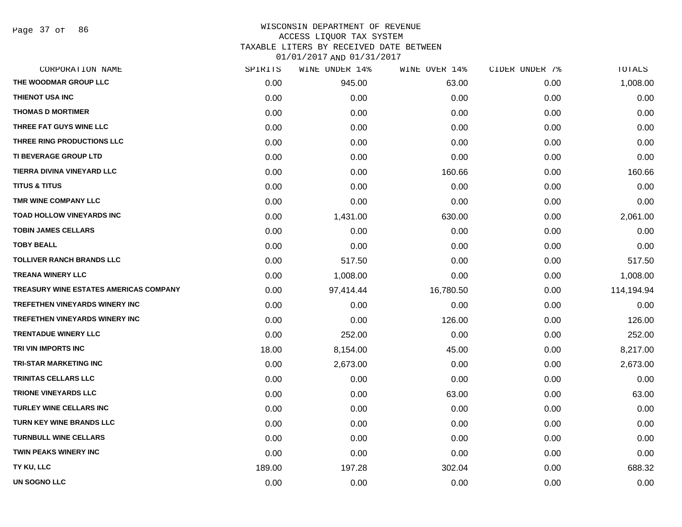Page 37 of 86

# WISCONSIN DEPARTMENT OF REVENUE ACCESS LIQUOR TAX SYSTEM TAXABLE LITERS BY RECEIVED DATE BETWEEN

| CORPORATION NAME                       | SPIRITS | WINE UNDER 14% | WINE OVER 14% | CIDER UNDER 7% | TOTALS     |
|----------------------------------------|---------|----------------|---------------|----------------|------------|
| THE WOODMAR GROUP LLC                  | 0.00    | 945.00         | 63.00         | 0.00           | 1,008.00   |
| <b>THIENOT USA INC</b>                 | 0.00    | 0.00           | 0.00          | 0.00           | 0.00       |
| <b>THOMAS D MORTIMER</b>               | 0.00    | 0.00           | 0.00          | 0.00           | 0.00       |
| THREE FAT GUYS WINE LLC                | 0.00    | 0.00           | 0.00          | 0.00           | 0.00       |
| THREE RING PRODUCTIONS LLC             | 0.00    | 0.00           | 0.00          | 0.00           | 0.00       |
| TI BEVERAGE GROUP LTD                  | 0.00    | 0.00           | 0.00          | 0.00           | 0.00       |
| TIERRA DIVINA VINEYARD LLC             | 0.00    | 0.00           | 160.66        | 0.00           | 160.66     |
| <b>TITUS &amp; TITUS</b>               | 0.00    | 0.00           | 0.00          | 0.00           | 0.00       |
| TMR WINE COMPANY LLC                   | 0.00    | 0.00           | 0.00          | 0.00           | 0.00       |
| TOAD HOLLOW VINEYARDS INC              | 0.00    | 1,431.00       | 630.00        | 0.00           | 2,061.00   |
| <b>TOBIN JAMES CELLARS</b>             | 0.00    | 0.00           | 0.00          | 0.00           | 0.00       |
| <b>TOBY BEALL</b>                      | 0.00    | 0.00           | 0.00          | 0.00           | 0.00       |
| <b>TOLLIVER RANCH BRANDS LLC</b>       | 0.00    | 517.50         | 0.00          | 0.00           | 517.50     |
| <b>TREANA WINERY LLC</b>               | 0.00    | 1,008.00       | 0.00          | 0.00           | 1,008.00   |
| TREASURY WINE ESTATES AMERICAS COMPANY | 0.00    | 97,414.44      | 16,780.50     | 0.00           | 114,194.94 |
| <b>TREFETHEN VINEYARDS WINERY INC</b>  | 0.00    | 0.00           | 0.00          | 0.00           | 0.00       |
| TREFETHEN VINEYARDS WINERY INC         | 0.00    | 0.00           | 126.00        | 0.00           | 126.00     |
| <b>TRENTADUE WINERY LLC</b>            | 0.00    | 252.00         | 0.00          | 0.00           | 252.00     |
| TRI VIN IMPORTS INC                    | 18.00   | 8,154.00       | 45.00         | 0.00           | 8,217.00   |
| <b>TRI-STAR MARKETING INC</b>          | 0.00    | 2,673.00       | 0.00          | 0.00           | 2,673.00   |
| <b>TRINITAS CELLARS LLC</b>            | 0.00    | 0.00           | 0.00          | 0.00           | 0.00       |
| <b>TRIONE VINEYARDS LLC</b>            | 0.00    | 0.00           | 63.00         | 0.00           | 63.00      |
| <b>TURLEY WINE CELLARS INC</b>         | 0.00    | 0.00           | 0.00          | 0.00           | 0.00       |
| TURN KEY WINE BRANDS LLC               | 0.00    | 0.00           | 0.00          | 0.00           | 0.00       |
| <b>TURNBULL WINE CELLARS</b>           | 0.00    | 0.00           | 0.00          | 0.00           | 0.00       |
| <b>TWIN PEAKS WINERY INC</b>           | 0.00    | 0.00           | 0.00          | 0.00           | 0.00       |
| TY KU, LLC                             | 189.00  | 197.28         | 302.04        | 0.00           | 688.32     |
| <b>UN SOGNO LLC</b>                    | 0.00    | 0.00           | 0.00          | 0.00           | 0.00       |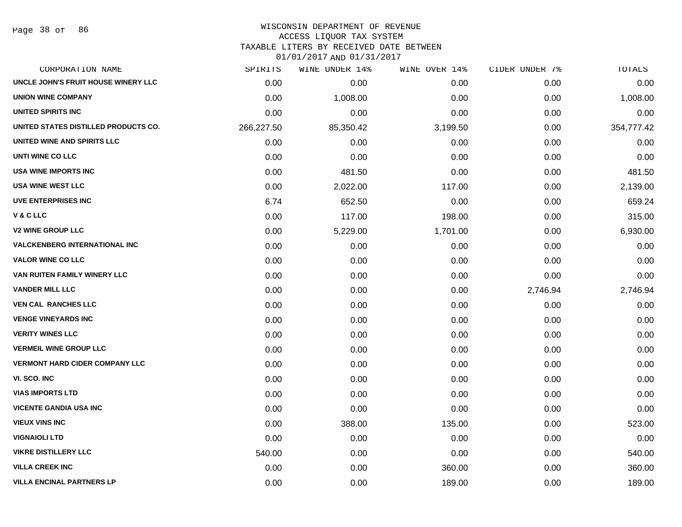Page 38 of 86

#### WISCONSIN DEPARTMENT OF REVENUE ACCESS LIQUOR TAX SYSTEM

TAXABLE LITERS BY RECEIVED DATE BETWEEN

| CORPORATION NAME                      | SPIRITS    | WINE UNDER 14% | WINE OVER 14% | CIDER UNDER 7% | TOTALS     |
|---------------------------------------|------------|----------------|---------------|----------------|------------|
| UNCLE JOHN'S FRUIT HOUSE WINERY LLC   | 0.00       | 0.00           | 0.00          | 0.00           | 0.00       |
| <b>UNION WINE COMPANY</b>             | 0.00       | 1,008.00       | 0.00          | 0.00           | 1,008.00   |
| <b>UNITED SPIRITS INC</b>             | 0.00       | 0.00           | 0.00          | 0.00           | 0.00       |
| UNITED STATES DISTILLED PRODUCTS CO.  | 266,227.50 | 85,350.42      | 3,199.50      | 0.00           | 354,777.42 |
| UNITED WINE AND SPIRITS LLC           | 0.00       | 0.00           | 0.00          | 0.00           | 0.00       |
| UNTI WINE CO LLC                      | 0.00       | 0.00           | 0.00          | 0.00           | 0.00       |
| <b>USA WINE IMPORTS INC</b>           | 0.00       | 481.50         | 0.00          | 0.00           | 481.50     |
| <b>USA WINE WEST LLC</b>              | 0.00       | 2,022.00       | 117.00        | 0.00           | 2,139.00   |
| <b>UVE ENTERPRISES INC</b>            | 6.74       | 652.50         | 0.00          | 0.00           | 659.24     |
| V & C LLC                             | 0.00       | 117.00         | 198.00        | 0.00           | 315.00     |
| <b>V2 WINE GROUP LLC</b>              | 0.00       | 5,229.00       | 1,701.00      | 0.00           | 6,930.00   |
| <b>VALCKENBERG INTERNATIONAL INC</b>  | 0.00       | 0.00           | 0.00          | 0.00           | 0.00       |
| <b>VALOR WINE CO LLC</b>              | 0.00       | 0.00           | 0.00          | 0.00           | 0.00       |
| VAN RUITEN FAMILY WINERY LLC          | 0.00       | 0.00           | 0.00          | 0.00           | 0.00       |
| <b>VANDER MILL LLC</b>                | 0.00       | 0.00           | 0.00          | 2,746.94       | 2,746.94   |
| <b>VEN CAL RANCHES LLC</b>            | 0.00       | 0.00           | 0.00          | 0.00           | 0.00       |
| <b>VENGE VINEYARDS INC</b>            | 0.00       | 0.00           | 0.00          | 0.00           | 0.00       |
| <b>VERITY WINES LLC</b>               | 0.00       | 0.00           | 0.00          | 0.00           | 0.00       |
| <b>VERMEIL WINE GROUP LLC</b>         | 0.00       | 0.00           | 0.00          | 0.00           | 0.00       |
| <b>VERMONT HARD CIDER COMPANY LLC</b> | 0.00       | 0.00           | 0.00          | 0.00           | 0.00       |
| VI. SCO. INC                          | 0.00       | 0.00           | 0.00          | 0.00           | 0.00       |
| <b>VIAS IMPORTS LTD</b>               | 0.00       | 0.00           | 0.00          | 0.00           | 0.00       |
| <b>VICENTE GANDIA USA INC</b>         | 0.00       | 0.00           | 0.00          | 0.00           | 0.00       |
| <b>VIEUX VINS INC</b>                 | 0.00       | 388.00         | 135.00        | 0.00           | 523.00     |
| <b>VIGNAIOLI LTD</b>                  | 0.00       | 0.00           | 0.00          | 0.00           | 0.00       |
| <b>VIKRE DISTILLERY LLC</b>           | 540.00     | 0.00           | 0.00          | 0.00           | 540.00     |
| <b>VILLA CREEK INC</b>                | 0.00       | 0.00           | 360.00        | 0.00           | 360.00     |
| <b>VILLA ENCINAL PARTNERS LP</b>      | 0.00       | 0.00           | 189.00        | 0.00           | 189.00     |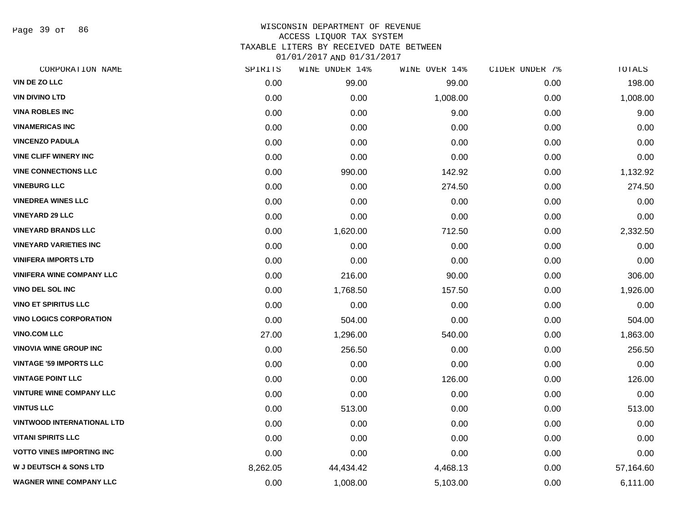Page 39 of 86

## WISCONSIN DEPARTMENT OF REVENUE ACCESS LIQUOR TAX SYSTEM TAXABLE LITERS BY RECEIVED DATE BETWEEN

| CORPORATION NAME                  | SPIRITS  | WINE UNDER 14% | WINE OVER 14% | CIDER UNDER 7% | TOTALS    |
|-----------------------------------|----------|----------------|---------------|----------------|-----------|
| VIN DE ZO LLC                     | 0.00     | 99.00          | 99.00         | 0.00           | 198.00    |
| <b>VIN DIVINO LTD</b>             | 0.00     | 0.00           | 1,008.00      | 0.00           | 1,008.00  |
| <b>VINA ROBLES INC</b>            | 0.00     | 0.00           | 9.00          | 0.00           | 9.00      |
| <b>VINAMERICAS INC</b>            | 0.00     | 0.00           | 0.00          | 0.00           | 0.00      |
| <b>VINCENZO PADULA</b>            | 0.00     | 0.00           | 0.00          | 0.00           | 0.00      |
| <b>VINE CLIFF WINERY INC</b>      | 0.00     | 0.00           | 0.00          | 0.00           | 0.00      |
| <b>VINE CONNECTIONS LLC</b>       | 0.00     | 990.00         | 142.92        | 0.00           | 1,132.92  |
| <b>VINEBURG LLC</b>               | 0.00     | 0.00           | 274.50        | 0.00           | 274.50    |
| <b>VINEDREA WINES LLC</b>         | 0.00     | 0.00           | 0.00          | 0.00           | 0.00      |
| <b>VINEYARD 29 LLC</b>            | 0.00     | 0.00           | 0.00          | 0.00           | 0.00      |
| <b>VINEYARD BRANDS LLC</b>        | 0.00     | 1,620.00       | 712.50        | 0.00           | 2,332.50  |
| <b>VINEYARD VARIETIES INC</b>     | 0.00     | 0.00           | 0.00          | 0.00           | 0.00      |
| <b>VINIFERA IMPORTS LTD</b>       | 0.00     | 0.00           | 0.00          | 0.00           | 0.00      |
| <b>VINIFERA WINE COMPANY LLC</b>  | 0.00     | 216.00         | 90.00         | 0.00           | 306.00    |
| <b>VINO DEL SOL INC</b>           | 0.00     | 1,768.50       | 157.50        | 0.00           | 1,926.00  |
| <b>VINO ET SPIRITUS LLC</b>       | 0.00     | 0.00           | 0.00          | 0.00           | 0.00      |
| <b>VINO LOGICS CORPORATION</b>    | 0.00     | 504.00         | 0.00          | 0.00           | 504.00    |
| <b>VINO.COM LLC</b>               | 27.00    | 1,296.00       | 540.00        | 0.00           | 1,863.00  |
| <b>VINOVIA WINE GROUP INC</b>     | 0.00     | 256.50         | 0.00          | 0.00           | 256.50    |
| <b>VINTAGE '59 IMPORTS LLC</b>    | 0.00     | 0.00           | 0.00          | 0.00           | 0.00      |
| <b>VINTAGE POINT LLC</b>          | 0.00     | 0.00           | 126.00        | 0.00           | 126.00    |
| <b>VINTURE WINE COMPANY LLC</b>   | 0.00     | 0.00           | 0.00          | 0.00           | 0.00      |
| <b>VINTUS LLC</b>                 | 0.00     | 513.00         | 0.00          | 0.00           | 513.00    |
| <b>VINTWOOD INTERNATIONAL LTD</b> | 0.00     | 0.00           | 0.00          | 0.00           | 0.00      |
| <b>VITANI SPIRITS LLC</b>         | 0.00     | 0.00           | 0.00          | 0.00           | 0.00      |
| <b>VOTTO VINES IMPORTING INC</b>  | 0.00     | 0.00           | 0.00          | 0.00           | 0.00      |
| <b>W J DEUTSCH &amp; SONS LTD</b> | 8,262.05 | 44,434.42      | 4,468.13      | 0.00           | 57,164.60 |
| <b>WAGNER WINE COMPANY LLC</b>    | 0.00     | 1,008.00       | 5,103.00      | 0.00           | 6,111.00  |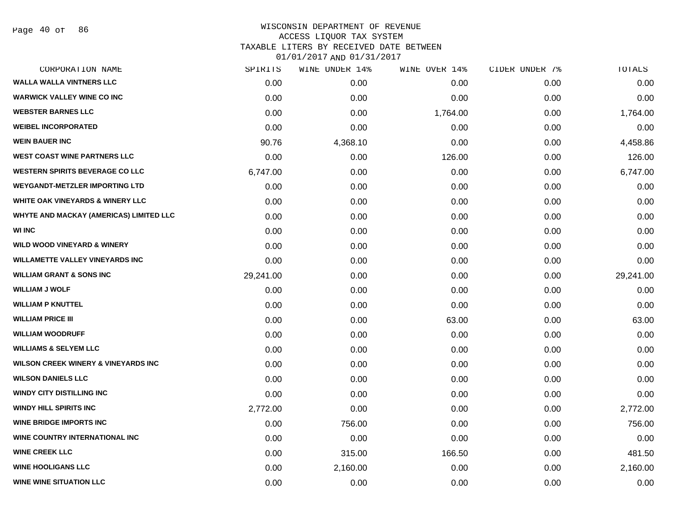Page 40 of 86

# WISCONSIN DEPARTMENT OF REVENUE ACCESS LIQUOR TAX SYSTEM TAXABLE LITERS BY RECEIVED DATE BETWEEN

| CORPORATION NAME                               | SPIRITS   | WINE UNDER 14% | WINE OVER 14% | CIDER UNDER 7% | TOTALS    |
|------------------------------------------------|-----------|----------------|---------------|----------------|-----------|
| <b>WALLA WALLA VINTNERS LLC</b>                | 0.00      | 0.00           | 0.00          | 0.00           | 0.00      |
| <b>WARWICK VALLEY WINE CO INC</b>              | 0.00      | 0.00           | 0.00          | 0.00           | 0.00      |
| <b>WEBSTER BARNES LLC</b>                      | 0.00      | 0.00           | 1,764.00      | 0.00           | 1,764.00  |
| <b>WEIBEL INCORPORATED</b>                     | 0.00      | 0.00           | 0.00          | 0.00           | 0.00      |
| <b>WEIN BAUER INC</b>                          | 90.76     | 4,368.10       | 0.00          | 0.00           | 4,458.86  |
| <b>WEST COAST WINE PARTNERS LLC</b>            | 0.00      | 0.00           | 126.00        | 0.00           | 126.00    |
| <b>WESTERN SPIRITS BEVERAGE CO LLC</b>         | 6,747.00  | 0.00           | 0.00          | 0.00           | 6,747.00  |
| <b>WEYGANDT-METZLER IMPORTING LTD</b>          | 0.00      | 0.00           | 0.00          | 0.00           | 0.00      |
| <b>WHITE OAK VINEYARDS &amp; WINERY LLC</b>    | 0.00      | 0.00           | 0.00          | 0.00           | 0.00      |
| WHYTE AND MACKAY (AMERICAS) LIMITED LLC        | 0.00      | 0.00           | 0.00          | 0.00           | 0.00      |
| <b>WI INC</b>                                  | 0.00      | 0.00           | 0.00          | 0.00           | 0.00      |
| <b>WILD WOOD VINEYARD &amp; WINERY</b>         | 0.00      | 0.00           | 0.00          | 0.00           | 0.00      |
| <b>WILLAMETTE VALLEY VINEYARDS INC</b>         | 0.00      | 0.00           | 0.00          | 0.00           | 0.00      |
| <b>WILLIAM GRANT &amp; SONS INC</b>            | 29,241.00 | 0.00           | 0.00          | 0.00           | 29,241.00 |
| <b>WILLIAM J WOLF</b>                          | 0.00      | 0.00           | 0.00          | 0.00           | 0.00      |
| <b>WILLIAM P KNUTTEL</b>                       | 0.00      | 0.00           | 0.00          | 0.00           | 0.00      |
| <b>WILLIAM PRICE III</b>                       | 0.00      | 0.00           | 63.00         | 0.00           | 63.00     |
| <b>WILLIAM WOODRUFF</b>                        | 0.00      | 0.00           | 0.00          | 0.00           | 0.00      |
| <b>WILLIAMS &amp; SELYEM LLC</b>               | 0.00      | 0.00           | 0.00          | 0.00           | 0.00      |
| <b>WILSON CREEK WINERY &amp; VINEYARDS INC</b> | 0.00      | 0.00           | 0.00          | 0.00           | 0.00      |
| <b>WILSON DANIELS LLC</b>                      | 0.00      | 0.00           | 0.00          | 0.00           | 0.00      |
| <b>WINDY CITY DISTILLING INC</b>               | 0.00      | 0.00           | 0.00          | 0.00           | 0.00      |
| <b>WINDY HILL SPIRITS INC</b>                  | 2,772.00  | 0.00           | 0.00          | 0.00           | 2,772.00  |
| <b>WINE BRIDGE IMPORTS INC</b>                 | 0.00      | 756.00         | 0.00          | 0.00           | 756.00    |
| WINE COUNTRY INTERNATIONAL INC                 | 0.00      | 0.00           | 0.00          | 0.00           | 0.00      |
| <b>WINE CREEK LLC</b>                          | 0.00      | 315.00         | 166.50        | 0.00           | 481.50    |
| <b>WINE HOOLIGANS LLC</b>                      | 0.00      | 2,160.00       | 0.00          | 0.00           | 2,160.00  |
| <b>WINE WINE SITUATION LLC</b>                 | 0.00      | 0.00           | 0.00          | 0.00           | 0.00      |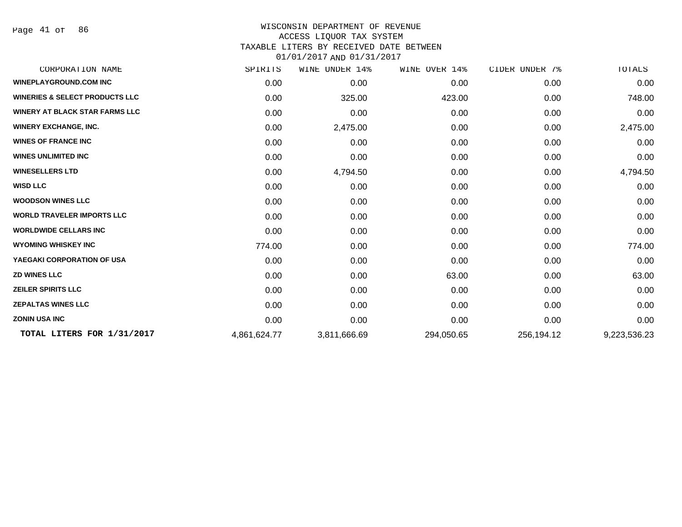Page 41 of 86

#### WISCONSIN DEPARTMENT OF REVENUE ACCESS LIQUOR TAX SYSTEM TAXABLE LITERS BY RECEIVED DATE BETWEEN

| CORPORATION NAME                          | SPIRITS      | WINE<br>UNDER 14% | WINE OVER 14% | CIDER UNDER 7% | TOTALS       |
|-------------------------------------------|--------------|-------------------|---------------|----------------|--------------|
| <b>WINEPLAYGROUND.COM INC</b>             | 0.00         | 0.00              | 0.00          | 0.00           | 0.00         |
| <b>WINERIES &amp; SELECT PRODUCTS LLC</b> | 0.00         | 325.00            | 423.00        | 0.00           | 748.00       |
| WINERY AT BLACK STAR FARMS LLC            | 0.00         | 0.00              | 0.00          | 0.00           | 0.00         |
| <b>WINERY EXCHANGE, INC.</b>              | 0.00         | 2,475.00          | 0.00          | 0.00           | 2,475.00     |
| <b>WINES OF FRANCE INC</b>                | 0.00         | 0.00              | 0.00          | 0.00           | 0.00         |
| <b>WINES UNLIMITED INC</b>                | 0.00         | 0.00              | 0.00          | 0.00           | 0.00         |
| <b>WINESELLERS LTD</b>                    | 0.00         | 4,794.50          | 0.00          | 0.00           | 4,794.50     |
| <b>WISD LLC</b>                           | 0.00         | 0.00              | 0.00          | 0.00           | 0.00         |
| <b>WOODSON WINES LLC</b>                  | 0.00         | 0.00              | 0.00          | 0.00           | 0.00         |
| <b>WORLD TRAVELER IMPORTS LLC</b>         | 0.00         | 0.00              | 0.00          | 0.00           | 0.00         |
| <b>WORLDWIDE CELLARS INC</b>              | 0.00         | 0.00              | 0.00          | 0.00           | 0.00         |
| <b>WYOMING WHISKEY INC</b>                | 774.00       | 0.00              | 0.00          | 0.00           | 774.00       |
| YAEGAKI CORPORATION OF USA                | 0.00         | 0.00              | 0.00          | 0.00           | 0.00         |
| <b>ZD WINES LLC</b>                       | 0.00         | 0.00              | 63.00         | 0.00           | 63.00        |
| <b>ZEILER SPIRITS LLC</b>                 | 0.00         | 0.00              | 0.00          | 0.00           | 0.00         |
| <b>ZEPALTAS WINES LLC</b>                 | 0.00         | 0.00              | 0.00          | 0.00           | 0.00         |
| <b>ZONIN USA INC</b>                      | 0.00         | 0.00              | 0.00          | 0.00           | 0.00         |
| TOTAL LITERS FOR 1/31/2017                | 4,861,624.77 | 3,811,666.69      | 294,050.65    | 256,194.12     | 9,223,536.23 |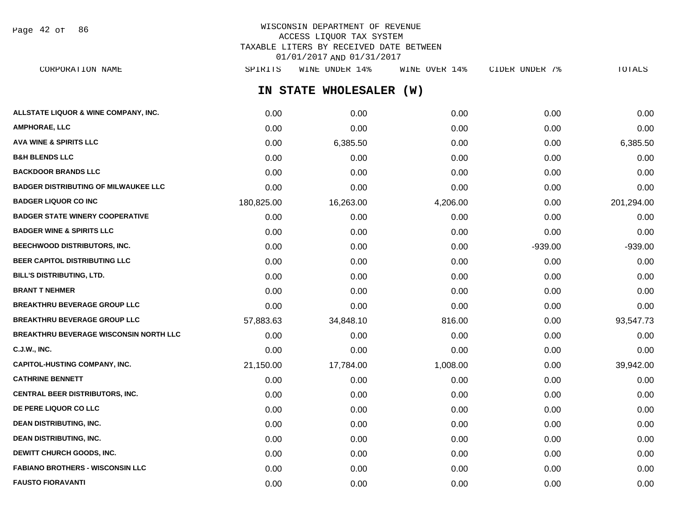Page 42 of 86

# WISCONSIN DEPARTMENT OF REVENUE ACCESS LIQUOR TAX SYSTEM TAXABLE LITERS BY RECEIVED DATE BETWEEN 01/01/2017 AND 01/31/2017

**IN STATE WHOLESALER (W) ALLSTATE LIQUOR & WINE COMPANY, INC.**  $0.00$   $0.00$   $0.00$   $0.00$   $0.00$   $0.00$   $0.00$   $0.00$   $0.00$   $0.00$   $0.00$   $0.00$ **AMPHORAE, LLC** 0.00 0.00 0.00 0.00 0.00 **AVA WINE & SPIRITS LLC** 0.00 6,385.50 0.00 0.00 6,385.50 **B&H BLENDS LLC** 0.00 0.00 0.00 0.00 0.00 **BACKDOOR BRANDS LLC** 0.00 0.00 0.00 0.00 0.00 **BADGER DISTRIBUTING OF MILWAUKEE LLC** 0.00 0.00 0.00 0.00 0.00 **BADGER LIQUOR CO INC** 180,825.00 16,263.00 4,206.00 0.00 201,294.00 **BADGER STATE WINERY COOPERATIVE** 0.00 0.00 0.00 0.00 0.00 **BADGER WINE & SPIRITS LLC**  $\begin{array}{ccc} 0.00 & 0.00 & 0.00 \\ 0.00 & 0.00 & 0.00 \end{array}$ **BEECHWOOD DISTRIBUTORS, INC.** 0.00 0.00 0.00 -939.00 -939.00 **BEER CAPITOL DISTRIBUTING LLC** 0.00 0.00 0.00 0.00 0.00 **BILL'S DISTRIBUTING, LTD.** 0.00 0.00 0.00 0.00 0.00 **BRANT T NEHMER** 0.00 0.00 0.00 0.00 0.00 **BREAKTHRU BEVERAGE GROUP LLC** 0.00 0.00 0.00 0.00 0.00 **BREAKTHRU BEVERAGE GROUP LLC**  $57.883.63$   $34.848.10$   $816.00$   $0.00$   $93.547.73$ **BREAKTHRU BEVERAGE WISCONSIN NORTH LLC** 0.00 0.00 0.00 0.00 0.00 **C.J.W., INC.** 0.00 0.00 0.00 0.00 0.00 **CAPITOL-HUSTING COMPANY, INC.** 21,150.00 17,784.00 1,008.00 0.00 39,942.00 **CATHRINE BENNETT** 0.00 0.00 0.00 0.00 0.00 **CENTRAL BEER DISTRIBUTORS, INC.** 0.00 0.00 0.00 0.00 0.00 **DE PERE LIQUOR CO LLC** 0.00 0.00 0.00 0.00 0.00 **DEAN DISTRIBUTING, INC.** 0.00 0.00 0.00 0.00 0.00 **DEAN DISTRIBUTING, INC.** 0.00 0.00 0.00 0.00 0.00 **DEWITT CHURCH GOODS, INC.** 0.00 0.00 0.00 0.00 0.00 **FABIANO BROTHERS - WISCONSIN LLC** 0.00 0.00 0.00 0.00 0.00 CORPORATION NAME SPIRITS WINE UNDER 14% WINE OVER 14% CIDER UNDER 7% TOTALS

**FAUSTO FIORAVANTI** 0.00 0.00 0.00 0.00 0.00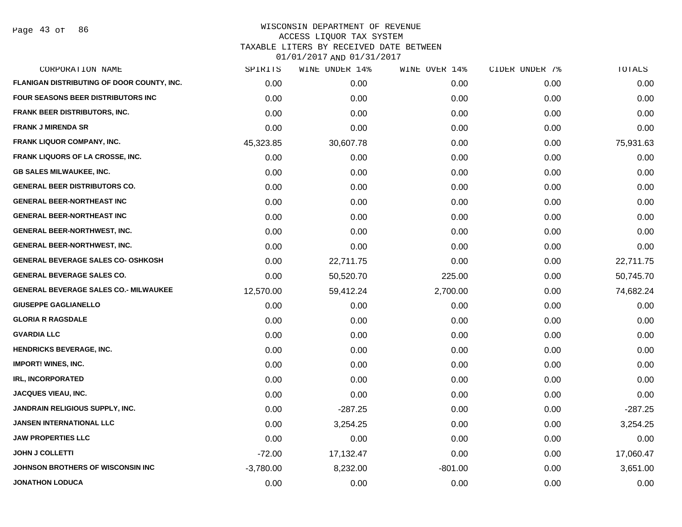Page 43 of 86

| CORPORATION NAME                             | SPIRITS     | WINE UNDER 14% | WINE OVER 14% | CIDER UNDER 7% | TOTALS    |
|----------------------------------------------|-------------|----------------|---------------|----------------|-----------|
| FLANIGAN DISTRIBUTING OF DOOR COUNTY, INC.   | 0.00        | 0.00           | 0.00          | 0.00           | 0.00      |
| FOUR SEASONS BEER DISTRIBUTORS INC           | 0.00        | 0.00           | 0.00          | 0.00           | 0.00      |
| <b>FRANK BEER DISTRIBUTORS, INC.</b>         | 0.00        | 0.00           | 0.00          | 0.00           | 0.00      |
| <b>FRANK J MIRENDA SR</b>                    | 0.00        | 0.00           | 0.00          | 0.00           | 0.00      |
| FRANK LIQUOR COMPANY, INC.                   | 45,323.85   | 30,607.78      | 0.00          | 0.00           | 75,931.63 |
| FRANK LIQUORS OF LA CROSSE, INC.             | 0.00        | 0.00           | 0.00          | 0.00           | 0.00      |
| <b>GB SALES MILWAUKEE, INC.</b>              | 0.00        | 0.00           | 0.00          | 0.00           | 0.00      |
| <b>GENERAL BEER DISTRIBUTORS CO.</b>         | 0.00        | 0.00           | 0.00          | 0.00           | 0.00      |
| <b>GENERAL BEER-NORTHEAST INC</b>            | 0.00        | 0.00           | 0.00          | 0.00           | 0.00      |
| <b>GENERAL BEER-NORTHEAST INC</b>            | 0.00        | 0.00           | 0.00          | 0.00           | 0.00      |
| <b>GENERAL BEER-NORTHWEST, INC.</b>          | 0.00        | 0.00           | 0.00          | 0.00           | 0.00      |
| <b>GENERAL BEER-NORTHWEST, INC.</b>          | 0.00        | 0.00           | 0.00          | 0.00           | 0.00      |
| <b>GENERAL BEVERAGE SALES CO- OSHKOSH</b>    | 0.00        | 22,711.75      | 0.00          | 0.00           | 22,711.75 |
| <b>GENERAL BEVERAGE SALES CO.</b>            | 0.00        | 50,520.70      | 225.00        | 0.00           | 50,745.70 |
| <b>GENERAL BEVERAGE SALES CO.- MILWAUKEE</b> | 12,570.00   | 59,412.24      | 2,700.00      | 0.00           | 74,682.24 |
| <b>GIUSEPPE GAGLIANELLO</b>                  | 0.00        | 0.00           | 0.00          | 0.00           | 0.00      |
| <b>GLORIA R RAGSDALE</b>                     | 0.00        | 0.00           | 0.00          | 0.00           | 0.00      |
| <b>GVARDIA LLC</b>                           | 0.00        | 0.00           | 0.00          | 0.00           | 0.00      |
| <b>HENDRICKS BEVERAGE, INC.</b>              | 0.00        | 0.00           | 0.00          | 0.00           | 0.00      |
| <b>IMPORT! WINES, INC.</b>                   | 0.00        | 0.00           | 0.00          | 0.00           | 0.00      |
| <b>IRL, INCORPORATED</b>                     | 0.00        | 0.00           | 0.00          | 0.00           | 0.00      |
| JACQUES VIEAU, INC.                          | 0.00        | 0.00           | 0.00          | 0.00           | 0.00      |
| JANDRAIN RELIGIOUS SUPPLY, INC.              | 0.00        | $-287.25$      | 0.00          | 0.00           | $-287.25$ |
| JANSEN INTERNATIONAL LLC                     | 0.00        | 3,254.25       | 0.00          | 0.00           | 3,254.25  |
| <b>JAW PROPERTIES LLC</b>                    | 0.00        | 0.00           | 0.00          | 0.00           | 0.00      |
| <b>JOHN J COLLETTI</b>                       | $-72.00$    | 17,132.47      | 0.00          | 0.00           | 17,060.47 |
| JOHNSON BROTHERS OF WISCONSIN INC            | $-3,780.00$ | 8,232.00       | $-801.00$     | 0.00           | 3,651.00  |
| <b>JONATHON LODUCA</b>                       | 0.00        | 0.00           | 0.00          | 0.00           | 0.00      |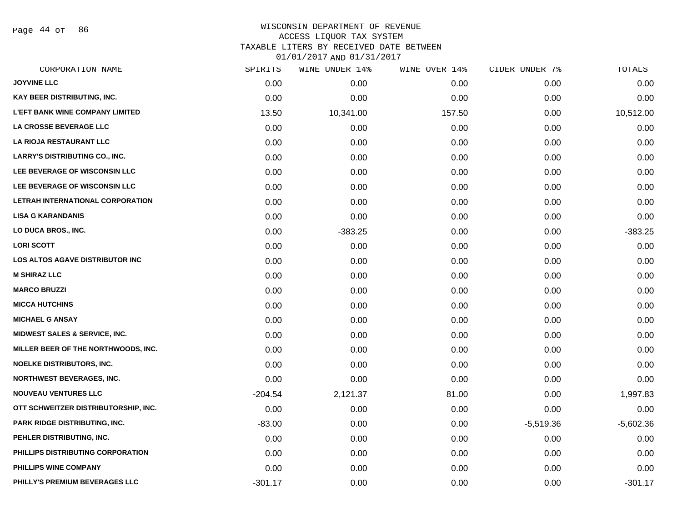Page 44 of 86

## WISCONSIN DEPARTMENT OF REVENUE ACCESS LIQUOR TAX SYSTEM TAXABLE LITERS BY RECEIVED DATE BETWEEN

| CORPORATION NAME                       | SPIRITS   | WINE UNDER 14% | WINE OVER 14% | CIDER UNDER 7% | TOTALS      |
|----------------------------------------|-----------|----------------|---------------|----------------|-------------|
| <b>JOYVINE LLC</b>                     | 0.00      | 0.00           | 0.00          | 0.00           | 0.00        |
| KAY BEER DISTRIBUTING, INC.            | 0.00      | 0.00           | 0.00          | 0.00           | 0.00        |
| <b>L'EFT BANK WINE COMPANY LIMITED</b> | 13.50     | 10,341.00      | 157.50        | 0.00           | 10,512.00   |
| LA CROSSE BEVERAGE LLC                 | 0.00      | 0.00           | 0.00          | 0.00           | 0.00        |
| LA RIOJA RESTAURANT LLC                | 0.00      | 0.00           | 0.00          | 0.00           | 0.00        |
| <b>LARRY'S DISTRIBUTING CO., INC.</b>  | 0.00      | 0.00           | 0.00          | 0.00           | 0.00        |
| LEE BEVERAGE OF WISCONSIN LLC          | 0.00      | 0.00           | 0.00          | 0.00           | 0.00        |
| LEE BEVERAGE OF WISCONSIN LLC          | 0.00      | 0.00           | 0.00          | 0.00           | 0.00        |
| LETRAH INTERNATIONAL CORPORATION       | 0.00      | 0.00           | 0.00          | 0.00           | 0.00        |
| <b>LISA G KARANDANIS</b>               | 0.00      | 0.00           | 0.00          | 0.00           | 0.00        |
| LO DUCA BROS., INC.                    | 0.00      | $-383.25$      | 0.00          | 0.00           | $-383.25$   |
| <b>LORI SCOTT</b>                      | 0.00      | 0.00           | 0.00          | 0.00           | 0.00        |
| LOS ALTOS AGAVE DISTRIBUTOR INC        | 0.00      | 0.00           | 0.00          | 0.00           | 0.00        |
| <b>M SHIRAZ LLC</b>                    | 0.00      | 0.00           | 0.00          | 0.00           | 0.00        |
| <b>MARCO BRUZZI</b>                    | 0.00      | 0.00           | 0.00          | 0.00           | 0.00        |
| <b>MICCA HUTCHINS</b>                  | 0.00      | 0.00           | 0.00          | 0.00           | 0.00        |
| <b>MICHAEL G ANSAY</b>                 | 0.00      | 0.00           | 0.00          | 0.00           | 0.00        |
| MIDWEST SALES & SERVICE, INC.          | 0.00      | 0.00           | 0.00          | 0.00           | 0.00        |
| MILLER BEER OF THE NORTHWOODS, INC.    | 0.00      | 0.00           | 0.00          | 0.00           | 0.00        |
| <b>NOELKE DISTRIBUTORS, INC.</b>       | 0.00      | 0.00           | 0.00          | 0.00           | 0.00        |
| <b>NORTHWEST BEVERAGES, INC.</b>       | 0.00      | 0.00           | 0.00          | 0.00           | 0.00        |
| <b>NOUVEAU VENTURES LLC</b>            | $-204.54$ | 2,121.37       | 81.00         | 0.00           | 1,997.83    |
| OTT SCHWEITZER DISTRIBUTORSHIP, INC.   | 0.00      | 0.00           | 0.00          | 0.00           | 0.00        |
| PARK RIDGE DISTRIBUTING, INC.          | $-83.00$  | 0.00           | 0.00          | $-5,519.36$    | $-5,602.36$ |
| PEHLER DISTRIBUTING, INC.              | 0.00      | 0.00           | 0.00          | 0.00           | 0.00        |
| PHILLIPS DISTRIBUTING CORPORATION      | 0.00      | 0.00           | 0.00          | 0.00           | 0.00        |
| PHILLIPS WINE COMPANY                  | 0.00      | 0.00           | 0.00          | 0.00           | 0.00        |
| PHILLY'S PREMIUM BEVERAGES LLC         | $-301.17$ | 0.00           | 0.00          | 0.00           | $-301.17$   |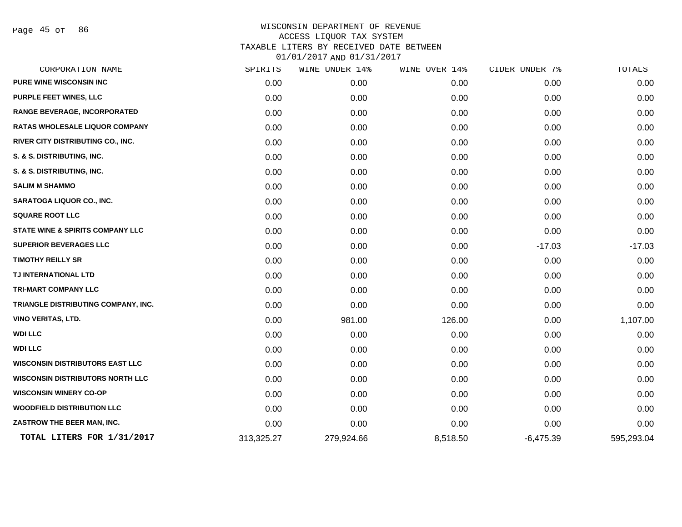Page 45 of 86

| CORPORATION NAME                            | SPIRITS    | WINE UNDER 14% | WINE OVER 14% | CIDER UNDER 7% | TOTALS     |
|---------------------------------------------|------------|----------------|---------------|----------------|------------|
| <b>PURE WINE WISCONSIN INC</b>              | 0.00       | 0.00           | 0.00          | 0.00           | 0.00       |
| PURPLE FEET WINES, LLC                      | 0.00       | 0.00           | 0.00          | 0.00           | 0.00       |
| <b>RANGE BEVERAGE, INCORPORATED</b>         | 0.00       | 0.00           | 0.00          | 0.00           | 0.00       |
| RATAS WHOLESALE LIQUOR COMPANY              | 0.00       | 0.00           | 0.00          | 0.00           | 0.00       |
| RIVER CITY DISTRIBUTING CO., INC.           | 0.00       | 0.00           | 0.00          | 0.00           | 0.00       |
| S. & S. DISTRIBUTING, INC.                  | 0.00       | 0.00           | 0.00          | 0.00           | 0.00       |
| S. & S. DISTRIBUTING, INC.                  | 0.00       | 0.00           | 0.00          | 0.00           | 0.00       |
| <b>SALIM M SHAMMO</b>                       | 0.00       | 0.00           | 0.00          | 0.00           | 0.00       |
| <b>SARATOGA LIQUOR CO., INC.</b>            | 0.00       | 0.00           | 0.00          | 0.00           | 0.00       |
| <b>SQUARE ROOT LLC</b>                      | 0.00       | 0.00           | 0.00          | 0.00           | 0.00       |
| <b>STATE WINE &amp; SPIRITS COMPANY LLC</b> | 0.00       | 0.00           | 0.00          | 0.00           | 0.00       |
| <b>SUPERIOR BEVERAGES LLC</b>               | 0.00       | 0.00           | 0.00          | $-17.03$       | $-17.03$   |
| <b>TIMOTHY REILLY SR</b>                    | 0.00       | 0.00           | 0.00          | 0.00           | 0.00       |
| TJ INTERNATIONAL LTD                        | 0.00       | 0.00           | 0.00          | 0.00           | 0.00       |
| TRI-MART COMPANY LLC                        | 0.00       | 0.00           | 0.00          | 0.00           | 0.00       |
| TRIANGLE DISTRIBUTING COMPANY, INC.         | 0.00       | 0.00           | 0.00          | 0.00           | 0.00       |
| <b>VINO VERITAS, LTD.</b>                   | 0.00       | 981.00         | 126.00        | 0.00           | 1,107.00   |
| <b>WDI LLC</b>                              | 0.00       | 0.00           | 0.00          | 0.00           | 0.00       |
| <b>WDI LLC</b>                              | 0.00       | 0.00           | 0.00          | 0.00           | 0.00       |
| <b>WISCONSIN DISTRIBUTORS EAST LLC</b>      | 0.00       | 0.00           | 0.00          | 0.00           | 0.00       |
| <b>WISCONSIN DISTRIBUTORS NORTH LLC</b>     | 0.00       | 0.00           | 0.00          | 0.00           | 0.00       |
| <b>WISCONSIN WINERY CO-OP</b>               | 0.00       | 0.00           | 0.00          | 0.00           | 0.00       |
| <b>WOODFIELD DISTRIBUTION LLC</b>           | 0.00       | 0.00           | 0.00          | 0.00           | 0.00       |
| ZASTROW THE BEER MAN, INC.                  | 0.00       | 0.00           | 0.00          | 0.00           | 0.00       |
| TOTAL LITERS FOR 1/31/2017                  | 313,325.27 | 279,924.66     | 8,518.50      | $-6,475.39$    | 595,293.04 |
|                                             |            |                |               |                |            |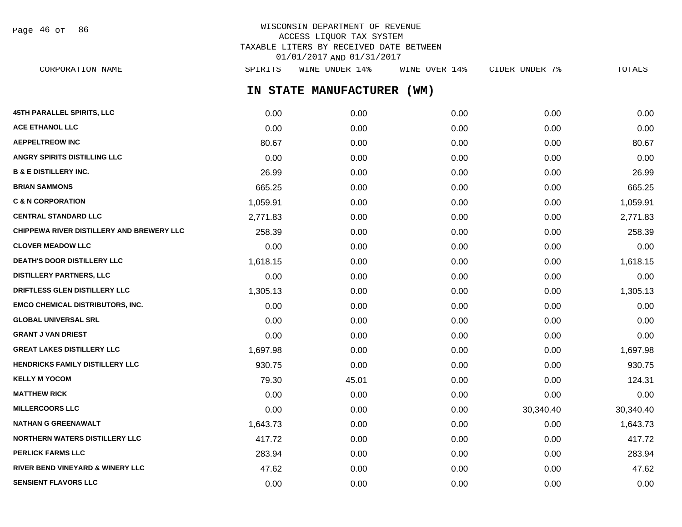Page 46 of 86

## WISCONSIN DEPARTMENT OF REVENUE ACCESS LIQUOR TAX SYSTEM TAXABLE LITERS BY RECEIVED DATE BETWEEN 01/01/2017 AND 01/31/2017

**IN STATE MANUFACTURER (WM) 45TH PARALLEL SPIRITS, LLC** 0.00 0.00 0.00 0.00 0.00 **ACE ETHANOL LLC** 0.00 0.00 0.00 0.00 0.00 **AEPPELTREOW INC** 80.67 0.00 0.00 0.00 80.67 **ANGRY SPIRITS DISTILLING LLC** 0.00 0.00 0.00 0.00 0.00 **B & E DISTILLERY INC.** 26.99 0.00 0.00 0.00 26.99 **BRIAN SAMMONS** 665.25 0.00 0.00 0.00 665.25 **C & N CORPORATION** 1,059.91 0.00 0.00 0.00 1,059.91 **CENTRAL STANDARD LLC** 2,771.83 0.00 0.00 0.00 2,771.83 **CHIPPEWA RIVER DISTILLERY AND BREWERY LLC** 258.39 0.00 0.00 0.00 0.00 0.00 0.00 0.00 258.39 **CLOVER MEADOW LLC** 0.00 0.00 0.00 0.00 0.00 **DEATH'S DOOR DISTILLERY LLC** 1.618.15 0.00 0.00 0.00 0.00 0.00 0.00 0.00 1.618.15 **DISTILLERY PARTNERS, LLC** 0.00 0.00 0.00 0.00 0.00 **DRIFTLESS GLEN DISTILLERY LLC**  $1.305.13$   $0.00$   $0.00$   $0.00$   $0.00$   $0.00$   $1.305.13$ **EMCO CHEMICAL DISTRIBUTORS, INC.** 0.00 0.00 0.00 0.00 0.00 **GLOBAL UNIVERSAL SRL** 0.00 0.00 0.00 0.00 0.00 **GRANT J VAN DRIEST** 0.00 0.00 0.00 0.00 0.00 **GREAT LAKES DISTILLERY LLC** 1,697.98 0.00 0.00 0.00 1,697.98 **HENDRICKS FAMILY DISTILLERY LLC** 930.75 0.00 0.00 0.00 930.75 **KELLY M YOCOM** 224.31 **124.31 79.30** 45.01 **124.31 MATTHEW RICK** 0.00 0.00 0.00 0.00 0.00 **MILLERCOORS LLC** 0.00 0.00 0.00 30,340.40 30,340.40 **NATHAN G GREENAWALT** 1,643.73 0.00 0.00 0.00 1,643.73 **NORTHERN WATERS DISTILLERY LLC**  $\begin{array}{ccc} 417.72 & 0.00 & 0.00 & 0.00 & 0.00 & 417.72 \end{array}$ **PERLICK FARMS LLC** 283.94 0.00 0.00 0.00 283.94 **RIVER BEND VINEYARD & WINERY LLC** 47.62 0.00 0.00 0.00 47.62 CORPORATION NAME SPIRITS WINE UNDER 14% WINE OVER 14% CIDER UNDER 7% TOTALS

**SENSIENT FLAVORS LLC** 0.00 0.00 0.00 0.00 0.00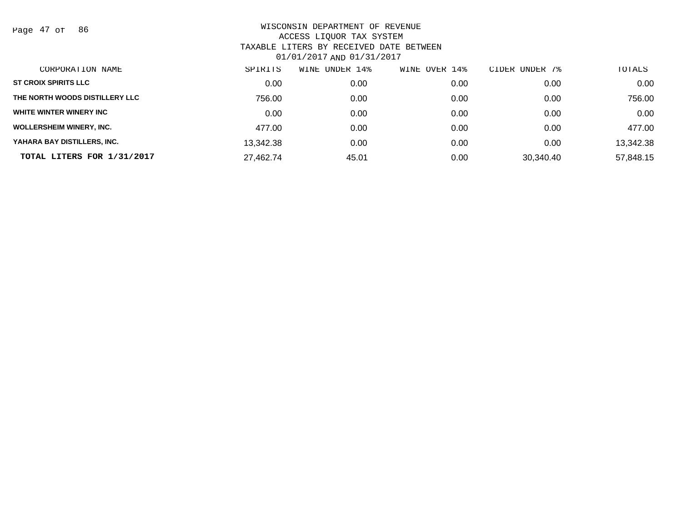Page 47 of 86

| CORPORATION NAME                | SPIRITS   | UNDER 14%<br>WINE | WINE OVER 14% | CIDER UNDER 7% | TOTALS    |
|---------------------------------|-----------|-------------------|---------------|----------------|-----------|
| <b>ST CROIX SPIRITS LLC</b>     | 0.00      | 0.00              | 0.00          | 0.00           | 0.00      |
| THE NORTH WOODS DISTILLERY LLC  | 756.00    | 0.00              | 0.00          | 0.00           | 756.00    |
| WHITE WINTER WINERY INC         | 0.00      | 0.00              | 0.00          | 0.00           | 0.00      |
| <b>WOLLERSHEIM WINERY, INC.</b> | 477.00    | 0.00              | 0.00          | 0.00           | 477.00    |
| YAHARA BAY DISTILLERS, INC.     | 13,342.38 | 0.00              | 0.00          | 0.00           | 13,342.38 |
| TOTAL LITERS FOR 1/31/2017      | 27,462.74 | 45.01             | 0.00          | 30.340.40      | 57,848.15 |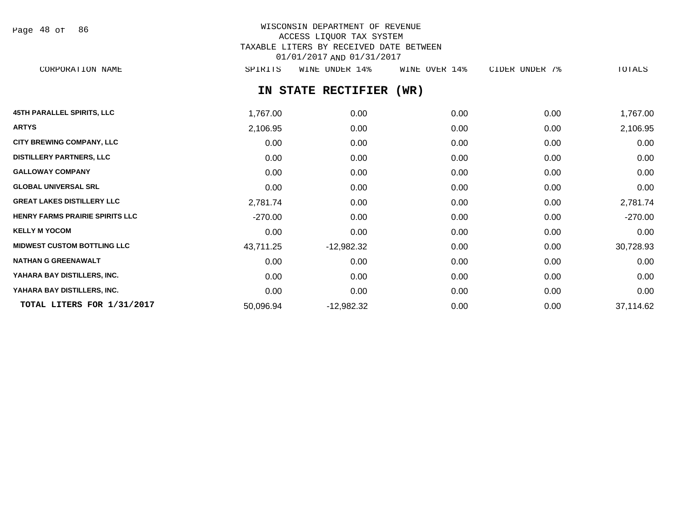Page 48 of 86

## WISCONSIN DEPARTMENT OF REVENUE ACCESS LIQUOR TAX SYSTEM TAXABLE LITERS BY RECEIVED DATE BETWEEN 01/01/2017 AND 01/31/2017 CORPORATION NAME SPIRITS WINE UNDER 14% WINE OVER 14% CIDER UNDER 7% TOTALS

**IN STATE RECTIFIER (WR)**

| <b>45TH PARALLEL SPIRITS, LLC</b>      | 1,767.00  | 0.00         | 0.00 | 0.00 | 1,767.00  |
|----------------------------------------|-----------|--------------|------|------|-----------|
| <b>ARTYS</b>                           | 2,106.95  | 0.00         | 0.00 | 0.00 | 2,106.95  |
| <b>CITY BREWING COMPANY, LLC</b>       | 0.00      | 0.00         | 0.00 | 0.00 | 0.00      |
| <b>DISTILLERY PARTNERS, LLC</b>        | 0.00      | 0.00         | 0.00 | 0.00 | 0.00      |
| <b>GALLOWAY COMPANY</b>                | 0.00      | 0.00         | 0.00 | 0.00 | 0.00      |
| <b>GLOBAL UNIVERSAL SRL</b>            | 0.00      | 0.00         | 0.00 | 0.00 | 0.00      |
| <b>GREAT LAKES DISTILLERY LLC</b>      | 2,781.74  | 0.00         | 0.00 | 0.00 | 2,781.74  |
| <b>HENRY FARMS PRAIRIE SPIRITS LLC</b> | $-270.00$ | 0.00         | 0.00 | 0.00 | $-270.00$ |
| <b>KELLY M YOCOM</b>                   | 0.00      | 0.00         | 0.00 | 0.00 | 0.00      |
| <b>MIDWEST CUSTOM BOTTLING LLC</b>     | 43,711.25 | $-12,982.32$ | 0.00 | 0.00 | 30,728.93 |
| <b>NATHAN G GREENAWALT</b>             | 0.00      | 0.00         | 0.00 | 0.00 | 0.00      |
| YAHARA BAY DISTILLERS, INC.            | 0.00      | 0.00         | 0.00 | 0.00 | 0.00      |
| YAHARA BAY DISTILLERS, INC.            | 0.00      | 0.00         | 0.00 | 0.00 | 0.00      |
| TOTAL LITERS FOR 1/31/2017             | 50,096.94 | $-12,982.32$ | 0.00 | 0.00 | 37,114.62 |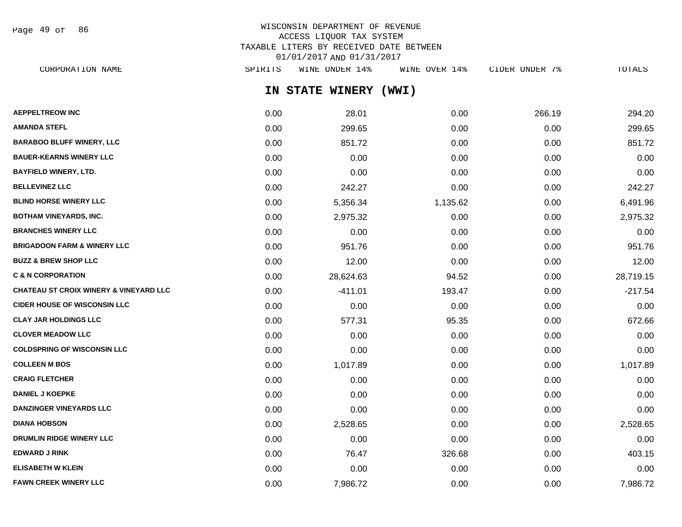Page 49 of 86

| CORPORATION NAME                                  | SPIRITS | WINE UNDER 14%        | WINE OVER 14% | CIDER UNDER 7% | TOTALS    |
|---------------------------------------------------|---------|-----------------------|---------------|----------------|-----------|
|                                                   |         | IN STATE WINERY (WWI) |               |                |           |
| <b>AEPPELTREOW INC</b>                            | 0.00    | 28.01                 | 0.00          | 266.19         | 294.20    |
| AMANDA STEFL                                      | 0.00    | 299.65                | 0.00          | 0.00           | 299.65    |
| <b>BARABOO BLUFF WINERY, LLC</b>                  | 0.00    | 851.72                | 0.00          | 0.00           | 851.72    |
| <b>BAUER-KEARNS WINERY LLC</b>                    | 0.00    | 0.00                  | 0.00          | 0.00           | 0.00      |
| BAYFIELD WINERY, LTD.                             | 0.00    | 0.00                  | 0.00          | 0.00           | 0.00      |
| <b>BELLEVINEZ LLC</b>                             | 0.00    | 242.27                | 0.00          | 0.00           | 242.27    |
| <b>BLIND HORSE WINERY LLC</b>                     | 0.00    | 5,356.34              | 1,135.62      | 0.00           | 6,491.96  |
| BOTHAM VINEYARDS, INC.                            | 0.00    | 2,975.32              | 0.00          | 0.00           | 2,975.32  |
| <b>BRANCHES WINERY LLC</b>                        | 0.00    | 0.00                  | 0.00          | 0.00           | 0.00      |
| <b>BRIGADOON FARM &amp; WINERY LLC</b>            | 0.00    | 951.76                | 0.00          | 0.00           | 951.76    |
| <b>BUZZ &amp; BREW SHOP LLC</b>                   | 0.00    | 12.00                 | 0.00          | 0.00           | 12.00     |
| <b>C &amp; N CORPORATION</b>                      | 0.00    | 28,624.63             | 94.52         | 0.00           | 28,719.15 |
| <b>CHATEAU ST CROIX WINERY &amp; VINEYARD LLC</b> | 0.00    | $-411.01$             | 193.47        | 0.00           | $-217.54$ |
| <b>CIDER HOUSE OF WISCONSIN LLC</b>               | 0.00    | 0.00                  | 0.00          | 0.00           | 0.00      |
| <b>CLAY JAR HOLDINGS LLC</b>                      | 0.00    | 577.31                | 95.35         | 0.00           | 672.66    |
| <b>CLOVER MEADOW LLC</b>                          | 0.00    | 0.00                  | 0.00          | 0.00           | 0.00      |
| <b>COLDSPRING OF WISCONSIN LLC</b>                | 0.00    | 0.00                  | 0.00          | 0.00           | 0.00      |
| <b>COLLEEN M BOS</b>                              | 0.00    | 1,017.89              | 0.00          | 0.00           | 1,017.89  |
| <b>CRAIG FLETCHER</b>                             | 0.00    | 0.00                  | 0.00          | 0.00           | 0.00      |
| DANIEI IKOEDKE                                    | 0.00    | 0.00                  | 0.00          | 0.00           | 0.00      |

| CRAIG FLETCHER                  | 0.00 | 0.00     | 0.00   | 0.00 | 0.00     |
|---------------------------------|------|----------|--------|------|----------|
| <b>DANIEL J KOEPKE</b>          | 0.00 | 0.00     | 0.00   | 0.00 | 0.00     |
| <b>DANZINGER VINEYARDS LLC</b>  | 0.00 | 0.00     | 0.00   | 0.00 | 0.00     |
| <b>DIANA HOBSON</b>             | 0.00 | 2,528.65 | 0.00   | 0.00 | 2,528.65 |
| <b>DRUMLIN RIDGE WINERY LLC</b> | 0.00 | 0.00     | 0.00   | 0.00 | 0.00     |
| EDWARD J RINK                   | 0.00 | 76.47    | 326.68 | 0.00 | 403.15   |
| ELISABETH W KLEIN               | 0.00 | 0.00     | 0.00   | 0.00 | 0.00     |
| <b>FAWN CREEK WINERY LLC</b>    | 0.00 | 7,986.72 | 0.00   | 0.00 | 7,986.72 |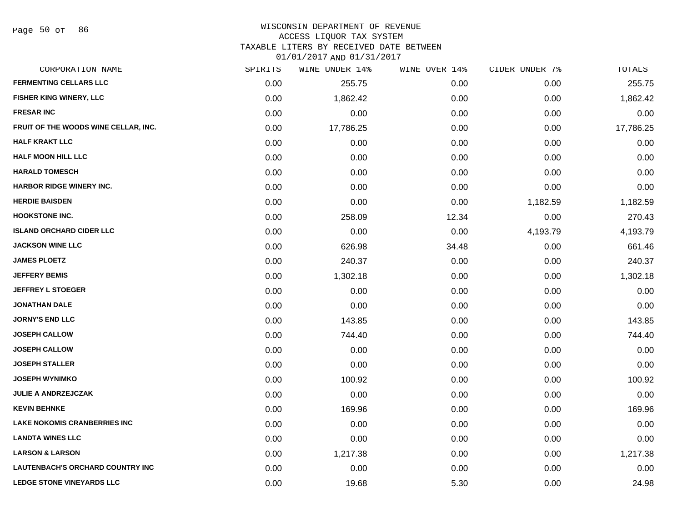#### WISCONSIN DEPARTMENT OF REVENUE

#### ACCESS LIQUOR TAX SYSTEM

TAXABLE LITERS BY RECEIVED DATE BETWEEN

| CORPORATION NAME                        | SPIRITS | WINE UNDER 14% | WINE OVER 14% | CIDER UNDER 7% | TOTALS    |
|-----------------------------------------|---------|----------------|---------------|----------------|-----------|
| <b>FERMENTING CELLARS LLC</b>           | 0.00    | 255.75         | 0.00          | 0.00           | 255.75    |
| FISHER KING WINERY, LLC                 | 0.00    | 1,862.42       | 0.00          | 0.00           | 1,862.42  |
| <b>FRESAR INC</b>                       | 0.00    | 0.00           | 0.00          | 0.00           | 0.00      |
| FRUIT OF THE WOODS WINE CELLAR, INC.    | 0.00    | 17,786.25      | 0.00          | 0.00           | 17,786.25 |
| <b>HALF KRAKT LLC</b>                   | 0.00    | 0.00           | 0.00          | 0.00           | 0.00      |
| <b>HALF MOON HILL LLC</b>               | 0.00    | 0.00           | 0.00          | 0.00           | 0.00      |
| <b>HARALD TOMESCH</b>                   | 0.00    | 0.00           | 0.00          | 0.00           | 0.00      |
| <b>HARBOR RIDGE WINERY INC.</b>         | 0.00    | 0.00           | 0.00          | 0.00           | 0.00      |
| <b>HERDIE BAISDEN</b>                   | 0.00    | 0.00           | 0.00          | 1,182.59       | 1,182.59  |
| <b>HOOKSTONE INC.</b>                   | 0.00    | 258.09         | 12.34         | 0.00           | 270.43    |
| <b>ISLAND ORCHARD CIDER LLC</b>         | 0.00    | 0.00           | 0.00          | 4,193.79       | 4,193.79  |
| <b>JACKSON WINE LLC</b>                 | 0.00    | 626.98         | 34.48         | 0.00           | 661.46    |
| <b>JAMES PLOETZ</b>                     | 0.00    | 240.37         | 0.00          | 0.00           | 240.37    |
| <b>JEFFERY BEMIS</b>                    | 0.00    | 1,302.18       | 0.00          | 0.00           | 1,302.18  |
| <b>JEFFREY L STOEGER</b>                | 0.00    | 0.00           | 0.00          | 0.00           | 0.00      |
| <b>JONATHAN DALE</b>                    | 0.00    | 0.00           | 0.00          | 0.00           | 0.00      |
| <b>JORNY'S END LLC</b>                  | 0.00    | 143.85         | 0.00          | 0.00           | 143.85    |
| <b>JOSEPH CALLOW</b>                    | 0.00    | 744.40         | 0.00          | 0.00           | 744.40    |
| <b>JOSEPH CALLOW</b>                    | 0.00    | 0.00           | 0.00          | 0.00           | 0.00      |
| <b>JOSEPH STALLER</b>                   | 0.00    | 0.00           | 0.00          | 0.00           | 0.00      |
| <b>JOSEPH WYNIMKO</b>                   | 0.00    | 100.92         | 0.00          | 0.00           | 100.92    |
| <b>JULIE A ANDRZEJCZAK</b>              | 0.00    | 0.00           | 0.00          | 0.00           | 0.00      |
| <b>KEVIN BEHNKE</b>                     | 0.00    | 169.96         | 0.00          | 0.00           | 169.96    |
| <b>LAKE NOKOMIS CRANBERRIES INC</b>     | 0.00    | 0.00           | 0.00          | 0.00           | 0.00      |
| <b>LANDTA WINES LLC</b>                 | 0.00    | 0.00           | 0.00          | 0.00           | 0.00      |
| <b>LARSON &amp; LARSON</b>              | 0.00    | 1,217.38       | 0.00          | 0.00           | 1,217.38  |
| <b>LAUTENBACH'S ORCHARD COUNTRY INC</b> | 0.00    | 0.00           | 0.00          | 0.00           | 0.00      |
| <b>LEDGE STONE VINEYARDS LLC</b>        | 0.00    | 19.68          | 5.30          | 0.00           | 24.98     |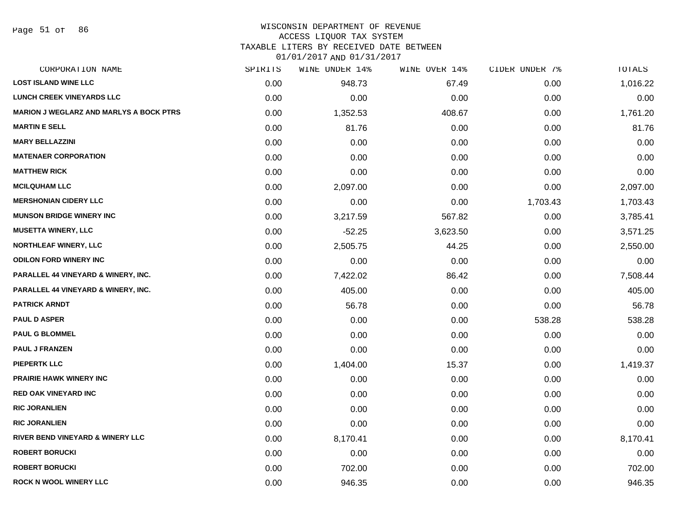Page 51 of 86

#### WISCONSIN DEPARTMENT OF REVENUE

#### ACCESS LIQUOR TAX SYSTEM

TAXABLE LITERS BY RECEIVED DATE BETWEEN

| CORPORATION NAME                               | SPIRITS | WINE UNDER 14% | WINE OVER 14% | CIDER UNDER 7% | TOTALS   |
|------------------------------------------------|---------|----------------|---------------|----------------|----------|
| <b>LOST ISLAND WINE LLC</b>                    | 0.00    | 948.73         | 67.49         | 0.00           | 1,016.22 |
| <b>LUNCH CREEK VINEYARDS LLC</b>               | 0.00    | 0.00           | 0.00          | 0.00           | 0.00     |
| <b>MARION J WEGLARZ AND MARLYS A BOCK PTRS</b> | 0.00    | 1,352.53       | 408.67        | 0.00           | 1,761.20 |
| <b>MARTIN E SELL</b>                           | 0.00    | 81.76          | 0.00          | 0.00           | 81.76    |
| <b>MARY BELLAZZINI</b>                         | 0.00    | 0.00           | 0.00          | 0.00           | 0.00     |
| <b>MATENAER CORPORATION</b>                    | 0.00    | 0.00           | 0.00          | 0.00           | 0.00     |
| <b>MATTHEW RICK</b>                            | 0.00    | 0.00           | 0.00          | 0.00           | 0.00     |
| <b>MCILQUHAM LLC</b>                           | 0.00    | 2,097.00       | 0.00          | 0.00           | 2,097.00 |
| <b>MERSHONIAN CIDERY LLC</b>                   | 0.00    | 0.00           | 0.00          | 1,703.43       | 1,703.43 |
| <b>MUNSON BRIDGE WINERY INC</b>                | 0.00    | 3,217.59       | 567.82        | 0.00           | 3,785.41 |
| <b>MUSETTA WINERY, LLC</b>                     | 0.00    | $-52.25$       | 3,623.50      | 0.00           | 3,571.25 |
| <b>NORTHLEAF WINERY, LLC</b>                   | 0.00    | 2,505.75       | 44.25         | 0.00           | 2,550.00 |
| <b>ODILON FORD WINERY INC</b>                  | 0.00    | 0.00           | 0.00          | 0.00           | 0.00     |
| <b>PARALLEL 44 VINEYARD &amp; WINERY, INC.</b> | 0.00    | 7,422.02       | 86.42         | 0.00           | 7,508.44 |
| PARALLEL 44 VINEYARD & WINERY, INC.            | 0.00    | 405.00         | 0.00          | 0.00           | 405.00   |
| <b>PATRICK ARNDT</b>                           | 0.00    | 56.78          | 0.00          | 0.00           | 56.78    |
| <b>PAUL D ASPER</b>                            | 0.00    | 0.00           | 0.00          | 538.28         | 538.28   |
| <b>PAUL G BLOMMEL</b>                          | 0.00    | 0.00           | 0.00          | 0.00           | 0.00     |
| <b>PAUL J FRANZEN</b>                          | 0.00    | 0.00           | 0.00          | 0.00           | 0.00     |
| <b>PIEPERTK LLC</b>                            | 0.00    | 1,404.00       | 15.37         | 0.00           | 1,419.37 |
| <b>PRAIRIE HAWK WINERY INC</b>                 | 0.00    | 0.00           | 0.00          | 0.00           | 0.00     |
| <b>RED OAK VINEYARD INC</b>                    | 0.00    | 0.00           | 0.00          | 0.00           | 0.00     |
| <b>RIC JORANLIEN</b>                           | 0.00    | 0.00           | 0.00          | 0.00           | 0.00     |
| <b>RIC JORANLIEN</b>                           | 0.00    | 0.00           | 0.00          | 0.00           | 0.00     |
| <b>RIVER BEND VINEYARD &amp; WINERY LLC</b>    | 0.00    | 8,170.41       | 0.00          | 0.00           | 8,170.41 |
| <b>ROBERT BORUCKI</b>                          | 0.00    | 0.00           | 0.00          | 0.00           | 0.00     |
| <b>ROBERT BORUCKI</b>                          | 0.00    | 702.00         | 0.00          | 0.00           | 702.00   |
| <b>ROCK N WOOL WINERY LLC</b>                  | 0.00    | 946.35         | 0.00          | 0.00           | 946.35   |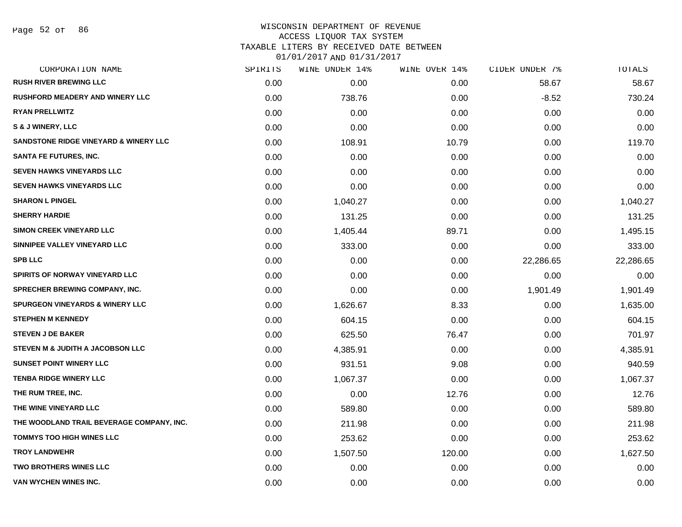#### WISCONSIN DEPARTMENT OF REVENUE ACCESS LIQUOR TAX SYSTEM TAXABLE LITERS BY RECEIVED DATE BETWEEN

| CORPORATION NAME                                 | SPIRITS | <b>WINE UNDER 14%</b> | WINE OVER 14% | CIDER UNDER 7% | <b>TOTALS</b> |
|--------------------------------------------------|---------|-----------------------|---------------|----------------|---------------|
| <b>RUSH RIVER BREWING LLC</b>                    | 0.00    | 0.00                  | 0.00          | 58.67          | 58.67         |
| <b>RUSHFORD MEADERY AND WINERY LLC</b>           | 0.00    | 738.76                | 0.00          | $-8.52$        | 730.24        |
| <b>RYAN PRELLWITZ</b>                            | 0.00    | 0.00                  | 0.00          | 0.00           | 0.00          |
| S & J WINERY, LLC                                | 0.00    | 0.00                  | 0.00          | 0.00           | 0.00          |
| <b>SANDSTONE RIDGE VINEYARD &amp; WINERY LLC</b> | 0.00    | 108.91                | 10.79         | 0.00           | 119.70        |
| <b>SANTA FE FUTURES, INC.</b>                    | 0.00    | 0.00                  | 0.00          | 0.00           | 0.00          |
| <b>SEVEN HAWKS VINEYARDS LLC</b>                 | 0.00    | 0.00                  | 0.00          | 0.00           | 0.00          |
| <b>SEVEN HAWKS VINEYARDS LLC</b>                 | 0.00    | 0.00                  | 0.00          | 0.00           | 0.00          |
| <b>SHARON L PINGEL</b>                           | 0.00    | 1,040.27              | 0.00          | 0.00           | 1,040.27      |
| <b>SHERRY HARDIE</b>                             | 0.00    | 131.25                | 0.00          | 0.00           | 131.25        |
| <b>SIMON CREEK VINEYARD LLC</b>                  | 0.00    | 1,405.44              | 89.71         | 0.00           | 1,495.15      |
| SINNIPEE VALLEY VINEYARD LLC                     | 0.00    | 333.00                | 0.00          | 0.00           | 333.00        |
| <b>SPB LLC</b>                                   | 0.00    | 0.00                  | 0.00          | 22,286.65      | 22,286.65     |
| <b>SPIRITS OF NORWAY VINEYARD LLC</b>            | 0.00    | 0.00                  | 0.00          | 0.00           | 0.00          |
| <b>SPRECHER BREWING COMPANY, INC.</b>            | 0.00    | 0.00                  | 0.00          | 1,901.49       | 1,901.49      |
| <b>SPURGEON VINEYARDS &amp; WINERY LLC</b>       | 0.00    | 1,626.67              | 8.33          | 0.00           | 1,635.00      |
| <b>STEPHEN M KENNEDY</b>                         | 0.00    | 604.15                | 0.00          | 0.00           | 604.15        |
| <b>STEVEN J DE BAKER</b>                         | 0.00    | 625.50                | 76.47         | 0.00           | 701.97        |
| STEVEN M & JUDITH A JACOBSON LLC                 | 0.00    | 4,385.91              | 0.00          | 0.00           | 4,385.91      |
| <b>SUNSET POINT WINERY LLC</b>                   | 0.00    | 931.51                | 9.08          | 0.00           | 940.59        |
| <b>TENBA RIDGE WINERY LLC</b>                    | 0.00    | 1,067.37              | 0.00          | 0.00           | 1,067.37      |
| THE RUM TREE, INC.                               | 0.00    | 0.00                  | 12.76         | 0.00           | 12.76         |
| THE WINE VINEYARD LLC                            | 0.00    | 589.80                | 0.00          | 0.00           | 589.80        |
| THE WOODLAND TRAIL BEVERAGE COMPANY, INC.        | 0.00    | 211.98                | 0.00          | 0.00           | 211.98        |
| <b>TOMMYS TOO HIGH WINES LLC</b>                 | 0.00    | 253.62                | 0.00          | 0.00           | 253.62        |
| <b>TROY LANDWEHR</b>                             | 0.00    | 1,507.50              | 120.00        | 0.00           | 1,627.50      |
| TWO BROTHERS WINES LLC                           | 0.00    | 0.00                  | 0.00          | 0.00           | 0.00          |
| <b>VAN WYCHEN WINES INC.</b>                     | 0.00    | 0.00                  | 0.00          | 0.00           | 0.00          |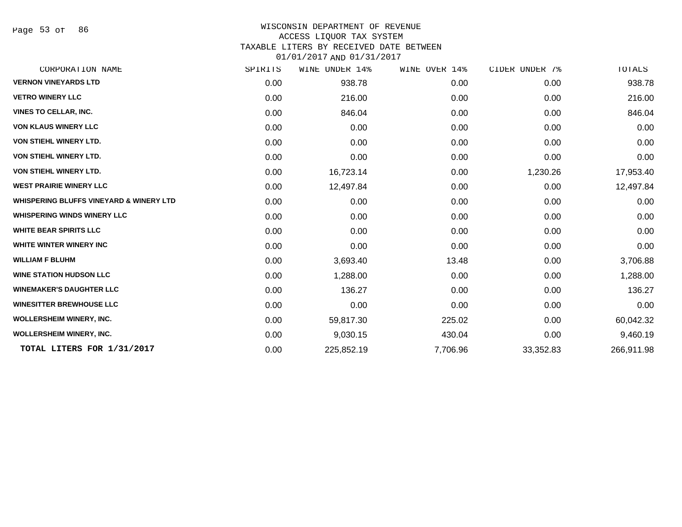Page 53 of 86

## WISCONSIN DEPARTMENT OF REVENUE

#### ACCESS LIQUOR TAX SYSTEM

TAXABLE LITERS BY RECEIVED DATE BETWEEN

| CORPORATION NAME                                   | SPIRITS | WINE UNDER 14% | WINE OVER 14% | CIDER UNDER 7% | TOTALS     |
|----------------------------------------------------|---------|----------------|---------------|----------------|------------|
| <b>VERNON VINEYARDS LTD</b>                        | 0.00    | 938.78         | 0.00          | 0.00           | 938.78     |
| <b>VETRO WINERY LLC</b>                            | 0.00    | 216.00         | 0.00          | 0.00           | 216.00     |
| <b>VINES TO CELLAR, INC.</b>                       | 0.00    | 846.04         | 0.00          | 0.00           | 846.04     |
| <b>VON KLAUS WINERY LLC</b>                        | 0.00    | 0.00           | 0.00          | 0.00           | 0.00       |
| <b>VON STIEHL WINERY LTD.</b>                      | 0.00    | 0.00           | 0.00          | 0.00           | 0.00       |
| <b>VON STIEHL WINERY LTD.</b>                      | 0.00    | 0.00           | 0.00          | 0.00           | 0.00       |
| <b>VON STIEHL WINERY LTD.</b>                      | 0.00    | 16,723.14      | 0.00          | 1,230.26       | 17,953.40  |
| <b>WEST PRAIRIE WINERY LLC</b>                     | 0.00    | 12,497.84      | 0.00          | 0.00           | 12,497.84  |
| <b>WHISPERING BLUFFS VINEYARD &amp; WINERY LTD</b> | 0.00    | 0.00           | 0.00          | 0.00           | 0.00       |
| <b>WHISPERING WINDS WINERY LLC</b>                 | 0.00    | 0.00           | 0.00          | 0.00           | 0.00       |
| <b>WHITE BEAR SPIRITS LLC</b>                      | 0.00    | 0.00           | 0.00          | 0.00           | 0.00       |
| WHITE WINTER WINERY INC                            | 0.00    | 0.00           | 0.00          | 0.00           | 0.00       |
| <b>WILLIAM F BLUHM</b>                             | 0.00    | 3,693.40       | 13.48         | 0.00           | 3,706.88   |
| <b>WINE STATION HUDSON LLC</b>                     | 0.00    | 1,288.00       | 0.00          | 0.00           | 1,288.00   |
| <b>WINEMAKER'S DAUGHTER LLC</b>                    | 0.00    | 136.27         | 0.00          | 0.00           | 136.27     |
| <b>WINESITTER BREWHOUSE LLC</b>                    | 0.00    | 0.00           | 0.00          | 0.00           | 0.00       |
| <b>WOLLERSHEIM WINERY, INC.</b>                    | 0.00    | 59,817.30      | 225.02        | 0.00           | 60,042.32  |
| <b>WOLLERSHEIM WINERY, INC.</b>                    | 0.00    | 9,030.15       | 430.04        | 0.00           | 9,460.19   |
| TOTAL LITERS FOR 1/31/2017                         | 0.00    | 225,852.19     | 7,706.96      | 33,352.83      | 266,911.98 |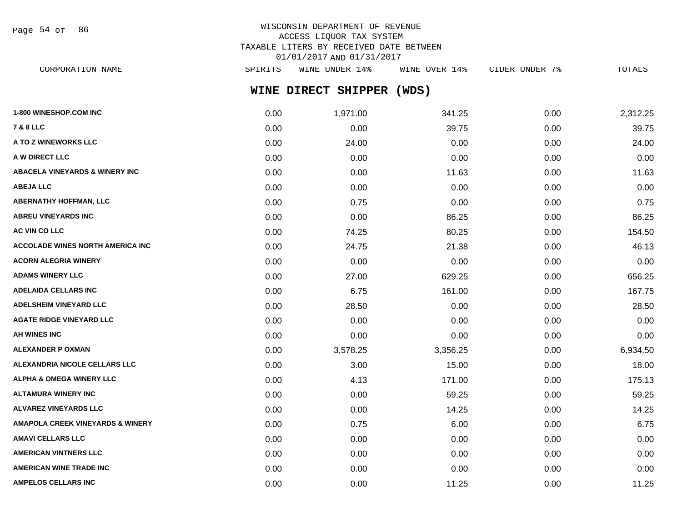Page 54 of 86

# WISCONSIN DEPARTMENT OF REVENUE ACCESS LIQUOR TAX SYSTEM TAXABLE LITERS BY RECEIVED DATE BETWEEN 01/01/2017 AND 01/31/2017

**WINE DIRECT SHIPPER (WDS)** CORPORATION NAME SPIRITS WINE UNDER 14% WINE OVER 14% CIDER UNDER 7% TOTALS

| 1-800 WINESHOP.COM INC                      | 0.00 | 1,971.00 | 341.25   | 0.00 | 2,312.25 |
|---------------------------------------------|------|----------|----------|------|----------|
| <b>7 &amp; 8 LLC</b>                        | 0.00 | 0.00     | 39.75    | 0.00 | 39.75    |
| A TO Z WINEWORKS LLC                        | 0.00 | 24.00    | 0.00     | 0.00 | 24.00    |
| A W DIRECT LLC                              | 0.00 | 0.00     | 0.00     | 0.00 | 0.00     |
| <b>ABACELA VINEYARDS &amp; WINERY INC</b>   | 0.00 | 0.00     | 11.63    | 0.00 | 11.63    |
| <b>ABEJA LLC</b>                            | 0.00 | 0.00     | 0.00     | 0.00 | 0.00     |
| <b>ABERNATHY HOFFMAN, LLC</b>               | 0.00 | 0.75     | 0.00     | 0.00 | 0.75     |
| <b>ABREU VINEYARDS INC</b>                  | 0.00 | 0.00     | 86.25    | 0.00 | 86.25    |
| AC VIN CO LLC                               | 0.00 | 74.25    | 80.25    | 0.00 | 154.50   |
| <b>ACCOLADE WINES NORTH AMERICA INC</b>     | 0.00 | 24.75    | 21.38    | 0.00 | 46.13    |
| <b>ACORN ALEGRIA WINERY</b>                 | 0.00 | 0.00     | 0.00     | 0.00 | 0.00     |
| <b>ADAMS WINERY LLC</b>                     | 0.00 | 27.00    | 629.25   | 0.00 | 656.25   |
| <b>ADELAIDA CELLARS INC</b>                 | 0.00 | 6.75     | 161.00   | 0.00 | 167.75   |
| ADELSHEIM VINEYARD LLC                      | 0.00 | 28.50    | 0.00     | 0.00 | 28.50    |
| <b>AGATE RIDGE VINEYARD LLC</b>             | 0.00 | 0.00     | 0.00     | 0.00 | 0.00     |
| AH WINES INC                                | 0.00 | 0.00     | 0.00     | 0.00 | 0.00     |
| <b>ALEXANDER P OXMAN</b>                    | 0.00 | 3,578.25 | 3,356.25 | 0.00 | 6,934.50 |
| ALEXANDRIA NICOLE CELLARS LLC               | 0.00 | 3.00     | 15.00    | 0.00 | 18.00    |
| <b>ALPHA &amp; OMEGA WINERY LLC</b>         | 0.00 | 4.13     | 171.00   | 0.00 | 175.13   |
| <b>ALTAMURA WINERY INC</b>                  | 0.00 | 0.00     | 59.25    | 0.00 | 59.25    |
| <b>ALVAREZ VINEYARDS LLC</b>                | 0.00 | 0.00     | 14.25    | 0.00 | 14.25    |
| <b>AMAPOLA CREEK VINEYARDS &amp; WINERY</b> | 0.00 | 0.75     | 6.00     | 0.00 | 6.75     |
| <b>AMAVI CELLARS LLC</b>                    | 0.00 | 0.00     | 0.00     | 0.00 | 0.00     |
| <b>AMERICAN VINTNERS LLC</b>                | 0.00 | 0.00     | 0.00     | 0.00 | 0.00     |
| <b>AMERICAN WINE TRADE INC</b>              | 0.00 | 0.00     | 0.00     | 0.00 | 0.00     |
| <b>AMPELOS CELLARS INC</b>                  | 0.00 | 0.00     | 11.25    | 0.00 | 11.25    |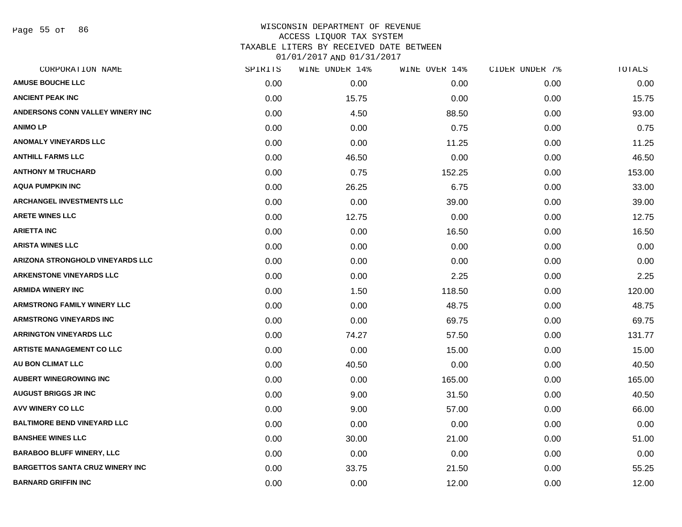Page 55 of 86

#### WISCONSIN DEPARTMENT OF REVENUE ACCESS LIQUOR TAX SYSTEM TAXABLE LITERS BY RECEIVED DATE BETWEEN

| CORPORATION NAME                       | SPIRITS | WINE UNDER 14% | WINE OVER 14% | CIDER UNDER 7% | TOTALS |
|----------------------------------------|---------|----------------|---------------|----------------|--------|
| <b>AMUSE BOUCHE LLC</b>                | 0.00    | 0.00           | 0.00          | 0.00           | 0.00   |
| <b>ANCIENT PEAK INC</b>                | 0.00    | 15.75          | 0.00          | 0.00           | 15.75  |
| ANDERSONS CONN VALLEY WINERY INC       | 0.00    | 4.50           | 88.50         | 0.00           | 93.00  |
| <b>ANIMO LP</b>                        | 0.00    | 0.00           | 0.75          | 0.00           | 0.75   |
| <b>ANOMALY VINEYARDS LLC</b>           | 0.00    | 0.00           | 11.25         | 0.00           | 11.25  |
| <b>ANTHILL FARMS LLC</b>               | 0.00    | 46.50          | 0.00          | 0.00           | 46.50  |
| <b>ANTHONY M TRUCHARD</b>              | 0.00    | 0.75           | 152.25        | 0.00           | 153.00 |
| <b>AQUA PUMPKIN INC</b>                | 0.00    | 26.25          | 6.75          | 0.00           | 33.00  |
| <b>ARCHANGEL INVESTMENTS LLC</b>       | 0.00    | 0.00           | 39.00         | 0.00           | 39.00  |
| <b>ARETE WINES LLC</b>                 | 0.00    | 12.75          | 0.00          | 0.00           | 12.75  |
| <b>ARIETTA INC</b>                     | 0.00    | 0.00           | 16.50         | 0.00           | 16.50  |
| <b>ARISTA WINES LLC</b>                | 0.00    | 0.00           | 0.00          | 0.00           | 0.00   |
| ARIZONA STRONGHOLD VINEYARDS LLC       | 0.00    | 0.00           | 0.00          | 0.00           | 0.00   |
| <b>ARKENSTONE VINEYARDS LLC</b>        | 0.00    | 0.00           | 2.25          | 0.00           | 2.25   |
| <b>ARMIDA WINERY INC</b>               | 0.00    | 1.50           | 118.50        | 0.00           | 120.00 |
| <b>ARMSTRONG FAMILY WINERY LLC</b>     | 0.00    | 0.00           | 48.75         | 0.00           | 48.75  |
| <b>ARMSTRONG VINEYARDS INC</b>         | 0.00    | 0.00           | 69.75         | 0.00           | 69.75  |
| <b>ARRINGTON VINEYARDS LLC</b>         | 0.00    | 74.27          | 57.50         | 0.00           | 131.77 |
| <b>ARTISTE MANAGEMENT CO LLC</b>       | 0.00    | 0.00           | 15.00         | 0.00           | 15.00  |
| <b>AU BON CLIMAT LLC</b>               | 0.00    | 40.50          | 0.00          | 0.00           | 40.50  |
| <b>AUBERT WINEGROWING INC</b>          | 0.00    | 0.00           | 165.00        | 0.00           | 165.00 |
| <b>AUGUST BRIGGS JR INC</b>            | 0.00    | 9.00           | 31.50         | 0.00           | 40.50  |
| AVV WINERY CO LLC                      | 0.00    | 9.00           | 57.00         | 0.00           | 66.00  |
| <b>BALTIMORE BEND VINEYARD LLC</b>     | 0.00    | 0.00           | 0.00          | 0.00           | 0.00   |
| <b>BANSHEE WINES LLC</b>               | 0.00    | 30.00          | 21.00         | 0.00           | 51.00  |
| <b>BARABOO BLUFF WINERY, LLC</b>       | 0.00    | 0.00           | 0.00          | 0.00           | 0.00   |
| <b>BARGETTOS SANTA CRUZ WINERY INC</b> | 0.00    | 33.75          | 21.50         | 0.00           | 55.25  |
| <b>BARNARD GRIFFIN INC</b>             | 0.00    | 0.00           | 12.00         | 0.00           | 12.00  |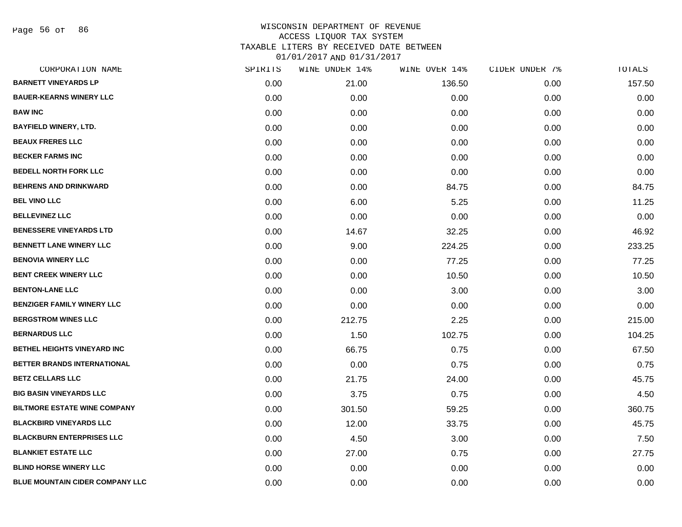Page 56 of 86

| CORPORATION NAME                       | SPIRITS | WINE UNDER 14% | WINE OVER 14% | CIDER UNDER 7% | TOTALS |
|----------------------------------------|---------|----------------|---------------|----------------|--------|
| <b>BARNETT VINEYARDS LP</b>            | 0.00    | 21.00          | 136.50        | 0.00           | 157.50 |
| <b>BAUER-KEARNS WINERY LLC</b>         | 0.00    | 0.00           | 0.00          | 0.00           | 0.00   |
| <b>BAW INC</b>                         | 0.00    | 0.00           | 0.00          | 0.00           | 0.00   |
| <b>BAYFIELD WINERY, LTD.</b>           | 0.00    | 0.00           | 0.00          | 0.00           | 0.00   |
| <b>BEAUX FRERES LLC</b>                | 0.00    | 0.00           | 0.00          | 0.00           | 0.00   |
| <b>BECKER FARMS INC</b>                | 0.00    | 0.00           | 0.00          | 0.00           | 0.00   |
| <b>BEDELL NORTH FORK LLC</b>           | 0.00    | 0.00           | 0.00          | 0.00           | 0.00   |
| <b>BEHRENS AND DRINKWARD</b>           | 0.00    | 0.00           | 84.75         | 0.00           | 84.75  |
| <b>BEL VINO LLC</b>                    | 0.00    | 6.00           | 5.25          | 0.00           | 11.25  |
| <b>BELLEVINEZ LLC</b>                  | 0.00    | 0.00           | 0.00          | 0.00           | 0.00   |
| <b>BENESSERE VINEYARDS LTD</b>         | 0.00    | 14.67          | 32.25         | 0.00           | 46.92  |
| <b>BENNETT LANE WINERY LLC</b>         | 0.00    | 9.00           | 224.25        | 0.00           | 233.25 |
| <b>BENOVIA WINERY LLC</b>              | 0.00    | 0.00           | 77.25         | 0.00           | 77.25  |
| <b>BENT CREEK WINERY LLC</b>           | 0.00    | 0.00           | 10.50         | 0.00           | 10.50  |
| <b>BENTON-LANE LLC</b>                 | 0.00    | 0.00           | 3.00          | 0.00           | 3.00   |
| <b>BENZIGER FAMILY WINERY LLC</b>      | 0.00    | 0.00           | 0.00          | 0.00           | 0.00   |
| <b>BERGSTROM WINES LLC</b>             | 0.00    | 212.75         | 2.25          | 0.00           | 215.00 |
| <b>BERNARDUS LLC</b>                   | 0.00    | 1.50           | 102.75        | 0.00           | 104.25 |
| <b>BETHEL HEIGHTS VINEYARD INC</b>     | 0.00    | 66.75          | 0.75          | 0.00           | 67.50  |
| BETTER BRANDS INTERNATIONAL            | 0.00    | 0.00           | 0.75          | 0.00           | 0.75   |
| <b>BETZ CELLARS LLC</b>                | 0.00    | 21.75          | 24.00         | 0.00           | 45.75  |
| <b>BIG BASIN VINEYARDS LLC</b>         | 0.00    | 3.75           | 0.75          | 0.00           | 4.50   |
| <b>BILTMORE ESTATE WINE COMPANY</b>    | 0.00    | 301.50         | 59.25         | 0.00           | 360.75 |
| <b>BLACKBIRD VINEYARDS LLC</b>         | 0.00    | 12.00          | 33.75         | 0.00           | 45.75  |
| <b>BLACKBURN ENTERPRISES LLC</b>       | 0.00    | 4.50           | 3.00          | 0.00           | 7.50   |
| <b>BLANKIET ESTATE LLC</b>             | 0.00    | 27.00          | 0.75          | 0.00           | 27.75  |
| <b>BLIND HORSE WINERY LLC</b>          | 0.00    | 0.00           | 0.00          | 0.00           | 0.00   |
| <b>BLUE MOUNTAIN CIDER COMPANY LLC</b> | 0.00    | 0.00           | 0.00          | 0.00           | 0.00   |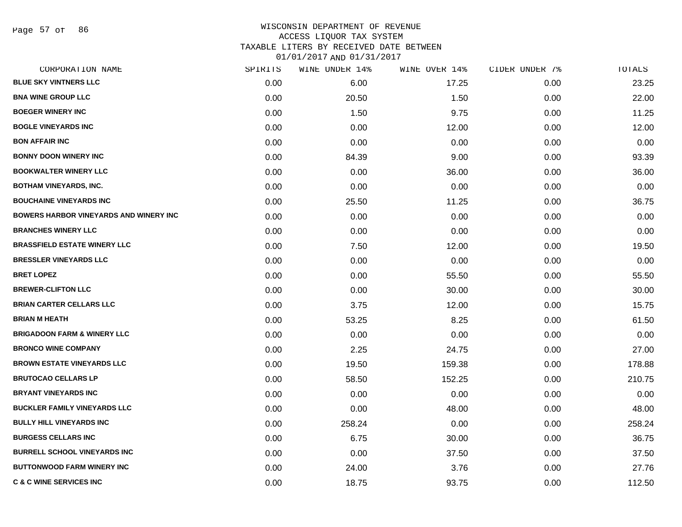Page 57 of 86

#### WISCONSIN DEPARTMENT OF REVENUE ACCESS LIQUOR TAX SYSTEM TAXABLE LITERS BY RECEIVED DATE BETWEEN

| CORPORATION NAME                               | SPIRITS | WINE UNDER 14% | WINE OVER 14% | CIDER UNDER 7% | TOTALS |
|------------------------------------------------|---------|----------------|---------------|----------------|--------|
| <b>BLUE SKY VINTNERS LLC</b>                   | 0.00    | 6.00           | 17.25         | 0.00           | 23.25  |
| <b>BNA WINE GROUP LLC</b>                      | 0.00    | 20.50          | 1.50          | 0.00           | 22.00  |
| <b>BOEGER WINERY INC</b>                       | 0.00    | 1.50           | 9.75          | 0.00           | 11.25  |
| <b>BOGLE VINEYARDS INC</b>                     | 0.00    | 0.00           | 12.00         | 0.00           | 12.00  |
| <b>BON AFFAIR INC</b>                          | 0.00    | 0.00           | 0.00          | 0.00           | 0.00   |
| <b>BONNY DOON WINERY INC</b>                   | 0.00    | 84.39          | 9.00          | 0.00           | 93.39  |
| <b>BOOKWALTER WINERY LLC</b>                   | 0.00    | 0.00           | 36.00         | 0.00           | 36.00  |
| <b>BOTHAM VINEYARDS, INC.</b>                  | 0.00    | 0.00           | 0.00          | 0.00           | 0.00   |
| <b>BOUCHAINE VINEYARDS INC</b>                 | 0.00    | 25.50          | 11.25         | 0.00           | 36.75  |
| <b>BOWERS HARBOR VINEYARDS AND WINERY INC.</b> | 0.00    | 0.00           | 0.00          | 0.00           | 0.00   |
| <b>BRANCHES WINERY LLC</b>                     | 0.00    | 0.00           | 0.00          | 0.00           | 0.00   |
| <b>BRASSFIELD ESTATE WINERY LLC</b>            | 0.00    | 7.50           | 12.00         | 0.00           | 19.50  |
| <b>BRESSLER VINEYARDS LLC</b>                  | 0.00    | 0.00           | 0.00          | 0.00           | 0.00   |
| <b>BRET LOPEZ</b>                              | 0.00    | 0.00           | 55.50         | 0.00           | 55.50  |
| <b>BREWER-CLIFTON LLC</b>                      | 0.00    | 0.00           | 30.00         | 0.00           | 30.00  |
| <b>BRIAN CARTER CELLARS LLC</b>                | 0.00    | 3.75           | 12.00         | 0.00           | 15.75  |
| <b>BRIAN M HEATH</b>                           | 0.00    | 53.25          | 8.25          | 0.00           | 61.50  |
| <b>BRIGADOON FARM &amp; WINERY LLC</b>         | 0.00    | 0.00           | 0.00          | 0.00           | 0.00   |
| <b>BRONCO WINE COMPANY</b>                     | 0.00    | 2.25           | 24.75         | 0.00           | 27.00  |
| <b>BROWN ESTATE VINEYARDS LLC</b>              | 0.00    | 19.50          | 159.38        | 0.00           | 178.88 |
| <b>BRUTOCAO CELLARS LP</b>                     | 0.00    | 58.50          | 152.25        | 0.00           | 210.75 |
| <b>BRYANT VINEYARDS INC</b>                    | 0.00    | 0.00           | 0.00          | 0.00           | 0.00   |
| <b>BUCKLER FAMILY VINEYARDS LLC</b>            | 0.00    | 0.00           | 48.00         | 0.00           | 48.00  |
| <b>BULLY HILL VINEYARDS INC</b>                | 0.00    | 258.24         | 0.00          | 0.00           | 258.24 |
| <b>BURGESS CELLARS INC</b>                     | 0.00    | 6.75           | 30.00         | 0.00           | 36.75  |
| <b>BURRELL SCHOOL VINEYARDS INC</b>            | 0.00    | 0.00           | 37.50         | 0.00           | 37.50  |
| <b>BUTTONWOOD FARM WINERY INC</b>              | 0.00    | 24.00          | 3.76          | 0.00           | 27.76  |
| <b>C &amp; C WINE SERVICES INC</b>             | 0.00    | 18.75          | 93.75         | 0.00           | 112.50 |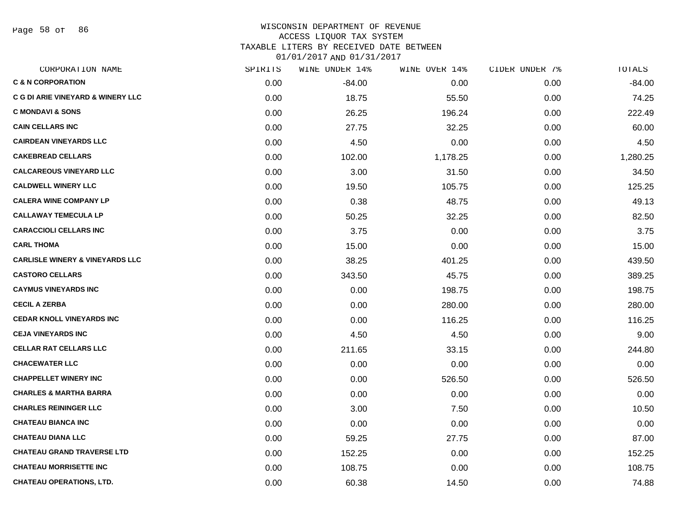Page 58 of 86

# WISCONSIN DEPARTMENT OF REVENUE ACCESS LIQUOR TAX SYSTEM

TAXABLE LITERS BY RECEIVED DATE BETWEEN 01/01/2017 AND 01/31/2017

| CORPORATION NAME                             | SPIRITS | WINE UNDER 14% | WINE OVER 14% | CIDER UNDER 7% | TOTALS   |
|----------------------------------------------|---------|----------------|---------------|----------------|----------|
| <b>C &amp; N CORPORATION</b>                 | 0.00    | $-84.00$       | 0.00          | 0.00           | $-84.00$ |
| <b>C G DI ARIE VINEYARD &amp; WINERY LLC</b> | 0.00    | 18.75          | 55.50         | 0.00           | 74.25    |
| <b>C MONDAVI &amp; SONS</b>                  | 0.00    | 26.25          | 196.24        | 0.00           | 222.49   |
| <b>CAIN CELLARS INC</b>                      | 0.00    | 27.75          | 32.25         | 0.00           | 60.00    |
| <b>CAIRDEAN VINEYARDS LLC</b>                | 0.00    | 4.50           | 0.00          | 0.00           | 4.50     |
| <b>CAKEBREAD CELLARS</b>                     | 0.00    | 102.00         | 1,178.25      | 0.00           | 1,280.25 |
| <b>CALCAREOUS VINEYARD LLC</b>               | 0.00    | 3.00           | 31.50         | 0.00           | 34.50    |
| <b>CALDWELL WINERY LLC</b>                   | 0.00    | 19.50          | 105.75        | 0.00           | 125.25   |
| <b>CALERA WINE COMPANY LP</b>                | 0.00    | 0.38           | 48.75         | 0.00           | 49.13    |
| <b>CALLAWAY TEMECULA LP</b>                  | 0.00    | 50.25          | 32.25         | 0.00           | 82.50    |
| <b>CARACCIOLI CELLARS INC</b>                | 0.00    | 3.75           | 0.00          | 0.00           | 3.75     |
| <b>CARL THOMA</b>                            | 0.00    | 15.00          | 0.00          | 0.00           | 15.00    |
| <b>CARLISLE WINERY &amp; VINEYARDS LLC</b>   | 0.00    | 38.25          | 401.25        | 0.00           | 439.50   |
| <b>CASTORO CELLARS</b>                       | 0.00    | 343.50         | 45.75         | 0.00           | 389.25   |
| <b>CAYMUS VINEYARDS INC</b>                  | 0.00    | 0.00           | 198.75        | 0.00           | 198.75   |
| <b>CECIL A ZERBA</b>                         | 0.00    | 0.00           | 280.00        | 0.00           | 280.00   |
| <b>CEDAR KNOLL VINEYARDS INC</b>             | 0.00    | 0.00           | 116.25        | 0.00           | 116.25   |
| <b>CEJA VINEYARDS INC</b>                    | 0.00    | 4.50           | 4.50          | 0.00           | 9.00     |
| <b>CELLAR RAT CELLARS LLC</b>                | 0.00    | 211.65         | 33.15         | 0.00           | 244.80   |
| <b>CHACEWATER LLC</b>                        | 0.00    | 0.00           | 0.00          | 0.00           | 0.00     |
| <b>CHAPPELLET WINERY INC</b>                 | 0.00    | 0.00           | 526.50        | 0.00           | 526.50   |
| <b>CHARLES &amp; MARTHA BARRA</b>            | 0.00    | 0.00           | 0.00          | 0.00           | 0.00     |
| <b>CHARLES REININGER LLC</b>                 | 0.00    | 3.00           | 7.50          | 0.00           | 10.50    |
| <b>CHATEAU BIANCA INC</b>                    | 0.00    | 0.00           | 0.00          | 0.00           | 0.00     |
| <b>CHATEAU DIANA LLC</b>                     | 0.00    | 59.25          | 27.75         | 0.00           | 87.00    |
| <b>CHATEAU GRAND TRAVERSE LTD</b>            | 0.00    | 152.25         | 0.00          | 0.00           | 152.25   |
| <b>CHATEAU MORRISETTE INC</b>                | 0.00    | 108.75         | 0.00          | 0.00           | 108.75   |
| <b>CHATEAU OPERATIONS, LTD.</b>              | 0.00    | 60.38          | 14.50         | 0.00           | 74.88    |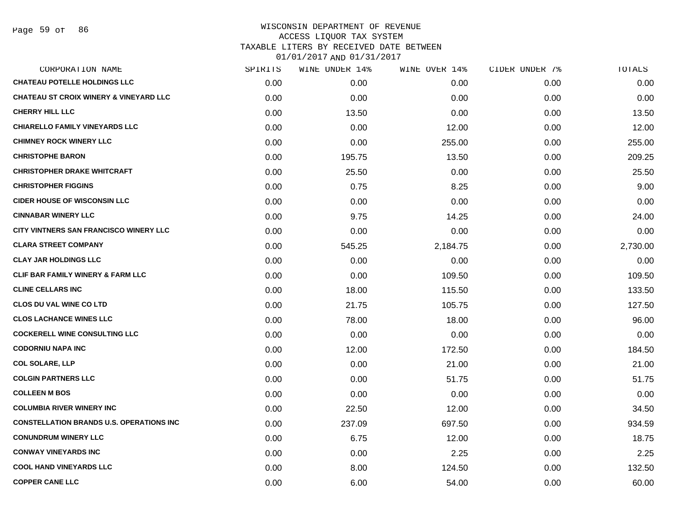| CORPORATION NAME                                  | SPIRITS | <b>WINE UNDER 14%</b> | WINE OVER 14% | CIDER UNDER 7% | TOTALS   |
|---------------------------------------------------|---------|-----------------------|---------------|----------------|----------|
| <b>CHATEAU POTELLE HOLDINGS LLC</b>               | 0.00    | 0.00                  | 0.00          | 0.00           | 0.00     |
| <b>CHATEAU ST CROIX WINERY &amp; VINEYARD LLC</b> | 0.00    | 0.00                  | 0.00          | 0.00           | 0.00     |
| <b>CHERRY HILL LLC</b>                            | 0.00    | 13.50                 | 0.00          | 0.00           | 13.50    |
| <b>CHIARELLO FAMILY VINEYARDS LLC</b>             | 0.00    | 0.00                  | 12.00         | 0.00           | 12.00    |
| <b>CHIMNEY ROCK WINERY LLC</b>                    | 0.00    | 0.00                  | 255.00        | 0.00           | 255.00   |
| <b>CHRISTOPHE BARON</b>                           | 0.00    | 195.75                | 13.50         | 0.00           | 209.25   |
| <b>CHRISTOPHER DRAKE WHITCRAFT</b>                | 0.00    | 25.50                 | 0.00          | 0.00           | 25.50    |
| <b>CHRISTOPHER FIGGINS</b>                        | 0.00    | 0.75                  | 8.25          | 0.00           | 9.00     |
| <b>CIDER HOUSE OF WISCONSIN LLC</b>               | 0.00    | 0.00                  | 0.00          | 0.00           | 0.00     |
| <b>CINNABAR WINERY LLC</b>                        | 0.00    | 9.75                  | 14.25         | 0.00           | 24.00    |
| <b>CITY VINTNERS SAN FRANCISCO WINERY LLC</b>     | 0.00    | 0.00                  | 0.00          | 0.00           | 0.00     |
| <b>CLARA STREET COMPANY</b>                       | 0.00    | 545.25                | 2,184.75      | 0.00           | 2,730.00 |
| <b>CLAY JAR HOLDINGS LLC</b>                      | 0.00    | 0.00                  | 0.00          | 0.00           | 0.00     |
| <b>CLIF BAR FAMILY WINERY &amp; FARM LLC</b>      | 0.00    | 0.00                  | 109.50        | 0.00           | 109.50   |
| <b>CLINE CELLARS INC</b>                          | 0.00    | 18.00                 | 115.50        | 0.00           | 133.50   |
| <b>CLOS DU VAL WINE CO LTD</b>                    | 0.00    | 21.75                 | 105.75        | 0.00           | 127.50   |
| <b>CLOS LACHANCE WINES LLC</b>                    | 0.00    | 78.00                 | 18.00         | 0.00           | 96.00    |
| <b>COCKERELL WINE CONSULTING LLC</b>              | 0.00    | 0.00                  | 0.00          | 0.00           | 0.00     |
| <b>CODORNIU NAPA INC</b>                          | 0.00    | 12.00                 | 172.50        | 0.00           | 184.50   |
| <b>COL SOLARE, LLP</b>                            | 0.00    | 0.00                  | 21.00         | 0.00           | 21.00    |
| <b>COLGIN PARTNERS LLC</b>                        | 0.00    | 0.00                  | 51.75         | 0.00           | 51.75    |
| <b>COLLEEN M BOS</b>                              | 0.00    | 0.00                  | 0.00          | 0.00           | 0.00     |
| <b>COLUMBIA RIVER WINERY INC</b>                  | 0.00    | 22.50                 | 12.00         | 0.00           | 34.50    |
| <b>CONSTELLATION BRANDS U.S. OPERATIONS INC</b>   | 0.00    | 237.09                | 697.50        | 0.00           | 934.59   |
| <b>CONUNDRUM WINERY LLC</b>                       | 0.00    | 6.75                  | 12.00         | 0.00           | 18.75    |
| <b>CONWAY VINEYARDS INC</b>                       | 0.00    | 0.00                  | 2.25          | 0.00           | 2.25     |
| <b>COOL HAND VINEYARDS LLC</b>                    | 0.00    | 8.00                  | 124.50        | 0.00           | 132.50   |
| <b>COPPER CANE LLC</b>                            | 0.00    | 6.00                  | 54.00         | 0.00           | 60.00    |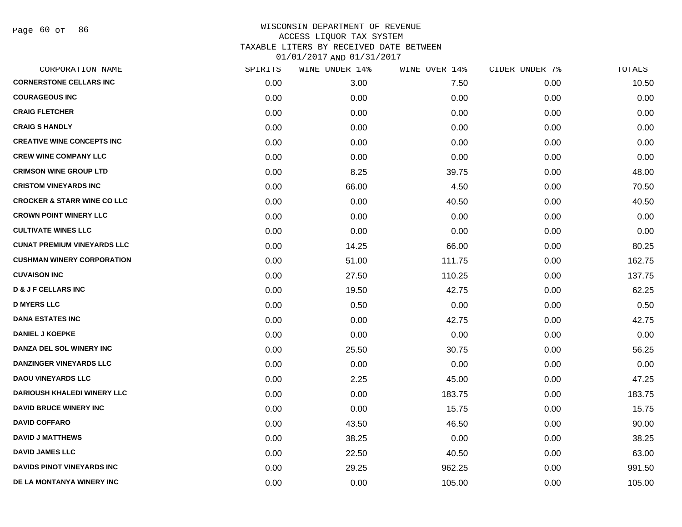| CORPORATION NAME                       | SPIRITS | WINE UNDER 14% | WINE OVER 14% | CIDER UNDER 7% | TOTALS |
|----------------------------------------|---------|----------------|---------------|----------------|--------|
| <b>CORNERSTONE CELLARS INC</b>         | 0.00    | 3.00           | 7.50          | 0.00           | 10.50  |
| <b>COURAGEOUS INC</b>                  | 0.00    | 0.00           | 0.00          | 0.00           | 0.00   |
| <b>CRAIG FLETCHER</b>                  | 0.00    | 0.00           | 0.00          | 0.00           | 0.00   |
| <b>CRAIG S HANDLY</b>                  | 0.00    | 0.00           | 0.00          | 0.00           | 0.00   |
| <b>CREATIVE WINE CONCEPTS INC</b>      | 0.00    | 0.00           | 0.00          | 0.00           | 0.00   |
| <b>CREW WINE COMPANY LLC</b>           | 0.00    | 0.00           | 0.00          | 0.00           | 0.00   |
| <b>CRIMSON WINE GROUP LTD</b>          | 0.00    | 8.25           | 39.75         | 0.00           | 48.00  |
| <b>CRISTOM VINEYARDS INC</b>           | 0.00    | 66.00          | 4.50          | 0.00           | 70.50  |
| <b>CROCKER &amp; STARR WINE CO LLC</b> | 0.00    | 0.00           | 40.50         | 0.00           | 40.50  |
| <b>CROWN POINT WINERY LLC</b>          | 0.00    | 0.00           | 0.00          | 0.00           | 0.00   |
| <b>CULTIVATE WINES LLC</b>             | 0.00    | 0.00           | 0.00          | 0.00           | 0.00   |
| <b>CUNAT PREMIUM VINEYARDS LLC</b>     | 0.00    | 14.25          | 66.00         | 0.00           | 80.25  |
| <b>CUSHMAN WINERY CORPORATION</b>      | 0.00    | 51.00          | 111.75        | 0.00           | 162.75 |
| <b>CUVAISON INC</b>                    | 0.00    | 27.50          | 110.25        | 0.00           | 137.75 |
| <b>D &amp; J F CELLARS INC</b>         | 0.00    | 19.50          | 42.75         | 0.00           | 62.25  |
| <b>D MYERS LLC</b>                     | 0.00    | 0.50           | 0.00          | 0.00           | 0.50   |
| <b>DANA ESTATES INC</b>                | 0.00    | 0.00           | 42.75         | 0.00           | 42.75  |
| <b>DANIEL J KOEPKE</b>                 | 0.00    | 0.00           | 0.00          | 0.00           | 0.00   |
| DANZA DEL SOL WINERY INC               | 0.00    | 25.50          | 30.75         | 0.00           | 56.25  |
| <b>DANZINGER VINEYARDS LLC</b>         | 0.00    | 0.00           | 0.00          | 0.00           | 0.00   |
| <b>DAOU VINEYARDS LLC</b>              | 0.00    | 2.25           | 45.00         | 0.00           | 47.25  |
| <b>DARIOUSH KHALEDI WINERY LLC</b>     | 0.00    | 0.00           | 183.75        | 0.00           | 183.75 |
| <b>DAVID BRUCE WINERY INC</b>          | 0.00    | 0.00           | 15.75         | 0.00           | 15.75  |
| <b>DAVID COFFARO</b>                   | 0.00    | 43.50          | 46.50         | 0.00           | 90.00  |
| <b>DAVID J MATTHEWS</b>                | 0.00    | 38.25          | 0.00          | 0.00           | 38.25  |
| <b>DAVID JAMES LLC</b>                 | 0.00    | 22.50          | 40.50         | 0.00           | 63.00  |
| DAVIDS PINOT VINEYARDS INC             | 0.00    | 29.25          | 962.25        | 0.00           | 991.50 |
| DE LA MONTANYA WINERY INC              | 0.00    | 0.00           | 105.00        | 0.00           | 105.00 |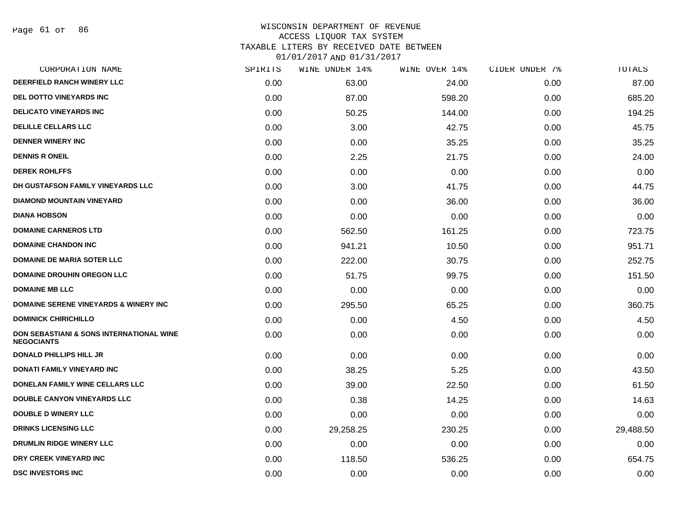Page 61 of 86

#### WISCONSIN DEPARTMENT OF REVENUE ACCESS LIQUOR TAX SYSTEM TAXABLE LITERS BY RECEIVED DATE BETWEEN

| CORPORATION NAME                                              | SPIRITS | WINE UNDER 14% | WINE OVER 14% | CIDER UNDER 7% | TOTALS    |
|---------------------------------------------------------------|---------|----------------|---------------|----------------|-----------|
| <b>DEERFIELD RANCH WINERY LLC</b>                             | 0.00    | 63.00          | 24.00         | 0.00           | 87.00     |
| <b>DEL DOTTO VINEYARDS INC</b>                                | 0.00    | 87.00          | 598.20        | 0.00           | 685.20    |
| <b>DELICATO VINEYARDS INC</b>                                 | 0.00    | 50.25          | 144.00        | 0.00           | 194.25    |
| DELILLE CELLARS LLC                                           | 0.00    | 3.00           | 42.75         | 0.00           | 45.75     |
| <b>DENNER WINERY INC</b>                                      | 0.00    | 0.00           | 35.25         | 0.00           | 35.25     |
| <b>DENNIS R ONEIL</b>                                         | 0.00    | 2.25           | 21.75         | 0.00           | 24.00     |
| <b>DEREK ROHLFFS</b>                                          | 0.00    | 0.00           | 0.00          | 0.00           | 0.00      |
| <b>DH GUSTAFSON FAMILY VINEYARDS LLC</b>                      | 0.00    | 3.00           | 41.75         | 0.00           | 44.75     |
| <b>DIAMOND MOUNTAIN VINEYARD</b>                              | 0.00    | 0.00           | 36.00         | 0.00           | 36.00     |
| <b>DIANA HOBSON</b>                                           | 0.00    | 0.00           | 0.00          | 0.00           | 0.00      |
| <b>DOMAINE CARNEROS LTD</b>                                   | 0.00    | 562.50         | 161.25        | 0.00           | 723.75    |
| <b>DOMAINE CHANDON INC</b>                                    | 0.00    | 941.21         | 10.50         | 0.00           | 951.71    |
| <b>DOMAINE DE MARIA SOTER LLC</b>                             | 0.00    | 222.00         | 30.75         | 0.00           | 252.75    |
| <b>DOMAINE DROUHIN OREGON LLC</b>                             | 0.00    | 51.75          | 99.75         | 0.00           | 151.50    |
| <b>DOMAINE MB LLC</b>                                         | 0.00    | 0.00           | 0.00          | 0.00           | 0.00      |
| <b>DOMAINE SERENE VINEYARDS &amp; WINERY INC</b>              | 0.00    | 295.50         | 65.25         | 0.00           | 360.75    |
| <b>DOMINICK CHIRICHILLO</b>                                   | 0.00    | 0.00           | 4.50          | 0.00           | 4.50      |
| DON SEBASTIANI & SONS INTERNATIONAL WINE<br><b>NEGOCIANTS</b> | 0.00    | 0.00           | 0.00          | 0.00           | 0.00      |
| <b>DONALD PHILLIPS HILL JR</b>                                | 0.00    | 0.00           | 0.00          | 0.00           | 0.00      |
| DONATI FAMILY VINEYARD INC                                    | 0.00    | 38.25          | 5.25          | 0.00           | 43.50     |
| DONELAN FAMILY WINE CELLARS LLC                               | 0.00    | 39.00          | 22.50         | 0.00           | 61.50     |
| <b>DOUBLE CANYON VINEYARDS LLC</b>                            | 0.00    | 0.38           | 14.25         | 0.00           | 14.63     |
| <b>DOUBLE D WINERY LLC</b>                                    | 0.00    | 0.00           | 0.00          | 0.00           | 0.00      |
| <b>DRINKS LICENSING LLC</b>                                   | 0.00    | 29,258.25      | 230.25        | 0.00           | 29,488.50 |
| DRUMLIN RIDGE WINERY LLC                                      | 0.00    | 0.00           | 0.00          | 0.00           | 0.00      |
| DRY CREEK VINEYARD INC                                        | 0.00    | 118.50         | 536.25        | 0.00           | 654.75    |
| <b>DSC INVESTORS INC</b>                                      | 0.00    | 0.00           | 0.00          | 0.00           | 0.00      |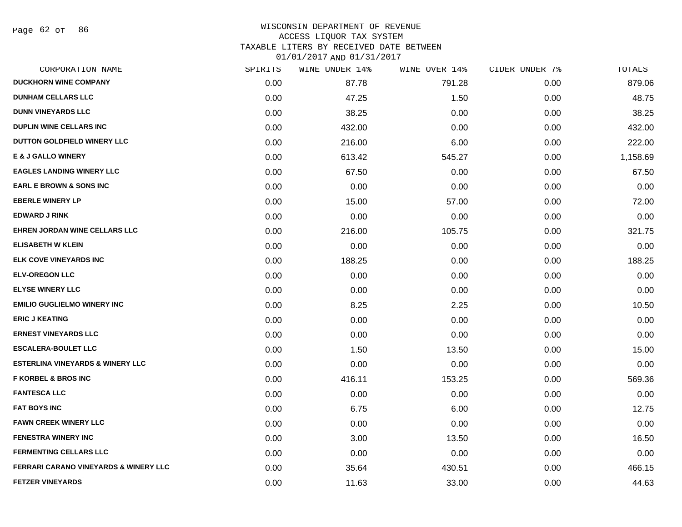Page 62 of 86

#### WISCONSIN DEPARTMENT OF REVENUE ACCESS LIQUOR TAX SYSTEM TAXABLE LITERS BY RECEIVED DATE BETWEEN

| CORPORATION NAME                                 | SPIRITS | WINE UNDER 14% | WINE OVER 14% | CIDER UNDER 7% | TOTALS   |
|--------------------------------------------------|---------|----------------|---------------|----------------|----------|
| <b>DUCKHORN WINE COMPANY</b>                     | 0.00    | 87.78          | 791.28        | 0.00           | 879.06   |
| <b>DUNHAM CELLARS LLC</b>                        | 0.00    | 47.25          | 1.50          | 0.00           | 48.75    |
| <b>DUNN VINEYARDS LLC</b>                        | 0.00    | 38.25          | 0.00          | 0.00           | 38.25    |
| <b>DUPLIN WINE CELLARS INC</b>                   | 0.00    | 432.00         | 0.00          | 0.00           | 432.00   |
| <b>DUTTON GOLDFIELD WINERY LLC</b>               | 0.00    | 216.00         | 6.00          | 0.00           | 222.00   |
| <b>E &amp; J GALLO WINERY</b>                    | 0.00    | 613.42         | 545.27        | 0.00           | 1,158.69 |
| <b>EAGLES LANDING WINERY LLC</b>                 | 0.00    | 67.50          | 0.00          | 0.00           | 67.50    |
| <b>EARL E BROWN &amp; SONS INC</b>               | 0.00    | 0.00           | 0.00          | 0.00           | 0.00     |
| <b>EBERLE WINERY LP</b>                          | 0.00    | 15.00          | 57.00         | 0.00           | 72.00    |
| <b>EDWARD J RINK</b>                             | 0.00    | 0.00           | 0.00          | 0.00           | 0.00     |
| <b>EHREN JORDAN WINE CELLARS LLC</b>             | 0.00    | 216.00         | 105.75        | 0.00           | 321.75   |
| <b>ELISABETH W KLEIN</b>                         | 0.00    | 0.00           | 0.00          | 0.00           | 0.00     |
| <b>ELK COVE VINEYARDS INC</b>                    | 0.00    | 188.25         | 0.00          | 0.00           | 188.25   |
| <b>ELV-OREGON LLC</b>                            | 0.00    | 0.00           | 0.00          | 0.00           | 0.00     |
| <b>ELYSE WINERY LLC</b>                          | 0.00    | 0.00           | 0.00          | 0.00           | 0.00     |
| <b>EMILIO GUGLIELMO WINERY INC</b>               | 0.00    | 8.25           | 2.25          | 0.00           | 10.50    |
| <b>ERIC J KEATING</b>                            | 0.00    | 0.00           | 0.00          | 0.00           | 0.00     |
| <b>ERNEST VINEYARDS LLC</b>                      | 0.00    | 0.00           | 0.00          | 0.00           | 0.00     |
| <b>ESCALERA-BOULET LLC</b>                       | 0.00    | 1.50           | 13.50         | 0.00           | 15.00    |
| <b>ESTERLINA VINEYARDS &amp; WINERY LLC</b>      | 0.00    | 0.00           | 0.00          | 0.00           | 0.00     |
| <b>F KORBEL &amp; BROS INC</b>                   | 0.00    | 416.11         | 153.25        | 0.00           | 569.36   |
| <b>FANTESCA LLC</b>                              | 0.00    | 0.00           | 0.00          | 0.00           | 0.00     |
| <b>FAT BOYS INC</b>                              | 0.00    | 6.75           | 6.00          | 0.00           | 12.75    |
| <b>FAWN CREEK WINERY LLC</b>                     | 0.00    | 0.00           | 0.00          | 0.00           | 0.00     |
| <b>FENESTRA WINERY INC</b>                       | 0.00    | 3.00           | 13.50         | 0.00           | 16.50    |
| <b>FERMENTING CELLARS LLC</b>                    | 0.00    | 0.00           | 0.00          | 0.00           | 0.00     |
| <b>FERRARI CARANO VINEYARDS &amp; WINERY LLC</b> | 0.00    | 35.64          | 430.51        | 0.00           | 466.15   |
| <b>FETZER VINEYARDS</b>                          | 0.00    | 11.63          | 33.00         | 0.00           | 44.63    |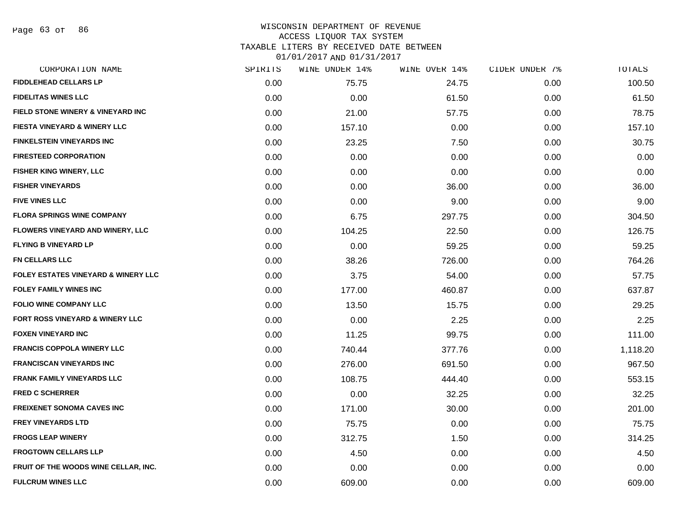Page 63 of 86

| CORPORATION NAME                               | SPIRITS | WINE UNDER 14% | WINE OVER 14% | CIDER UNDER 7% | TOTALS   |
|------------------------------------------------|---------|----------------|---------------|----------------|----------|
| <b>FIDDLEHEAD CELLARS LP</b>                   | 0.00    | 75.75          | 24.75         | 0.00           | 100.50   |
| <b>FIDELITAS WINES LLC</b>                     | 0.00    | 0.00           | 61.50         | 0.00           | 61.50    |
| FIELD STONE WINERY & VINEYARD INC              | 0.00    | 21.00          | 57.75         | 0.00           | 78.75    |
| <b>FIESTA VINEYARD &amp; WINERY LLC</b>        | 0.00    | 157.10         | 0.00          | 0.00           | 157.10   |
| <b>FINKELSTEIN VINEYARDS INC</b>               | 0.00    | 23.25          | 7.50          | 0.00           | 30.75    |
| <b>FIRESTEED CORPORATION</b>                   | 0.00    | 0.00           | 0.00          | 0.00           | 0.00     |
| <b>FISHER KING WINERY, LLC</b>                 | 0.00    | 0.00           | 0.00          | 0.00           | 0.00     |
| <b>FISHER VINEYARDS</b>                        | 0.00    | 0.00           | 36.00         | 0.00           | 36.00    |
| <b>FIVE VINES LLC</b>                          | 0.00    | 0.00           | 9.00          | 0.00           | 9.00     |
| <b>FLORA SPRINGS WINE COMPANY</b>              | 0.00    | 6.75           | 297.75        | 0.00           | 304.50   |
| <b>FLOWERS VINEYARD AND WINERY, LLC</b>        | 0.00    | 104.25         | 22.50         | 0.00           | 126.75   |
| <b>FLYING B VINEYARD LP</b>                    | 0.00    | 0.00           | 59.25         | 0.00           | 59.25    |
| <b>FN CELLARS LLC</b>                          | 0.00    | 38.26          | 726.00        | 0.00           | 764.26   |
| <b>FOLEY ESTATES VINEYARD &amp; WINERY LLC</b> | 0.00    | 3.75           | 54.00         | 0.00           | 57.75    |
| <b>FOLEY FAMILY WINES INC</b>                  | 0.00    | 177.00         | 460.87        | 0.00           | 637.87   |
| <b>FOLIO WINE COMPANY LLC</b>                  | 0.00    | 13.50          | 15.75         | 0.00           | 29.25    |
| FORT ROSS VINEYARD & WINERY LLC                | 0.00    | 0.00           | 2.25          | 0.00           | 2.25     |
| <b>FOXEN VINEYARD INC</b>                      | 0.00    | 11.25          | 99.75         | 0.00           | 111.00   |
| <b>FRANCIS COPPOLA WINERY LLC</b>              | 0.00    | 740.44         | 377.76        | 0.00           | 1,118.20 |
| <b>FRANCISCAN VINEYARDS INC</b>                | 0.00    | 276.00         | 691.50        | 0.00           | 967.50   |
| <b>FRANK FAMILY VINEYARDS LLC</b>              | 0.00    | 108.75         | 444.40        | 0.00           | 553.15   |
| <b>FRED C SCHERRER</b>                         | 0.00    | 0.00           | 32.25         | 0.00           | 32.25    |
| <b>FREIXENET SONOMA CAVES INC</b>              | 0.00    | 171.00         | 30.00         | 0.00           | 201.00   |
| <b>FREY VINEYARDS LTD</b>                      | 0.00    | 75.75          | 0.00          | 0.00           | 75.75    |
| <b>FROGS LEAP WINERY</b>                       | 0.00    | 312.75         | 1.50          | 0.00           | 314.25   |
| <b>FROGTOWN CELLARS LLP</b>                    | 0.00    | 4.50           | 0.00          | 0.00           | 4.50     |
| FRUIT OF THE WOODS WINE CELLAR, INC.           | 0.00    | 0.00           | 0.00          | 0.00           | 0.00     |
| <b>FULCRUM WINES LLC</b>                       | 0.00    | 609.00         | 0.00          | 0.00           | 609.00   |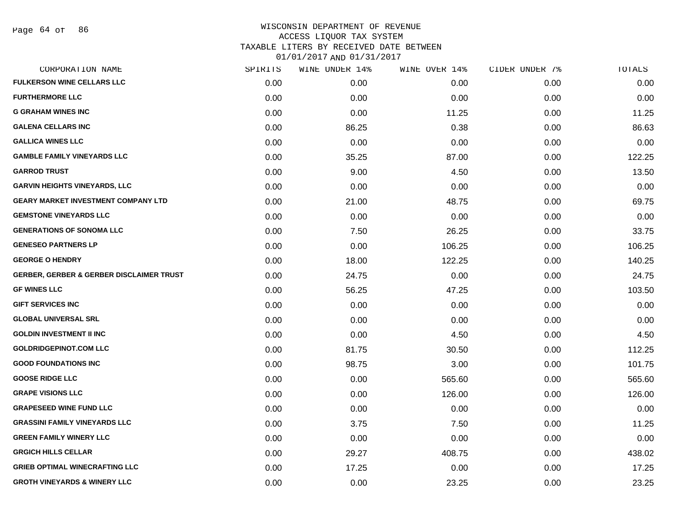#### WISCONSIN DEPARTMENT OF REVENUE ACCESS LIQUOR TAX SYSTEM TAXABLE LITERS BY RECEIVED DATE BETWEEN

| CORPORATION NAME                                    | SPIRITS | WINE UNDER 14% | WINE OVER 14% | CIDER UNDER 7% | TOTALS |
|-----------------------------------------------------|---------|----------------|---------------|----------------|--------|
| <b>FULKERSON WINE CELLARS LLC</b>                   | 0.00    | 0.00           | 0.00          | 0.00           | 0.00   |
| <b>FURTHERMORE LLC</b>                              | 0.00    | 0.00           | 0.00          | 0.00           | 0.00   |
| <b>G GRAHAM WINES INC</b>                           | 0.00    | 0.00           | 11.25         | 0.00           | 11.25  |
| <b>GALENA CELLARS INC</b>                           | 0.00    | 86.25          | 0.38          | 0.00           | 86.63  |
| <b>GALLICA WINES LLC</b>                            | 0.00    | 0.00           | 0.00          | 0.00           | 0.00   |
| <b>GAMBLE FAMILY VINEYARDS LLC</b>                  | 0.00    | 35.25          | 87.00         | 0.00           | 122.25 |
| <b>GARROD TRUST</b>                                 | 0.00    | 9.00           | 4.50          | 0.00           | 13.50  |
| <b>GARVIN HEIGHTS VINEYARDS, LLC</b>                | 0.00    | 0.00           | 0.00          | 0.00           | 0.00   |
| <b>GEARY MARKET INVESTMENT COMPANY LTD</b>          | 0.00    | 21.00          | 48.75         | 0.00           | 69.75  |
| <b>GEMSTONE VINEYARDS LLC</b>                       | 0.00    | 0.00           | 0.00          | 0.00           | 0.00   |
| <b>GENERATIONS OF SONOMA LLC</b>                    | 0.00    | 7.50           | 26.25         | 0.00           | 33.75  |
| <b>GENESEO PARTNERS LP</b>                          | 0.00    | 0.00           | 106.25        | 0.00           | 106.25 |
| <b>GEORGE O HENDRY</b>                              | 0.00    | 18.00          | 122.25        | 0.00           | 140.25 |
| <b>GERBER, GERBER &amp; GERBER DISCLAIMER TRUST</b> | 0.00    | 24.75          | 0.00          | 0.00           | 24.75  |
| <b>GF WINES LLC</b>                                 | 0.00    | 56.25          | 47.25         | 0.00           | 103.50 |
| <b>GIFT SERVICES INC</b>                            | 0.00    | 0.00           | 0.00          | 0.00           | 0.00   |
| <b>GLOBAL UNIVERSAL SRL</b>                         | 0.00    | 0.00           | 0.00          | 0.00           | 0.00   |
| <b>GOLDIN INVESTMENT II INC</b>                     | 0.00    | 0.00           | 4.50          | 0.00           | 4.50   |
| <b>GOLDRIDGEPINOT.COM LLC</b>                       | 0.00    | 81.75          | 30.50         | 0.00           | 112.25 |
| <b>GOOD FOUNDATIONS INC</b>                         | 0.00    | 98.75          | 3.00          | 0.00           | 101.75 |
| <b>GOOSE RIDGE LLC</b>                              | 0.00    | 0.00           | 565.60        | 0.00           | 565.60 |
| <b>GRAPE VISIONS LLC</b>                            | 0.00    | 0.00           | 126.00        | 0.00           | 126.00 |
| <b>GRAPESEED WINE FUND LLC</b>                      | 0.00    | 0.00           | 0.00          | 0.00           | 0.00   |
| <b>GRASSINI FAMILY VINEYARDS LLC</b>                | 0.00    | 3.75           | 7.50          | 0.00           | 11.25  |
| <b>GREEN FAMILY WINERY LLC</b>                      | 0.00    | 0.00           | 0.00          | 0.00           | 0.00   |
| <b>GRGICH HILLS CELLAR</b>                          | 0.00    | 29.27          | 408.75        | 0.00           | 438.02 |
| <b>GRIEB OPTIMAL WINECRAFTING LLC</b>               | 0.00    | 17.25          | 0.00          | 0.00           | 17.25  |
| <b>GROTH VINEYARDS &amp; WINERY LLC</b>             | 0.00    | 0.00           | 23.25         | 0.00           | 23.25  |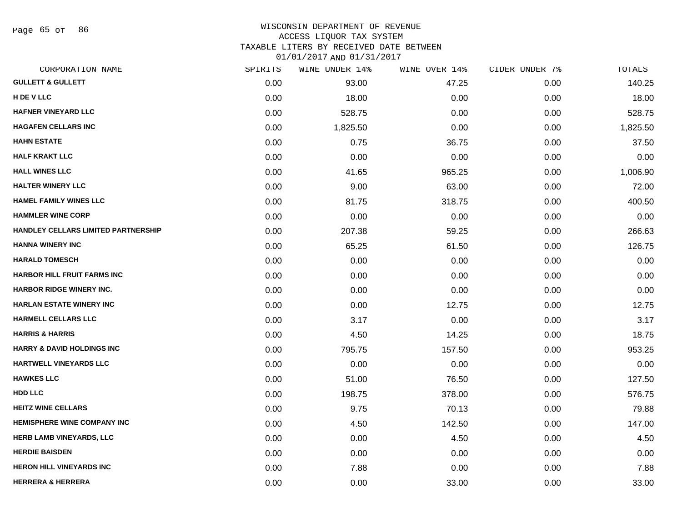Page 65 of 86

# WISCONSIN DEPARTMENT OF REVENUE

ACCESS LIQUOR TAX SYSTEM

TAXABLE LITERS BY RECEIVED DATE BETWEEN

| CORPORATION NAME                      | SPIRITS | WINE UNDER 14% | WINE OVER 14% | CIDER UNDER 7% | TOTALS   |
|---------------------------------------|---------|----------------|---------------|----------------|----------|
| <b>GULLETT &amp; GULLETT</b>          | 0.00    | 93.00          | 47.25         | 0.00           | 140.25   |
| H DE V LLC                            | 0.00    | 18.00          | 0.00          | 0.00           | 18.00    |
| <b>HAFNER VINEYARD LLC</b>            | 0.00    | 528.75         | 0.00          | 0.00           | 528.75   |
| <b>HAGAFEN CELLARS INC</b>            | 0.00    | 1,825.50       | 0.00          | 0.00           | 1,825.50 |
| <b>HAHN ESTATE</b>                    | 0.00    | 0.75           | 36.75         | 0.00           | 37.50    |
| <b>HALF KRAKT LLC</b>                 | 0.00    | 0.00           | 0.00          | 0.00           | 0.00     |
| <b>HALL WINES LLC</b>                 | 0.00    | 41.65          | 965.25        | 0.00           | 1,006.90 |
| <b>HALTER WINERY LLC</b>              | 0.00    | 9.00           | 63.00         | 0.00           | 72.00    |
| <b>HAMEL FAMILY WINES LLC</b>         | 0.00    | 81.75          | 318.75        | 0.00           | 400.50   |
| <b>HAMMLER WINE CORP</b>              | 0.00    | 0.00           | 0.00          | 0.00           | 0.00     |
| HANDLEY CELLARS LIMITED PARTNERSHIP   | 0.00    | 207.38         | 59.25         | 0.00           | 266.63   |
| <b>HANNA WINERY INC</b>               | 0.00    | 65.25          | 61.50         | 0.00           | 126.75   |
| <b>HARALD TOMESCH</b>                 | 0.00    | 0.00           | 0.00          | 0.00           | 0.00     |
| <b>HARBOR HILL FRUIT FARMS INC</b>    | 0.00    | 0.00           | 0.00          | 0.00           | 0.00     |
| <b>HARBOR RIDGE WINERY INC.</b>       | 0.00    | 0.00           | 0.00          | 0.00           | 0.00     |
| <b>HARLAN ESTATE WINERY INC</b>       | 0.00    | 0.00           | 12.75         | 0.00           | 12.75    |
| <b>HARMELL CELLARS LLC</b>            | 0.00    | 3.17           | 0.00          | 0.00           | 3.17     |
| <b>HARRIS &amp; HARRIS</b>            | 0.00    | 4.50           | 14.25         | 0.00           | 18.75    |
| <b>HARRY &amp; DAVID HOLDINGS INC</b> | 0.00    | 795.75         | 157.50        | 0.00           | 953.25   |
| <b>HARTWELL VINEYARDS LLC</b>         | 0.00    | 0.00           | 0.00          | 0.00           | 0.00     |
| <b>HAWKES LLC</b>                     | 0.00    | 51.00          | 76.50         | 0.00           | 127.50   |
| HDD LLC                               | 0.00    | 198.75         | 378.00        | 0.00           | 576.75   |
| <b>HEITZ WINE CELLARS</b>             | 0.00    | 9.75           | 70.13         | 0.00           | 79.88    |
| <b>HEMISPHERE WINE COMPANY INC</b>    | 0.00    | 4.50           | 142.50        | 0.00           | 147.00   |
| HERB LAMB VINEYARDS, LLC              | 0.00    | 0.00           | 4.50          | 0.00           | 4.50     |
| <b>HERDIE BAISDEN</b>                 | 0.00    | 0.00           | 0.00          | 0.00           | 0.00     |
| <b>HERON HILL VINEYARDS INC</b>       | 0.00    | 7.88           | 0.00          | 0.00           | 7.88     |
| <b>HERRERA &amp; HERRERA</b>          | 0.00    | 0.00           | 33.00         | 0.00           | 33.00    |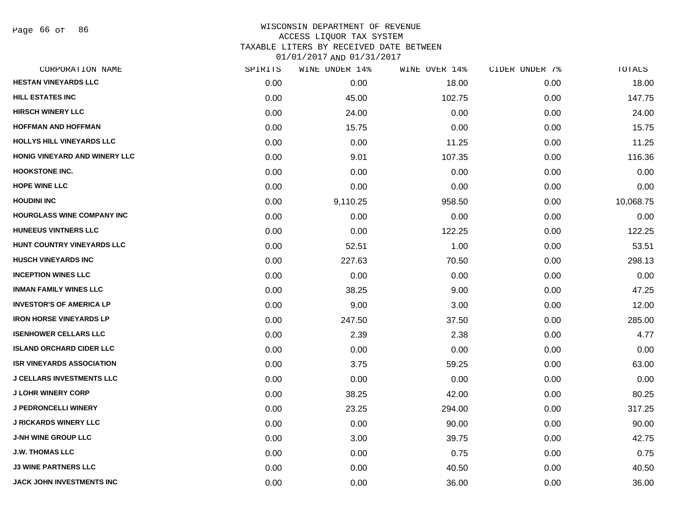Page 66 of 86

#### WISCONSIN DEPARTMENT OF REVENUE ACCESS LIQUOR TAX SYSTEM TAXABLE LITERS BY RECEIVED DATE BETWEEN

| CORPORATION NAME                  | SPIRITS | WINE UNDER 14% | WINE OVER 14% | CIDER UNDER 7% | TOTALS    |
|-----------------------------------|---------|----------------|---------------|----------------|-----------|
| <b>HESTAN VINEYARDS LLC</b>       | 0.00    | 0.00           | 18.00         | 0.00           | 18.00     |
| <b>HILL ESTATES INC</b>           | 0.00    | 45.00          | 102.75        | 0.00           | 147.75    |
| <b>HIRSCH WINERY LLC</b>          | 0.00    | 24.00          | 0.00          | 0.00           | 24.00     |
| <b>HOFFMAN AND HOFFMAN</b>        | 0.00    | 15.75          | 0.00          | 0.00           | 15.75     |
| <b>HOLLYS HILL VINEYARDS LLC</b>  | 0.00    | 0.00           | 11.25         | 0.00           | 11.25     |
| HONIG VINEYARD AND WINERY LLC     | 0.00    | 9.01           | 107.35        | 0.00           | 116.36    |
| <b>HOOKSTONE INC.</b>             | 0.00    | 0.00           | 0.00          | 0.00           | 0.00      |
| <b>HOPE WINE LLC</b>              | 0.00    | 0.00           | 0.00          | 0.00           | 0.00      |
| <b>HOUDINI INC</b>                | 0.00    | 9,110.25       | 958.50        | 0.00           | 10,068.75 |
| <b>HOURGLASS WINE COMPANY INC</b> | 0.00    | 0.00           | 0.00          | 0.00           | 0.00      |
| <b>HUNEEUS VINTNERS LLC</b>       | 0.00    | 0.00           | 122.25        | 0.00           | 122.25    |
| HUNT COUNTRY VINEYARDS LLC        | 0.00    | 52.51          | 1.00          | 0.00           | 53.51     |
| <b>HUSCH VINEYARDS INC</b>        | 0.00    | 227.63         | 70.50         | 0.00           | 298.13    |
| <b>INCEPTION WINES LLC</b>        | 0.00    | 0.00           | 0.00          | 0.00           | 0.00      |
| <b>INMAN FAMILY WINES LLC</b>     | 0.00    | 38.25          | 9.00          | 0.00           | 47.25     |
| <b>INVESTOR'S OF AMERICA LP</b>   | 0.00    | 9.00           | 3.00          | 0.00           | 12.00     |
| <b>IRON HORSE VINEYARDS LP</b>    | 0.00    | 247.50         | 37.50         | 0.00           | 285.00    |
| <b>ISENHOWER CELLARS LLC</b>      | 0.00    | 2.39           | 2.38          | 0.00           | 4.77      |
| <b>ISLAND ORCHARD CIDER LLC</b>   | 0.00    | 0.00           | 0.00          | 0.00           | 0.00      |
| <b>ISR VINEYARDS ASSOCIATION</b>  | 0.00    | 3.75           | 59.25         | 0.00           | 63.00     |
| <b>J CELLARS INVESTMENTS LLC</b>  | 0.00    | 0.00           | 0.00          | 0.00           | 0.00      |
| <b>J LOHR WINERY CORP</b>         | 0.00    | 38.25          | 42.00         | 0.00           | 80.25     |
| <b>J PEDRONCELLI WINERY</b>       | 0.00    | 23.25          | 294.00        | 0.00           | 317.25    |
| <b>J RICKARDS WINERY LLC</b>      | 0.00    | 0.00           | 90.00         | 0.00           | 90.00     |
| <b>J-NH WINE GROUP LLC</b>        | 0.00    | 3.00           | 39.75         | 0.00           | 42.75     |
| <b>J.W. THOMAS LLC</b>            | 0.00    | 0.00           | 0.75          | 0.00           | 0.75      |
| <b>J3 WINE PARTNERS LLC</b>       | 0.00    | 0.00           | 40.50         | 0.00           | 40.50     |
| JACK JOHN INVESTMENTS INC         | 0.00    | 0.00           | 36.00         | 0.00           | 36.00     |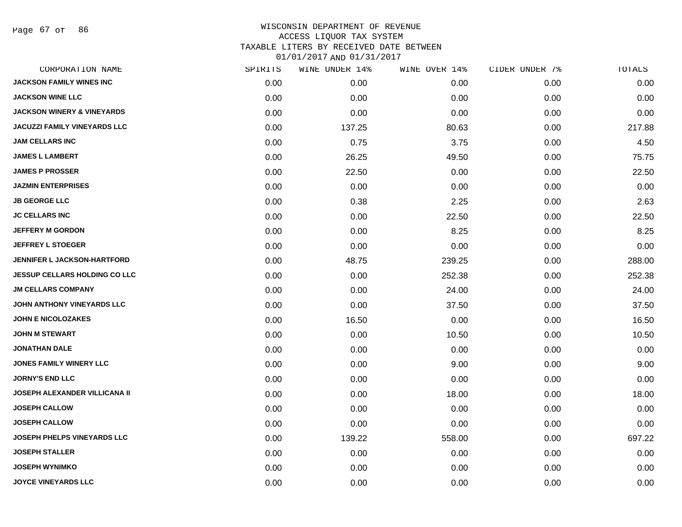Page 67 of 86

| CORPORATION NAME                      | SPIRITS | WINE UNDER 14% | WINE OVER 14% | CIDER UNDER 7% | TOTALS |
|---------------------------------------|---------|----------------|---------------|----------------|--------|
| <b>JACKSON FAMILY WINES INC</b>       | 0.00    | 0.00           | 0.00          | 0.00           | 0.00   |
| <b>JACKSON WINE LLC</b>               | 0.00    | 0.00           | 0.00          | 0.00           | 0.00   |
| <b>JACKSON WINERY &amp; VINEYARDS</b> | 0.00    | 0.00           | 0.00          | 0.00           | 0.00   |
| <b>JACUZZI FAMILY VINEYARDS LLC</b>   | 0.00    | 137.25         | 80.63         | 0.00           | 217.88 |
| <b>JAM CELLARS INC</b>                | 0.00    | 0.75           | 3.75          | 0.00           | 4.50   |
| <b>JAMES L LAMBERT</b>                | 0.00    | 26.25          | 49.50         | 0.00           | 75.75  |
| <b>JAMES P PROSSER</b>                | 0.00    | 22.50          | 0.00          | 0.00           | 22.50  |
| <b>JAZMIN ENTERPRISES</b>             | 0.00    | 0.00           | 0.00          | 0.00           | 0.00   |
| <b>JB GEORGE LLC</b>                  | 0.00    | 0.38           | 2.25          | 0.00           | 2.63   |
| <b>JC CELLARS INC</b>                 | 0.00    | 0.00           | 22.50         | 0.00           | 22.50  |
| <b>JEFFERY M GORDON</b>               | 0.00    | 0.00           | 8.25          | 0.00           | 8.25   |
| <b>JEFFREY L STOEGER</b>              | 0.00    | 0.00           | 0.00          | 0.00           | 0.00   |
| <b>JENNIFER L JACKSON-HARTFORD</b>    | 0.00    | 48.75          | 239.25        | 0.00           | 288.00 |
| <b>JESSUP CELLARS HOLDING CO LLC</b>  | 0.00    | 0.00           | 252.38        | 0.00           | 252.38 |
| <b>JM CELLARS COMPANY</b>             | 0.00    | 0.00           | 24.00         | 0.00           | 24.00  |
| JOHN ANTHONY VINEYARDS LLC            | 0.00    | 0.00           | 37.50         | 0.00           | 37.50  |
| <b>JOHN E NICOLOZAKES</b>             | 0.00    | 16.50          | 0.00          | 0.00           | 16.50  |
| <b>JOHN M STEWART</b>                 | 0.00    | 0.00           | 10.50         | 0.00           | 10.50  |
| <b>JONATHAN DALE</b>                  | 0.00    | 0.00           | 0.00          | 0.00           | 0.00   |
| JONES FAMILY WINERY LLC               | 0.00    | 0.00           | 9.00          | 0.00           | 9.00   |
| <b>JORNY'S END LLC</b>                | 0.00    | 0.00           | 0.00          | 0.00           | 0.00   |
| <b>JOSEPH ALEXANDER VILLICANA II</b>  | 0.00    | 0.00           | 18.00         | 0.00           | 18.00  |
| <b>JOSEPH CALLOW</b>                  | 0.00    | 0.00           | 0.00          | 0.00           | 0.00   |
| <b>JOSEPH CALLOW</b>                  | 0.00    | 0.00           | 0.00          | 0.00           | 0.00   |
| <b>JOSEPH PHELPS VINEYARDS LLC</b>    | 0.00    | 139.22         | 558.00        | 0.00           | 697.22 |
| <b>JOSEPH STALLER</b>                 | 0.00    | 0.00           | 0.00          | 0.00           | 0.00   |
| <b>JOSEPH WYNIMKO</b>                 | 0.00    | 0.00           | 0.00          | 0.00           | 0.00   |
| <b>JOYCE VINEYARDS LLC</b>            | 0.00    | 0.00           | 0.00          | 0.00           | 0.00   |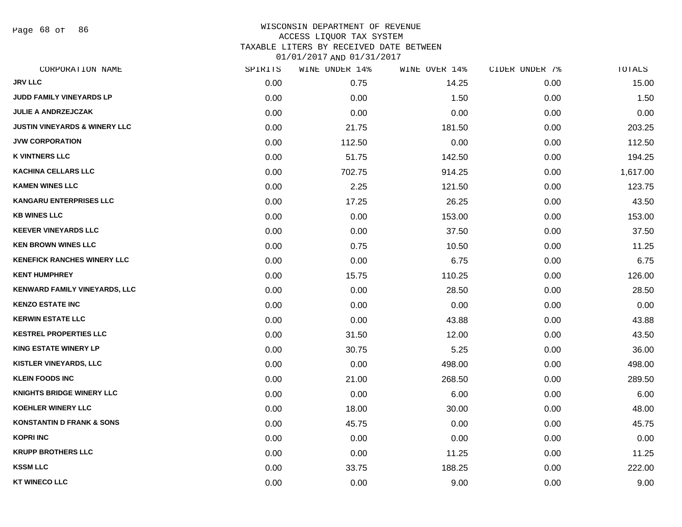Page 68 of 86

## WISCONSIN DEPARTMENT OF REVENUE ACCESS LIQUOR TAX SYSTEM

TAXABLE LITERS BY RECEIVED DATE BETWEEN

| CORPORATION NAME                         | SPIRITS | WINE UNDER 14% | WINE OVER 14% | CIDER UNDER 7% | TOTALS   |
|------------------------------------------|---------|----------------|---------------|----------------|----------|
| <b>JRV LLC</b>                           | 0.00    | 0.75           | 14.25         | 0.00           | 15.00    |
| JUDD FAMILY VINEYARDS LP                 | 0.00    | 0.00           | 1.50          | 0.00           | 1.50     |
| JULIE A ANDRZEJCZAK                      | 0.00    | 0.00           | 0.00          | 0.00           | 0.00     |
| <b>JUSTIN VINEYARDS &amp; WINERY LLC</b> | 0.00    | 21.75          | 181.50        | 0.00           | 203.25   |
| <b>JVW CORPORATION</b>                   | 0.00    | 112.50         | 0.00          | 0.00           | 112.50   |
| <b>K VINTNERS LLC</b>                    | 0.00    | 51.75          | 142.50        | 0.00           | 194.25   |
| <b>KACHINA CELLARS LLC</b>               | 0.00    | 702.75         | 914.25        | 0.00           | 1,617.00 |
| <b>KAMEN WINES LLC</b>                   | 0.00    | 2.25           | 121.50        | 0.00           | 123.75   |
| <b>KANGARU ENTERPRISES LLC</b>           | 0.00    | 17.25          | 26.25         | 0.00           | 43.50    |
| <b>KB WINES LLC</b>                      | 0.00    | 0.00           | 153.00        | 0.00           | 153.00   |
| <b>KEEVER VINEYARDS LLC</b>              | 0.00    | 0.00           | 37.50         | 0.00           | 37.50    |
| <b>KEN BROWN WINES LLC</b>               | 0.00    | 0.75           | 10.50         | 0.00           | 11.25    |
| <b>KENEFICK RANCHES WINERY LLC</b>       | 0.00    | 0.00           | 6.75          | 0.00           | 6.75     |
| <b>KENT HUMPHREY</b>                     | 0.00    | 15.75          | 110.25        | 0.00           | 126.00   |
| KENWARD FAMILY VINEYARDS, LLC            | 0.00    | 0.00           | 28.50         | 0.00           | 28.50    |
| <b>KENZO ESTATE INC</b>                  | 0.00    | 0.00           | 0.00          | 0.00           | 0.00     |
| <b>KERWIN ESTATE LLC</b>                 | 0.00    | 0.00           | 43.88         | 0.00           | 43.88    |
| <b>KESTREL PROPERTIES LLC</b>            | 0.00    | 31.50          | 12.00         | 0.00           | 43.50    |
| <b>KING ESTATE WINERY LP</b>             | 0.00    | 30.75          | 5.25          | 0.00           | 36.00    |
| <b>KISTLER VINEYARDS, LLC</b>            | 0.00    | 0.00           | 498.00        | 0.00           | 498.00   |
| <b>KLEIN FOODS INC</b>                   | 0.00    | 21.00          | 268.50        | 0.00           | 289.50   |
| KNIGHTS BRIDGE WINERY LLC                | 0.00    | 0.00           | 6.00          | 0.00           | 6.00     |
| <b>KOEHLER WINERY LLC</b>                | 0.00    | 18.00          | 30.00         | 0.00           | 48.00    |
| <b>KONSTANTIN D FRANK &amp; SONS</b>     | 0.00    | 45.75          | 0.00          | 0.00           | 45.75    |
| <b>KOPRI INC</b>                         | 0.00    | 0.00           | 0.00          | 0.00           | 0.00     |
| <b>KRUPP BROTHERS LLC</b>                | 0.00    | 0.00           | 11.25         | 0.00           | 11.25    |
| <b>KSSM LLC</b>                          | 0.00    | 33.75          | 188.25        | 0.00           | 222.00   |
| <b>KT WINECO LLC</b>                     | 0.00    | 0.00           | 9.00          | 0.00           | 9.00     |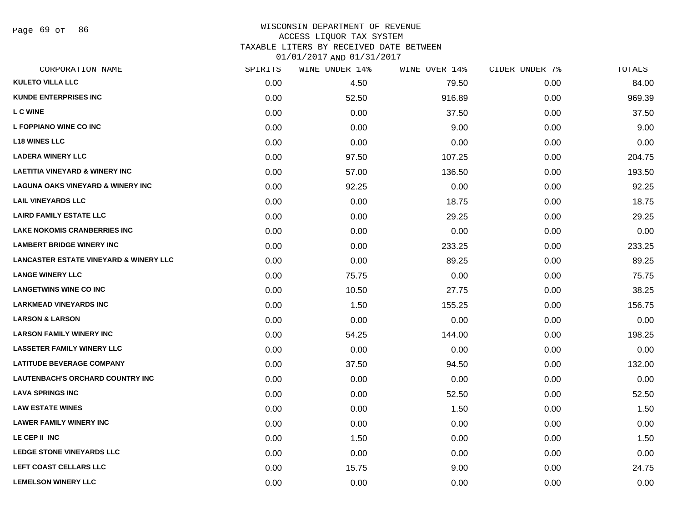Page 69 of 86

# WISCONSIN DEPARTMENT OF REVENUE ACCESS LIQUOR TAX SYSTEM TAXABLE LITERS BY RECEIVED DATE BETWEEN

| CORPORATION NAME                                  | SPIRITS | WINE UNDER 14% | WINE OVER 14% | CIDER UNDER 7% | TOTALS |
|---------------------------------------------------|---------|----------------|---------------|----------------|--------|
| <b>KULETO VILLA LLC</b>                           | 0.00    | 4.50           | 79.50         | 0.00           | 84.00  |
| <b>KUNDE ENTERPRISES INC</b>                      | 0.00    | 52.50          | 916.89        | 0.00           | 969.39 |
| L C WINE                                          | 0.00    | 0.00           | 37.50         | 0.00           | 37.50  |
| L FOPPIANO WINE CO INC                            | 0.00    | 0.00           | 9.00          | 0.00           | 9.00   |
| <b>L18 WINES LLC</b>                              | 0.00    | 0.00           | 0.00          | 0.00           | 0.00   |
| <b>LADERA WINERY LLC</b>                          | 0.00    | 97.50          | 107.25        | 0.00           | 204.75 |
| <b>LAETITIA VINEYARD &amp; WINERY INC</b>         | 0.00    | 57.00          | 136.50        | 0.00           | 193.50 |
| <b>LAGUNA OAKS VINEYARD &amp; WINERY INC</b>      | 0.00    | 92.25          | 0.00          | 0.00           | 92.25  |
| <b>LAIL VINEYARDS LLC</b>                         | 0.00    | 0.00           | 18.75         | 0.00           | 18.75  |
| <b>LAIRD FAMILY ESTATE LLC</b>                    | 0.00    | 0.00           | 29.25         | 0.00           | 29.25  |
| <b>LAKE NOKOMIS CRANBERRIES INC</b>               | 0.00    | 0.00           | 0.00          | 0.00           | 0.00   |
| <b>LAMBERT BRIDGE WINERY INC</b>                  | 0.00    | 0.00           | 233.25        | 0.00           | 233.25 |
| <b>LANCASTER ESTATE VINEYARD &amp; WINERY LLC</b> | 0.00    | 0.00           | 89.25         | 0.00           | 89.25  |
| <b>LANGE WINERY LLC</b>                           | 0.00    | 75.75          | 0.00          | 0.00           | 75.75  |
| <b>LANGETWINS WINE CO INC</b>                     | 0.00    | 10.50          | 27.75         | 0.00           | 38.25  |
| <b>LARKMEAD VINEYARDS INC</b>                     | 0.00    | 1.50           | 155.25        | 0.00           | 156.75 |
| <b>LARSON &amp; LARSON</b>                        | 0.00    | 0.00           | 0.00          | 0.00           | 0.00   |
| <b>LARSON FAMILY WINERY INC</b>                   | 0.00    | 54.25          | 144.00        | 0.00           | 198.25 |
| <b>LASSETER FAMILY WINERY LLC</b>                 | 0.00    | 0.00           | 0.00          | 0.00           | 0.00   |
| <b>LATITUDE BEVERAGE COMPANY</b>                  | 0.00    | 37.50          | 94.50         | 0.00           | 132.00 |
| LAUTENBACH'S ORCHARD COUNTRY INC                  | 0.00    | 0.00           | 0.00          | 0.00           | 0.00   |
| <b>LAVA SPRINGS INC</b>                           | 0.00    | 0.00           | 52.50         | 0.00           | 52.50  |
| <b>LAW ESTATE WINES</b>                           | 0.00    | 0.00           | 1.50          | 0.00           | 1.50   |
| <b>LAWER FAMILY WINERY INC</b>                    | 0.00    | 0.00           | 0.00          | 0.00           | 0.00   |
| LE CEP II INC                                     | 0.00    | 1.50           | 0.00          | 0.00           | 1.50   |
| LEDGE STONE VINEYARDS LLC                         | 0.00    | 0.00           | 0.00          | 0.00           | 0.00   |
| LEFT COAST CELLARS LLC                            | 0.00    | 15.75          | 9.00          | 0.00           | 24.75  |
| <b>LEMELSON WINERY LLC</b>                        | 0.00    | 0.00           | 0.00          | 0.00           | 0.00   |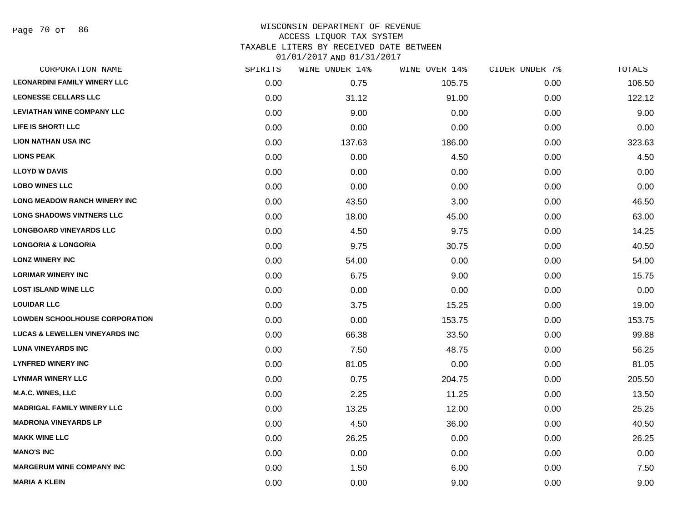Page 70 of 86

#### WISCONSIN DEPARTMENT OF REVENUE ACCESS LIQUOR TAX SYSTEM TAXABLE LITERS BY RECEIVED DATE BETWEEN

| CORPORATION NAME                          | SPIRITS | WINE UNDER 14% | WINE OVER 14% | CIDER UNDER 7% | TOTALS |
|-------------------------------------------|---------|----------------|---------------|----------------|--------|
| <b>LEONARDINI FAMILY WINERY LLC</b>       | 0.00    | 0.75           | 105.75        | 0.00           | 106.50 |
| <b>LEONESSE CELLARS LLC</b>               | 0.00    | 31.12          | 91.00         | 0.00           | 122.12 |
| <b>LEVIATHAN WINE COMPANY LLC</b>         | 0.00    | 9.00           | 0.00          | 0.00           | 9.00   |
| LIFE IS SHORT! LLC                        | 0.00    | 0.00           | 0.00          | 0.00           | 0.00   |
| <b>LION NATHAN USA INC</b>                | 0.00    | 137.63         | 186.00        | 0.00           | 323.63 |
| <b>LIONS PEAK</b>                         | 0.00    | 0.00           | 4.50          | 0.00           | 4.50   |
| <b>LLOYD W DAVIS</b>                      | 0.00    | 0.00           | 0.00          | 0.00           | 0.00   |
| <b>LOBO WINES LLC</b>                     | 0.00    | 0.00           | 0.00          | 0.00           | 0.00   |
| LONG MEADOW RANCH WINERY INC              | 0.00    | 43.50          | 3.00          | 0.00           | 46.50  |
| <b>LONG SHADOWS VINTNERS LLC</b>          | 0.00    | 18.00          | 45.00         | 0.00           | 63.00  |
| <b>LONGBOARD VINEYARDS LLC</b>            | 0.00    | 4.50           | 9.75          | 0.00           | 14.25  |
| <b>LONGORIA &amp; LONGORIA</b>            | 0.00    | 9.75           | 30.75         | 0.00           | 40.50  |
| <b>LONZ WINERY INC</b>                    | 0.00    | 54.00          | 0.00          | 0.00           | 54.00  |
| <b>LORIMAR WINERY INC</b>                 | 0.00    | 6.75           | 9.00          | 0.00           | 15.75  |
| <b>LOST ISLAND WINE LLC</b>               | 0.00    | 0.00           | 0.00          | 0.00           | 0.00   |
| <b>LOUIDAR LLC</b>                        | 0.00    | 3.75           | 15.25         | 0.00           | 19.00  |
| <b>LOWDEN SCHOOLHOUSE CORPORATION</b>     | 0.00    | 0.00           | 153.75        | 0.00           | 153.75 |
| <b>LUCAS &amp; LEWELLEN VINEYARDS INC</b> | 0.00    | 66.38          | 33.50         | 0.00           | 99.88  |
| <b>LUNA VINEYARDS INC</b>                 | 0.00    | 7.50           | 48.75         | 0.00           | 56.25  |
| <b>LYNFRED WINERY INC</b>                 | 0.00    | 81.05          | 0.00          | 0.00           | 81.05  |
| <b>LYNMAR WINERY LLC</b>                  | 0.00    | 0.75           | 204.75        | 0.00           | 205.50 |
| M.A.C. WINES, LLC                         | 0.00    | 2.25           | 11.25         | 0.00           | 13.50  |
| <b>MADRIGAL FAMILY WINERY LLC</b>         | 0.00    | 13.25          | 12.00         | 0.00           | 25.25  |
| <b>MADRONA VINEYARDS LP</b>               | 0.00    | 4.50           | 36.00         | 0.00           | 40.50  |
| <b>MAKK WINE LLC</b>                      | 0.00    | 26.25          | 0.00          | 0.00           | 26.25  |
| <b>MANO'S INC</b>                         | 0.00    | 0.00           | 0.00          | 0.00           | 0.00   |
| <b>MARGERUM WINE COMPANY INC</b>          | 0.00    | 1.50           | 6.00          | 0.00           | 7.50   |
| <b>MARIA A KLEIN</b>                      | 0.00    | 0.00           | 9.00          | 0.00           | 9.00   |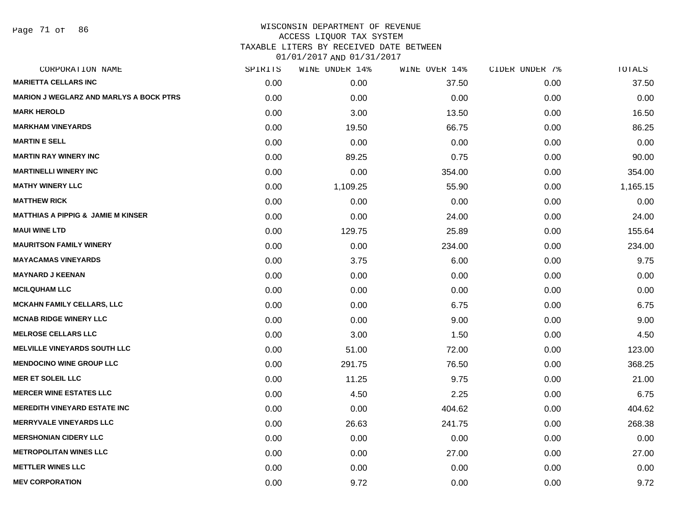Page 71 of 86

#### WISCONSIN DEPARTMENT OF REVENUE ACCESS LIQUOR TAX SYSTEM TAXABLE LITERS BY RECEIVED DATE BETWEEN

| CORPORATION NAME                               | SPIRITS | WINE UNDER 14% | WINE OVER 14% | CIDER UNDER 7% | TOTALS   |
|------------------------------------------------|---------|----------------|---------------|----------------|----------|
| <b>MARIETTA CELLARS INC</b>                    | 0.00    | 0.00           | 37.50         | 0.00           | 37.50    |
| <b>MARION J WEGLARZ AND MARLYS A BOCK PTRS</b> | 0.00    | 0.00           | 0.00          | 0.00           | 0.00     |
| <b>MARK HEROLD</b>                             | 0.00    | 3.00           | 13.50         | 0.00           | 16.50    |
| <b>MARKHAM VINEYARDS</b>                       | 0.00    | 19.50          | 66.75         | 0.00           | 86.25    |
| <b>MARTIN E SELL</b>                           | 0.00    | 0.00           | 0.00          | 0.00           | 0.00     |
| <b>MARTIN RAY WINERY INC</b>                   | 0.00    | 89.25          | 0.75          | 0.00           | 90.00    |
| <b>MARTINELLI WINERY INC</b>                   | 0.00    | 0.00           | 354.00        | 0.00           | 354.00   |
| <b>MATHY WINERY LLC</b>                        | 0.00    | 1,109.25       | 55.90         | 0.00           | 1,165.15 |
| <b>MATTHEW RICK</b>                            | 0.00    | 0.00           | 0.00          | 0.00           | 0.00     |
| <b>MATTHIAS A PIPPIG &amp; JAMIE M KINSER</b>  | 0.00    | 0.00           | 24.00         | 0.00           | 24.00    |
| <b>MAUI WINE LTD</b>                           | 0.00    | 129.75         | 25.89         | 0.00           | 155.64   |
| <b>MAURITSON FAMILY WINERY</b>                 | 0.00    | 0.00           | 234.00        | 0.00           | 234.00   |
| <b>MAYACAMAS VINEYARDS</b>                     | 0.00    | 3.75           | 6.00          | 0.00           | 9.75     |
| <b>MAYNARD J KEENAN</b>                        | 0.00    | 0.00           | 0.00          | 0.00           | 0.00     |
| <b>MCILQUHAM LLC</b>                           | 0.00    | 0.00           | 0.00          | 0.00           | 0.00     |
| <b>MCKAHN FAMILY CELLARS, LLC</b>              | 0.00    | 0.00           | 6.75          | 0.00           | 6.75     |
| <b>MCNAB RIDGE WINERY LLC</b>                  | 0.00    | 0.00           | 9.00          | 0.00           | 9.00     |
| <b>MELROSE CELLARS LLC</b>                     | 0.00    | 3.00           | 1.50          | 0.00           | 4.50     |
| <b>MELVILLE VINEYARDS SOUTH LLC</b>            | 0.00    | 51.00          | 72.00         | 0.00           | 123.00   |
| <b>MENDOCINO WINE GROUP LLC</b>                | 0.00    | 291.75         | 76.50         | 0.00           | 368.25   |
| <b>MER ET SOLEIL LLC</b>                       | 0.00    | 11.25          | 9.75          | 0.00           | 21.00    |
| <b>MERCER WINE ESTATES LLC</b>                 | 0.00    | 4.50           | 2.25          | 0.00           | 6.75     |
| <b>MEREDITH VINEYARD ESTATE INC.</b>           | 0.00    | 0.00           | 404.62        | 0.00           | 404.62   |
| <b>MERRYVALE VINEYARDS LLC</b>                 | 0.00    | 26.63          | 241.75        | 0.00           | 268.38   |
| <b>MERSHONIAN CIDERY LLC</b>                   | 0.00    | 0.00           | 0.00          | 0.00           | 0.00     |
| <b>METROPOLITAN WINES LLC</b>                  | 0.00    | 0.00           | 27.00         | 0.00           | 27.00    |
| <b>METTLER WINES LLC</b>                       | 0.00    | 0.00           | 0.00          | 0.00           | 0.00     |
| <b>MEV CORPORATION</b>                         | 0.00    | 9.72           | 0.00          | 0.00           | 9.72     |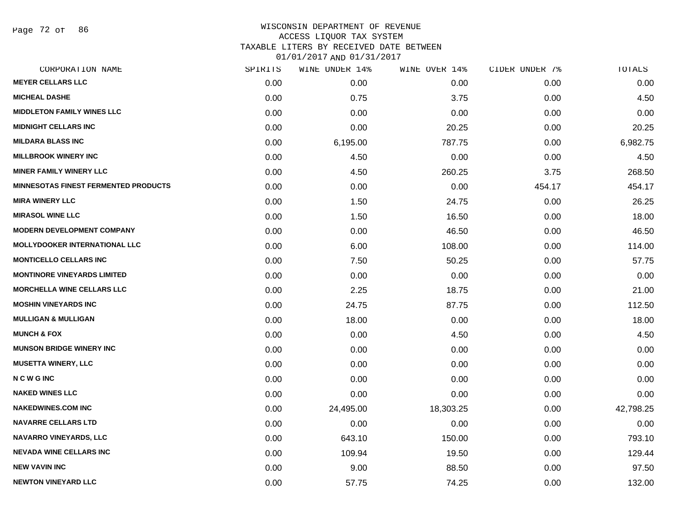Page 72 of 86

#### WISCONSIN DEPARTMENT OF REVENUE ACCESS LIQUOR TAX SYSTEM

TAXABLE LITERS BY RECEIVED DATE BETWEEN

| CORPORATION NAME                            | SPIRITS | WINE UNDER 14% | WINE OVER 14% | CIDER UNDER 7% | TOTALS    |
|---------------------------------------------|---------|----------------|---------------|----------------|-----------|
| <b>MEYER CELLARS LLC</b>                    | 0.00    | 0.00           | 0.00          | 0.00           | 0.00      |
| <b>MICHEAL DASHE</b>                        | 0.00    | 0.75           | 3.75          | 0.00           | 4.50      |
| <b>MIDDLETON FAMILY WINES LLC</b>           | 0.00    | 0.00           | 0.00          | 0.00           | 0.00      |
| <b>MIDNIGHT CELLARS INC</b>                 | 0.00    | 0.00           | 20.25         | 0.00           | 20.25     |
| <b>MILDARA BLASS INC</b>                    | 0.00    | 6,195.00       | 787.75        | 0.00           | 6,982.75  |
| <b>MILLBROOK WINERY INC</b>                 | 0.00    | 4.50           | 0.00          | 0.00           | 4.50      |
| <b>MINER FAMILY WINERY LLC</b>              | 0.00    | 4.50           | 260.25        | 3.75           | 268.50    |
| <b>MINNESOTAS FINEST FERMENTED PRODUCTS</b> | 0.00    | 0.00           | 0.00          | 454.17         | 454.17    |
| <b>MIRA WINERY LLC</b>                      | 0.00    | 1.50           | 24.75         | 0.00           | 26.25     |
| <b>MIRASOL WINE LLC</b>                     | 0.00    | 1.50           | 16.50         | 0.00           | 18.00     |
| <b>MODERN DEVELOPMENT COMPANY</b>           | 0.00    | 0.00           | 46.50         | 0.00           | 46.50     |
| <b>MOLLYDOOKER INTERNATIONAL LLC</b>        | 0.00    | 6.00           | 108.00        | 0.00           | 114.00    |
| <b>MONTICELLO CELLARS INC</b>               | 0.00    | 7.50           | 50.25         | 0.00           | 57.75     |
| <b>MONTINORE VINEYARDS LIMITED</b>          | 0.00    | 0.00           | 0.00          | 0.00           | 0.00      |
| <b>MORCHELLA WINE CELLARS LLC</b>           | 0.00    | 2.25           | 18.75         | 0.00           | 21.00     |
| <b>MOSHIN VINEYARDS INC</b>                 | 0.00    | 24.75          | 87.75         | 0.00           | 112.50    |
| <b>MULLIGAN &amp; MULLIGAN</b>              | 0.00    | 18.00          | 0.00          | 0.00           | 18.00     |
| <b>MUNCH &amp; FOX</b>                      | 0.00    | 0.00           | 4.50          | 0.00           | 4.50      |
| <b>MUNSON BRIDGE WINERY INC</b>             | 0.00    | 0.00           | 0.00          | 0.00           | 0.00      |
| <b>MUSETTA WINERY, LLC</b>                  | 0.00    | 0.00           | 0.00          | 0.00           | 0.00      |
| <b>NCWGINC</b>                              | 0.00    | 0.00           | 0.00          | 0.00           | 0.00      |
| <b>NAKED WINES LLC</b>                      | 0.00    | 0.00           | 0.00          | 0.00           | 0.00      |
| <b>NAKEDWINES.COM INC</b>                   | 0.00    | 24,495.00      | 18,303.25     | 0.00           | 42,798.25 |
| <b>NAVARRE CELLARS LTD</b>                  | 0.00    | 0.00           | 0.00          | 0.00           | 0.00      |
| <b>NAVARRO VINEYARDS, LLC</b>               | 0.00    | 643.10         | 150.00        | 0.00           | 793.10    |
| <b>NEVADA WINE CELLARS INC</b>              | 0.00    | 109.94         | 19.50         | 0.00           | 129.44    |
| <b>NEW VAVIN INC</b>                        | 0.00    | 9.00           | 88.50         | 0.00           | 97.50     |
| <b>NEWTON VINEYARD LLC</b>                  | 0.00    | 57.75          | 74.25         | 0.00           | 132.00    |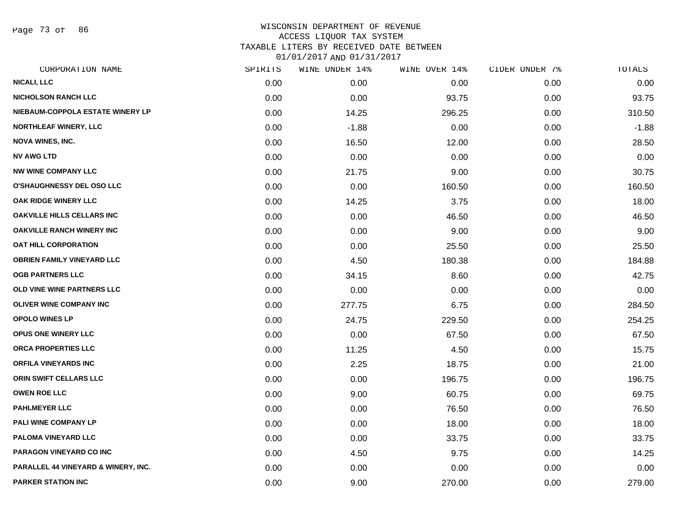Page 73 of 86

#### WISCONSIN DEPARTMENT OF REVENUE ACCESS LIQUOR TAX SYSTEM TAXABLE LITERS BY RECEIVED DATE BETWEEN

| CORPORATION NAME                    | SPIRITS | WINE UNDER 14% | WINE OVER 14% | CIDER UNDER 7% | TOTALS  |
|-------------------------------------|---------|----------------|---------------|----------------|---------|
| <b>NICALI, LLC</b>                  | 0.00    | 0.00           | 0.00          | 0.00           | 0.00    |
| <b>NICHOLSON RANCH LLC</b>          | 0.00    | 0.00           | 93.75         | 0.00           | 93.75   |
| NIEBAUM-COPPOLA ESTATE WINERY LP    | 0.00    | 14.25          | 296.25        | 0.00           | 310.50  |
| <b>NORTHLEAF WINERY, LLC</b>        | 0.00    | $-1.88$        | 0.00          | 0.00           | $-1.88$ |
| <b>NOVA WINES, INC.</b>             | 0.00    | 16.50          | 12.00         | 0.00           | 28.50   |
| <b>NV AWG LTD</b>                   | 0.00    | 0.00           | 0.00          | 0.00           | 0.00    |
| <b>NW WINE COMPANY LLC</b>          | 0.00    | 21.75          | 9.00          | 0.00           | 30.75   |
| <b>O'SHAUGHNESSY DEL OSO LLC</b>    | 0.00    | 0.00           | 160.50        | 0.00           | 160.50  |
| OAK RIDGE WINERY LLC                | 0.00    | 14.25          | 3.75          | 0.00           | 18.00   |
| <b>OAKVILLE HILLS CELLARS INC</b>   | 0.00    | 0.00           | 46.50         | 0.00           | 46.50   |
| <b>OAKVILLE RANCH WINERY INC</b>    | 0.00    | 0.00           | 9.00          | 0.00           | 9.00    |
| <b>OAT HILL CORPORATION</b>         | 0.00    | 0.00           | 25.50         | 0.00           | 25.50   |
| <b>OBRIEN FAMILY VINEYARD LLC</b>   | 0.00    | 4.50           | 180.38        | 0.00           | 184.88  |
| <b>OGB PARTNERS LLC</b>             | 0.00    | 34.15          | 8.60          | 0.00           | 42.75   |
| OLD VINE WINE PARTNERS LLC          | 0.00    | 0.00           | 0.00          | 0.00           | 0.00    |
| <b>OLIVER WINE COMPANY INC</b>      | 0.00    | 277.75         | 6.75          | 0.00           | 284.50  |
| <b>OPOLO WINES LP</b>               | 0.00    | 24.75          | 229.50        | 0.00           | 254.25  |
| OPUS ONE WINERY LLC                 | 0.00    | 0.00           | 67.50         | 0.00           | 67.50   |
| ORCA PROPERTIES LLC                 | 0.00    | 11.25          | 4.50          | 0.00           | 15.75   |
| <b>ORFILA VINEYARDS INC</b>         | 0.00    | 2.25           | 18.75         | 0.00           | 21.00   |
| ORIN SWIFT CELLARS LLC              | 0.00    | 0.00           | 196.75        | 0.00           | 196.75  |
| <b>OWEN ROE LLC</b>                 | 0.00    | 9.00           | 60.75         | 0.00           | 69.75   |
| <b>PAHLMEYER LLC</b>                | 0.00    | 0.00           | 76.50         | 0.00           | 76.50   |
| PALI WINE COMPANY LP                | 0.00    | 0.00           | 18.00         | 0.00           | 18.00   |
| PALOMA VINEYARD LLC                 | 0.00    | 0.00           | 33.75         | 0.00           | 33.75   |
| PARAGON VINEYARD CO INC             | 0.00    | 4.50           | 9.75          | 0.00           | 14.25   |
| PARALLEL 44 VINEYARD & WINERY, INC. | 0.00    | 0.00           | 0.00          | 0.00           | 0.00    |
| <b>PARKER STATION INC</b>           | 0.00    | 9.00           | 270.00        | 0.00           | 279.00  |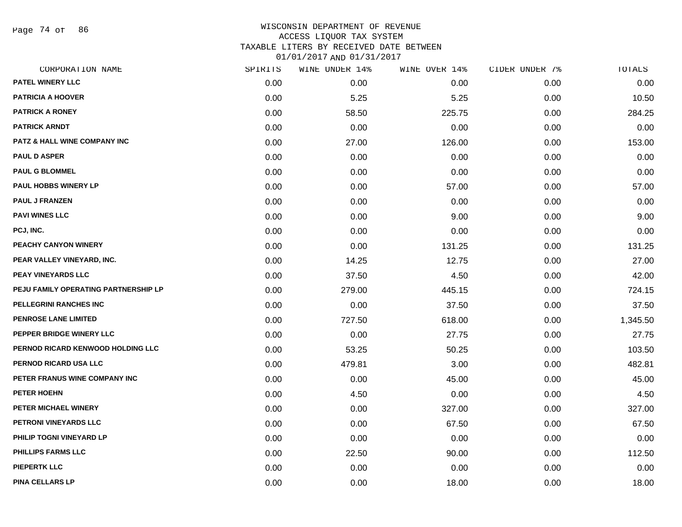Page 74 of 86

#### WISCONSIN DEPARTMENT OF REVENUE ACCESS LIQUOR TAX SYSTEM TAXABLE LITERS BY RECEIVED DATE BETWEEN

| CORPORATION NAME                        | SPIRITS | WINE UNDER 14% | WINE OVER 14% | CIDER UNDER 7% | TOTALS   |
|-----------------------------------------|---------|----------------|---------------|----------------|----------|
| PATEL WINERY LLC                        | 0.00    | 0.00           | 0.00          | 0.00           | 0.00     |
| <b>PATRICIA A HOOVER</b>                | 0.00    | 5.25           | 5.25          | 0.00           | 10.50    |
| <b>PATRICK A RONEY</b>                  | 0.00    | 58.50          | 225.75        | 0.00           | 284.25   |
| <b>PATRICK ARNDT</b>                    | 0.00    | 0.00           | 0.00          | 0.00           | 0.00     |
| <b>PATZ &amp; HALL WINE COMPANY INC</b> | 0.00    | 27.00          | 126.00        | 0.00           | 153.00   |
| <b>PAUL D ASPER</b>                     | 0.00    | 0.00           | 0.00          | 0.00           | 0.00     |
| <b>PAUL G BLOMMEL</b>                   | 0.00    | 0.00           | 0.00          | 0.00           | 0.00     |
| <b>PAUL HOBBS WINERY LP</b>             | 0.00    | 0.00           | 57.00         | 0.00           | 57.00    |
| <b>PAUL J FRANZEN</b>                   | 0.00    | 0.00           | 0.00          | 0.00           | 0.00     |
| <b>PAVI WINES LLC</b>                   | 0.00    | 0.00           | 9.00          | 0.00           | 9.00     |
| PCJ, INC.                               | 0.00    | 0.00           | 0.00          | 0.00           | 0.00     |
| PEACHY CANYON WINERY                    | 0.00    | 0.00           | 131.25        | 0.00           | 131.25   |
| PEAR VALLEY VINEYARD, INC.              | 0.00    | 14.25          | 12.75         | 0.00           | 27.00    |
| <b>PEAY VINEYARDS LLC</b>               | 0.00    | 37.50          | 4.50          | 0.00           | 42.00    |
| PEJU FAMILY OPERATING PARTNERSHIP LP    | 0.00    | 279.00         | 445.15        | 0.00           | 724.15   |
| PELLEGRINI RANCHES INC                  | 0.00    | 0.00           | 37.50         | 0.00           | 37.50    |
| <b>PENROSE LANE LIMITED</b>             | 0.00    | 727.50         | 618.00        | 0.00           | 1,345.50 |
| PEPPER BRIDGE WINERY LLC                | 0.00    | 0.00           | 27.75         | 0.00           | 27.75    |
| PERNOD RICARD KENWOOD HOLDING LLC       | 0.00    | 53.25          | 50.25         | 0.00           | 103.50   |
| PERNOD RICARD USA LLC                   | 0.00    | 479.81         | 3.00          | 0.00           | 482.81   |
| PETER FRANUS WINE COMPANY INC           | 0.00    | 0.00           | 45.00         | 0.00           | 45.00    |
| PETER HOEHN                             | 0.00    | 4.50           | 0.00          | 0.00           | 4.50     |
| PETER MICHAEL WINERY                    | 0.00    | 0.00           | 327.00        | 0.00           | 327.00   |
| PETRONI VINEYARDS LLC                   | 0.00    | 0.00           | 67.50         | 0.00           | 67.50    |
| PHILIP TOGNI VINEYARD LP                | 0.00    | 0.00           | 0.00          | 0.00           | 0.00     |
| <b>PHILLIPS FARMS LLC</b>               | 0.00    | 22.50          | 90.00         | 0.00           | 112.50   |
| <b>PIEPERTK LLC</b>                     | 0.00    | 0.00           | 0.00          | 0.00           | 0.00     |
| <b>PINA CELLARS LP</b>                  | 0.00    | 0.00           | 18.00         | 0.00           | 18.00    |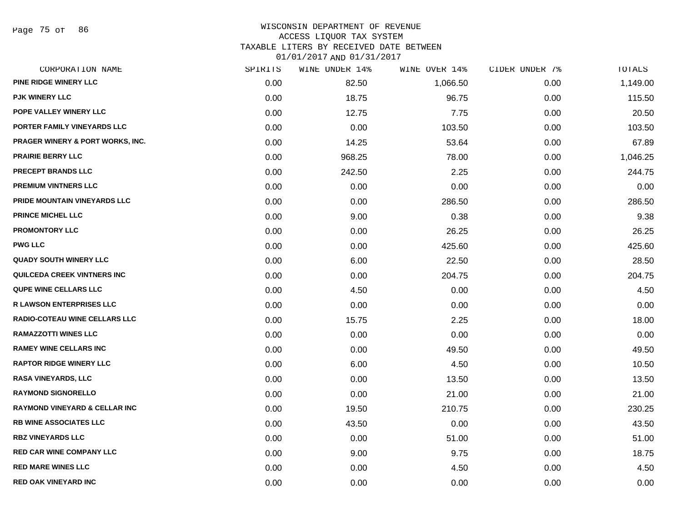#### WISCONSIN DEPARTMENT OF REVENUE ACCESS LIQUOR TAX SYSTEM TAXABLE LITERS BY RECEIVED DATE BETWEEN

| CORPORATION NAME                         | SPIRITS | WINE UNDER 14% | WINE OVER 14% | CIDER UNDER 7% | TOTALS   |
|------------------------------------------|---------|----------------|---------------|----------------|----------|
| PINE RIDGE WINERY LLC                    | 0.00    | 82.50          | 1,066.50      | 0.00           | 1,149.00 |
| <b>PJK WINERY LLC</b>                    | 0.00    | 18.75          | 96.75         | 0.00           | 115.50   |
| POPE VALLEY WINERY LLC                   | 0.00    | 12.75          | 7.75          | 0.00           | 20.50    |
| PORTER FAMILY VINEYARDS LLC              | 0.00    | 0.00           | 103.50        | 0.00           | 103.50   |
| PRAGER WINERY & PORT WORKS, INC.         | 0.00    | 14.25          | 53.64         | 0.00           | 67.89    |
| <b>PRAIRIE BERRY LLC</b>                 | 0.00    | 968.25         | 78.00         | 0.00           | 1,046.25 |
| PRECEPT BRANDS LLC                       | 0.00    | 242.50         | 2.25          | 0.00           | 244.75   |
| <b>PREMIUM VINTNERS LLC</b>              | 0.00    | 0.00           | 0.00          | 0.00           | 0.00     |
| PRIDE MOUNTAIN VINEYARDS LLC             | 0.00    | 0.00           | 286.50        | 0.00           | 286.50   |
| <b>PRINCE MICHEL LLC</b>                 | 0.00    | 9.00           | 0.38          | 0.00           | 9.38     |
| <b>PROMONTORY LLC</b>                    | 0.00    | 0.00           | 26.25         | 0.00           | 26.25    |
| <b>PWG LLC</b>                           | 0.00    | 0.00           | 425.60        | 0.00           | 425.60   |
| <b>QUADY SOUTH WINERY LLC</b>            | 0.00    | 6.00           | 22.50         | 0.00           | 28.50    |
| QUILCEDA CREEK VINTNERS INC              | 0.00    | 0.00           | 204.75        | 0.00           | 204.75   |
| <b>QUPE WINE CELLARS LLC</b>             | 0.00    | 4.50           | 0.00          | 0.00           | 4.50     |
| <b>R LAWSON ENTERPRISES LLC</b>          | 0.00    | 0.00           | 0.00          | 0.00           | 0.00     |
| <b>RADIO-COTEAU WINE CELLARS LLC</b>     | 0.00    | 15.75          | 2.25          | 0.00           | 18.00    |
| <b>RAMAZZOTTI WINES LLC</b>              | 0.00    | 0.00           | 0.00          | 0.00           | 0.00     |
| <b>RAMEY WINE CELLARS INC</b>            | 0.00    | 0.00           | 49.50         | 0.00           | 49.50    |
| <b>RAPTOR RIDGE WINERY LLC</b>           | 0.00    | 6.00           | 4.50          | 0.00           | 10.50    |
| <b>RASA VINEYARDS, LLC</b>               | 0.00    | 0.00           | 13.50         | 0.00           | 13.50    |
| <b>RAYMOND SIGNORELLO</b>                | 0.00    | 0.00           | 21.00         | 0.00           | 21.00    |
| <b>RAYMOND VINEYARD &amp; CELLAR INC</b> | 0.00    | 19.50          | 210.75        | 0.00           | 230.25   |
| RB WINE ASSOCIATES LLC                   | 0.00    | 43.50          | 0.00          | 0.00           | 43.50    |
| <b>RBZ VINEYARDS LLC</b>                 | 0.00    | 0.00           | 51.00         | 0.00           | 51.00    |
| <b>RED CAR WINE COMPANY LLC</b>          | 0.00    | 9.00           | 9.75          | 0.00           | 18.75    |
| <b>RED MARE WINES LLC</b>                | 0.00    | 0.00           | 4.50          | 0.00           | 4.50     |
| <b>RED OAK VINEYARD INC</b>              | 0.00    | 0.00           | 0.00          | 0.00           | 0.00     |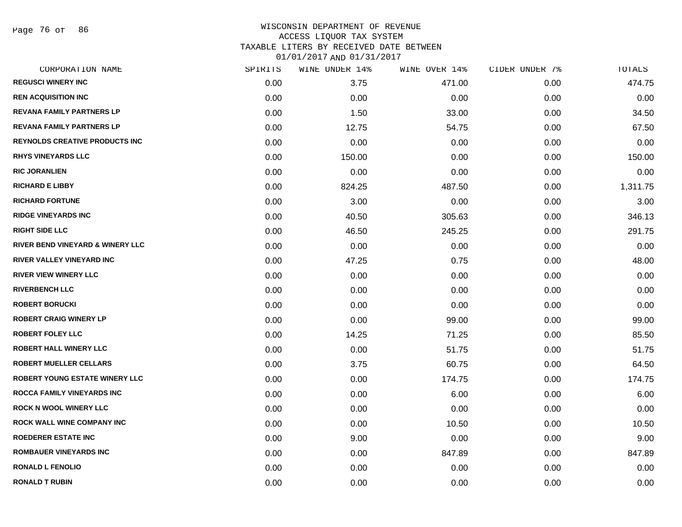Page 76 of 86

## WISCONSIN DEPARTMENT OF REVENUE ACCESS LIQUOR TAX SYSTEM TAXABLE LITERS BY RECEIVED DATE BETWEEN

| CORPORATION NAME                      | SPIRITS | WINE UNDER 14% | WINE OVER 14% | CIDER UNDER 7% | TOTALS   |
|---------------------------------------|---------|----------------|---------------|----------------|----------|
| <b>REGUSCI WINERY INC</b>             | 0.00    | 3.75           | 471.00        | 0.00           | 474.75   |
| <b>REN ACQUISITION INC.</b>           | 0.00    | 0.00           | 0.00          | 0.00           | 0.00     |
| <b>REVANA FAMILY PARTNERS LP</b>      | 0.00    | 1.50           | 33.00         | 0.00           | 34.50    |
| <b>REVANA FAMILY PARTNERS LP</b>      | 0.00    | 12.75          | 54.75         | 0.00           | 67.50    |
| <b>REYNOLDS CREATIVE PRODUCTS INC</b> | 0.00    | 0.00           | 0.00          | 0.00           | 0.00     |
| <b>RHYS VINEYARDS LLC</b>             | 0.00    | 150.00         | 0.00          | 0.00           | 150.00   |
| <b>RIC JORANLIEN</b>                  | 0.00    | 0.00           | 0.00          | 0.00           | 0.00     |
| <b>RICHARD E LIBBY</b>                | 0.00    | 824.25         | 487.50        | 0.00           | 1,311.75 |
| <b>RICHARD FORTUNE</b>                | 0.00    | 3.00           | 0.00          | 0.00           | 3.00     |
| <b>RIDGE VINEYARDS INC</b>            | 0.00    | 40.50          | 305.63        | 0.00           | 346.13   |
| <b>RIGHT SIDE LLC</b>                 | 0.00    | 46.50          | 245.25        | 0.00           | 291.75   |
| RIVER BEND VINEYARD & WINERY LLC      | 0.00    | 0.00           | 0.00          | 0.00           | 0.00     |
| <b>RIVER VALLEY VINEYARD INC</b>      | 0.00    | 47.25          | 0.75          | 0.00           | 48.00    |
| <b>RIVER VIEW WINERY LLC</b>          | 0.00    | 0.00           | 0.00          | 0.00           | 0.00     |
| <b>RIVERBENCH LLC</b>                 | 0.00    | 0.00           | 0.00          | 0.00           | 0.00     |
| <b>ROBERT BORUCKI</b>                 | 0.00    | 0.00           | 0.00          | 0.00           | 0.00     |
| <b>ROBERT CRAIG WINERY LP</b>         | 0.00    | 0.00           | 99.00         | 0.00           | 99.00    |
| <b>ROBERT FOLEY LLC</b>               | 0.00    | 14.25          | 71.25         | 0.00           | 85.50    |
| <b>ROBERT HALL WINERY LLC</b>         | 0.00    | 0.00           | 51.75         | 0.00           | 51.75    |
| <b>ROBERT MUELLER CELLARS</b>         | 0.00    | 3.75           | 60.75         | 0.00           | 64.50    |
| <b>ROBERT YOUNG ESTATE WINERY LLC</b> | 0.00    | 0.00           | 174.75        | 0.00           | 174.75   |
| <b>ROCCA FAMILY VINEYARDS INC</b>     | 0.00    | 0.00           | 6.00          | 0.00           | 6.00     |
| <b>ROCK N WOOL WINERY LLC</b>         | 0.00    | 0.00           | 0.00          | 0.00           | 0.00     |
| <b>ROCK WALL WINE COMPANY INC</b>     | 0.00    | 0.00           | 10.50         | 0.00           | 10.50    |
| <b>ROEDERER ESTATE INC</b>            | 0.00    | 9.00           | 0.00          | 0.00           | 9.00     |
| <b>ROMBAUER VINEYARDS INC</b>         | 0.00    | 0.00           | 847.89        | 0.00           | 847.89   |
| <b>RONALD L FENOLIO</b>               | 0.00    | 0.00           | 0.00          | 0.00           | 0.00     |
| <b>RONALD T RUBIN</b>                 | 0.00    | 0.00           | 0.00          | 0.00           | 0.00     |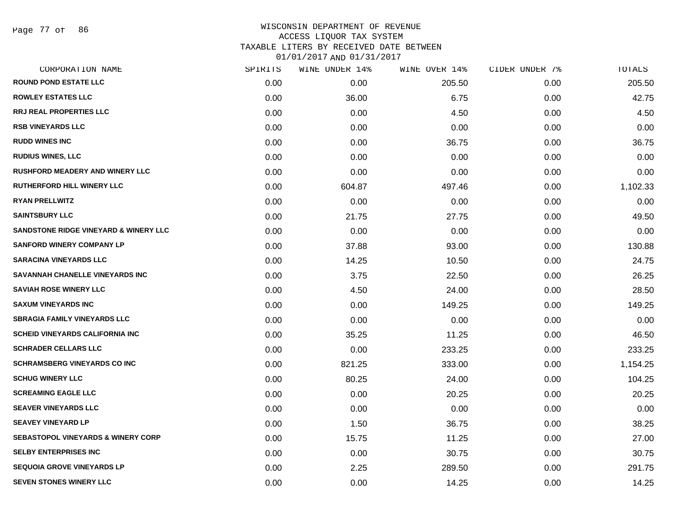#### WISCONSIN DEPARTMENT OF REVENUE ACCESS LIQUOR TAX SYSTEM TAXABLE LITERS BY RECEIVED DATE BETWEEN

| CORPORATION NAME                                 | SPIRITS | WINE UNDER 14% | WINE OVER 14% | CIDER UNDER 7% | TOTALS   |
|--------------------------------------------------|---------|----------------|---------------|----------------|----------|
| <b>ROUND POND ESTATE LLC</b>                     | 0.00    | 0.00           | 205.50        | 0.00           | 205.50   |
| <b>ROWLEY ESTATES LLC</b>                        | 0.00    | 36.00          | 6.75          | 0.00           | 42.75    |
| <b>RRJ REAL PROPERTIES LLC</b>                   | 0.00    | 0.00           | 4.50          | 0.00           | 4.50     |
| <b>RSB VINEYARDS LLC</b>                         | 0.00    | 0.00           | 0.00          | 0.00           | 0.00     |
| <b>RUDD WINES INC</b>                            | 0.00    | 0.00           | 36.75         | 0.00           | 36.75    |
| <b>RUDIUS WINES, LLC</b>                         | 0.00    | 0.00           | 0.00          | 0.00           | 0.00     |
| <b>RUSHFORD MEADERY AND WINERY LLC</b>           | 0.00    | 0.00           | 0.00          | 0.00           | 0.00     |
| <b>RUTHERFORD HILL WINERY LLC</b>                | 0.00    | 604.87         | 497.46        | 0.00           | 1,102.33 |
| <b>RYAN PRELLWITZ</b>                            | 0.00    | 0.00           | 0.00          | 0.00           | 0.00     |
| <b>SAINTSBURY LLC</b>                            | 0.00    | 21.75          | 27.75         | 0.00           | 49.50    |
| <b>SANDSTONE RIDGE VINEYARD &amp; WINERY LLC</b> | 0.00    | 0.00           | 0.00          | 0.00           | 0.00     |
| <b>SANFORD WINERY COMPANY LP</b>                 | 0.00    | 37.88          | 93.00         | 0.00           | 130.88   |
| <b>SARACINA VINEYARDS LLC</b>                    | 0.00    | 14.25          | 10.50         | 0.00           | 24.75    |
| SAVANNAH CHANELLE VINEYARDS INC                  | 0.00    | 3.75           | 22.50         | 0.00           | 26.25    |
| <b>SAVIAH ROSE WINERY LLC</b>                    | 0.00    | 4.50           | 24.00         | 0.00           | 28.50    |
| <b>SAXUM VINEYARDS INC</b>                       | 0.00    | 0.00           | 149.25        | 0.00           | 149.25   |
| <b>SBRAGIA FAMILY VINEYARDS LLC</b>              | 0.00    | 0.00           | 0.00          | 0.00           | 0.00     |
| <b>SCHEID VINEYARDS CALIFORNIA INC.</b>          | 0.00    | 35.25          | 11.25         | 0.00           | 46.50    |
| <b>SCHRADER CELLARS LLC</b>                      | 0.00    | 0.00           | 233.25        | 0.00           | 233.25   |
| <b>SCHRAMSBERG VINEYARDS CO INC</b>              | 0.00    | 821.25         | 333.00        | 0.00           | 1,154.25 |
| <b>SCHUG WINERY LLC</b>                          | 0.00    | 80.25          | 24.00         | 0.00           | 104.25   |
| <b>SCREAMING EAGLE LLC</b>                       | 0.00    | 0.00           | 20.25         | 0.00           | 20.25    |
| <b>SEAVER VINEYARDS LLC</b>                      | 0.00    | 0.00           | 0.00          | 0.00           | 0.00     |
| <b>SEAVEY VINEYARD LP</b>                        | 0.00    | 1.50           | 36.75         | 0.00           | 38.25    |
| <b>SEBASTOPOL VINEYARDS &amp; WINERY CORP</b>    | 0.00    | 15.75          | 11.25         | 0.00           | 27.00    |
| <b>SELBY ENTERPRISES INC</b>                     | 0.00    | 0.00           | 30.75         | 0.00           | 30.75    |
| <b>SEQUOIA GROVE VINEYARDS LP</b>                | 0.00    | 2.25           | 289.50        | 0.00           | 291.75   |
| <b>SEVEN STONES WINERY LLC</b>                   | 0.00    | 0.00           | 14.25         | 0.00           | 14.25    |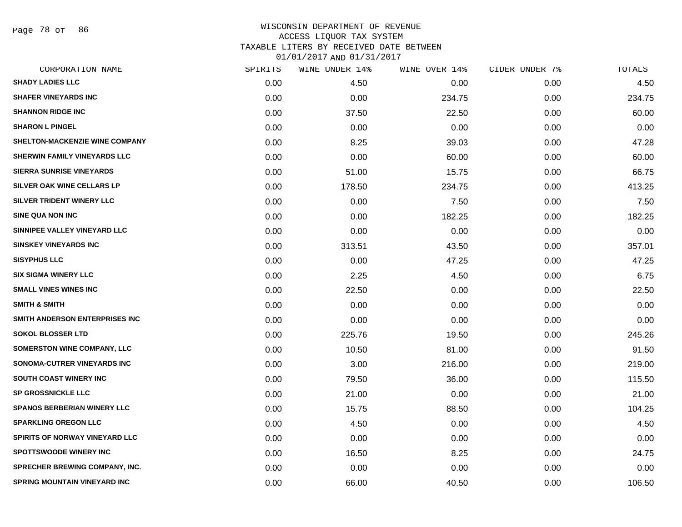Page 78 of 86

| CORPORATION NAME                      | SPIRITS | WINE UNDER 14% | WINE OVER 14% | CIDER UNDER 7% | TOTALS |
|---------------------------------------|---------|----------------|---------------|----------------|--------|
| <b>SHADY LADIES LLC</b>               | 0.00    | 4.50           | 0.00          | 0.00           | 4.50   |
| <b>SHAFER VINEYARDS INC</b>           | 0.00    | 0.00           | 234.75        | 0.00           | 234.75 |
| <b>SHANNON RIDGE INC</b>              | 0.00    | 37.50          | 22.50         | 0.00           | 60.00  |
| <b>SHARON L PINGEL</b>                | 0.00    | 0.00           | 0.00          | 0.00           | 0.00   |
| <b>SHELTON-MACKENZIE WINE COMPANY</b> | 0.00    | 8.25           | 39.03         | 0.00           | 47.28  |
| <b>SHERWIN FAMILY VINEYARDS LLC</b>   | 0.00    | 0.00           | 60.00         | 0.00           | 60.00  |
| <b>SIERRA SUNRISE VINEYARDS</b>       | 0.00    | 51.00          | 15.75         | 0.00           | 66.75  |
| SILVER OAK WINE CELLARS LP            | 0.00    | 178.50         | 234.75        | 0.00           | 413.25 |
| SILVER TRIDENT WINERY LLC             | 0.00    | 0.00           | 7.50          | 0.00           | 7.50   |
| <b>SINE QUA NON INC</b>               | 0.00    | 0.00           | 182.25        | 0.00           | 182.25 |
| SINNIPEE VALLEY VINEYARD LLC          | 0.00    | 0.00           | 0.00          | 0.00           | 0.00   |
| <b>SINSKEY VINEYARDS INC</b>          | 0.00    | 313.51         | 43.50         | 0.00           | 357.01 |
| <b>SISYPHUS LLC</b>                   | 0.00    | 0.00           | 47.25         | 0.00           | 47.25  |
| <b>SIX SIGMA WINERY LLC</b>           | 0.00    | 2.25           | 4.50          | 0.00           | 6.75   |
| <b>SMALL VINES WINES INC</b>          | 0.00    | 22.50          | 0.00          | 0.00           | 22.50  |
| <b>SMITH &amp; SMITH</b>              | 0.00    | 0.00           | 0.00          | 0.00           | 0.00   |
| SMITH ANDERSON ENTERPRISES INC        | 0.00    | 0.00           | 0.00          | 0.00           | 0.00   |
| <b>SOKOL BLOSSER LTD</b>              | 0.00    | 225.76         | 19.50         | 0.00           | 245.26 |
| <b>SOMERSTON WINE COMPANY, LLC</b>    | 0.00    | 10.50          | 81.00         | 0.00           | 91.50  |
| SONOMA-CUTRER VINEYARDS INC           | 0.00    | 3.00           | 216.00        | 0.00           | 219.00 |
| SOUTH COAST WINERY INC                | 0.00    | 79.50          | 36.00         | 0.00           | 115.50 |
| <b>SP GROSSNICKLE LLC</b>             | 0.00    | 21.00          | 0.00          | 0.00           | 21.00  |
| <b>SPANOS BERBERIAN WINERY LLC</b>    | 0.00    | 15.75          | 88.50         | 0.00           | 104.25 |
| <b>SPARKLING OREGON LLC</b>           | 0.00    | 4.50           | 0.00          | 0.00           | 4.50   |
| SPIRITS OF NORWAY VINEYARD LLC        | 0.00    | 0.00           | 0.00          | 0.00           | 0.00   |
| <b>SPOTTSWOODE WINERY INC</b>         | 0.00    | 16.50          | 8.25          | 0.00           | 24.75  |
| SPRECHER BREWING COMPANY, INC.        | 0.00    | 0.00           | 0.00          | 0.00           | 0.00   |
| SPRING MOUNTAIN VINEYARD INC          | 0.00    | 66.00          | 40.50         | 0.00           | 106.50 |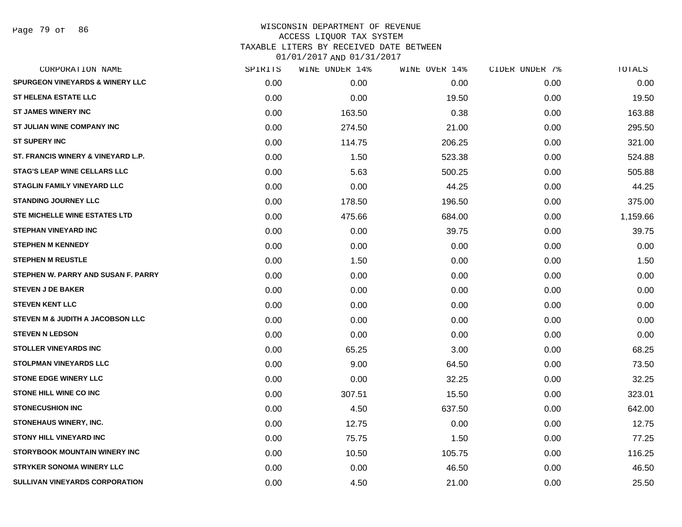Page 79 of 86

| CORPORATION NAME                           | SPIRITS | WINE UNDER 14% | WINE OVER 14% | CIDER UNDER 7% | TOTALS   |
|--------------------------------------------|---------|----------------|---------------|----------------|----------|
| <b>SPURGEON VINEYARDS &amp; WINERY LLC</b> | 0.00    | 0.00           | 0.00          | 0.00           | 0.00     |
| <b>ST HELENA ESTATE LLC</b>                | 0.00    | 0.00           | 19.50         | 0.00           | 19.50    |
| <b>ST JAMES WINERY INC</b>                 | 0.00    | 163.50         | 0.38          | 0.00           | 163.88   |
| ST JULIAN WINE COMPANY INC                 | 0.00    | 274.50         | 21.00         | 0.00           | 295.50   |
| <b>ST SUPERY INC</b>                       | 0.00    | 114.75         | 206.25        | 0.00           | 321.00   |
| ST. FRANCIS WINERY & VINEYARD L.P.         | 0.00    | 1.50           | 523.38        | 0.00           | 524.88   |
| <b>STAG'S LEAP WINE CELLARS LLC</b>        | 0.00    | 5.63           | 500.25        | 0.00           | 505.88   |
| <b>STAGLIN FAMILY VINEYARD LLC</b>         | 0.00    | 0.00           | 44.25         | 0.00           | 44.25    |
| <b>STANDING JOURNEY LLC</b>                | 0.00    | 178.50         | 196.50        | 0.00           | 375.00   |
| <b>STE MICHELLE WINE ESTATES LTD</b>       | 0.00    | 475.66         | 684.00        | 0.00           | 1,159.66 |
| <b>STEPHAN VINEYARD INC</b>                | 0.00    | 0.00           | 39.75         | 0.00           | 39.75    |
| <b>STEPHEN M KENNEDY</b>                   | 0.00    | 0.00           | 0.00          | 0.00           | 0.00     |
| <b>STEPHEN M REUSTLE</b>                   | 0.00    | 1.50           | 0.00          | 0.00           | 1.50     |
| STEPHEN W. PARRY AND SUSAN F. PARRY        | 0.00    | 0.00           | 0.00          | 0.00           | 0.00     |
| <b>STEVEN J DE BAKER</b>                   | 0.00    | 0.00           | 0.00          | 0.00           | 0.00     |
| <b>STEVEN KENT LLC</b>                     | 0.00    | 0.00           | 0.00          | 0.00           | 0.00     |
| STEVEN M & JUDITH A JACOBSON LLC           | 0.00    | 0.00           | 0.00          | 0.00           | 0.00     |
| <b>STEVEN N LEDSON</b>                     | 0.00    | 0.00           | 0.00          | 0.00           | 0.00     |
| <b>STOLLER VINEYARDS INC</b>               | 0.00    | 65.25          | 3.00          | 0.00           | 68.25    |
| <b>STOLPMAN VINEYARDS LLC</b>              | 0.00    | 9.00           | 64.50         | 0.00           | 73.50    |
| <b>STONE EDGE WINERY LLC</b>               | 0.00    | 0.00           | 32.25         | 0.00           | 32.25    |
| STONE HILL WINE CO INC                     | 0.00    | 307.51         | 15.50         | 0.00           | 323.01   |
| <b>STONECUSHION INC</b>                    | 0.00    | 4.50           | 637.50        | 0.00           | 642.00   |
| STONEHAUS WINERY, INC.                     | 0.00    | 12.75          | 0.00          | 0.00           | 12.75    |
| <b>STONY HILL VINEYARD INC</b>             | 0.00    | 75.75          | 1.50          | 0.00           | 77.25    |
| <b>STORYBOOK MOUNTAIN WINERY INC</b>       | 0.00    | 10.50          | 105.75        | 0.00           | 116.25   |
| <b>STRYKER SONOMA WINERY LLC</b>           | 0.00    | 0.00           | 46.50         | 0.00           | 46.50    |
| <b>SULLIVAN VINEYARDS CORPORATION</b>      | 0.00    | 4.50           | 21.00         | 0.00           | 25.50    |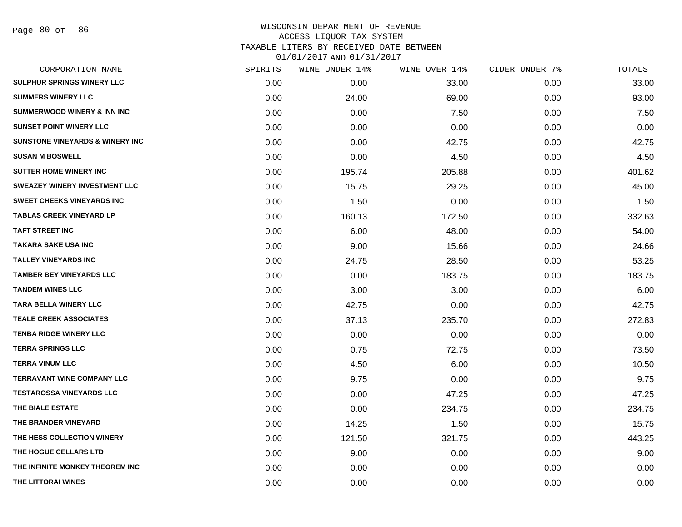| CORPORATION NAME                            | SPIRITS | WINE UNDER 14% | WINE OVER 14% | CIDER UNDER 7% | TOTALS |
|---------------------------------------------|---------|----------------|---------------|----------------|--------|
| SULPHUR SPRINGS WINERY LLC                  | 0.00    | 0.00           | 33.00         | 0.00           | 33.00  |
| <b>SUMMERS WINERY LLC</b>                   | 0.00    | 24.00          | 69.00         | 0.00           | 93.00  |
| <b>SUMMERWOOD WINERY &amp; INN INC</b>      | 0.00    | 0.00           | 7.50          | 0.00           | 7.50   |
| <b>SUNSET POINT WINERY LLC</b>              | 0.00    | 0.00           | 0.00          | 0.00           | 0.00   |
| <b>SUNSTONE VINEYARDS &amp; WINERY INC.</b> | 0.00    | 0.00           | 42.75         | 0.00           | 42.75  |
| <b>SUSAN M BOSWELL</b>                      | 0.00    | 0.00           | 4.50          | 0.00           | 4.50   |
| <b>SUTTER HOME WINERY INC</b>               | 0.00    | 195.74         | 205.88        | 0.00           | 401.62 |
| <b>SWEAZEY WINERY INVESTMENT LLC</b>        | 0.00    | 15.75          | 29.25         | 0.00           | 45.00  |
| <b>SWEET CHEEKS VINEYARDS INC</b>           | 0.00    | 1.50           | 0.00          | 0.00           | 1.50   |
| <b>TABLAS CREEK VINEYARD LP</b>             | 0.00    | 160.13         | 172.50        | 0.00           | 332.63 |
| <b>TAFT STREET INC</b>                      | 0.00    | 6.00           | 48.00         | 0.00           | 54.00  |
| <b>TAKARA SAKE USA INC</b>                  | 0.00    | 9.00           | 15.66         | 0.00           | 24.66  |
| <b>TALLEY VINEYARDS INC</b>                 | 0.00    | 24.75          | 28.50         | 0.00           | 53.25  |
| <b>TAMBER BEY VINEYARDS LLC</b>             | 0.00    | 0.00           | 183.75        | 0.00           | 183.75 |
| <b>TANDEM WINES LLC</b>                     | 0.00    | 3.00           | 3.00          | 0.00           | 6.00   |
| <b>TARA BELLA WINERY LLC</b>                | 0.00    | 42.75          | 0.00          | 0.00           | 42.75  |
| <b>TEALE CREEK ASSOCIATES</b>               | 0.00    | 37.13          | 235.70        | 0.00           | 272.83 |
| <b>TENBA RIDGE WINERY LLC</b>               | 0.00    | 0.00           | 0.00          | 0.00           | 0.00   |
| <b>TERRA SPRINGS LLC</b>                    | 0.00    | 0.75           | 72.75         | 0.00           | 73.50  |
| <b>TERRA VINUM LLC</b>                      | 0.00    | 4.50           | 6.00          | 0.00           | 10.50  |
| <b>TERRAVANT WINE COMPANY LLC</b>           | 0.00    | 9.75           | 0.00          | 0.00           | 9.75   |
| <b>TESTAROSSA VINEYARDS LLC</b>             | 0.00    | 0.00           | 47.25         | 0.00           | 47.25  |
| THE BIALE ESTATE                            | 0.00    | 0.00           | 234.75        | 0.00           | 234.75 |
| THE BRANDER VINEYARD                        | 0.00    | 14.25          | 1.50          | 0.00           | 15.75  |
| THE HESS COLLECTION WINERY                  | 0.00    | 121.50         | 321.75        | 0.00           | 443.25 |
| THE HOGUE CELLARS LTD                       | 0.00    | 9.00           | 0.00          | 0.00           | 9.00   |
| THE INFINITE MONKEY THEOREM INC             | 0.00    | 0.00           | 0.00          | 0.00           | 0.00   |
| THE LITTORAI WINES                          | 0.00    | 0.00           | 0.00          | 0.00           | 0.00   |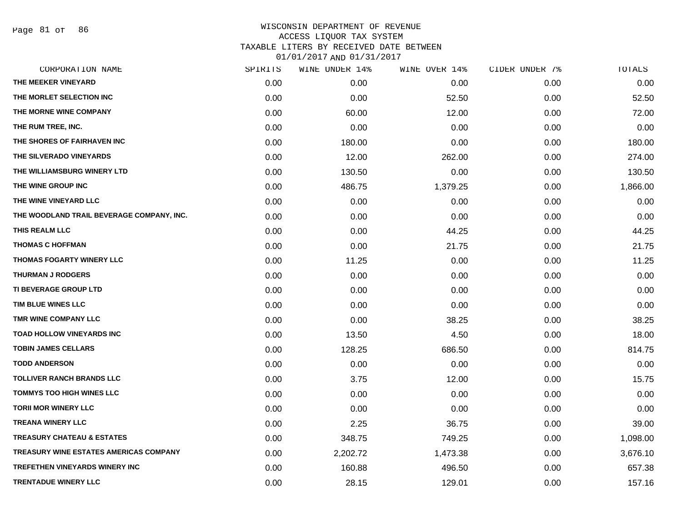Page 81 of 86

| CORPORATION NAME                          | SPIRITS | WINE UNDER 14% | WINE OVER 14% | CIDER UNDER 7% | TOTALS   |
|-------------------------------------------|---------|----------------|---------------|----------------|----------|
| THE MEEKER VINEYARD                       | 0.00    | 0.00           | 0.00          | 0.00           | 0.00     |
| THE MORLET SELECTION INC                  | 0.00    | 0.00           | 52.50         | 0.00           | 52.50    |
| THE MORNE WINE COMPANY                    | 0.00    | 60.00          | 12.00         | 0.00           | 72.00    |
| THE RUM TREE, INC.                        | 0.00    | 0.00           | 0.00          | 0.00           | 0.00     |
| THE SHORES OF FAIRHAVEN INC               | 0.00    | 180.00         | 0.00          | 0.00           | 180.00   |
| THE SILVERADO VINEYARDS                   | 0.00    | 12.00          | 262.00        | 0.00           | 274.00   |
| THE WILLIAMSBURG WINERY LTD               | 0.00    | 130.50         | 0.00          | 0.00           | 130.50   |
| THE WINE GROUP INC                        | 0.00    | 486.75         | 1,379.25      | 0.00           | 1,866.00 |
| THE WINE VINEYARD LLC                     | 0.00    | 0.00           | 0.00          | 0.00           | 0.00     |
| THE WOODLAND TRAIL BEVERAGE COMPANY, INC. | 0.00    | 0.00           | 0.00          | 0.00           | 0.00     |
| THIS REALM LLC                            | 0.00    | 0.00           | 44.25         | 0.00           | 44.25    |
| <b>THOMAS C HOFFMAN</b>                   | 0.00    | 0.00           | 21.75         | 0.00           | 21.75    |
| <b>THOMAS FOGARTY WINERY LLC</b>          | 0.00    | 11.25          | 0.00          | 0.00           | 11.25    |
| <b>THURMAN J RODGERS</b>                  | 0.00    | 0.00           | 0.00          | 0.00           | 0.00     |
| <b>TI BEVERAGE GROUP LTD</b>              | 0.00    | 0.00           | 0.00          | 0.00           | 0.00     |
| TIM BLUE WINES LLC                        | 0.00    | 0.00           | 0.00          | 0.00           | 0.00     |
| TMR WINE COMPANY LLC                      | 0.00    | 0.00           | 38.25         | 0.00           | 38.25    |
| <b>TOAD HOLLOW VINEYARDS INC</b>          | 0.00    | 13.50          | 4.50          | 0.00           | 18.00    |
| <b>TOBIN JAMES CELLARS</b>                | 0.00    | 128.25         | 686.50        | 0.00           | 814.75   |
| <b>TODD ANDERSON</b>                      | 0.00    | 0.00           | 0.00          | 0.00           | 0.00     |
| <b>TOLLIVER RANCH BRANDS LLC</b>          | 0.00    | 3.75           | 12.00         | 0.00           | 15.75    |
| <b>TOMMYS TOO HIGH WINES LLC</b>          | 0.00    | 0.00           | 0.00          | 0.00           | 0.00     |
| <b>TORII MOR WINERY LLC</b>               | 0.00    | 0.00           | 0.00          | 0.00           | 0.00     |
| <b>TREANA WINERY LLC</b>                  | 0.00    | 2.25           | 36.75         | 0.00           | 39.00    |
| <b>TREASURY CHATEAU &amp; ESTATES</b>     | 0.00    | 348.75         | 749.25        | 0.00           | 1,098.00 |
| TREASURY WINE ESTATES AMERICAS COMPANY    | 0.00    | 2,202.72       | 1,473.38      | 0.00           | 3,676.10 |
| <b>TREFETHEN VINEYARDS WINERY INC</b>     | 0.00    | 160.88         | 496.50        | 0.00           | 657.38   |
| <b>TRENTADUE WINERY LLC</b>               | 0.00    | 28.15          | 129.01        | 0.00           | 157.16   |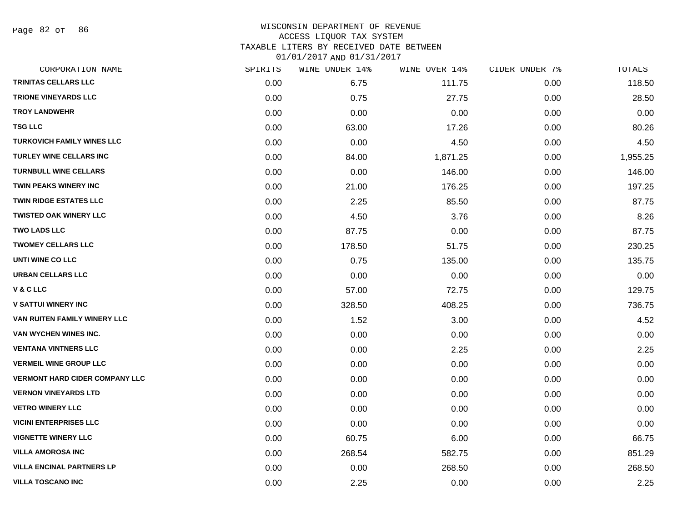Page 82 of 86

### WISCONSIN DEPARTMENT OF REVENUE ACCESS LIQUOR TAX SYSTEM TAXABLE LITERS BY RECEIVED DATE BETWEEN

| CORPORATION NAME                      | SPIRITS | WINE UNDER 14% | WINE OVER 14% | CIDER UNDER 7% | TOTALS   |
|---------------------------------------|---------|----------------|---------------|----------------|----------|
| TRINITAS CELLARS LLC                  | 0.00    | 6.75           | 111.75        | 0.00           | 118.50   |
| <b>TRIONE VINEYARDS LLC</b>           | 0.00    | 0.75           | 27.75         | 0.00           | 28.50    |
| <b>TROY LANDWEHR</b>                  | 0.00    | 0.00           | 0.00          | 0.00           | 0.00     |
| <b>TSG LLC</b>                        | 0.00    | 63.00          | 17.26         | 0.00           | 80.26    |
| <b>TURKOVICH FAMILY WINES LLC</b>     | 0.00    | 0.00           | 4.50          | 0.00           | 4.50     |
| <b>TURLEY WINE CELLARS INC</b>        | 0.00    | 84.00          | 1,871.25      | 0.00           | 1,955.25 |
| <b>TURNBULL WINE CELLARS</b>          | 0.00    | 0.00           | 146.00        | 0.00           | 146.00   |
| <b>TWIN PEAKS WINERY INC</b>          | 0.00    | 21.00          | 176.25        | 0.00           | 197.25   |
| <b>TWIN RIDGE ESTATES LLC</b>         | 0.00    | 2.25           | 85.50         | 0.00           | 87.75    |
| <b>TWISTED OAK WINERY LLC</b>         | 0.00    | 4.50           | 3.76          | 0.00           | 8.26     |
| <b>TWO LADS LLC</b>                   | 0.00    | 87.75          | 0.00          | 0.00           | 87.75    |
| <b>TWOMEY CELLARS LLC</b>             | 0.00    | 178.50         | 51.75         | 0.00           | 230.25   |
| UNTI WINE CO LLC                      | 0.00    | 0.75           | 135.00        | 0.00           | 135.75   |
| <b>URBAN CELLARS LLC</b>              | 0.00    | 0.00           | 0.00          | 0.00           | 0.00     |
| <b>V&amp;CLLC</b>                     | 0.00    | 57.00          | 72.75         | 0.00           | 129.75   |
| <b>V SATTUI WINERY INC</b>            | 0.00    | 328.50         | 408.25        | 0.00           | 736.75   |
| VAN RUITEN FAMILY WINERY LLC          | 0.00    | 1.52           | 3.00          | 0.00           | 4.52     |
| VAN WYCHEN WINES INC.                 | 0.00    | 0.00           | 0.00          | 0.00           | 0.00     |
| <b>VENTANA VINTNERS LLC</b>           | 0.00    | 0.00           | 2.25          | 0.00           | 2.25     |
| <b>VERMEIL WINE GROUP LLC</b>         | 0.00    | 0.00           | 0.00          | 0.00           | 0.00     |
| <b>VERMONT HARD CIDER COMPANY LLC</b> | 0.00    | 0.00           | 0.00          | 0.00           | 0.00     |
| <b>VERNON VINEYARDS LTD</b>           | 0.00    | 0.00           | 0.00          | 0.00           | 0.00     |
| <b>VETRO WINERY LLC</b>               | 0.00    | 0.00           | 0.00          | 0.00           | 0.00     |
| <b>VICINI ENTERPRISES LLC</b>         | 0.00    | 0.00           | 0.00          | 0.00           | 0.00     |
| <b>VIGNETTE WINERY LLC</b>            | 0.00    | 60.75          | 6.00          | 0.00           | 66.75    |
| <b>VILLA AMOROSA INC</b>              | 0.00    | 268.54         | 582.75        | 0.00           | 851.29   |
| <b>VILLA ENCINAL PARTNERS LP</b>      | 0.00    | 0.00           | 268.50        | 0.00           | 268.50   |
| <b>VILLA TOSCANO INC</b>              | 0.00    | 2.25           | 0.00          | 0.00           | 2.25     |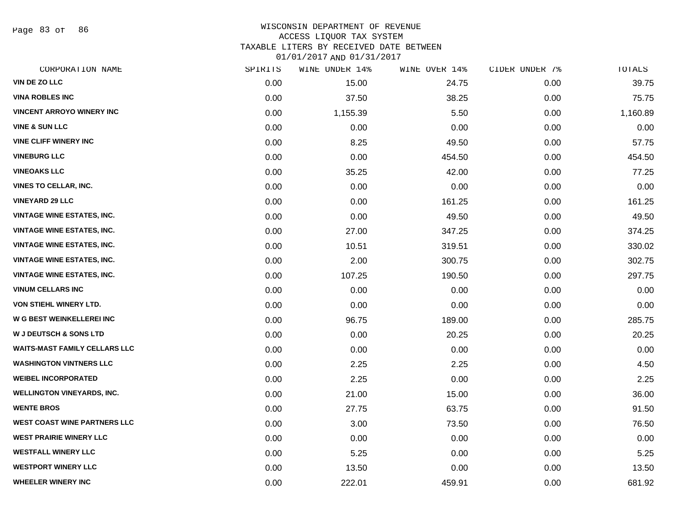Page 83 of 86

## WISCONSIN DEPARTMENT OF REVENUE ACCESS LIQUOR TAX SYSTEM

TAXABLE LITERS BY RECEIVED DATE BETWEEN

| CORPORATION NAME                     | SPIRITS | WINE UNDER 14% | WINE OVER 14% | CIDER UNDER 7% | TOTALS   |
|--------------------------------------|---------|----------------|---------------|----------------|----------|
| VIN DE ZO LLC                        | 0.00    | 15.00          | 24.75         | 0.00           | 39.75    |
| <b>VINA ROBLES INC</b>               | 0.00    | 37.50          | 38.25         | 0.00           | 75.75    |
| <b>VINCENT ARROYO WINERY INC</b>     | 0.00    | 1,155.39       | 5.50          | 0.00           | 1,160.89 |
| <b>VINE &amp; SUN LLC</b>            | 0.00    | 0.00           | 0.00          | 0.00           | 0.00     |
| <b>VINE CLIFF WINERY INC</b>         | 0.00    | 8.25           | 49.50         | 0.00           | 57.75    |
| <b>VINEBURG LLC</b>                  | 0.00    | 0.00           | 454.50        | 0.00           | 454.50   |
| <b>VINEOAKS LLC</b>                  | 0.00    | 35.25          | 42.00         | 0.00           | 77.25    |
| <b>VINES TO CELLAR, INC.</b>         | 0.00    | 0.00           | 0.00          | 0.00           | 0.00     |
| <b>VINEYARD 29 LLC</b>               | 0.00    | 0.00           | 161.25        | 0.00           | 161.25   |
| <b>VINTAGE WINE ESTATES, INC.</b>    | 0.00    | 0.00           | 49.50         | 0.00           | 49.50    |
| <b>VINTAGE WINE ESTATES, INC.</b>    | 0.00    | 27.00          | 347.25        | 0.00           | 374.25   |
| <b>VINTAGE WINE ESTATES, INC.</b>    | 0.00    | 10.51          | 319.51        | 0.00           | 330.02   |
| <b>VINTAGE WINE ESTATES, INC.</b>    | 0.00    | 2.00           | 300.75        | 0.00           | 302.75   |
| <b>VINTAGE WINE ESTATES, INC.</b>    | 0.00    | 107.25         | 190.50        | 0.00           | 297.75   |
| <b>VINUM CELLARS INC</b>             | 0.00    | 0.00           | 0.00          | 0.00           | 0.00     |
| VON STIEHL WINERY LTD.               | 0.00    | 0.00           | 0.00          | 0.00           | 0.00     |
| <b>W G BEST WEINKELLEREI INC</b>     | 0.00    | 96.75          | 189.00        | 0.00           | 285.75   |
| <b>W J DEUTSCH &amp; SONS LTD</b>    | 0.00    | 0.00           | 20.25         | 0.00           | 20.25    |
| <b>WAITS-MAST FAMILY CELLARS LLC</b> | 0.00    | 0.00           | 0.00          | 0.00           | 0.00     |
| <b>WASHINGTON VINTNERS LLC</b>       | 0.00    | 2.25           | 2.25          | 0.00           | 4.50     |
| <b>WEIBEL INCORPORATED</b>           | 0.00    | 2.25           | 0.00          | 0.00           | 2.25     |
| <b>WELLINGTON VINEYARDS, INC.</b>    | 0.00    | 21.00          | 15.00         | 0.00           | 36.00    |
| <b>WENTE BROS</b>                    | 0.00    | 27.75          | 63.75         | 0.00           | 91.50    |
| <b>WEST COAST WINE PARTNERS LLC</b>  | 0.00    | 3.00           | 73.50         | 0.00           | 76.50    |
| <b>WEST PRAIRIE WINERY LLC</b>       | 0.00    | 0.00           | 0.00          | 0.00           | 0.00     |
| <b>WESTFALL WINERY LLC</b>           | 0.00    | 5.25           | 0.00          | 0.00           | 5.25     |
| <b>WESTPORT WINERY LLC</b>           | 0.00    | 13.50          | 0.00          | 0.00           | 13.50    |
| <b>WHEELER WINERY INC</b>            | 0.00    | 222.01         | 459.91        | 0.00           | 681.92   |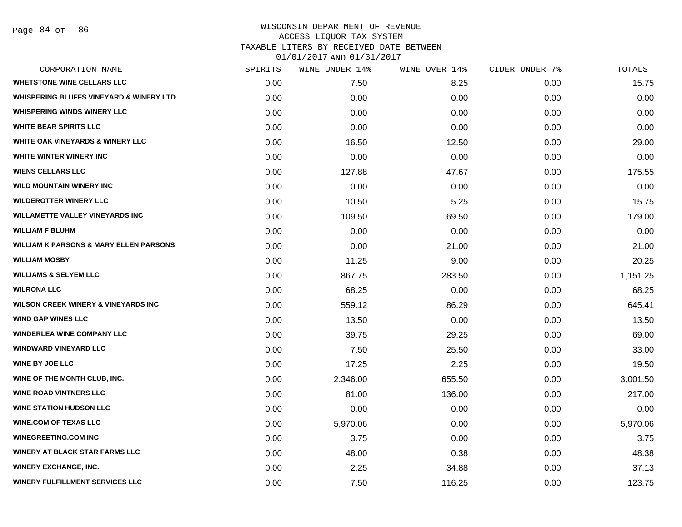### WISCONSIN DEPARTMENT OF REVENUE ACCESS LIQUOR TAX SYSTEM TAXABLE LITERS BY RECEIVED DATE BETWEEN

| CORPORATION NAME                                   | SPIRITS | WINE UNDER 14% | WINE OVER 14% | CIDER UNDER 7% | TOTALS   |
|----------------------------------------------------|---------|----------------|---------------|----------------|----------|
| <b>WHETSTONE WINE CELLARS LLC</b>                  | 0.00    | 7.50           | 8.25          | 0.00           | 15.75    |
| <b>WHISPERING BLUFFS VINEYARD &amp; WINERY LTD</b> | 0.00    | 0.00           | 0.00          | 0.00           | 0.00     |
| <b>WHISPERING WINDS WINERY LLC</b>                 | 0.00    | 0.00           | 0.00          | 0.00           | 0.00     |
| <b>WHITE BEAR SPIRITS LLC</b>                      | 0.00    | 0.00           | 0.00          | 0.00           | 0.00     |
| <b>WHITE OAK VINEYARDS &amp; WINERY LLC</b>        | 0.00    | 16.50          | 12.50         | 0.00           | 29.00    |
| WHITE WINTER WINERY INC                            | 0.00    | 0.00           | 0.00          | 0.00           | 0.00     |
| <b>WIENS CELLARS LLC</b>                           | 0.00    | 127.88         | 47.67         | 0.00           | 175.55   |
| <b>WILD MOUNTAIN WINERY INC</b>                    | 0.00    | 0.00           | 0.00          | 0.00           | 0.00     |
| <b>WILDEROTTER WINERY LLC</b>                      | 0.00    | 10.50          | 5.25          | 0.00           | 15.75    |
| <b>WILLAMETTE VALLEY VINEYARDS INC</b>             | 0.00    | 109.50         | 69.50         | 0.00           | 179.00   |
| <b>WILLIAM F BLUHM</b>                             | 0.00    | 0.00           | 0.00          | 0.00           | 0.00     |
| <b>WILLIAM K PARSONS &amp; MARY ELLEN PARSONS</b>  | 0.00    | 0.00           | 21.00         | 0.00           | 21.00    |
| <b>WILLIAM MOSBY</b>                               | 0.00    | 11.25          | 9.00          | 0.00           | 20.25    |
| <b>WILLIAMS &amp; SELYEM LLC</b>                   | 0.00    | 867.75         | 283.50        | 0.00           | 1,151.25 |
| <b>WILRONA LLC</b>                                 | 0.00    | 68.25          | 0.00          | 0.00           | 68.25    |
| <b>WILSON CREEK WINERY &amp; VINEYARDS INC</b>     | 0.00    | 559.12         | 86.29         | 0.00           | 645.41   |
| <b>WIND GAP WINES LLC</b>                          | 0.00    | 13.50          | 0.00          | 0.00           | 13.50    |
| <b>WINDERLEA WINE COMPANY LLC</b>                  | 0.00    | 39.75          | 29.25         | 0.00           | 69.00    |
| <b>WINDWARD VINEYARD LLC</b>                       | 0.00    | 7.50           | 25.50         | 0.00           | 33.00    |
| <b>WINE BY JOE LLC</b>                             | 0.00    | 17.25          | 2.25          | 0.00           | 19.50    |
| WINE OF THE MONTH CLUB, INC.                       | 0.00    | 2,346.00       | 655.50        | 0.00           | 3,001.50 |
| <b>WINE ROAD VINTNERS LLC</b>                      | 0.00    | 81.00          | 136.00        | 0.00           | 217.00   |
| <b>WINE STATION HUDSON LLC</b>                     | 0.00    | 0.00           | 0.00          | 0.00           | 0.00     |
| <b>WINE.COM OF TEXAS LLC</b>                       | 0.00    | 5,970.06       | 0.00          | 0.00           | 5,970.06 |
| <b>WINEGREETING.COM INC</b>                        | 0.00    | 3.75           | 0.00          | 0.00           | 3.75     |
| <b>WINERY AT BLACK STAR FARMS LLC</b>              | 0.00    | 48.00          | 0.38          | 0.00           | 48.38    |
| <b>WINERY EXCHANGE, INC.</b>                       | 0.00    | 2.25           | 34.88         | 0.00           | 37.13    |
| <b>WINERY FULFILLMENT SERVICES LLC</b>             | 0.00    | 7.50           | 116.25        | 0.00           | 123.75   |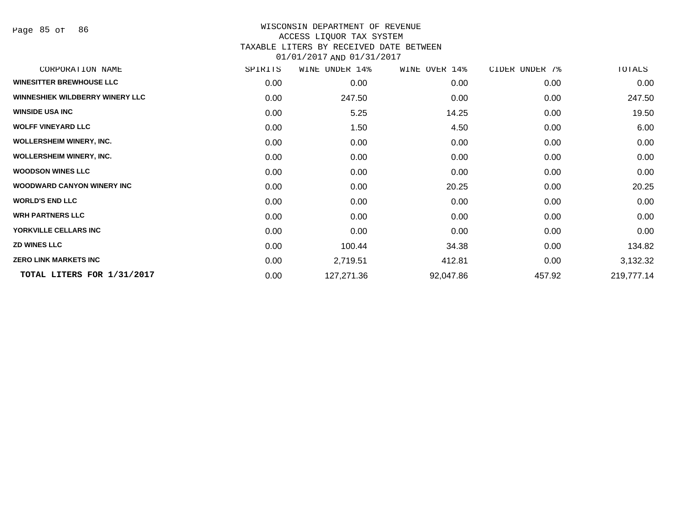Page 85 of 86

#### WISCONSIN DEPARTMENT OF REVENUE ACCESS LIQUOR TAX SYSTEM TAXABLE LITERS BY RECEIVED DATE BETWEEN

| CORPORATION NAME                       | SPIRITS | WINE<br>UNDER 14% | WINE OVER 14% | CIDER UNDER 7% | TOTALS     |
|----------------------------------------|---------|-------------------|---------------|----------------|------------|
| <b>WINESITTER BREWHOUSE LLC</b>        | 0.00    | 0.00              | 0.00          | 0.00           | 0.00       |
| <b>WINNESHIEK WILDBERRY WINERY LLC</b> | 0.00    | 247.50            | 0.00          | 0.00           | 247.50     |
| <b>WINSIDE USA INC</b>                 | 0.00    | 5.25              | 14.25         | 0.00           | 19.50      |
| <b>WOLFF VINEYARD LLC</b>              | 0.00    | 1.50              | 4.50          | 0.00           | 6.00       |
| <b>WOLLERSHEIM WINERY, INC.</b>        | 0.00    | 0.00              | 0.00          | 0.00           | 0.00       |
| <b>WOLLERSHEIM WINERY, INC.</b>        | 0.00    | 0.00              | 0.00          | 0.00           | 0.00       |
| <b>WOODSON WINES LLC</b>               | 0.00    | 0.00              | 0.00          | 0.00           | 0.00       |
| <b>WOODWARD CANYON WINERY INC</b>      | 0.00    | 0.00              | 20.25         | 0.00           | 20.25      |
| <b>WORLD'S END LLC</b>                 | 0.00    | 0.00              | 0.00          | 0.00           | 0.00       |
| <b>WRH PARTNERS LLC</b>                | 0.00    | 0.00              | 0.00          | 0.00           | 0.00       |
| YORKVILLE CELLARS INC                  | 0.00    | 0.00              | 0.00          | 0.00           | 0.00       |
| <b>ZD WINES LLC</b>                    | 0.00    | 100.44            | 34.38         | 0.00           | 134.82     |
| <b>ZERO LINK MARKETS INC</b>           | 0.00    | 2,719.51          | 412.81        | 0.00           | 3,132.32   |
| TOTAL LITERS FOR 1/31/2017             | 0.00    | 127,271.36        | 92,047.86     | 457.92         | 219,777.14 |